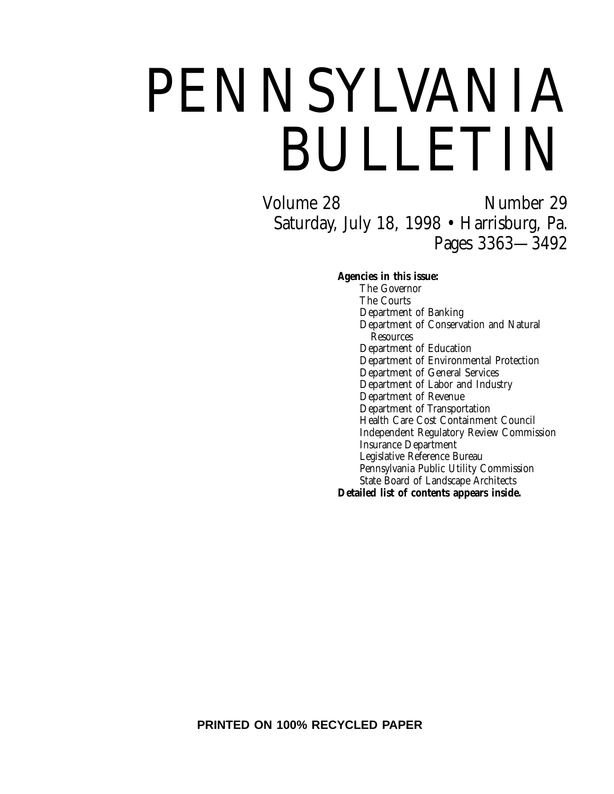# PENNSYLVANIA BULLETIN

Volume 28 Number 29 Saturday, July 18, 1998 • Harrisburg, Pa. Pages 3363—3492

**Agencies in this issue:**

The Governor The Courts Department of Banking Department of Conservation and Natural Resources Department of Education Department of Environmental Protection Department of General Services Department of Labor and Industry Department of Revenue Department of Transportation Health Care Cost Containment Council Independent Regulatory Review Commission Insurance Department Legislative Reference Bureau Pennsylvania Public Utility Commission State Board of Landscape Architects **Detailed list of contents appears inside.**

**PRINTED ON 100% RECYCLED PAPER**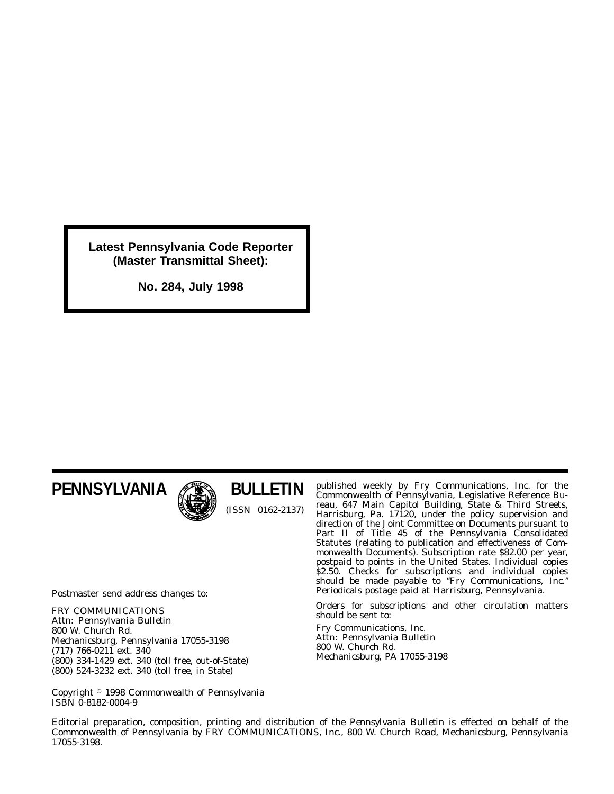**Latest Pennsylvania Code Reporter (Master Transmittal Sheet):**

**No. 284, July 1998**

# **PENNSYLVANIA**



**BULLETIN** (ISSN 0162-2137)

Postmaster send address changes to:

FRY COMMUNICATIONS Attn: *Pennsylvania Bulletin* 800 W. Church Rd. Mechanicsburg, Pennsylvania 17055-3198 (717) 766-0211 ext. 340 (800) 334-1429 ext. 340 (toll free, out-of-State) (800) 524-3232 ext. 340 (toll free, in State)

published weekly by Fry Communications, Inc. for the Commonwealth of Pennsylvania, Legislative Reference Bureau, 647 Main Capitol Building, State & Third Streets, Harrisburg, Pa. 17120, under the policy supervision and direction of the Joint Committee on Documents pursuant to Part II of Title 45 of the Pennsylvania Consolidated Statutes (relating to publication and effectiveness of Commonwealth Documents). Subscription rate \$82.00 per year, postpaid to points in the United States. Individual copies \$2.50. Checks for subscriptions and individual copies should be made payable to ''*Fry Communications, Inc.*'' Periodicals postage paid at Harrisburg, Pennsylvania.

Orders for subscriptions and other circulation matters should be sent to:

Fry Communications, Inc. Attn: *Pennsylvania Bulletin* 800 W. Church Rd. Mechanicsburg, PA 17055-3198

Copyright 1998 Commonwealth of Pennsylvania ISBN 0-8182-0004-9

Editorial preparation, composition, printing and distribution of the *Pennsylvania Bulletin* is effected on behalf of the Commonwealth of Pennsylvania by FRY COMMUNICATIONS, Inc., 800 W. Church Road, Mechanicsburg, Pennsylvania 17055-3198.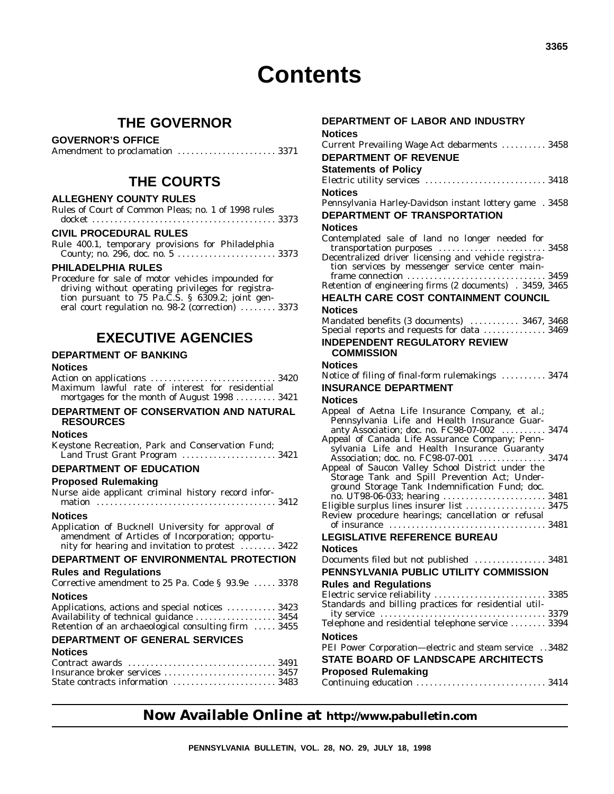# **Contents**

### **THE GOVERNOR**

#### **GOVERNOR'S OFFICE**

|--|--|--|--|

### **THE COURTS**

#### **ALLEGHENY COUNTY RULES**

| Rules of Court of Common Pleas: no. 1 of 1998 rules |  |  |  |  |  |
|-----------------------------------------------------|--|--|--|--|--|
|                                                     |  |  |  |  |  |

#### **CIVIL PROCEDURAL RULES**

Rule 400.1, temporary provisions for Philadelphia County; no. 296, doc. no. 5 ...................... 3373

#### **PHILADELPHIA RULES**

Procedure for sale of motor vehicles impounded for driving without operating privileges for registration pursuant to 75 Pa.C.S. § 6309.2; joint general court regulation no. 98-2 (correction) ........ 3373

### **EXECUTIVE AGENCIES**

#### **DEPARTMENT OF BANKING**

#### **Notices**

Action on applications ............................ 3420 Maximum lawful rate of interest for residential mortgages for the month of August 1998 ......... 3421

#### **DEPARTMENT OF CONSERVATION AND NATURAL RESOURCES**

#### **Notices**

Keystone Recreation, Park and Conservation Fund; Land Trust Grant Program ..................... 3421

#### **DEPARTMENT OF EDUCATION**

#### **Proposed Rulemaking**

| Nurse aide applicant criminal history record infor-                                                                                                        |
|------------------------------------------------------------------------------------------------------------------------------------------------------------|
| <b>Notices</b>                                                                                                                                             |
| Application of Bucknell University for approval of<br>amendment of Articles of Incorporation; opportu-<br>nity for hearing and invitation to protest  3422 |
| DEPARTMENT OF ENVIRONMENTAL PROTECTION                                                                                                                     |
| <b>Rules and Regulations</b>                                                                                                                               |
| Corrective amendment to 25 Pa. Code § 93.9e  3378                                                                                                          |
| <b>Notices</b>                                                                                                                                             |
| Applications, actions and special notices  3423                                                                                                            |
| Availability of technical guidance  3454                                                                                                                   |
| Retention of an archaeological consulting firm  3455                                                                                                       |
| <b>DEPARTMENT OF GENERAL SERVICES</b><br>.                                                                                                                 |
|                                                                                                                                                            |

#### **Notices**

| State contracts information 3483 |  |
|----------------------------------|--|

# **DEPARTMENT OF LABOR AND INDUSTRY Notices**

| Current Prevailing Wage Act debarments  3458                                                  |
|-----------------------------------------------------------------------------------------------|
| <b>DEPARTMENT OF REVENUE</b>                                                                  |
| <b>Statements of Policy</b>                                                                   |
|                                                                                               |
| <b>Notices</b>                                                                                |
| Pennsylvania Harley-Davidson instant lottery game . 3458                                      |
| DEPARTMENT OF TRANSPORTATION                                                                  |
| <b>Notices</b>                                                                                |
| Contemplated sale of land no longer needed for                                                |
| transportation purposes  3458                                                                 |
| Decentralized driver licensing and vehicle registra-                                          |
| tion services by messenger service center main-                                               |
| Retention of engineering firms (2 documents) . 3459, 3465                                     |
| HEALTH CARE COST CONTAINMENT COUNCIL                                                          |
| <b>Notices</b>                                                                                |
| Mandated benefits (3 documents)  3467, 3468                                                   |
| Special reports and requests for data  3469                                                   |
| <b>INDEPENDENT REGULATORY REVIEW</b>                                                          |
| <b>COMMISSION</b>                                                                             |
| Notices                                                                                       |
| Notice of filing of final-form rulemakings  3474                                              |
| <b>INSURANCE DEPARTMENT</b>                                                                   |
| Notices                                                                                       |
| Appeal of Aetna Life Insurance Company, et al.;                                               |
| Pennsylvania Life and Health Insurance Guar-                                                  |
| anty Association; doc. no. FC98-07-002  3474                                                  |
| Appeal of Canada Life Assurance Company; Penn-<br>sylvania Life and Health Insurance Guaranty |
| Association; doc. no. FC98-07-001  3474                                                       |
| Appeal of Saucon Valley School District under the                                             |
| Storage Tank and Spill Prevention Act; Under-                                                 |
| ground Storage Tank Indemnification Fund; doc.                                                |
| Eligible surplus lines insurer list  3475                                                     |
| Review procedure hearings; cancellation or refusal                                            |
|                                                                                               |
| <b>LEGISLATIVE REFERENCE BUREAU</b>                                                           |
| <b>Notices</b>                                                                                |
| Documents filed but not published  3481                                                       |
| PENNSYLVANIA PUBLIC UTILITY COMMISSION                                                        |
| <b>Rules and Regulations</b>                                                                  |
|                                                                                               |
| Electric service reliability  3385<br>Standards and billing practices for residential util-   |
|                                                                                               |
| Telephone and residential telephone service  3394                                             |
| <b>Notices</b>                                                                                |
| PEI Power Corporation-electric and steam service 3482                                         |
|                                                                                               |
| STATE BOARD OF LANDSCAPE ARCHITECTS                                                           |
| <b>Proposed Rulemaking</b><br>Continuing education  3414                                      |

### **Now Available Online at http://www.pabulletin.com**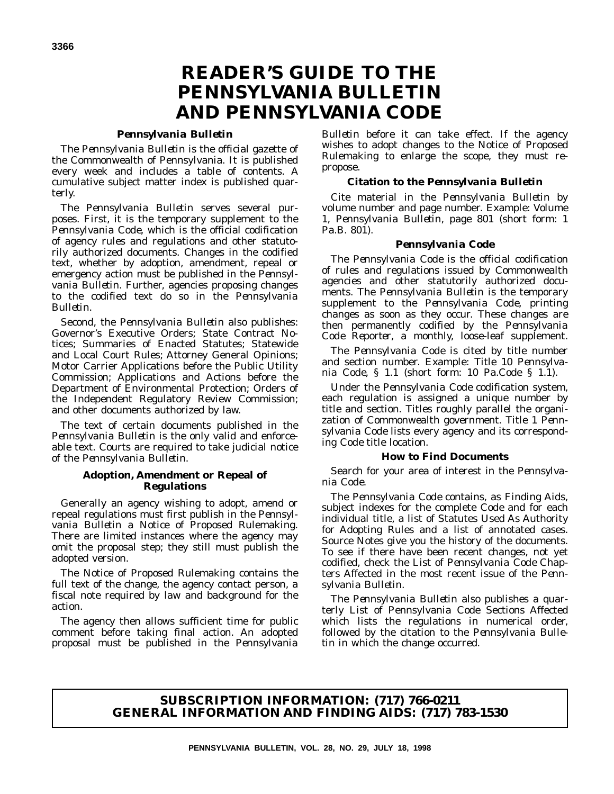# **READER'S GUIDE TO THE** *PENNSYLVANIA BULLETIN* **AND** *PENNSYLVANIA CODE*

#### *Pennsylvania Bulletin*

The *Pennsylvania Bulletin* is the official gazette of the Commonwealth of Pennsylvania. It is published every week and includes a table of contents. A cumulative subject matter index is published quarterly.

The *Pennsylvania Bulletin* serves several purposes. First, it is the temporary supplement to the *Pennsylvania Code*, which is the official codification of agency rules and regulations and other statutorily authorized documents. Changes in the codified text, whether by adoption, amendment, repeal or emergency action must be published in the *Pennsylvania Bulletin*. Further, agencies proposing changes to the codified text do so in the *Pennsylvania Bulletin*.

Second, the *Pennsylvania Bulletin* also publishes: Governor's Executive Orders; State Contract Notices; Summaries of Enacted Statutes; Statewide and Local Court Rules; Attorney General Opinions; Motor Carrier Applications before the Public Utility Commission; Applications and Actions before the Department of Environmental Protection; Orders of the Independent Regulatory Review Commission; and other documents authorized by law.

The text of certain documents published in the *Pennsylvania Bulletin* is the only valid and enforceable text. Courts are required to take judicial notice of the *Pennsylvania Bulletin*.

#### **Adoption, Amendment or Repeal of Regulations**

Generally an agency wishing to adopt, amend or repeal regulations must first publish in the *Pennsylvania Bulletin* a Notice of Proposed Rulemaking. There are limited instances where the agency may omit the proposal step; they still must publish the adopted version.

The Notice of Proposed Rulemaking contains the full text of the change, the agency contact person, a fiscal note required by law and background for the action.

The agency then allows sufficient time for public comment before taking final action. An adopted proposal must be published in the *Pennsylvania*

*Bulletin* before it can take effect. If the agency wishes to adopt changes to the Notice of Proposed Rulemaking to enlarge the scope, they must repropose.

#### **Citation to the** *Pennsylvania Bulletin*

Cite material in the *Pennsylvania Bulletin* by volume number and page number. Example: Volume 1, *Pennsylvania Bulletin*, page 801 (short form: 1 Pa.B. 801).

#### *Pennsylvania Code*

The *Pennsylvania Code* is the official codification of rules and regulations issued by Commonwealth agencies and other statutorily authorized documents. The *Pennsylvania Bulletin* is the temporary supplement to the *Pennsylvania Code*, printing changes as soon as they occur. These changes are then permanently codified by the *Pennsylvania Code Reporter*, a monthly, loose-leaf supplement.

The *Pennsylvania Code* is cited by title number and section number. Example: Title 10 *Pennsylvania Code*, § 1.1 (short form: 10 Pa.Code § 1.1).

Under the *Pennsylvania Code* codification system, each regulation is assigned a unique number by title and section. Titles roughly parallel the organization of Commonwealth government. Title 1 *Pennsylvania Code* lists every agency and its corresponding *Code* title location.

#### **How to Find Documents**

Search for your area of interest in the *Pennsylvania Code*.

The *Pennsylvania Code* contains, as Finding Aids, subject indexes for the complete *Code* and for each individual title, a list of Statutes Used As Authority for Adopting Rules and a list of annotated cases. Source Notes give you the history of the documents. To see if there have been recent changes, not yet codified, check the List of *Pennsylvania Code* Chapters Affected in the most recent issue of the *Pennsylvania Bulletin*.

The *Pennsylvania Bulletin* also publishes a quarterly List of Pennsylvania Code Sections Affected which lists the regulations in numerical order, followed by the citation to the *Pennsylvania Bulletin* in which the change occurred.

#### **SUBSCRIPTION INFORMATION: (717) 766-0211 GENERAL INFORMATION AND FINDING AIDS: (717) 783-1530**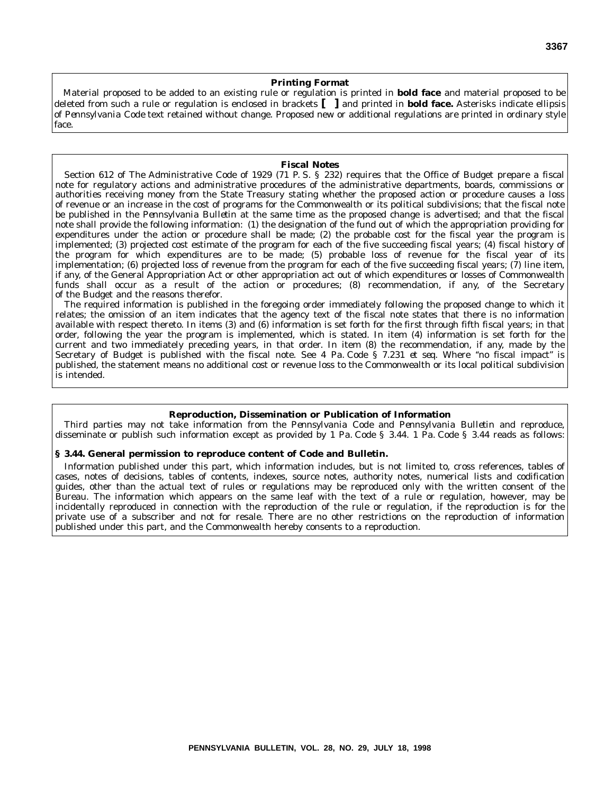#### **Printing Format**

Material proposed to be added to an existing rule or regulation is printed in **bold face** and material proposed to be deleted from such a rule or regulation is enclosed in brackets **[ ]** and printed in **bold face.** Asterisks indicate ellipsis of *Pennsylvania Code* text retained without change. Proposed new or additional regulations are printed in ordinary style face.

#### **Fiscal Notes**

Section 612 of The Administrative Code of 1929 (71 P. S. § 232) requires that the Office of Budget prepare a fiscal note for regulatory actions and administrative procedures of the administrative departments, boards, commissions or authorities receiving money from the State Treasury stating whether the proposed action or procedure causes a loss of revenue or an increase in the cost of programs for the Commonwealth or its political subdivisions; that the fiscal note be published in the *Pennsylvania Bulletin* at the same time as the proposed change is advertised; and that the fiscal note shall provide the following information: (1) the designation of the fund out of which the appropriation providing for expenditures under the action or procedure shall be made; (2) the probable cost for the fiscal year the program is implemented; (3) projected cost estimate of the program for each of the five succeeding fiscal years; (4) fiscal history of the program for which expenditures are to be made; (5) probable loss of revenue for the fiscal year of its implementation; (6) projected loss of revenue from the program for each of the five succeeding fiscal years; (7) line item, if any, of the General Appropriation Act or other appropriation act out of which expenditures or losses of Commonwealth funds shall occur as a result of the action or procedures; (8) recommendation, if any, of the Secretary of the Budget and the reasons therefor.

The required information is published in the foregoing order immediately following the proposed change to which it relates; the omission of an item indicates that the agency text of the fiscal note states that there is no information available with respect thereto. In items (3) and (6) information is set forth for the first through fifth fiscal years; in that order, following the year the program is implemented, which is stated. In item (4) information is set forth for the current and two immediately preceding years, in that order. In item (8) the recommendation, if any, made by the Secretary of Budget is published with the fiscal note. See 4 Pa. Code § 7.231 *et seq.* Where ''no fiscal impact'' is published, the statement means no additional cost or revenue loss to the Commonwealth or its local political subdivision is intended.

#### **Reproduction, Dissemination or Publication of Information**

Third parties may not take information from the *Pennsylvania Code* and *Pennsylvania Bulletin* and reproduce, disseminate or publish such information except as provided by 1 Pa. Code § 3.44. 1 Pa. Code § 3.44 reads as follows:

#### **§ 3.44. General permission to reproduce content of Code and Bulletin.**

Information published under this part, which information includes, but is not limited to, cross references, tables of cases, notes of decisions, tables of contents, indexes, source notes, authority notes, numerical lists and codification guides, other than the actual text of rules or regulations may be reproduced only with the written consent of the Bureau. The information which appears on the same leaf with the text of a rule or regulation, however, may be incidentally reproduced in connection with the reproduction of the rule or regulation, if the reproduction is for the private use of a subscriber and not for resale. There are no other restrictions on the reproduction of information published under this part, and the Commonwealth hereby consents to a reproduction.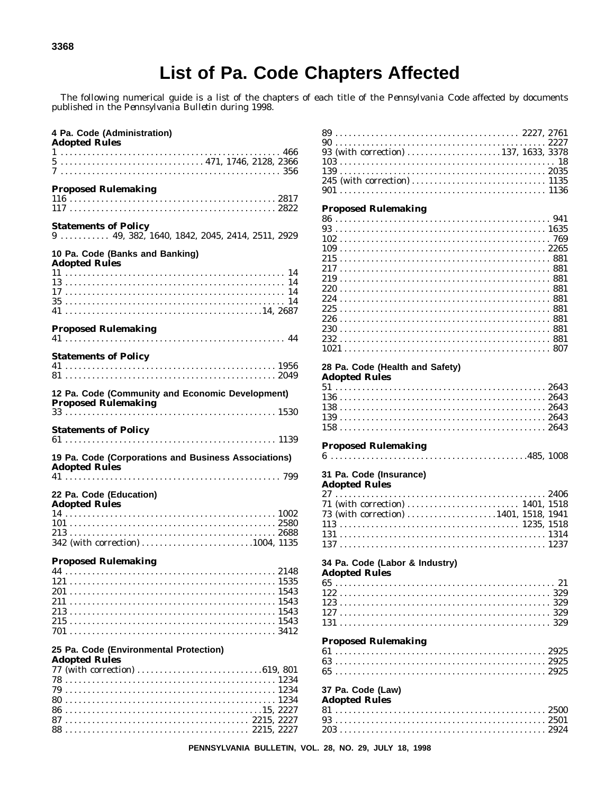# List of Pa. Code Chapters Affected

The following numerical guide is a list of the chapters of each title of the *Pennsylvania Code* affected by documents published in the *Pennsylvania Bulletin* during 1998.

| 4 Pa. Code (Administration)<br><b>Adopted Rules</b>                          |      |
|------------------------------------------------------------------------------|------|
|                                                                              |      |
| <b>Proposed Rulemaking</b>                                                   |      |
| <b>Statements of Policy</b>                                                  |      |
| 10 Pa. Code (Banks and Banking)<br><b>Adopted Rules</b>                      |      |
|                                                                              |      |
| <b>Proposed Rulemaking</b>                                                   |      |
| <b>Statements of Policy</b>                                                  |      |
| 12 Pa. Code (Community and Economic Development)                             |      |
| <b>Statements of Policy</b>                                                  |      |
| 19 Pa. Code (Corporations and Business Associations)<br><b>Adopted Rules</b> |      |
| 22 Pa. Code (Education)                                                      |      |
| <b>Adopted Rules</b><br>342 (with correction) 1004, 1135                     |      |
| <b>Proposed Rulemaking</b><br>44 — 1                                         | 2148 |
| 25 Pa. Code (Environmental Protection)<br><b>Adopted Rules</b>               |      |
| 88                                                                           |      |

| 93 (with correction) 137, 1633, 3378                   | 18 |
|--------------------------------------------------------|----|
|                                                        |    |
|                                                        |    |
|                                                        |    |
| <b>Proposed Rulemaking</b>                             |    |
|                                                        |    |
|                                                        |    |
|                                                        |    |
|                                                        |    |
|                                                        |    |
|                                                        |    |
|                                                        |    |
|                                                        |    |
|                                                        |    |
|                                                        |    |
|                                                        |    |
|                                                        |    |
| 28 Pa. Code (Health and Safety)                        |    |
| <b>Adopted Rules</b>                                   |    |
|                                                        |    |
|                                                        |    |
|                                                        |    |
|                                                        |    |
|                                                        |    |
| <b>Proposed Rulemaking</b>                             |    |
|                                                        |    |
| 31 Pa. Code (Insurance)                                |    |
| <b>Adopted Rules</b>                                   |    |
|                                                        |    |
|                                                        |    |
| 73 (with correction) 1401, 1518, 1941                  |    |
|                                                        |    |
|                                                        |    |
|                                                        |    |
| 34 Pa. Code (Labor & Industry)<br><b>Adopted Rules</b> |    |
|                                                        | 21 |
|                                                        |    |
|                                                        |    |
|                                                        |    |
|                                                        |    |
| <b>Proposed Rulemaking</b>                             |    |
|                                                        |    |
|                                                        |    |
|                                                        |    |
| 37 Pa. Code (Law)                                      |    |
| <b>Adopted Rules</b>                                   |    |
|                                                        |    |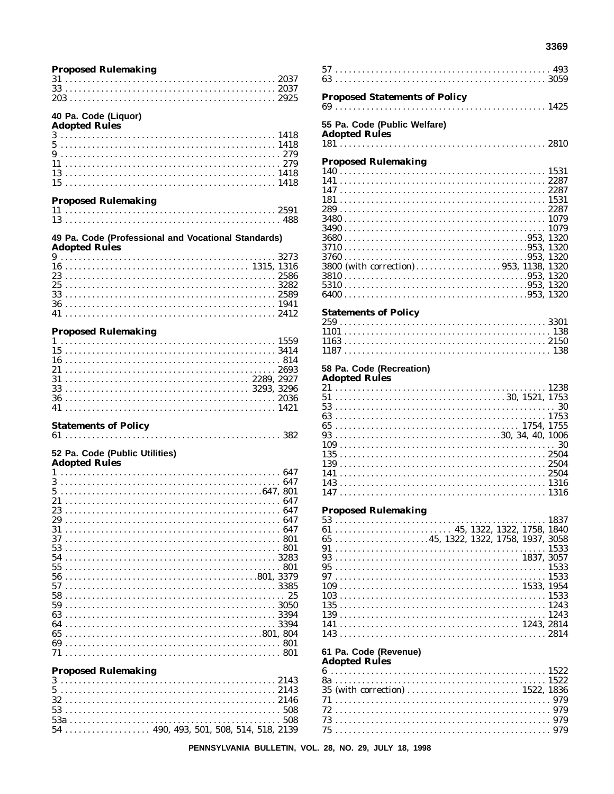#### **Proposed Rulemaking**

 $\frac{1}{2}$ 

# 40 Pa. Code (Liquor)<br>Adopted Rules

| Adopted Rules |  |  |  |  |  |  |  |  |  |  |  |  |  |  |  |  |  |  |  |  |  |  |  |  |  |  |
|---------------|--|--|--|--|--|--|--|--|--|--|--|--|--|--|--|--|--|--|--|--|--|--|--|--|--|--|
|               |  |  |  |  |  |  |  |  |  |  |  |  |  |  |  |  |  |  |  |  |  |  |  |  |  |  |
|               |  |  |  |  |  |  |  |  |  |  |  |  |  |  |  |  |  |  |  |  |  |  |  |  |  |  |
|               |  |  |  |  |  |  |  |  |  |  |  |  |  |  |  |  |  |  |  |  |  |  |  |  |  |  |
|               |  |  |  |  |  |  |  |  |  |  |  |  |  |  |  |  |  |  |  |  |  |  |  |  |  |  |
|               |  |  |  |  |  |  |  |  |  |  |  |  |  |  |  |  |  |  |  |  |  |  |  |  |  |  |
|               |  |  |  |  |  |  |  |  |  |  |  |  |  |  |  |  |  |  |  |  |  |  |  |  |  |  |
|               |  |  |  |  |  |  |  |  |  |  |  |  |  |  |  |  |  |  |  |  |  |  |  |  |  |  |

#### **Proposed Rulemaking**

| 110posca Ruicmannig |  |  |  |  |  |  |  |  |  |  |  |  |  |  |  |  |  |  |  |  |  |  |
|---------------------|--|--|--|--|--|--|--|--|--|--|--|--|--|--|--|--|--|--|--|--|--|--|
|                     |  |  |  |  |  |  |  |  |  |  |  |  |  |  |  |  |  |  |  |  |  |  |
|                     |  |  |  |  |  |  |  |  |  |  |  |  |  |  |  |  |  |  |  |  |  |  |

#### 49 Pa. Code (Professional and Vocational Standards) **Adopted Rules**

| $\frac{1}{2}$ |  |  |  |  |  |  |  |  |  |  |  |  |  |  |  |  |  |  |  |  |  |  |  |  |  |
|---------------|--|--|--|--|--|--|--|--|--|--|--|--|--|--|--|--|--|--|--|--|--|--|--|--|--|
|               |  |  |  |  |  |  |  |  |  |  |  |  |  |  |  |  |  |  |  |  |  |  |  |  |  |
|               |  |  |  |  |  |  |  |  |  |  |  |  |  |  |  |  |  |  |  |  |  |  |  |  |  |
|               |  |  |  |  |  |  |  |  |  |  |  |  |  |  |  |  |  |  |  |  |  |  |  |  |  |
|               |  |  |  |  |  |  |  |  |  |  |  |  |  |  |  |  |  |  |  |  |  |  |  |  |  |
|               |  |  |  |  |  |  |  |  |  |  |  |  |  |  |  |  |  |  |  |  |  |  |  |  |  |
|               |  |  |  |  |  |  |  |  |  |  |  |  |  |  |  |  |  |  |  |  |  |  |  |  |  |
|               |  |  |  |  |  |  |  |  |  |  |  |  |  |  |  |  |  |  |  |  |  |  |  |  |  |
|               |  |  |  |  |  |  |  |  |  |  |  |  |  |  |  |  |  |  |  |  |  |  |  |  |  |

#### **Proposed Rulemaking**

#### **Statements of Policy**

#### 52 Pa. Code (Public Utilities) **Adopted Rules**

| Adopted Rules |  |  |  |  |  |  |  |  |  |  |  |  |  |  |  |  |  |  |  |  |  |  |  |      |  |
|---------------|--|--|--|--|--|--|--|--|--|--|--|--|--|--|--|--|--|--|--|--|--|--|--|------|--|
| 1             |  |  |  |  |  |  |  |  |  |  |  |  |  |  |  |  |  |  |  |  |  |  |  |      |  |
| 3             |  |  |  |  |  |  |  |  |  |  |  |  |  |  |  |  |  |  |  |  |  |  |  | 647  |  |
| 5             |  |  |  |  |  |  |  |  |  |  |  |  |  |  |  |  |  |  |  |  |  |  |  |      |  |
| 21            |  |  |  |  |  |  |  |  |  |  |  |  |  |  |  |  |  |  |  |  |  |  |  | 647  |  |
| 23            |  |  |  |  |  |  |  |  |  |  |  |  |  |  |  |  |  |  |  |  |  |  |  | 647  |  |
| 29            |  |  |  |  |  |  |  |  |  |  |  |  |  |  |  |  |  |  |  |  |  |  |  | 647  |  |
| 31            |  |  |  |  |  |  |  |  |  |  |  |  |  |  |  |  |  |  |  |  |  |  |  |      |  |
| 37            |  |  |  |  |  |  |  |  |  |  |  |  |  |  |  |  |  |  |  |  |  |  |  | 801  |  |
| 53            |  |  |  |  |  |  |  |  |  |  |  |  |  |  |  |  |  |  |  |  |  |  |  | 801  |  |
| 54            |  |  |  |  |  |  |  |  |  |  |  |  |  |  |  |  |  |  |  |  |  |  |  |      |  |
| 55            |  |  |  |  |  |  |  |  |  |  |  |  |  |  |  |  |  |  |  |  |  |  |  |      |  |
| 56            |  |  |  |  |  |  |  |  |  |  |  |  |  |  |  |  |  |  |  |  |  |  |  |      |  |
| 57            |  |  |  |  |  |  |  |  |  |  |  |  |  |  |  |  |  |  |  |  |  |  |  | 3385 |  |
| 58            |  |  |  |  |  |  |  |  |  |  |  |  |  |  |  |  |  |  |  |  |  |  |  |      |  |
|               |  |  |  |  |  |  |  |  |  |  |  |  |  |  |  |  |  |  |  |  |  |  |  |      |  |
| 59            |  |  |  |  |  |  |  |  |  |  |  |  |  |  |  |  |  |  |  |  |  |  |  |      |  |
| 63            |  |  |  |  |  |  |  |  |  |  |  |  |  |  |  |  |  |  |  |  |  |  |  | 3394 |  |
| 64            |  |  |  |  |  |  |  |  |  |  |  |  |  |  |  |  |  |  |  |  |  |  |  |      |  |
| 65            |  |  |  |  |  |  |  |  |  |  |  |  |  |  |  |  |  |  |  |  |  |  |  |      |  |
| 69            |  |  |  |  |  |  |  |  |  |  |  |  |  |  |  |  |  |  |  |  |  |  |  | 801  |  |
|               |  |  |  |  |  |  |  |  |  |  |  |  |  |  |  |  |  |  |  |  |  |  |  | 801  |  |
|               |  |  |  |  |  |  |  |  |  |  |  |  |  |  |  |  |  |  |  |  |  |  |  |      |  |

#### **Proposed Rulemaking**

| 110poscu Ruicmaning |  |  |  |  |  |  |  |  |  |  |  |  |  |  |  |  |  |  |  |  |  |  |  |  |  |
|---------------------|--|--|--|--|--|--|--|--|--|--|--|--|--|--|--|--|--|--|--|--|--|--|--|--|--|
|                     |  |  |  |  |  |  |  |  |  |  |  |  |  |  |  |  |  |  |  |  |  |  |  |  |  |
|                     |  |  |  |  |  |  |  |  |  |  |  |  |  |  |  |  |  |  |  |  |  |  |  |  |  |
|                     |  |  |  |  |  |  |  |  |  |  |  |  |  |  |  |  |  |  |  |  |  |  |  |  |  |
|                     |  |  |  |  |  |  |  |  |  |  |  |  |  |  |  |  |  |  |  |  |  |  |  |  |  |
|                     |  |  |  |  |  |  |  |  |  |  |  |  |  |  |  |  |  |  |  |  |  |  |  |  |  |
|                     |  |  |  |  |  |  |  |  |  |  |  |  |  |  |  |  |  |  |  |  |  |  |  |  |  |
|                     |  |  |  |  |  |  |  |  |  |  |  |  |  |  |  |  |  |  |  |  |  |  |  |  |  |

#### **Proposed Statements of Policy** 55 Pa. Code (Public Welfare) **Adopted Rules Proposed Rulemaking**

#### **Statements of Policy**

#### 58 Pa. Code (Recreation)

#### **Adopted Rules**

#### **Proposed Rulemaking**

|  |  |  |  |  |  |  |  |  |  |  |  |  |  |  |  |  |  |  |  |  | $65$ 45, 1322, 1322, 1758, 1937, 3058 |  |
|--|--|--|--|--|--|--|--|--|--|--|--|--|--|--|--|--|--|--|--|--|---------------------------------------|--|
|  |  |  |  |  |  |  |  |  |  |  |  |  |  |  |  |  |  |  |  |  |                                       |  |
|  |  |  |  |  |  |  |  |  |  |  |  |  |  |  |  |  |  |  |  |  |                                       |  |
|  |  |  |  |  |  |  |  |  |  |  |  |  |  |  |  |  |  |  |  |  |                                       |  |
|  |  |  |  |  |  |  |  |  |  |  |  |  |  |  |  |  |  |  |  |  |                                       |  |
|  |  |  |  |  |  |  |  |  |  |  |  |  |  |  |  |  |  |  |  |  |                                       |  |
|  |  |  |  |  |  |  |  |  |  |  |  |  |  |  |  |  |  |  |  |  |                                       |  |
|  |  |  |  |  |  |  |  |  |  |  |  |  |  |  |  |  |  |  |  |  |                                       |  |
|  |  |  |  |  |  |  |  |  |  |  |  |  |  |  |  |  |  |  |  |  |                                       |  |
|  |  |  |  |  |  |  |  |  |  |  |  |  |  |  |  |  |  |  |  |  |                                       |  |
|  |  |  |  |  |  |  |  |  |  |  |  |  |  |  |  |  |  |  |  |  |                                       |  |

#### 61 Pa. Code (Revenue)

#### **Adopted Rules**

| $61522$ |  |  |  |  |  |  |  |  |  |  |  |  |  |  |  |  |  |  |  |  |  |  |  |  |  |  |  |
|---------|--|--|--|--|--|--|--|--|--|--|--|--|--|--|--|--|--|--|--|--|--|--|--|--|--|--|--|
|         |  |  |  |  |  |  |  |  |  |  |  |  |  |  |  |  |  |  |  |  |  |  |  |  |  |  |  |
|         |  |  |  |  |  |  |  |  |  |  |  |  |  |  |  |  |  |  |  |  |  |  |  |  |  |  |  |
|         |  |  |  |  |  |  |  |  |  |  |  |  |  |  |  |  |  |  |  |  |  |  |  |  |  |  |  |
|         |  |  |  |  |  |  |  |  |  |  |  |  |  |  |  |  |  |  |  |  |  |  |  |  |  |  |  |
|         |  |  |  |  |  |  |  |  |  |  |  |  |  |  |  |  |  |  |  |  |  |  |  |  |  |  |  |
|         |  |  |  |  |  |  |  |  |  |  |  |  |  |  |  |  |  |  |  |  |  |  |  |  |  |  |  |

 $1000$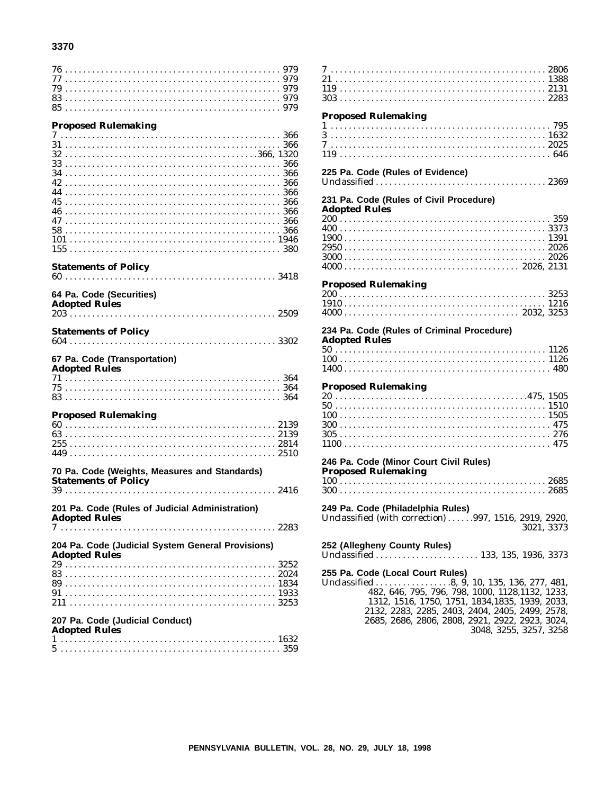#### 3370

| 77                                                |  |
|---------------------------------------------------|--|
|                                                   |  |
|                                                   |  |
|                                                   |  |
|                                                   |  |
|                                                   |  |
| <b>Proposed Rulemaking</b>                        |  |
|                                                   |  |
|                                                   |  |
|                                                   |  |
|                                                   |  |
|                                                   |  |
|                                                   |  |
|                                                   |  |
|                                                   |  |
|                                                   |  |
| 45                                                |  |
| 46                                                |  |
|                                                   |  |
|                                                   |  |
|                                                   |  |
|                                                   |  |
|                                                   |  |
|                                                   |  |
| <b>Statements of Policy</b>                       |  |
|                                                   |  |
|                                                   |  |
|                                                   |  |
| 64 Pa. Code (Securities)                          |  |
| <b>Adopted Rules</b>                              |  |
|                                                   |  |
|                                                   |  |
|                                                   |  |
| <b>Statements of Policy</b>                       |  |
|                                                   |  |
|                                                   |  |
|                                                   |  |
|                                                   |  |
| 67 Pa. Code (Transportation)                      |  |
| <b>Adopted Rules</b>                              |  |
|                                                   |  |
|                                                   |  |
|                                                   |  |
|                                                   |  |
|                                                   |  |
| <b>Proposed Rulemaking</b>                        |  |
|                                                   |  |
|                                                   |  |
|                                                   |  |
|                                                   |  |
|                                                   |  |
|                                                   |  |
| 70 Pa. Code (Weights, Measures and Standards)     |  |
| <b>Statements of Policy</b>                       |  |
|                                                   |  |
|                                                   |  |
|                                                   |  |
| 201 Pa. Code (Rules of Judicial Administration)   |  |
| <b>Adopted Rules</b>                              |  |
| 7                                                 |  |
|                                                   |  |
| 204 Pa. Code (Judicial System General Provisions) |  |
|                                                   |  |
| <b>Adopted Rules</b>                              |  |
|                                                   |  |
|                                                   |  |
|                                                   |  |
|                                                   |  |
|                                                   |  |
|                                                   |  |
|                                                   |  |
| 207 Pa. Code (Judicial Conduct)                   |  |
| <b>Adopted Rules</b>                              |  |
|                                                   |  |
|                                                   |  |

| <b>Proposed Rulemaking</b>                                                                                                                                                                                                                                                                                            |
|-----------------------------------------------------------------------------------------------------------------------------------------------------------------------------------------------------------------------------------------------------------------------------------------------------------------------|
|                                                                                                                                                                                                                                                                                                                       |
| 225 Pa. Code (Rules of Evidence)                                                                                                                                                                                                                                                                                      |
| 231 Pa. Code (Rules of Civil Procedure)<br><b>Adopted Rules</b>                                                                                                                                                                                                                                                       |
|                                                                                                                                                                                                                                                                                                                       |
| <b>Proposed Rulemaking</b>                                                                                                                                                                                                                                                                                            |
| 234 Pa. Code (Rules of Criminal Procedure)<br><b>Adopted Rules</b>                                                                                                                                                                                                                                                    |
|                                                                                                                                                                                                                                                                                                                       |
| <b>Proposed Rulemaking</b>                                                                                                                                                                                                                                                                                            |
|                                                                                                                                                                                                                                                                                                                       |
| 246 Pa. Code (Minor Court Civil Rules)<br><b>Proposed Rulemaking</b>                                                                                                                                                                                                                                                  |
|                                                                                                                                                                                                                                                                                                                       |
| 249 Pa. Code (Philadelphia Rules)<br>Unclassified (with correction) 997, 1516, 2919, 2920,<br>3021, 3373                                                                                                                                                                                                              |
| 252 (Allegheny County Rules)                                                                                                                                                                                                                                                                                          |
| 255 Pa. Code (Local Court Rules)<br>Unclassified 8, 9, 10, 135, 136, 277, 481,<br>482, 646, 795, 796, 798, 1000, 1128, 1132, 1233,<br>1312, 1516, 1750, 1751, 1834, 1835, 1939, 2033,<br>2132, 2283, 2285, 2403, 2404, 2405, 2499, 2578,<br>2685, 2686, 2806, 2808, 2921, 2922, 2923, 3024,<br>3048, 3255, 3257, 3258 |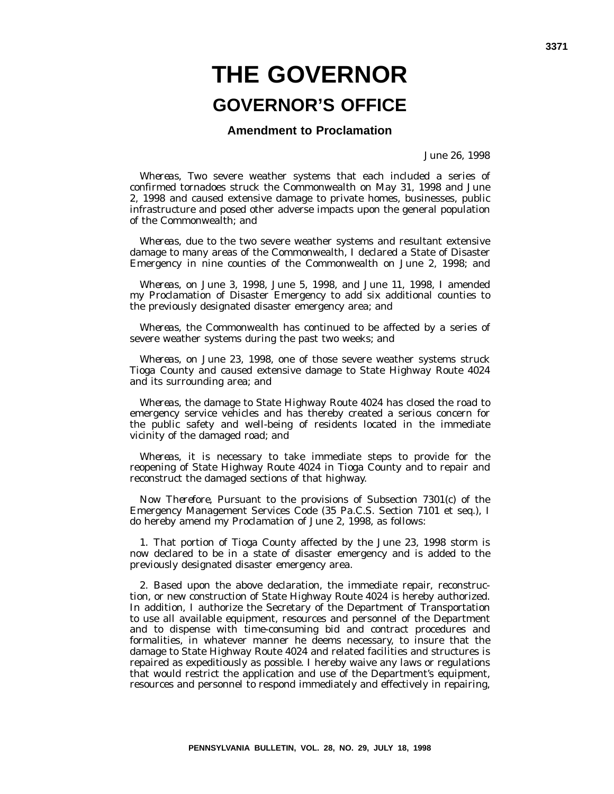# **THE GOVERNOR GOVERNOR'S OFFICE**

**Amendment to Proclamation**

June 26, 1998

*Whereas*, Two severe weather systems that each included a series of confirmed tornadoes struck the Commonwealth on May 31, 1998 and June 2, 1998 and caused extensive damage to private homes, businesses, public infrastructure and posed other adverse impacts upon the general population of the Commonwealth; and

*Whereas*, due to the two severe weather systems and resultant extensive damage to many areas of the Commonwealth, I declared a State of Disaster Emergency in nine counties of the Commonwealth on June 2, 1998; and

*Whereas*, on June 3, 1998, June 5, 1998, and June 11, 1998, I amended my Proclamation of Disaster Emergency to add six additional counties to the previously designated disaster emergency area; and

*Whereas*, the Commonwealth has continued to be affected by a series of severe weather systems during the past two weeks; and

*Whereas*, on June 23, 1998, one of those severe weather systems struck Tioga County and caused extensive damage to State Highway Route 4024 and its surrounding area; and

*Whereas*, the damage to State Highway Route 4024 has closed the road to emergency service vehicles and has thereby created a serious concern for the public safety and well-being of residents located in the immediate vicinity of the damaged road; and

*Whereas*, it is necessary to take immediate steps to provide for the reopening of State Highway Route 4024 in Tioga County and to repair and reconstruct the damaged sections of that highway.

*Now Therefore*, Pursuant to the provisions of Subsection 7301(c) of the Emergency Management Services Code (35 Pa.C.S. Section 7101 et seq.), I do hereby amend my Proclamation of June 2, 1998, as follows:

1. That portion of Tioga County affected by the June 23, 1998 storm is now declared to be in a state of disaster emergency and is added to the previously designated disaster emergency area.

2. Based upon the above declaration, the immediate repair, reconstruction, or new construction of State Highway Route 4024 is hereby authorized. In addition, I authorize the Secretary of the Department of Transportation to use all available equipment, resources and personnel of the Department and to dispense with time-consuming bid and contract procedures and formalities, in whatever manner he deems necessary, to insure that the damage to State Highway Route 4024 and related facilities and structures is repaired as expeditiously as possible. I hereby waive any laws or regulations that would restrict the application and use of the Department's equipment, resources and personnel to respond immediately and effectively in repairing,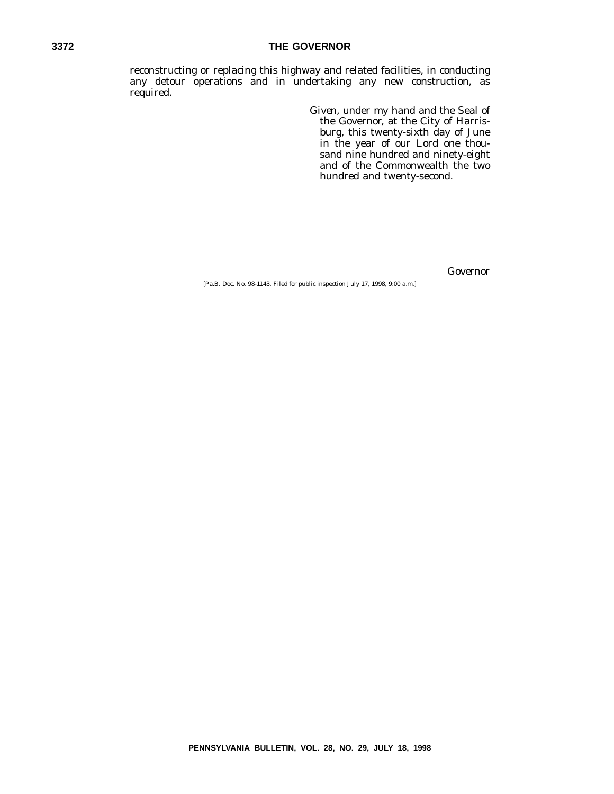#### **3372 THE GOVERNOR**

reconstructing or replacing this highway and related facilities, in conducting any detour operations and in undertaking any new construction, as required.

> *Given*, under my hand and the Seal of the Governor, at the City of Harrisburg, this twenty-sixth day of June in the year of our Lord one thousand nine hundred and ninety-eight and of the Commonwealth the two hundred and twenty-second.

> > *Governor*

[Pa.B. Doc. No. 98-1143. Filed for public inspection July 17, 1998, 9:00 a.m.]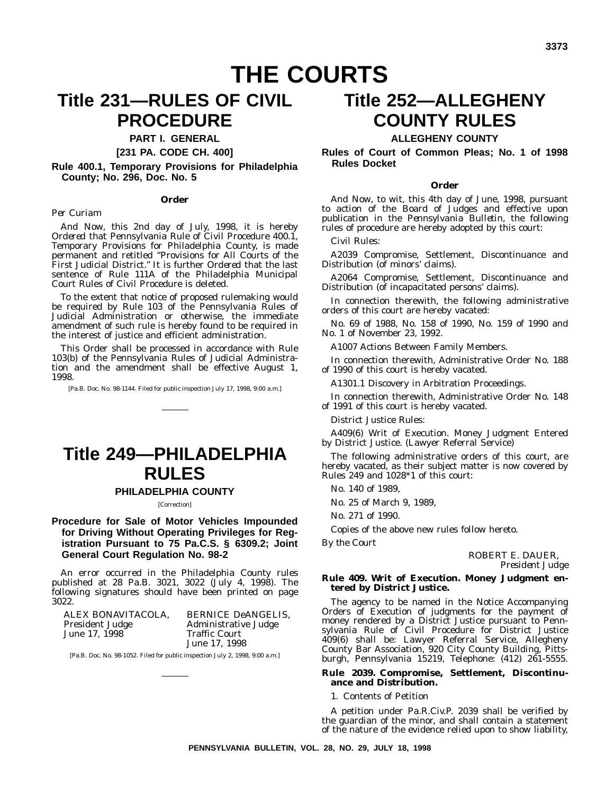# **THE COURTS**

# **Title 231—RULES OF CIVIL PROCEDURE**

#### **PART I. GENERAL**

**[231 PA. CODE CH. 400]**

**Rule 400.1, Temporary Provisions for Philadelphia County; No. 296, Doc. No. 5**

#### **Order**

#### *Per Curiam*

*And Now*, this 2nd day of July, 1998, it is hereby *Ordered* that Pennsylvania Rule of Civil Procedure 400.1, Temporary Provisions for Philadelphia County, is made permanent and retitled ''Provisions for All Courts of the First Judicial District.'' It is further *Ordered* that the last sentence of Rule 111A of the Philadelphia Municipal Court Rules of Civil Procedure is deleted.

To the extent that notice of proposed rulemaking would be required by Rule 103 of the Pennsylvania Rules of Judicial Administration or otherwise, the immediate amendment of such rule is hereby found to be required in the interest of justice and efficient administration.

This Order shall be processed in accordance with Rule 103(b) of the Pennsylvania Rules of Judicial Administration and the amendment shall be effective August 1, 1998.

[Pa.B. Doc. No. 98-1144. Filed for public inspection July 17, 1998, 9:00 a.m.]

# **Title 249—PHILADELPHIA RULES**

#### **PHILADELPHIA COUNTY**

#### [Correction]

**Procedure for Sale of Motor Vehicles Impounded for Driving Without Operating Privileges for Registration Pursuant to 75 Pa.C.S. § 6309.2; Joint General Court Regulation No. 98-2**

An error occurred in the Philadelphia County rules published at 28 Pa.B. 3021, 3022 (July 4, 1998). The following signatures should have been printed on page 3022.

| ALEX BONAVITACOLA.     | <b>BERNICE DeANGELIS.</b>   |
|------------------------|-----------------------------|
| <b>President Judge</b> | <b>Administrative Judge</b> |
| June 17, 1998          | Traffic Court               |
|                        | June 17, 1998               |

[Pa.B. Doc. No. 98-1052. Filed for public inspection July 2, 1998, 9:00 a.m.]

# **Title 252—ALLEGHENY COUNTY RULES**

#### **ALLEGHENY COUNTY**

**Rules of Court of Common Pleas; No. 1 of 1998 Rules Docket**

#### **Order**

*And Now*, to wit, this 4th day of June, 1998, pursuant to action of the Board of Judges and effective upon publication in the *Pennsylvania Bulletin*, the following rules of procedure are hereby adopted by this court:

Civil Rules:

A2039 Compromise, Settlement, Discontinuance and Distribution (of minors' claims).

A2064 Compromise, Settlement, Discontinuance and Distribution (of incapacitated persons' claims).

In connection therewith, the following administrative orders of this court are hereby vacated:

No. 69 of 1988, No. 158 of 1990, No. 159 of 1990 and No. 1 of November 23, 1992.

A1007 Actions Between Family Members.

In connection therewith, Administrative Order No. 188 of 1990 of this court is hereby vacated.

A1301.1 Discovery in Arbitration Proceedings.

In connection therewith, Administrative Order No. 148 of 1991 of this court is hereby vacated.

District Justice Rules:

A409(6) Writ of Execution. Money Judgment Entered by District Justice. (Lawyer Referral Service)

The following administrative orders of this court, are hereby vacated, as their subject matter is now covered by Rules 249 and 1028\*1 of this court:

No. 140 of 1989,

No. 25 of March 9, 1989,

No. 271 of 1990.

Copies of the above new rules follow hereto.

*By the Court*

ROBERT E. DAUER, *President Judge*

#### **Rule 409. Writ of Execution. Money Judgment entered by District Justice.**

The agency to be named in the Notice Accompanying Orders of Execution of judgments for the payment of money rendered by a District Justice pursuant to Pennsylvania Rule of Civil Procedure for District Justice 409(6) shall be: Lawyer Referral Service, Allegheny County Bar Association, 920 City County Building, Pittsburgh, Pennsylvania 15219, Telephone: (412) 261-5555.

#### **Rule 2039. Compromise, Settlement, Discontinuance and Distribution.**

1. Contents of Petition

A petition under Pa.R.Civ.P. 2039 shall be verified by the guardian of the minor, and shall contain a statement of the nature of the evidence relied upon to show liability,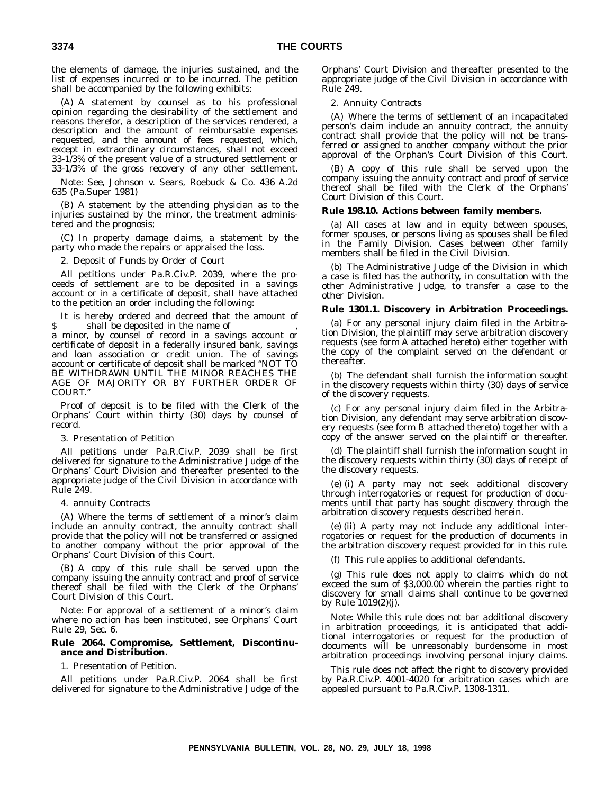the elements of damage, the injuries sustained, and the list of expenses incurred or to be incurred. The petition shall be accompanied by the following exhibits:

(A) A statement by counsel as to his professional opinion regarding the desirability of the settlement and reasons therefor, a description of the services rendered, a description and the amount of reimbursable expenses requested, and the amount of fees requested, which, except in extraordinary circumstances, shall not exceed 33-1/3% of the present value of a structured settlement or 33-1/3% of the gross recovery of any other settlement.

Note: See, Johnson v. Sears, Roebuck & Co. 436 A.2d 635 (Pa.Super 1981)

(B) A statement by the attending physician as to the injuries sustained by the minor, the treatment administered and the prognosis;

(C) In property damage claims, a statement by the party who made the repairs or appraised the loss.

2. Deposit of Funds by Order of Court

All petitions under Pa.R.Civ.P. 2039, where the proceeds of settlement are to be deposited in a savings account or in a certificate of deposit, shall have attached to the petition an order including the following:

It is hereby ordered and decreed that the amount of \$

a minor, by counsel of record in a savings account or certificate of deposit in a federally insured bank, savings and loan association or credit union. The of savings account or certificate of deposit shall be marked ''NOT TO BE WITHDRAWN UNTIL THE MINOR REACHES THE AGE OF MAJORITY OR BY FURTHER ORDER OF COURT.''

Proof of deposit is to be filed with the Clerk of the Orphans' Court within thirty (30) days by counsel of record.

#### 3. Presentation of Petition

All petitions under Pa.R.Civ.P. 2039 shall be first delivered for signature to the Administrative Judge of the Orphans' Court Division and thereafter presented to the appropriate judge of the Civil Division in accordance with Rule 249.

#### 4. annuity Contracts

(A) Where the terms of settlement of a minor's claim include an annuity contract, the annuity contract shall provide that the policy will not be transferred or assigned to another company without the prior approval of the Orphans' Court Division of this Court.

(B) A copy of this rule shall be served upon the company issuing the annuity contract and proof of service thereof shall be filed with the Clerk of the Orphans' Court Division of this Court.

Note: For approval of a settlement of a minor's claim where no action has been instituted, see Orphans' Court Rule 29, Sec. 6.

#### **Rule 2064. Compromise, Settlement, Discontinuance and Distribution.**

#### 1. Presentation of Petition.

All petitions under Pa.R.Civ.P. 2064 shall be first delivered for signature to the Administrative Judge of the Orphans' Court Division and thereafter presented to the appropriate judge of the Civil Division in accordance with Rule 249.

#### 2. Annuity Contracts

(A) Where the terms of settlement of an incapacitated person's claim include an annuity contract, the annuity contract shall provide that the policy will not be transferred or assigned to another company without the prior approval of the Orphan's Court Division of this Court.

(B) A copy of this rule shall be served upon the company issuing the annuity contract and proof of service thereof shall be filed with the Clerk of the Orphans' Court Division of this Court.

#### **Rule 198.10. Actions between family members.**

(a) All cases at law and in equity between spouses, former spouses, or persons living as spouses shall be filed in the Family Division. Cases between other family members shall be filed in the Civil Division.

(b) The Administrative Judge of the Division in which a case is filed has the authority, in consultation with the other Administrative Judge, to transfer a case to the other Division.

#### **Rule 1301.1. Discovery in Arbitration Proceedings.**

(a) For any personal injury claim filed in the Arbitration Division, the plaintiff may serve arbitration discovery requests (see form A attached hereto) either together with the copy of the complaint served on the defendant or thereafter.

(b) The defendant shall furnish the information sought in the discovery requests within thirty (30) days of service of the discovery requests.

(c) For any personal injury claim filed in the Arbitration Division, any defendant may serve arbitration discovery requests (see form B attached thereto) together with a copy of the answer served on the plaintiff or thereafter.

(d) The plaintiff shall furnish the information sought in the discovery requests within thirty (30) days of receipt of the discovery requests.

(e) (i) A party may not seek additional discovery through interrogatories or request for production of documents until that party has sought discovery through the arbitration discovery requests described herein.

(e) (ii) A party may not include any additional interrogatories or request for the production of documents in the arbitration discovery request provided for in this rule.

(f) This rule applies to additional defendants.

(g) This rule does not apply to claims which do not exceed the sum of \$3,000.00 wherein the parties right to discovery for small claims shall continue to be governed by Rule 1019(2)(j).

Note: While this rule does not bar additional discovery in arbitration proceedings, it is anticipated that additional interrogatories or request for the production of documents will be unreasonably burdensome in most arbitration proceedings involving personal injury claims.

This rule does not affect the right to discovery provided by Pa.R.Civ.P. 4001-4020 for arbitration cases which are appealed pursuant to Pa.R.Civ.P. 1308-1311.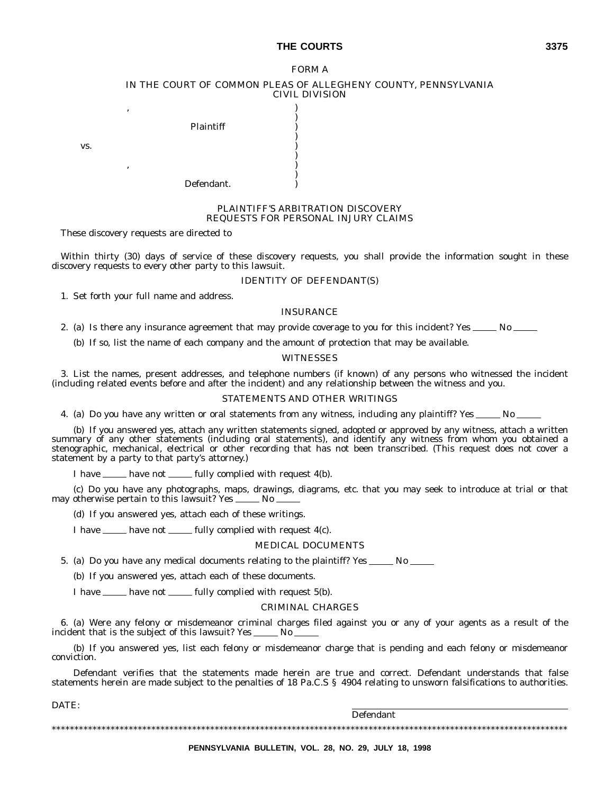#### THE COURTS 3375

#### FORM A IN THE COURT OF COMMON PLEAS OF ALLEGHENY COUNTY, PENNSYLVANIA CIVIL DIVISION

)

)

)

)

, where the contract of  $\mathcal{O}(n)$ Plaintiff )

, where the contract of  $\mathcal{O}(\mathcal{A})$ 

 $\mathbf{v}\mathbf{s}$ .  $\qquad \qquad$  )

Defendant.

#### PLAINTIFF'S ARBITRATION DISCOVERY REQUESTS FOR PERSONAL INJURY CLAIMS

These discovery requests are directed to

Within thirty (30) days of service of these discovery requests, you shall provide the information sought in these discovery requests to every other party to this lawsuit.

#### IDENTITY OF DEFENDANT(S)

1. Set forth your full name and address.

#### INSURANCE

2. (a) Is there any insurance agreement that may provide coverage to you for this incident? Yes \_\_\_\_\_ No \_\_\_\_\_

(b) If so, list the name of each company and the amount of protection that may be available.

#### **WITNESSES**

3. List the names, present addresses, and telephone numbers (if known) of any persons who witnessed the incident (including related events before and after the incident) and any relationship between the witness and you.

#### STATEMENTS AND OTHER WRITINGS

4. (a) Do you have any written or oral statements from any witness, including any plaintiff? Yes \_\_\_\_\_ No \_

(b) If you answered yes, attach any written statements signed, adopted or approved by any witness, attach a written summary of any other statements (including oral statements), and identify any witness from whom you obtained a stenographic, mechanical, electrical or other recording that has not been transcribed. (This request does not cover a statement by a party to that party's attorney.)

I have  $\frac{1}{\sqrt{1-\frac{1}{\sqrt{1-\frac{1}{\sqrt{1-\frac{1}{\sqrt{1-\frac{1}{\sqrt{1-\frac{1}{\sqrt{1-\frac{1}{\sqrt{1-\frac{1}{\sqrt{1-\frac{1}{\sqrt{1-\frac{1}{\sqrt{1-\frac{1}{\sqrt{1-\frac{1}{\sqrt{1-\frac{1}{\sqrt{1-\frac{1}{\sqrt{1-\frac{1}{\sqrt{1-\frac{1}{\sqrt{1-\frac{1}{\sqrt{1-\frac{1}{\sqrt{1-\frac{1}{\sqrt{1-\frac{1}{\sqrt{1-\frac{1}{\sqrt{1-\frac{1}{\sqrt{1-\frac{1}{\sqrt{1-\frac{1}{\$ 

(c) Do you have any photographs, maps, drawings, diagrams, etc. that you may seek to introduce at trial or that may otherwise pertain to this lawsuit? Yes  $\_\_\_\_\_\$  No  $\_\_\_\_\$ 

(d) If you answered yes, attach each of these writings.

I have  $\frac{m}{\sqrt{1 - \frac{1}{2}}}\$  fully complied with request 4(c).

#### MEDICAL DOCUMENTS

5. (a) Do you have any medical documents relating to the plaintiff? Yes \_\_\_\_\_ No \_\_\_\_\_

(b) If you answered yes, attach each of these documents.

I have <u>seen bave not</u> seems fully complied with request 5(b).

#### CRIMINAL CHARGES

6. (a) Were any felony or misdemeanor criminal charges filed against you or any of your agents as a result of the incident that is the subject of this lawsuit? Yes  $\_\_\_\_\_\_\_\_\_\_\_\_\_\_\_\_\_\_\_$ 

(b) If you answered yes, list each felony or misdemeanor charge that is pending and each felony or misdemeanor conviction.

Defendant verifies that the statements made herein are true and correct. Defendant understands that false statements herein are made subject to the penalties of 18 Pa.C.S § 4904 relating to unsworn falsifications to authorities.

DATE:

Defendant

\*\*\*\*\*\*\*\*\*\*\*\*\*\*\*\*\*\*\*\*\*\*\*\*\*\*\*\*\*\*\*\*\*\*\*\*\*\*\*\*\*\*\*\*\*\*\*\*\*\*\*\*\*\*\*\*\*\*\*\*\*\*\*\*\*\*\*\*\*\*\*\*\*\*\*\*\*\*\*\*\*\*\*\*\*\*\*\*\*\*\*\*\*\*\*\*\*\*\*\*\*\*\*\*\*\*\*\*\*\*\*\*\*\*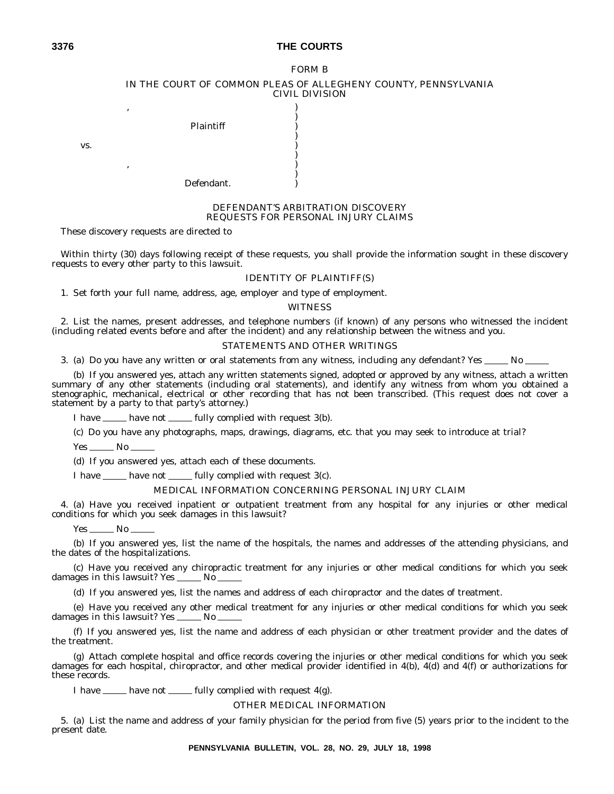#### **3376 THE COURTS**

#### FORM B IN THE COURT OF COMMON PLEAS OF ALLEGHENY COUNTY, PENNSYLVANIA CIVIL DIVISION

)

)

)

)

, where the contract of  $\mathcal{O}(\mathcal{A})$ Plaintiff )

, where the contract of  $\mathcal{O}(n)$ 

 $\mathbf{v}\mathbf{s}$ .  $\qquad \qquad$  )

Defendant.

#### DEFENDANT'S ARBITRATION DISCOVERY REQUESTS FOR PERSONAL INJURY CLAIMS

These discovery requests are directed to

Within thirty (30) days following receipt of these requests, you shall provide the information sought in these discovery requests to every other party to this lawsuit.

#### IDENTITY OF PLAINTIFF(S)

1. Set forth your full name, address, age, employer and type of employment.

#### **WITNESS**

2. List the names, present addresses, and telephone numbers (if known) of any persons who witnessed the incident (including related events before and after the incident) and any relationship between the witness and you.

#### STATEMENTS AND OTHER WRITINGS

3. (a) Do you have any written or oral statements from any witness, including any defendant? Yes  $\sim$ No  $\sim$ 

(b) If you answered yes, attach any written statements signed, adopted or approved by any witness, attach a written summary of any other statements (including oral statements), and identify any witness from whom you obtained a stenographic, mechanical, electrical or other recording that has not been transcribed. (This request does not cover a statement by a party to that party's attorney.)

I have <u>see have not</u> see fully complied with request 3(b).

(c) Do you have any photographs, maps, drawings, diagrams, etc. that you may seek to introduce at trial?

 $Yes \_\_No \_\_$ 

(d) If you answered yes, attach each of these documents.

I have  $\mu$  have not  $\mu$  fully complied with request 3(c).

#### MEDICAL INFORMATION CONCERNING PERSONAL INJURY CLAIM

4. (a) Have you received inpatient or outpatient treatment from any hospital for any injuries or other medical conditions for which you seek damages in this lawsuit?

 $Yes \_\_\_No \_\_$ 

(b) If you answered yes, list the name of the hospitals, the names and addresses of the attending physicians, and the dates of the hospitalizations.

(c) Have you received any chiropractic treatment for any injuries or other medical conditions for which you seek damages in this lawsuit? Yes  $\_\_\_\$  No

(d) If you answered yes, list the names and address of each chiropractor and the dates of treatment.

(e) Have you received any other medical treatment for any injuries or other medical conditions for which you seek damages in this lawsuit? Yes \_\_\_\_\_\_ No

(f) If you answered yes, list the name and address of each physician or other treatment provider and the dates of the treatment.

(g) Attach complete hospital and office records covering the injuries or other medical conditions for which you seek damages for each hospital, chiropractor, and other medical provider identified in 4(b), 4(d) and 4(f) or authorizations for these records.

I have  $\frac{1}{\sqrt{2}}$  have not  $\frac{1}{\sqrt{2}}$  fully complied with request 4(g).

#### OTHER MEDICAL INFORMATION

5. (a) List the name and address of your family physician for the period from five (5) years prior to the incident to the present date.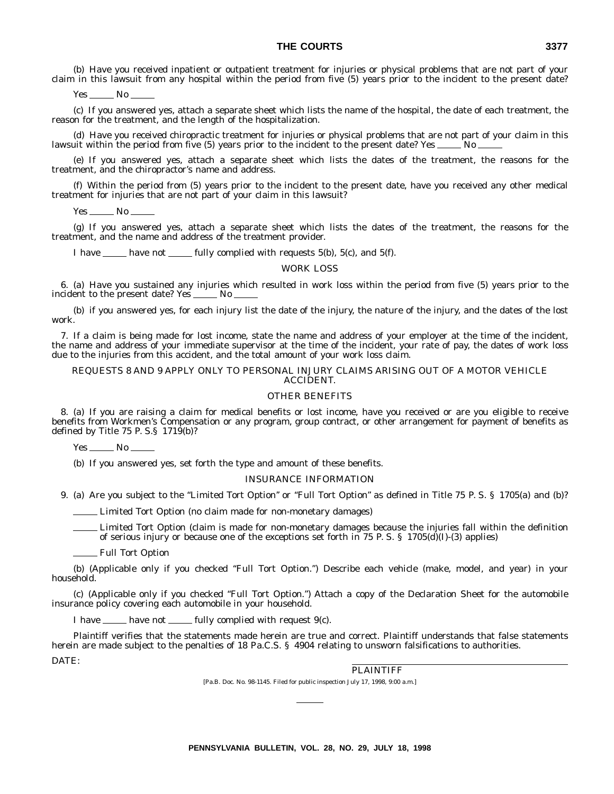(b) Have you received inpatient or outpatient treatment for injuries or physical problems that are not part of your claim in this lawsuit from any hospital within the period from five (5) years prior to the incident to the present date?

Yes No

(c) If you answered yes, attach a separate sheet which lists the name of the hospital, the date of each treatment, the reason for the treatment, and the length of the hospitalization.

(d) Have you received chiropractic treatment for injuries or physical problems that are not part of your claim in this lawsuit within the period from five (5) years prior to the incident to the present date? Yes  $\_\_\_\_\_\_\_\_\$ 

(e) If you answered yes, attach a separate sheet which lists the dates of the treatment, the reasons for the treatment, and the chiropractor's name and address.

(f) Within the period from (5) years prior to the incident to the present date, have you received any other medical treatment for injuries that are not part of your claim in this lawsuit?

 $Yes \_\_\_No$ 

(g) If you answered yes, attach a separate sheet which lists the dates of the treatment, the reasons for the treatment, and the name and address of the treatment provider.

I have <u>equests 5(b), 5(c)</u>, and 5(f).

#### WORK LOSS

6. (a) Have you sustained any injuries which resulted in work loss within the period from five (5) years prior to the incident to the present date? Yes \_\_\_\_\_\_ No \_

(b) if you answered yes, for each injury list the date of the injury, the nature of the injury, and the dates of the lost work.

7. If a claim is being made for lost income, state the name and address of your employer at the time of the incident, the name and address of your immediate supervisor at the time of the incident, your rate of pay, the dates of work loss due to the injuries from this accident, and the total amount of your work loss claim.

#### REQUESTS 8 AND 9 APPLY ONLY TO PERSONAL INJURY CLAIMS ARISING OUT OF A MOTOR VEHICLE ACCIDENT.

#### OTHER BENEFITS

8. (a) If you are raising a claim for medical benefits or lost income, have you received or are you eligible to receive benefits from Workmen's Compensation or any program, group contract, or other arrangement for payment of benefits as defined by Title  $75$  P. S. $\S$  1719(b)?

 $Yes \_\_No \_\_$ 

(b) If you answered yes, set forth the type and amount of these benefits.

#### INSURANCE INFORMATION

9. (a) Are you subject to the ''Limited Tort Option'' or ''Full Tort Option'' as defined in Title 75 P. S. § 1705(a) and (b)?

Limited Tort Option (no claim made for non-monetary damages)

Limited Tort Option (claim is made for non-monetary damages because the injuries fall within the definition of serious injury or because one of the exceptions set forth in 75 P. S. § 1705(d)(I)-(3) applies)

Full Tort Option

(b) (Applicable only if you checked ''Full Tort Option.'') Describe each vehicle (make, model, and year) in your household.

(c) (Applicable only if you checked ''Full Tort Option.'') Attach a copy of the Declaration Sheet for the automobile insurance policy covering each automobile in your household.

I have  $\_\_\_\$  have not  $\_\_\_$ fully complied with request 9(c).

Plaintiff verifies that the statements made herein are true and correct. Plaintiff understands that false statements herein are made subject to the penalties of 18 Pa.C.S. § 4904 relating to unsworn falsifications to authorities. DATE:

PLAINTIFF

[Pa.B. Doc. No. 98-1145. Filed for public inspection July 17, 1998, 9:00 a.m.]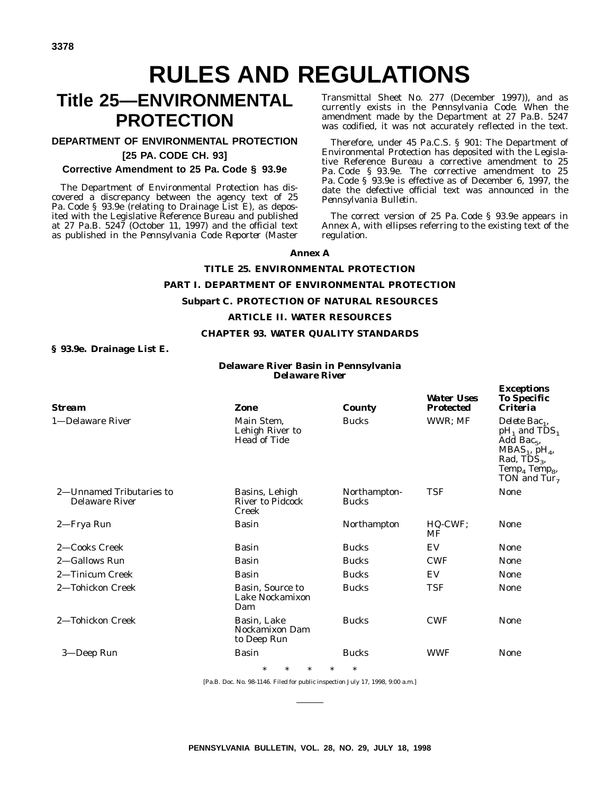# **RULES AND REGULATIONS**

# **Title 25—ENVIRONMENTAL PROTECTION**

#### **DEPARTMENT OF ENVIRONMENTAL PROTECTION [25 PA. CODE CH. 93]**

#### **Corrective Amendment to 25 Pa. Code § 93.9e**

The Department of Environmental Protection has discovered a discrepancy between the agency text of 25 Pa. Code § 93.9e (relating to Drainage List E), as deposited with the Legislative Reference Bureau and published at 27 Pa.B. 5247 (October 11, 1997) and the official text as published in the *Pennsylvania Code Reporter* (Master

Transmittal Sheet No. 277 (December 1997)), and as currently exists in the *Pennsylvania Code*. When the amendment made by the Department at 27 Pa.B. 5247 was codified, it was not accurately reflected in the text.

Therefore, under 45 Pa.C.S. § 901: The Department of Environmental Protection has deposited with the Legislative Reference Bureau a corrective amendment to 25 Pa. Code § 93.9e. The corrective amendment to 25 Pa. Code § 93.9e is effective as of December 6, 1997, the date the defective official text was announced in the *Pennsylvania Bulletin*.

The correct version of 25 Pa. Code § 93.9e appears in Annex A, with ellipses referring to the existing text of the regulation.

*Exceptions*

#### **Annex A**

## **TITLE 25. ENVIRONMENTAL PROTECTION PART I. DEPARTMENT OF ENVIRONMENTAL PROTECTION Subpart C. PROTECTION OF NATURAL RESOURCES ARTICLE II. WATER RESOURCES**

#### **CHAPTER 93. WATER QUALITY STANDARDS**

#### **§ 93.9e. Drainage List E.**

#### **Delaware River Basin in Pennsylvania** *Delaware River*

| Stream                                     | <b>Zone</b>                                          | <b>County</b>                | <b>Water Uses</b><br><b>Protected</b> | <b>To Specific</b><br><i><b>Criteria</b></i>                                                                                                                                                         |
|--------------------------------------------|------------------------------------------------------|------------------------------|---------------------------------------|------------------------------------------------------------------------------------------------------------------------------------------------------------------------------------------------------|
| 1-Delaware River                           | Main Stem,<br>Lehigh River to<br><b>Head of Tide</b> | <b>Bucks</b>                 | WWR; MF                               | Delete Bac <sub>1</sub> ,<br>$pH_1$ and TDS <sub>1</sub><br>Add Bac <sub>5</sub> ,<br>$MBAS1$ , pH <sub>4</sub> ,<br>Rad, $TD\bar{S}_3$ ,<br>Temp <sub>4</sub> Temp <sub>8</sub> ,<br>TON and $Tur7$ |
| 2—Unnamed Tributaries to<br>Delaware River | Basins, Lehigh<br>River to Pidcock<br>Creek          | Northampton-<br><b>Bucks</b> | <b>TSF</b>                            | <b>None</b>                                                                                                                                                                                          |
| 2—Frya Run                                 | Basin                                                | Northampton                  | HQ-CWF;<br>MF                         | <b>None</b>                                                                                                                                                                                          |
| 2-Cooks Creek                              | <b>Basin</b>                                         | <b>Bucks</b>                 | EV                                    | None                                                                                                                                                                                                 |
| 2—Gallows Run                              | <b>Basin</b>                                         | <b>Bucks</b>                 | <b>CWF</b>                            | <b>None</b>                                                                                                                                                                                          |
| 2—Tinicum Creek                            | <b>Basin</b>                                         | <b>Bucks</b>                 | EV                                    | <b>None</b>                                                                                                                                                                                          |
| 2-Tohickon Creek                           | Basin, Source to<br>Lake Nockamixon<br>Dam           | <b>Bucks</b>                 | TSF                                   | <b>None</b>                                                                                                                                                                                          |
| 2-Tohickon Creek                           | Basin, Lake<br>Nockamixon Dam<br>to Deep Run         | <b>Bucks</b>                 | <b>CWF</b>                            | <b>None</b>                                                                                                                                                                                          |
| 3—Deep Run                                 | <b>Basin</b>                                         | <b>Bucks</b>                 | <b>WWF</b>                            | <b>None</b>                                                                                                                                                                                          |
|                                            | $\ast$<br>$\ast$<br>$\ast$                           | $\ast$<br>$\ast$             |                                       |                                                                                                                                                                                                      |

[Pa.B. Doc. No. 98-1146. Filed for public inspection July 17, 1998, 9:00 a.m.]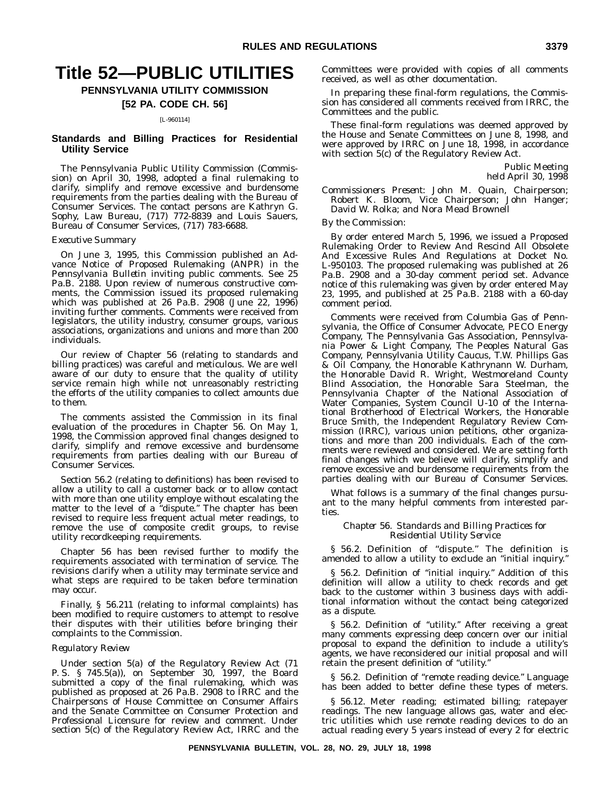# **Title 52—PUBLIC UTILITIES**

#### **PENNSYLVANIA UTILITY COMMISSION**

#### **[52 PA. CODE CH. 56]**

#### [L-960114]

#### **Standards and Billing Practices for Residential Utility Service**

The Pennsylvania Public Utility Commission (Commission) on April 30, 1998, adopted a final rulemaking to clarify, simplify and remove excessive and burdensome requirements from the parties dealing with the Bureau of Consumer Services. The contact persons are Kathryn G. Sophy, Law Bureau, (717) 772-8839 and Louis Sauers, Bureau of Consumer Services, (717) 783-6688.

#### *Executive Summary*

On June 3, 1995, this Commission published an Advance Notice of Proposed Rulemaking (ANPR) in the *Pennsylvania Bulletin* inviting public comments. See 25 Pa.B. 2188. Upon review of numerous constructive comments, the Commission issued its proposed rulemaking which was published at 26 Pa.B. 2908 (June 22, 1996) inviting further comments. Comments were received from legislators, the utility industry, consumer groups, various associations, organizations and unions and more than 200 individuals.

Our review of Chapter 56 (relating to standards and billing practices) was careful and meticulous. We are well aware of our duty to ensure that the quality of utility service remain high while not unreasonably restricting the efforts of the utility companies to collect amounts due to them.

The comments assisted the Commission in its final evaluation of the procedures in Chapter 56. On May 1, 1998, the Commission approved final changes designed to clarify, simplify and remove excessive and burdensome requirements from parties dealing with our Bureau of Consumer Services.

Section 56.2 (relating to definitions) has been revised to allow a utility to call a customer back or to allow contact with more than one utility employe without escalating the matter to the level of a ''dispute.'' The chapter has been revised to require less frequent actual meter readings, to remove the use of composite credit groups, to revise utility recordkeeping requirements.

Chapter 56 has been revised further to modify the requirements associated with termination of service. The revisions clarify when a utility may terminate service and what steps are required to be taken before termination may occur.

Finally, § 56.211 (relating to informal complaints) has been modified to require customers to attempt to resolve their disputes with their utilities before bringing their complaints to the Commission.

#### *Regulatory Review*

Under section 5(a) of the Regulatory Review Act (71 P. S. § 745.5(a)), on September 30, 1997, the Board submitted a copy of the final rulemaking, which was published as proposed at 26 Pa.B. 2908 to IRRC and the Chairpersons of House Committee on Consumer Affairs and the Senate Committee on Consumer Protection and Professional Licensure for review and comment. Under section 5(c) of the Regulatory Review Act, IRRC and the Committees were provided with copies of all comments received, as well as other documentation.

In preparing these final-form regulations, the Commission has considered all comments received from IRRC, the Committees and the public.

These final-form regulations was deemed approved by the House and Senate Committees on June 8, 1998, and were approved by IRRC on June 18, 1998, in accordance with section 5(c) of the Regulatory Review Act.

> Public Meeting held April 30, 1998

*Commissioners Present*: John M. Quain, Chairperson; Robert K. Bloom, Vice Chairperson; John Hanger; David W. Rolka; and Nora Mead Brownell

#### *By the Commission:*

By order entered March 5, 1996, we issued a Proposed Rulemaking Order to Review And Rescind All Obsolete And Excessive Rules And Regulations at Docket No. L-950103. The proposed rulemaking was published at 26 Pa.B. 2908 and a 30-day comment period set. Advance notice of this rulemaking was given by order entered May 23, 1995, and published at 25 Pa.B. 2188 with a 60-day comment period.

Comments were received from Columbia Gas of Pennsylvania, the Office of Consumer Advocate, PECO Energy Company, The Pennsylvania Gas Association, Pennsylvania Power & Light Company, The Peoples Natural Gas Company, Pennsylvania Utility Caucus, T.W. Phillips Gas & Oil Company, the Honorable Kathrynann W. Durham, the Honorable David R. Wright, Westmoreland County Blind Association, the Honorable Sara Steelman, the Pennsylvania Chapter of the National Association of Water Companies, System Council U-10 of the International Brotherhood of Electrical Workers, the Honorable Bruce Smith, the Independent Regulatory Review Commission (IRRC), various union petitions, other organizations and more than 200 individuals. Each of the comments were reviewed and considered. We are setting forth final changes which we believe will clarify, simplify and remove excessive and burdensome requirements from the parties dealing with our Bureau of Consumer Services.

What follows is a summary of the final changes pursuant to the many helpful comments from interested parties.

#### *Chapter 56. Standards and Billing Practices for Residential Utility Service*

§ 56.2. Definition of ''dispute.'' The definition is amended to allow a utility to exclude an ''initial inquiry.''

§ 56.2. Definition of "initial inquiry." Addition of this definition will allow a utility to check records and get back to the customer within 3 business days with additional information without the contact being categorized as a dispute.

§ 56.2. Definition of "utility." After receiving a great many comments expressing deep concern over our initial proposal to expand the definition to include a utility's agents, we have reconsidered our initial proposal and will retain the present definition of "utility."

§ 56.2. Definition of "remote reading device." Language has been added to better define these types of meters.

§ 56.12. Meter reading; estimated billing; ratepayer readings. The new language allows gas, water and electric utilities which use remote reading devices to do an actual reading every 5 years instead of every 2 for electric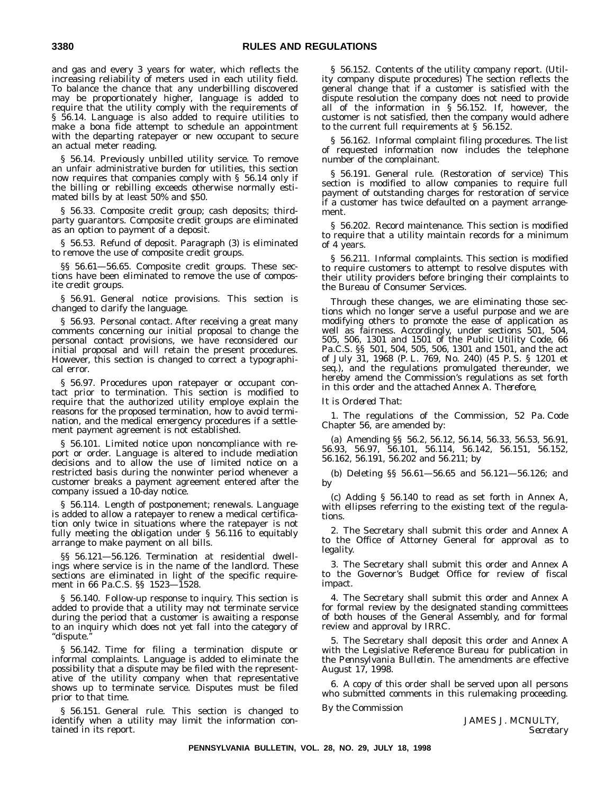and gas and every 3 years for water, which reflects the increasing reliability of meters used in each utility field. To balance the chance that any underbilling discovered may be proportionately higher, language is added to require that the utility comply with the requirements of § 56.14. Language is also added to require utilities to make a bona fide attempt to schedule an appointment with the departing ratepayer or new occupant to secure an actual meter reading.

§ 56.14. Previously unbilled utility service. To remove an unfair administrative burden for utilities, this section now requires that companies comply with § 56.14 only if the billing or rebilling exceeds otherwise normally estimated bills by at least 50% and \$50.

§ 56.33. Composite credit group; cash deposits; thirdparty guarantors. Composite credit groups are eliminated as an option to payment of a deposit.

§ 56.53. Refund of deposit. Paragraph (3) is eliminated to remove the use of composite credit groups.

§§ 56.61-56.65. Composite credit groups. These sections have been eliminated to remove the use of composite credit groups.

§ 56.91. General notice provisions. This section is changed to clarify the language.

§ 56.93. Personal contact. After receiving a great many comments concerning our initial proposal to change the personal contact provisions, we have reconsidered our initial proposal and will retain the present procedures. However, this section is changed to correct a typographical error.

§ 56.97. Procedures upon ratepayer or occupant contact prior to termination. This section is modified to require that the authorized utility employe explain the reasons for the proposed termination, how to avoid termination, and the medical emergency procedures if a settlement payment agreement is not established.

§ 56.101. Limited notice upon noncompliance with report or order. Language is altered to include mediation decisions and to allow the use of limited notice on a restricted basis during the nonwinter period whenever a customer breaks a payment agreement entered after the company issued a 10-day notice.

§ 56.114. Length of postponement; renewals. Language is added to allow a ratepayer to renew a medical certification only twice in situations where the ratepayer is not fully meeting the obligation under § 56.116 to equitably arrange to make payment on all bills.

§§ 56.121—56.126. Termination at residential dwellings where service is in the name of the landlord. These sections are eliminated in light of the specific requirement in 66 Pa.C.S. §§ 1523—1528.

§ 56.140. Follow-up response to inquiry. This section is added to provide that a utility may not terminate service during the period that a customer is awaiting a response to an inquiry which does not yet fall into the category of ''dispute.''

§ 56.142. Time for filing a termination dispute or informal complaints. Language is added to eliminate the possibility that a dispute may be filed with the representative of the utility company when that representative shows up to terminate service. Disputes must be filed prior to that time.

§ 56.151. General rule. This section is changed to identify when a utility may limit the information contained in its report.

§ 56.152. Contents of the utility company report. (Utility company dispute procedures) The section reflects the general change that if a customer is satisfied with the dispute resolution the company does not need to provide all of the information in § 56.152. If, however, the customer is not satisfied, then the company would adhere to the current full requirements at § 56.152.

§ 56.162. Informal complaint filing procedures. The list of requested information now includes the telephone number of the complainant.

§ 56.191. General rule. (Restoration of service) This section is modified to allow companies to require full payment of outstanding charges for restoration of service if a customer has twice defaulted on a payment arrangement.

§ 56.202. Record maintenance. This section is modified to require that a utility maintain records for a minimum of 4 years.

§ 56.211. Informal complaints. This section is modified to require customers to attempt to resolve disputes with their utility providers before bringing their complaints to the Bureau of Consumer Services.

Through these changes, we are eliminating those sections which no longer serve a useful purpose and we are modifying others to promote the ease of application as well as fairness. Accordingly, under sections 501, 504, 505, 506, 1301 and 1501 of the Public Utility Code, 66 Pa.C.S. §§ 501, 504, 505, 506, 1301 and 1501, and the act of July 31, 1968 (P. L. 769, No. 240) (45 P. S. § 1201 et seq.), and the regulations promulgated thereunder, we hereby amend the Commission's regulations as set forth in this order and the attached Annex A. *Therefore*,

#### *It is Ordered That*:

1. The regulations of the Commission, 52 Pa. Code Chapter 56, are amended by:

(a) Amending §§ 56.2, 56.12, 56.14, 56.33, 56.53, 56.91, 56.93, 56.97, 56.101, 56.114, 56.142, 56.151, 56.152, 56.162, 56.191, 56.202 and 56.211; by

(b) Deleting §§ 56.61—56.65 and 56.121—56.126; and by

(c) Adding § 56.140 to read as set forth in Annex A, with ellipses referring to the existing text of the regulations.

2. The Secretary shall submit this order and Annex A to the Office of Attorney General for approval as to legality.

3. The Secretary shall submit this order and Annex A to the Governor's Budget Office for review of fiscal impact.

4. The Secretary shall submit this order and Annex A for formal review by the designated standing committees of both houses of the General Assembly, and for formal review and approval by IRRC.

5. The Secretary shall deposit this order and Annex A with the Legislative Reference Bureau for publication in the *Pennsylvania Bulletin*. The amendments are effective August 17, 1998.

6. A copy of this order shall be served upon all persons who submitted comments in this rulemaking proceeding.

#### *By the Commission*

JAMES J. MCNULTY, *Secretary*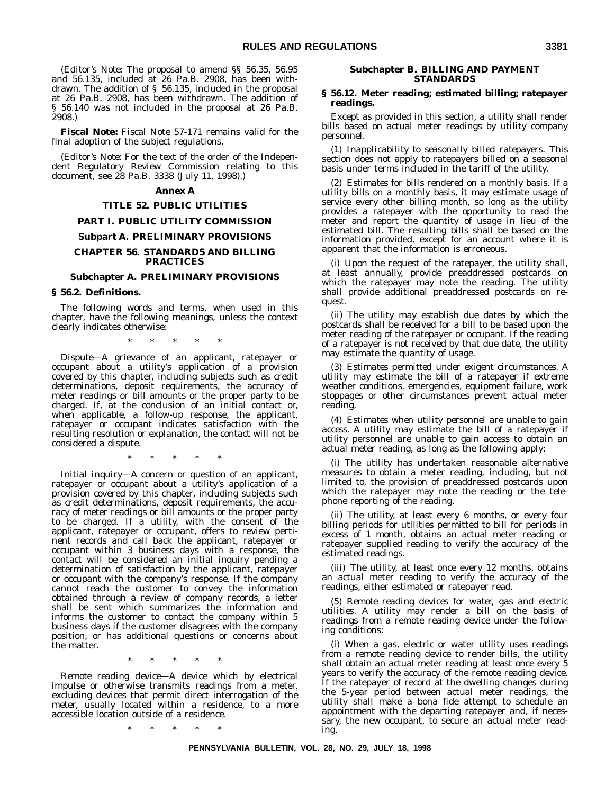(*Editor's Note*: The proposal to amend §§ 56.35, 56.95 and 56.135, included at 26 Pa.B. 2908, has been withdrawn. The addition of § 56.135, included in the proposal at 26 Pa.B. 2908, has been withdrawn. The addition of § 56.140 was not included in the proposal at 26 Pa.B. 2908.)

**Fiscal Note:** Fiscal Note 57-171 remains valid for the final adoption of the subject regulations.

(*Editor's Note*: For the text of the order of the Independent Regulatory Review Commission relating to this document, see 28 Pa.B. 3338 (July 11, 1998).)

#### **Annex A**

#### **TITLE 52. PUBLIC UTILITIES**

#### **PART I. PUBLIC UTILITY COMMISSION**

#### **Subpart A. PRELIMINARY PROVISIONS**

#### **CHAPTER 56. STANDARDS AND BILLING PRACTICES**

#### **Subchapter A. PRELIMINARY PROVISIONS**

#### **§ 56.2. Definitions.**

The following words and terms, when used in this chapter, have the following meanings, unless the context clearly indicates otherwise:

\*\*\*\*\*

*Dispute*—A grievance of an applicant, ratepayer or occupant about a utility's application of a provision covered by this chapter, including subjects such as credit determinations, deposit requirements, the accuracy of meter readings or bill amounts or the proper party to be charged. If, at the conclusion of an initial contact or, when applicable, a follow-up response, the applicant, ratepayer or occupant indicates satisfaction with the resulting resolution or explanation, the contact will not be considered a dispute.

\*\*\*\*\*

*Initial inquiry*—A concern or question of an applicant, ratepayer or occupant about a utility's application of a provision covered by this chapter, including subjects such as credit determinations, deposit requirements, the accuracy of meter readings or bill amounts or the proper party to be charged. If a utility, with the consent of the applicant, ratepayer or occupant, offers to review pertinent records and call back the applicant, ratepayer or occupant within 3 business days with a response, the contact will be considered an initial inquiry pending a determination of satisfaction by the applicant, ratepayer or occupant with the company's response. If the company cannot reach the customer to convey the information obtained through a review of company records, a letter shall be sent which summarizes the information and informs the customer to contact the company within 5 business days if the customer disagrees with the company position, or has additional questions or concerns about the matter.

\*\*\*\*\*

*Remote reading device*—A device which by electrical impulse or otherwise transmits readings from a meter, excluding devices that permit direct interrogation of the meter, usually located within a residence, to a more accessible location outside of a residence.

\*\*\*\*\*

#### **Subchapter B. BILLING AND PAYMENT STANDARDS**

#### **§ 56.12. Meter reading; estimated billing; ratepayer readings.**

Except as provided in this section, a utility shall render bills based on actual meter readings by utility company personnel.

(1) *Inapplicability to seasonally billed ratepayers*. This section does not apply to ratepayers billed on a seasonal basis under terms included in the tariff of the utility.

(2) *Estimates for bills rendered on a monthly basis*. If a utility bills on a monthly basis, it may estimate usage of service every other billing month, so long as the utility provides a ratepayer with the opportunity to read the meter and report the quantity of usage in lieu of the estimated bill. The resulting bills shall be based on the information provided, except for an account where it is apparent that the information is erroneous.

(i) Upon the request of the ratepayer, the utility shall, at least annually, provide preaddressed postcards on which the ratepayer may note the reading. The utility shall provide additional preaddressed postcards on request.

(ii) The utility may establish due dates by which the postcards shall be received for a bill to be based upon the meter reading of the ratepayer or occupant. If the reading of a ratepayer is not received by that due date, the utility may estimate the quantity of usage.

(3) *Estimates permitted under exigent circumstances*. A utility may estimate the bill of a ratepayer if extreme weather conditions, emergencies, equipment failure, work stoppages or other circumstances prevent actual meter reading.

(4) *Estimates when utility personnel are unable to gain access*. A utility may estimate the bill of a ratepayer if utility personnel are unable to gain access to obtain an actual meter reading, as long as the following apply:

(i) The utility has undertaken reasonable alternative measures to obtain a meter reading, including, but not limited to, the provision of preaddressed postcards upon which the ratepayer may note the reading or the telephone reporting of the reading.

(ii) The utility, at least every 6 months, or every four billing periods for utilities permitted to bill for periods in excess of 1 month, obtains an actual meter reading or ratepayer supplied reading to verify the accuracy of the estimated readings.

(iii) The utility, at least once every 12 months, obtains an actual meter reading to verify the accuracy of the readings, either estimated or ratepayer read.

(5) *Remote reading devices for water, gas and electric utilities*. A utility may render a bill on the basis of readings from a remote reading device under the following conditions:

(i) When a gas, electric or water utility uses readings from a remote reading device to render bills, the utility shall obtain an actual meter reading at least once every 5 years to verify the accuracy of the remote reading device. If the ratepayer of record at the dwelling changes during the 5-year period between actual meter readings, the utility shall make a bona fide attempt to schedule an appointment with the departing ratepayer and, if necessary, the new occupant, to secure an actual meter reading.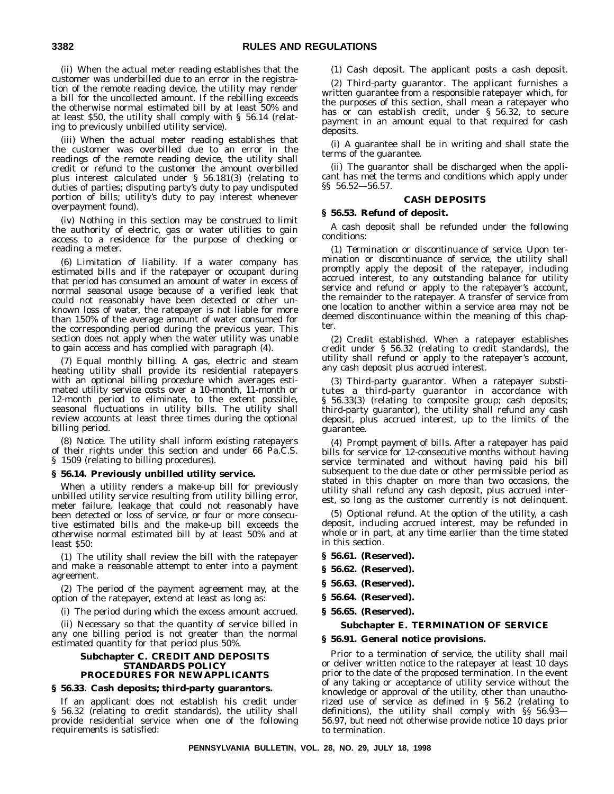(ii) When the actual meter reading establishes that the customer was underbilled due to an error in the registration of the remote reading device, the utility may render a bill for the uncollected amount. If the rebilling exceeds the otherwise normal estimated bill by at least 50% and at least \$50, the utility shall comply with § 56.14 (relating to previously unbilled utility service).

(iii) When the actual meter reading establishes that the customer was overbilled due to an error in the readings of the remote reading device, the utility shall credit or refund to the customer the amount overbilled plus interest calculated under § 56.181(3) (relating to duties of parties; disputing party's duty to pay undisputed portion of bills; utility's duty to pay interest whenever overpayment found).

(iv) Nothing in this section may be construed to limit the authority of electric, gas or water utilities to gain access to a residence for the purpose of checking or reading a meter.

(6) *Limitation of liability*. If a water company has estimated bills and if the ratepayer or occupant during that period has consumed an amount of water in excess of normal seasonal usage because of a verified leak that could not reasonably have been detected or other unknown loss of water, the ratepayer is not liable for more than 150% of the average amount of water consumed for the corresponding period during the previous year. This section does not apply when the water utility was unable to gain access and has complied with paragraph (4).

(7) *Equal monthly billing*. A gas, electric and steam heating utility shall provide its residential ratepayers with an optional billing procedure which averages estimated utility service costs over a 10-month, 11-month or 12-month period to eliminate, to the extent possible, seasonal fluctuations in utility bills. The utility shall review accounts at least three times during the optional billing period.

(8) *Notice*. The utility shall inform existing ratepayers of their rights under this section and under 66 Pa.C.S. § 1509 (relating to billing procedures).

#### **§ 56.14. Previously unbilled utility service.**

When a utility renders a make-up bill for previously unbilled utility service resulting from utility billing error, meter failure, leakage that could not reasonably have been detected or loss of service, or four or more consecutive estimated bills and the make-up bill exceeds the otherwise normal estimated bill by at least 50% and at least \$50:

(1) The utility shall review the bill with the ratepayer and make a reasonable attempt to enter into a payment agreement.

(2) The period of the payment agreement may, at the option of the ratepayer, extend at least as long as:

(i) The period during which the excess amount accrued.

(ii) Necessary so that the quantity of service billed in any one billing period is not greater than the normal estimated quantity for that period plus 50%.

#### **Subchapter C. CREDIT AND DEPOSITS STANDARDS POLICY PROCEDURES FOR NEW APPLICANTS**

#### **§ 56.33. Cash deposits; third-party guarantors.**

If an applicant does not establish his credit under § 56.32 (relating to credit standards), the utility shall provide residential service when one of the following requirements is satisfied:

(1) *Cash deposit*. The applicant posts a cash deposit.

(2) *Third-party guarantor*. The applicant furnishes a written guarantee from a responsible ratepayer which, for the purposes of this section, shall mean a ratepayer who has or can establish credit, under § 56.32, to secure payment in an amount equal to that required for cash deposits.

(i) A guarantee shall be in writing and shall state the terms of the guarantee.

(ii) The guarantor shall be discharged when the applicant has met the terms and conditions which apply under §§ 56.52—56.57.

#### **CASH DEPOSITS**

#### **§ 56.53. Refund of deposit.**

A cash deposit shall be refunded under the following conditions:

(1) *Termination or discontinuance of service*. Upon termination or discontinuance of service, the utility shall promptly apply the deposit of the ratepayer, including accrued interest, to any outstanding balance for utility service and refund or apply to the ratepayer's account, the remainder to the ratepayer. A transfer of service from one location to another within a service area may not be deemed discontinuance within the meaning of this chapter.

(2) *Credit established*. When a ratepayer establishes credit under § 56.32 (relating to credit standards), the utility shall refund or apply to the ratepayer's account, any cash deposit plus accrued interest.

(3) *Third-party guarantor*. When a ratepayer substitutes a third-party guarantor in accordance with § 56.33(3) (relating to composite group; cash deposits; third-party guarantor), the utility shall refund any cash deposit, plus accrued interest, up to the limits of the guarantee.

(4) *Prompt payment of bills*. After a ratepayer has paid bills for service for 12-consecutive months without having service terminated and without having paid his bill subsequent to the due date or other permissible period as stated in this chapter on more than two occasions, the utility shall refund any cash deposit, plus accrued interest, so long as the customer currently is not delinquent.

(5) *Optional refund*. At the option of the utility, a cash deposit, including accrued interest, may be refunded in whole or in part, at any time earlier than the time stated in this section.

- **§ 56.61. (Reserved).**
- **§ 56.62. (Reserved).**
- **§ 56.63. (Reserved).**
- **§ 56.64. (Reserved).**
- **§ 56.65. (Reserved).**

#### **Subchapter E. TERMINATION OF SERVICE**

#### **§ 56.91. General notice provisions.**

Prior to a termination of service, the utility shall mail or deliver written notice to the ratepayer at least 10 days prior to the date of the proposed termination. In the event of any taking or acceptance of utility service without the knowledge or approval of the utility, other than unauthorized use of service as defined in § 56.2 (relating to definitions), the utility shall comply with §§ 56.93— 56.97, but need not otherwise provide notice 10 days prior to termination.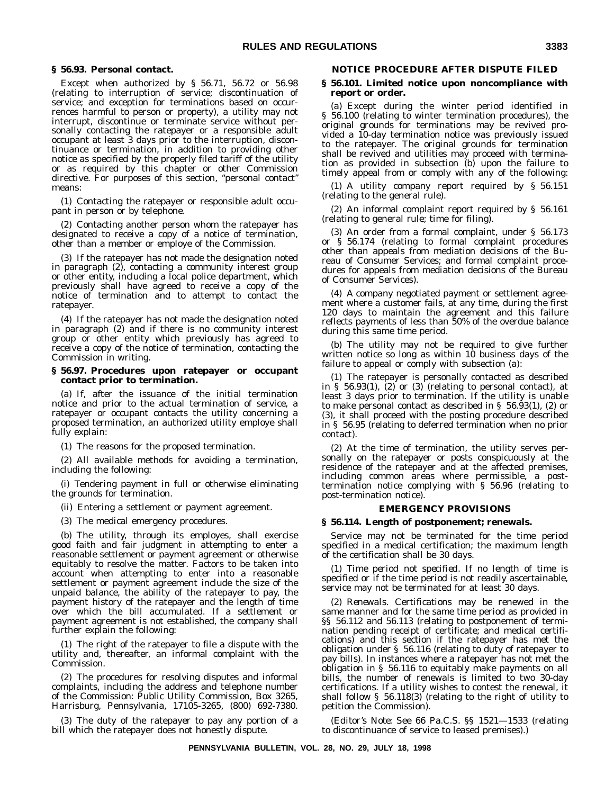#### **§ 56.93. Personal contact.**

Except when authorized by § 56.71, 56.72 or 56.98 (relating to interruption of service; discontinuation of service; and exception for terminations based on occurrences harmful to person or property), a utility may not interrupt, discontinue or terminate service without personally contacting the ratepayer or a responsible adult occupant at least 3 days prior to the interruption, discontinuance or termination, in addition to providing other notice as specified by the properly filed tariff of the utility or as required by this chapter or other Commission directive. For purposes of this section, "personal contact" means:

(1) Contacting the ratepayer or responsible adult occupant in person or by telephone.

(2) Contacting another person whom the ratepayer has designated to receive a copy of a notice of termination, other than a member or employe of the Commission.

(3) If the ratepayer has not made the designation noted in paragraph (2), contacting a community interest group or other entity, including a local police department, which previously shall have agreed to receive a copy of the notice of termination and to attempt to contact the ratepayer.

(4) If the ratepayer has not made the designation noted in paragraph (2) and if there is no community interest group or other entity which previously has agreed to receive a copy of the notice of termination, contacting the Commission in writing.

#### **§ 56.97. Procedures upon ratepayer or occupant contact prior to termination.**

(a) If, after the issuance of the initial termination notice and prior to the actual termination of service, a ratepayer or occupant contacts the utility concerning a proposed termination, an authorized utility employe shall fully explain:

(1) The reasons for the proposed termination.

(2) All available methods for avoiding a termination, including the following:

(i) Tendering payment in full or otherwise eliminating the grounds for termination.

(ii) Entering a settlement or payment agreement.

(3) The medical emergency procedures.

(b) The utility, through its employes, shall exercise good faith and fair judgment in attempting to enter a reasonable settlement or payment agreement or otherwise equitably to resolve the matter. Factors to be taken into account when attempting to enter into a reasonable settlement or payment agreement include the size of the unpaid balance, the ability of the ratepayer to pay, the payment history of the ratepayer and the length of time over which the bill accumulated. If a settlement or payment agreement is not established, the company shall further explain the following:

(1) The right of the ratepayer to file a dispute with the utility and, thereafter, an informal complaint with the Commission.

(2) The procedures for resolving disputes and informal complaints, including the address and telephone number of the Commission: Public Utility Commission, Box 3265, Harrisburg, Pennsylvania, 17105-3265, (800) 692-7380.

(3) The duty of the ratepayer to pay any portion of a bill which the ratepayer does not honestly dispute.

#### **NOTICE PROCEDURE AFTER DISPUTE FILED**

#### **§ 56.101. Limited notice upon noncompliance with report or order.**

(a) Except during the winter period identified in § 56.100 (relating to winter termination procedures), the original grounds for terminations may be revived provided a 10-day termination notice was previously issued to the ratepayer. The original grounds for termination shall be revived and utilities may proceed with termination as provided in subsection (b) upon the failure to timely appeal from or comply with any of the following:

(1) A utility company report required by § 56.151 (relating to the general rule).

(2) An informal complaint report required by § 56.161 (relating to general rule; time for filing).

(3) An order from a formal complaint, under § 56.173 or § 56.174 (relating to formal complaint procedures other than appeals from mediation decisions of the Bureau of Consumer Services; and formal complaint procedures for appeals from mediation decisions of the Bureau of Consumer Services).

(4) A company negotiated payment or settlement agreement where a customer fails, at any time, during the first 120 days to maintain the agreement and this failure reflects payments of less than 50% of the overdue balance during this same time period.

(b) The utility may not be required to give further written notice so long as within 10 business days of the failure to appeal or comply with subsection (a):

(1) The ratepayer is personally contacted as described in § 56.93(1), (2) or (3) (relating to personal contact), at least 3 days prior to termination. If the utility is unable to make personal contact as described in § 56.93(1), (2) or (3), it shall proceed with the posting procedure described in § 56.95 (relating to deferred termination when no prior contact).

(2) At the time of termination, the utility serves personally on the ratepayer or posts conspicuously at the residence of the ratepayer and at the affected premises, including common areas where permissible, a posttermination notice complying with § 56.96 (relating to post-termination notice).

#### **EMERGENCY PROVISIONS**

#### **§ 56.114. Length of postponement; renewals.**

Service may not be terminated for the time period specified in a medical certification; the maximum length of the certification shall be 30 days.

(1) *Time period not specified*. If no length of time is specified or if the time period is not readily ascertainable, service may not be terminated for at least 30 days.

(2) *Renewals*. Certifications may be renewed in the same manner and for the same time period as provided in §§ 56.112 and 56.113 (relating to postponement of termination pending receipt of certificate; and medical certifications) and this section if the ratepayer has met the obligation under § 56.116 (relating to duty of ratepayer to pay bills). In instances where a ratepayer has not met the obligation in § 56.116 to equitably make payments on all bills, the number of renewals is limited to two 30-day certifications. If a utility wishes to contest the renewal, it shall follow § 56.118(3) (relating to the right of utility to petition the Commission).

(*Editor's Note*: See 66 Pa.C.S. §§ 1521—1533 (relating to discontinuance of service to leased premises).)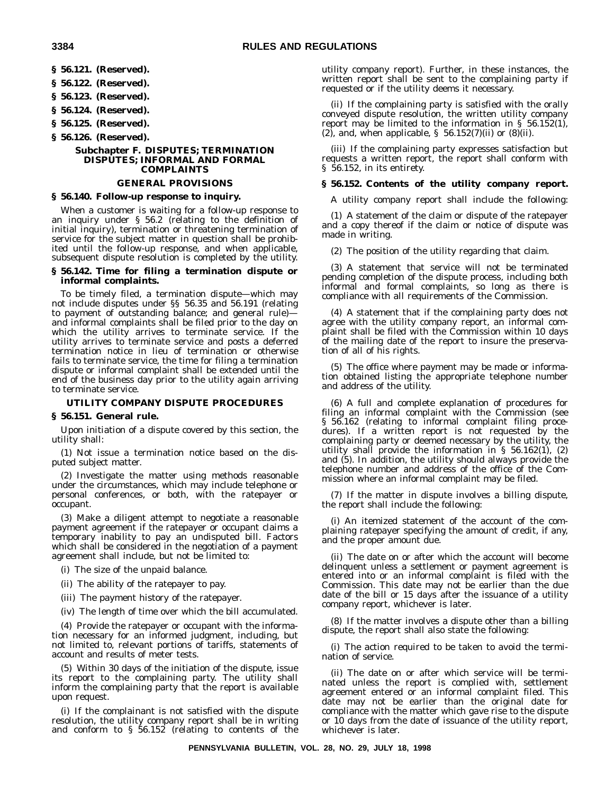**§ 56.121. (Reserved).**

**§ 56.122. (Reserved).**

**§ 56.123. (Reserved).**

**§ 56.124. (Reserved).**

**§ 56.125. (Reserved).**

**§ 56.126. (Reserved).**

#### **Subchapter F. DISPUTES; TERMINATION DISPUTES; INFORMAL AND FORMAL COMPLAINTS**

#### **GENERAL PROVISIONS**

#### **§ 56.140. Follow-up response to inquiry.**

When a customer is waiting for a follow-up response to an inquiry under § 56.2 (relating to the definition of initial inquiry), termination or threatening termination of service for the subject matter in question shall be prohibited until the follow-up response, and when applicable, subsequent dispute resolution is completed by the utility.

#### **§ 56.142. Time for filing a termination dispute or informal complaints.**

To be timely filed, a termination dispute—which may not include disputes under §§ 56.35 and 56.191 (relating to payment of outstanding balance; and general rule) and informal complaints shall be filed prior to the day on which the utility arrives to terminate service. If the utility arrives to terminate service and posts a deferred termination notice in lieu of termination or otherwise fails to terminate service, the time for filing a termination dispute or informal complaint shall be extended until the end of the business day prior to the utility again arriving to terminate service.

#### **UTILITY COMPANY DISPUTE PROCEDURES**

#### **§ 56.151. General rule.**

Upon initiation of a dispute covered by this section, the utility shall:

(1) Not issue a termination notice based on the disputed subject matter.

(2) Investigate the matter using methods reasonable under the circumstances, which may include telephone or personal conferences, or both, with the ratepayer or occupant.

(3) Make a diligent attempt to negotiate a reasonable payment agreement if the ratepayer or occupant claims a temporary inability to pay an undisputed bill. Factors which shall be considered in the negotiation of a payment agreement shall include, but not be limited to:

- (i) The size of the unpaid balance.
- (ii) The ability of the ratepayer to pay.
- (iii) The payment history of the ratepayer.
- (iv) The length of time over which the bill accumulated.

(4) Provide the ratepayer or occupant with the information necessary for an informed judgment, including, but not limited to, relevant portions of tariffs, statements of account and results of meter tests.

(5) Within 30 days of the initiation of the dispute, issue its report to the complaining party. The utility shall inform the complaining party that the report is available upon request.

(i) If the complainant is not satisfied with the dispute resolution, the utility company report shall be in writing and conform to § 56.152 (relating to contents of the utility company report). Further, in these instances, the written report shall be sent to the complaining party if requested or if the utility deems it necessary.

(ii) If the complaining party is satisfied with the orally conveyed dispute resolution, the written utility company report may be limited to the information in § 56.152(1), (2), and, when applicable,  $\S$  56.152(7)(ii) or (8)(ii).

(iii) If the complaining party expresses satisfaction but requests a written report, the report shall conform with § 56.152, in its entirety.

#### **§ 56.152. Contents of the utility company report.**

A utility company report shall include the following:

(1) A statement of the claim or dispute of the ratepayer and a copy thereof if the claim or notice of dispute was made in writing.

(2) The position of the utility regarding that claim.

(3) A statement that service will not be terminated pending completion of the dispute process, including both informal and formal complaints, so long as there is compliance with all requirements of the Commission.

(4) A statement that if the complaining party does not agree with the utility company report, an informal complaint shall be filed with the Commission within 10 days of the mailing date of the report to insure the preservation of all of his rights.

(5) The office where payment may be made or information obtained listing the appropriate telephone number and address of the utility.

(6) A full and complete explanation of procedures for filing an informal complaint with the Commission (see § 56.162 (relating to informal complaint filing procedures). If a written report is not requested by the complaining party or deemed necessary by the utility, the utility shall provide the information in  $\S$  56.162(1), (2) and (5). In addition, the utility should always provide the telephone number and address of the office of the Commission where an informal complaint may be filed.

(7) If the matter in dispute involves a billing dispute, the report shall include the following:

(i) An itemized statement of the account of the complaining ratepayer specifying the amount of credit, if any, and the proper amount due.

(ii) The date on or after which the account will become delinquent unless a settlement or payment agreement is entered into or an informal complaint is filed with the Commission. This date may not be earlier than the due date of the bill or 15 days after the issuance of a utility company report, whichever is later.

(8) If the matter involves a dispute other than a billing dispute, the report shall also state the following:

(i) The action required to be taken to avoid the termination of service.

(ii) The date on or after which service will be terminated unless the report is complied with, settlement agreement entered or an informal complaint filed. This date may not be earlier than the original date for compliance with the matter which gave rise to the dispute or 10 days from the date of issuance of the utility report, whichever is later.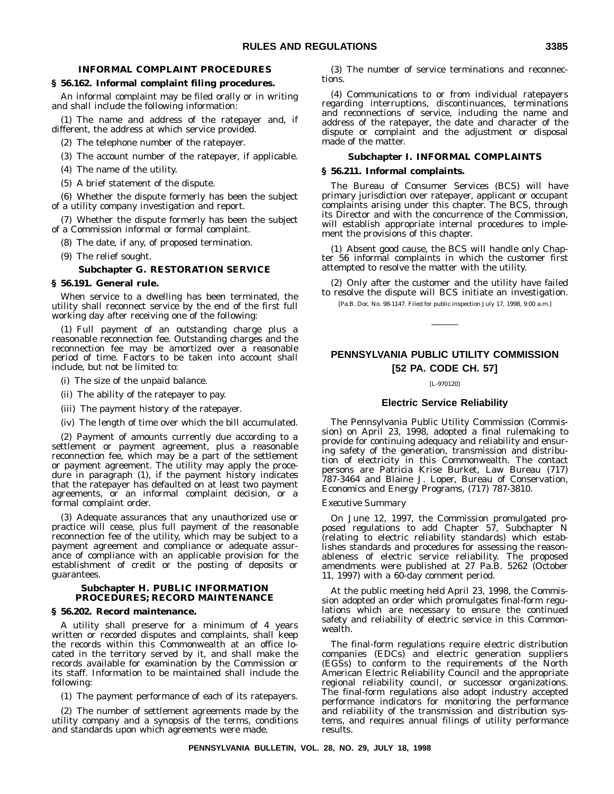#### **INFORMAL COMPLAINT PROCEDURES**

#### **§ 56.162. Informal complaint filing procedures.**

An informal complaint may be filed orally or in writing and shall include the following information:

(1) The name and address of the ratepayer and, if different, the address at which service provided.

(2) The telephone number of the ratepayer.

(3) The account number of the ratepayer, if applicable.

(4) The name of the utility.

(5) A brief statement of the dispute.

(6) Whether the dispute formerly has been the subject of a utility company investigation and report.

(7) Whether the dispute formerly has been the subject of a Commission informal or formal complaint.

(8) The date, if any, of proposed termination.

(9) The relief sought.

#### **Subchapter G. RESTORATION SERVICE**

#### **§ 56.191. General rule.**

When service to a dwelling has been terminated, the utility shall reconnect service by the end of the first full working day after receiving one of the following:

(1) Full payment of an outstanding charge plus a reasonable reconnection fee. Outstanding charges and the reconnection fee may be amortized over a reasonable period of time. Factors to be taken into account shall include, but not be limited to:

- (i) The size of the unpaid balance.
- (ii) The ability of the ratepayer to pay.
- (iii) The payment history of the ratepayer.
- (iv) The length of time over which the bill accumulated.

(2) Payment of amounts currently due according to a settlement or payment agreement, plus a reasonable reconnection fee, which may be a part of the settlement or payment agreement. The utility may apply the procedure in paragraph (1), if the payment history indicates that the ratepayer has defaulted on at least two payment agreements, or an informal complaint decision, or a formal complaint order.

(3) Adequate assurances that any unauthorized use or practice will cease, plus full payment of the reasonable reconnection fee of the utility, which may be subject to a payment agreement and compliance or adequate assurance of compliance with an applicable provision for the establishment of credit or the posting of deposits or guarantees.

#### **Subchapter H. PUBLIC INFORMATION PROCEDURES; RECORD MAINTENANCE**

#### **§ 56.202. Record maintenance.**

A utility shall preserve for a minimum of 4 years written or recorded disputes and complaints, shall keep the records within this Commonwealth at an office located in the territory served by it, and shall make the records available for examination by the Commission or its staff. Information to be maintained shall include the following:

(1) The payment performance of each of its ratepayers.

(2) The number of settlement agreements made by the utility company and a synopsis of the terms, conditions and standards upon which agreements were made.

(3) The number of service terminations and reconnections.

(4) Communications to or from individual ratepayers regarding interruptions, discontinuances, terminations and reconnections of service, including the name and address of the ratepayer, the date and character of the dispute or complaint and the adjustment or disposal made of the matter.

#### **Subchapter I. INFORMAL COMPLAINTS**

#### **§ 56.211. Informal complaints.**

The Bureau of Consumer Services (BCS) will have primary jurisdiction over ratepayer, applicant or occupant complaints arising under this chapter. The BCS, through its Director and with the concurrence of the Commission, will establish appropriate internal procedures to implement the provisions of this chapter.

(1) Absent good cause, the BCS will handle only Chapter 56 informal complaints in which the customer first attempted to resolve the matter with the utility.

(2) Only after the customer and the utility have failed to resolve the dispute will BCS initiate an investigation.

[Pa.B. Doc. No. 98-1147. Filed for public inspection July 17, 1998, 9:00 a.m.]

#### **PENNSYLVANIA PUBLIC UTILITY COMMISSION [52 PA. CODE CH. 57]**

[L-970120]

#### **Electric Service Reliability**

The Pennsylvania Public Utility Commission (Commission) on April 23, 1998, adopted a final rulemaking to provide for continuing adequacy and reliability and ensuring safety of the generation, transmission and distribution of electricity in this Commonwealth. The contact persons are Patricia Krise Burket, Law Bureau (717) 787-3464 and Blaine J. Loper, Bureau of Conservation, Economics and Energy Programs, (717) 787-3810.

#### *Executive Summary*

On June 12, 1997, the Commission promulgated proposed regulations to add Chapter 57, Subchapter N (relating to electric reliability standards) which establishes standards and procedures for assessing the reasonableness of electric service reliability. The proposed amendments were published at 27 Pa.B. 5262 (October 11, 1997) with a 60-day comment period.

At the public meeting held April 23, 1998, the Commission adopted an order which promulgates final-form regulations which are necessary to ensure the continued safety and reliability of electric service in this Commonwealth.

The final-form regulations require electric distribution companies (EDCs) and electric generation suppliers (EGSs) to conform to the requirements of the North American Electric Reliability Council and the appropriate regional reliability council, or successor organizations. The final-form regulations also adopt industry accepted performance indicators for monitoring the performance and reliability of the transmission and distribution systems, and requires annual filings of utility performance results.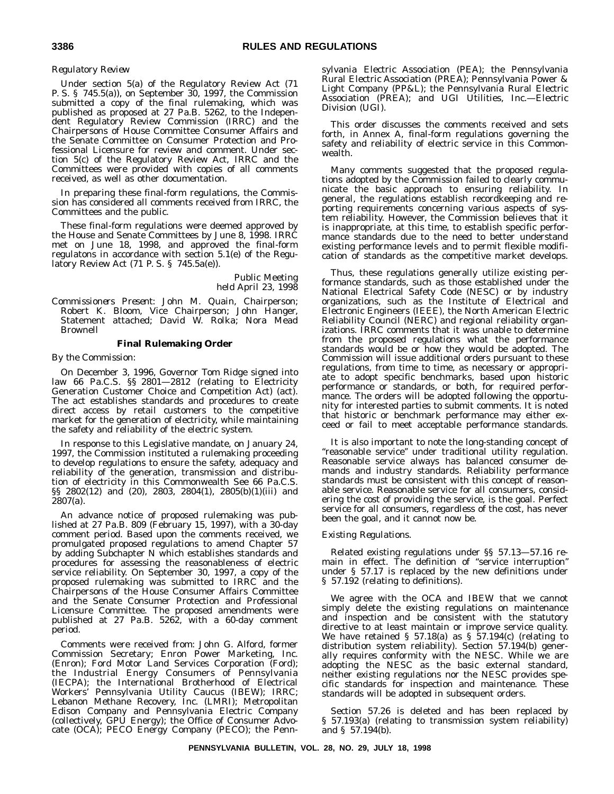#### *Regulatory Review*

Under section 5(a) of the Regulatory Review Act (71 P. S. § 745.5(a)), on September 30, 1997, the Commission submitted a copy of the final rulemaking, which was published as proposed at 27 Pa.B. 5262, to the Independent Regulatory Review Commission (IRRC) and the Chairpersons of House Committee Consumer Affairs and the Senate Committee on Consumer Protection and Professional Licensure for review and comment. Under section 5(c) of the Regulatory Review Act, IRRC and the Committees were provided with copies of all comments received, as well as other documentation.

In preparing these final-form regulations, the Commission has considered all comments received from IRRC, the Committees and the public.

These final-form regulations were deemed approved by the House and Senate Committees by June 8, 1998. IRRC met on June 18, 1998, and approved the final-form regulatons in accordance with section 5.1(e) of the Regulatory Review Act (71 P. S. § 745.5a(e)).

> Public Meeting held April 23, 1998

*Commissioners Present*: John M. Quain, Chairperson; Robert K. Bloom, Vice Chairperson; John Hanger, Statement attached; David W. Rolka; Nora Mead Brownell

#### **Final Rulemaking Order**

#### *By the Commission*:

On December 3, 1996, Governor Tom Ridge signed into law 66 Pa.C.S. §§ 2801-2812 (relating to Electricity Generation Customer Choice and Competition Act) (act). The act establishes standards and procedures to create direct access by retail customers to the competitive market for the generation of electricity, while maintaining the safety and reliability of the electric system.

In response to this Legislative mandate, on January 24, 1997, the Commission instituted a rulemaking proceeding to develop regulations to ensure the safety, adequacy and reliability of the generation, transmission and distribution of electricity in this Commonwealth See 66 Pa.C.S. §§ 2802(12) and (20), 2803, 2804(1), 2805(b)(1)(iii) and 2807(a).

An advance notice of proposed rulemaking was published at 27 Pa.B. 809 (February 15, 1997), with a 30-day comment period. Based upon the comments received, we promulgated proposed regulations to amend Chapter 57 by adding Subchapter N which establishes standards and procedures for assessing the reasonableness of electric service reliability. On September 30, 1997, a copy of the proposed rulemaking was submitted to IRRC and the Chairpersons of the House Consumer Affairs Committee and the Senate Consumer Protection and Professional Licensure Committee. The proposed amendments were published at 27 Pa.B. 5262, with a 60-day comment period.

Comments were received from: John G. Alford, former Commission Secretary; Enron Power Marketing, Inc. (Enron); Ford Motor Land Services Corporation (Ford); the Industrial Energy Consumers of Pennsylvania (IECPA); the International Brotherhood of Electrical Workers' Pennsylvania Utility Caucus (IBEW); IRRC; Lebanon Methane Recovery, Inc. (LMRI); Metropolitan Edison Company and Pennsylvania Electric Company (collectively, GPU Energy); the Office of Consumer Advocate (OCA); PECO Energy Company (PECO); the Pennsylvania Electric Association (PEA); the Pennsylvania Rural Electric Association (PREA); Pennsylvania Power & Light Company (PP&L); the Pennsylvania Rural Electric Association (PREA); and UGI Utilities, Inc.—Electric Division (UGI).

This order discusses the comments received and sets forth, in Annex A, final-form regulations governing the safety and reliability of electric service in this Commonwealth.

Many comments suggested that the proposed regulations adopted by the Commission failed to clearly communicate the basic approach to ensuring reliability. In general, the regulations establish recordkeeping and reporting requirements concerning various aspects of system reliability. However, the Commission believes that it is inappropriate, at this time, to establish specific performance standards due to the need to better understand existing performance levels and to permit flexible modification of standards as the competitive market develops.

Thus, these regulations generally utilize existing performance standards, such as those established under the National Electrical Safety Code (NESC) or by industry organizations, such as the Institute of Electrical and Electronic Engineers (IEEE), the North American Electric Reliability Council (NERC) and regional reliability organizations. IRRC comments that it was unable to determine from the proposed regulations what the performance standards would be or how they would be adopted. The Commission will issue additional orders pursuant to these regulations, from time to time, as necessary or appropriate to adopt specific benchmarks, based upon historic performance or standards, or both, for required performance. The orders will be adopted following the opportunity for interested parties to submit comments. It is noted that historic or benchmark performance may either exceed or fail to meet acceptable performance standards.

It is also important to note the long-standing concept of "reasonable service" under traditional utility regulation. Reasonable service always has balanced consumer demands and industry standards. Reliability performance standards must be consistent with this concept of reasonable service. Reasonable service for all consumers, considering the cost of providing the service, is the goal. Perfect service for all consumers, regardless of the cost, has never been the goal, and it cannot now be.

#### *Existing Regulations*.

Related existing regulations under §§ 57.13—57.16 remain in effect. The definition of ''service interruption'' under § 57.17 is replaced by the new definitions under § 57.192 (relating to definitions).

We agree with the OCA and IBEW that we cannot simply delete the existing regulations on maintenance and inspection and be consistent with the statutory directive to at least maintain or improve service quality. We have retained § 57.18(a) as § 57.194(c) (relating to distribution system reliability). Section 57.194(b) generally requires conformity with the NESC. While we are adopting the NESC as the basic external standard, neither existing regulations nor the NESC provides specific standards for inspection and maintenance. These standards will be adopted in subsequent orders.

Section 57.26 is deleted and has been replaced by § 57.193(a) (relating to transmission system reliability) and § 57.194(b).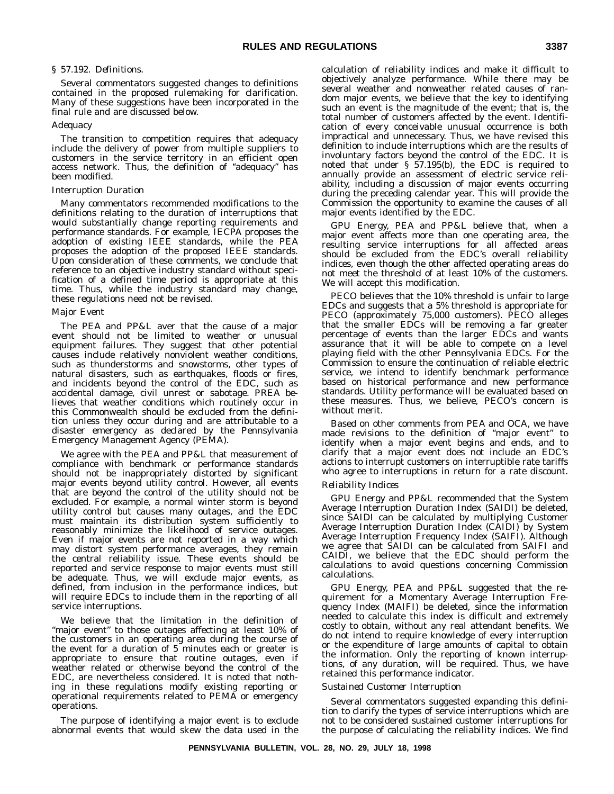#### *§ 57.192. Definitions*.

Several commentators suggested changes to definitions contained in the proposed rulemaking for clarification. Many of these suggestions have been incorporated in the final rule and are discussed below.

#### *Adequacy*

The transition to competition requires that adequacy include the delivery of power from multiple suppliers to customers in the service territory in an efficient open access network. Thus, the definition of ''adequacy'' has been modified.

#### *Interruption Duration*

Many commentators recommended modifications to the definitions relating to the duration of interruptions that would substantially change reporting requirements and performance standards. For example, IECPA proposes the adoption of existing IEEE standards, while the PEA proposes the adoption of the proposed IEEE standards. Upon consideration of these comments, we conclude that reference to an objective industry standard without specification of a defined time period is appropriate at this time. Thus, while the industry standard may change, these regulations need not be revised.

#### *Major Event*

The PEA and PP&L aver that the cause of a major event should not be limited to weather or unusual equipment failures. They suggest that other potential causes include relatively nonviolent weather conditions, such as thunderstorms and snowstorms, other types of natural disasters, such as earthquakes, floods or fires, and incidents beyond the control of the EDC, such as accidental damage, civil unrest or sabotage. PREA believes that weather conditions which routinely occur in this Commonwealth should be excluded from the definition unless they occur during and are attributable to a disaster emergency as declared by the Pennsylvania Emergency Management Agency (PEMA).

We agree with the PEA and PP&L that measurement of compliance with benchmark or performance standards should not be inappropriately distorted by significant major events beyond utility control. However, all events that are beyond the control of the utility should not be excluded. For example, a normal winter storm is beyond utility control but causes many outages, and the EDC must maintain its distribution system sufficiently to reasonably minimize the likelihood of service outages. Even if major events are not reported in a way which may distort system performance averages, they remain the central reliability issue. These events should be reported and service response to major events must still be adequate. Thus, we will exclude major events, as defined, from inclusion in the performance indices, but will require EDCs to include them in the reporting of all service interruptions.

We believe that the limitation in the definition of "major event" to those outages affecting at least 10% of the customers in an operating area during the course of the event for a duration of 5 minutes each or greater is appropriate to ensure that routine outages, even if weather related or otherwise beyond the control of the EDC, are nevertheless considered. It is noted that nothing in these regulations modify existing reporting or operational requirements related to PEMA or emergency operations.

The purpose of identifying a major event is to exclude abnormal events that would skew the data used in the

calculation of reliability indices and make it difficult to objectively analyze performance. While there may be several weather and nonweather related causes of random major events, we believe that the key to identifying such an event is the magnitude of the event; that is, the total number of customers affected by the event. Identification of every conceivable unusual occurrence is both impractical and unnecessary. Thus, we have revised this definition to include interruptions which are the results of involuntary factors beyond the control of the EDC. It is noted that under § 57.195(b), the EDC is required to annually provide an assessment of electric service reliability, including a discussion of major events occurring during the preceding calendar year. This will provide the Commission the opportunity to examine the causes of all major events identified by the EDC.

GPU Energy, PEA and PP&L believe that, when a major event affects more than one operating area, the resulting service interruptions for all affected areas should be excluded from the EDC's overall reliability indices, even though the other affected operating areas do not meet the threshold of at least 10% of the customers. We will accept this modification.

PECO believes that the 10% threshold is unfair to large EDCs and suggests that a 5% threshold is appropriate for PECO (approximately 75,000 customers). PECO alleges that the smaller EDCs will be removing a far greater percentage of events than the larger EDCs and wants assurance that it will be able to compete on a level playing field with the other Pennsylvania EDCs. For the Commission to ensure the continuation of reliable electric service, we intend to identify benchmark performance based on historical performance and new performance standards. Utility performance will be evaluated based on these measures. Thus, we believe, PECO's concern is without merit.

Based on other comments from PEA and OCA, we have made revisions to the definition of "major event" to identify when a major event begins and ends, and to clarify that a major event does not include an EDC's actions to interrupt customers on interruptible rate tariffs who agree to interruptions in return for a rate discount.

#### *Reliability Indices*

GPU Energy and PP&L recommended that the System Average Interruption Duration Index (SAIDI) be deleted, since SAIDI can be calculated by multiplying Customer Average Interruption Duration Index (CAIDI) by System Average Interruption Frequency Index (SAIFI). Although we agree that SAIDI can be calculated from SAIFI and CAIDI, we believe that the EDC should perform the calculations to avoid questions concerning Commission calculations.

GPU Energy, PEA and PP&L suggested that the requirement for a Momentary Average Interruption Frequency Index (MAIFI) be deleted, since the information needed to calculate this index is difficult and extremely costly to obtain, without any real attendant benefits. We do not intend to require knowledge of every interruption or the expenditure of large amounts of capital to obtain the information. Only the reporting of known interruptions, of any duration, will be required. Thus, we have retained this performance indicator.

#### *Sustained Customer Interruption*

Several commentators suggested expanding this definition to clarify the types of service interruptions which are not to be considered sustained customer interruptions for the purpose of calculating the reliability indices. We find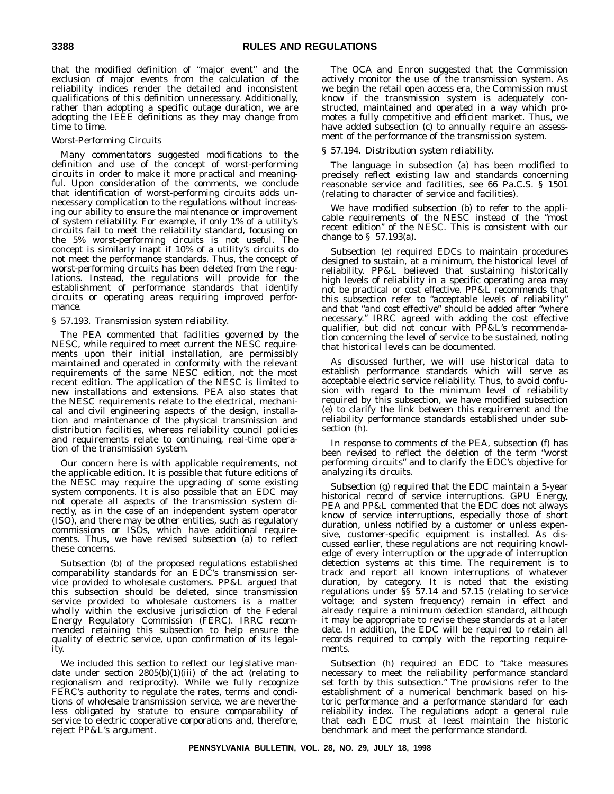that the modified definition of "major event" and the exclusion of major events from the calculation of the reliability indices render the detailed and inconsistent qualifications of this definition unnecessary. Additionally, rather than adopting a specific outage duration, we are adopting the IEEE definitions as they may change from time to time.

#### *Worst-Performing Circuits*

Many commentators suggested modifications to the definition and use of the concept of worst-performing circuits in order to make it more practical and meaningful. Upon consideration of the comments, we conclude that identification of worst-performing circuits adds unnecessary complication to the regulations without increasing our ability to ensure the maintenance or improvement of system reliability. For example, if only 1% of a utility's circuits fail to meet the reliability standard, focusing on the 5% worst-performing circuits is not useful. The concept is similarly inapt if 10% of a utility's circuits do not meet the performance standards. Thus, the concept of worst-performing circuits has been deleted from the regulations. Instead, the regulations will provide for the establishment of performance standards that identify circuits or operating areas requiring improved performance.

#### *§ 57.193. Transmission system reliability*.

The PEA commented that facilities governed by the NESC, while required to meet current the NESC requirements upon their initial installation, are permissibly maintained and operated in conformity with the relevant requirements of the same NESC edition, not the most recent edition. The application of the NESC is limited to new installations and extensions. PEA also states that the NESC requirements relate to the electrical, mechanical and civil engineering aspects of the design, installation and maintenance of the physical transmission and distribution facilities, whereas reliability council policies and requirements relate to continuing, real-time operation of the transmission system.

Our concern here is with applicable requirements, not the applicable edition. It is possible that future editions of the NESC may require the upgrading of some existing system components. It is also possible that an EDC may not operate all aspects of the transmission system directly, as in the case of an independent system operator (ISO), and there may be other entities, such as regulatory commissions or ISOs, which have additional requirements. Thus, we have revised subsection (a) to reflect these concerns.

Subsection (b) of the proposed regulations established comparability standards for an EDC's transmission service provided to wholesale customers. PP&L argued that this subsection should be deleted, since transmission service provided to wholesale customers is a matter wholly within the exclusive jurisdiction of the Federal Energy Regulatory Commission (FERC). IRRC recommended retaining this subsection to help ensure the quality of electric service, upon confirmation of its legality.

We included this section to reflect our legislative mandate under section 2805(b)(1)(iii) of the act (relating to regionalism and reciprocity). While we fully recognize FERC's authority to regulate the rates, terms and conditions of wholesale transmission service, we are nevertheless obligated by statute to ensure comparability of service to electric cooperative corporations and, therefore, reject PP&L's argument.

The OCA and Enron suggested that the Commission actively monitor the use of the transmission system. As we begin the retail open access era, the Commission must know if the transmission system is adequately constructed, maintained and operated in a way which promotes a fully competitive and efficient market. Thus, we have added subsection (c) to annually require an assessment of the performance of the transmission system.

#### *§ 57.194. Distribution system reliability*.

The language in subsection (a) has been modified to precisely reflect existing law and standards concerning reasonable service and facilities, see 66 Pa.C.S. § 1501 (relating to character of service and facilities).

We have modified subsection (b) to refer to the applicable requirements of the NESC instead of the ''most recent edition'' of the NESC. This is consistent with our change to § 57.193(a).

Subsection (e) required EDCs to maintain procedures designed to sustain, at a minimum, the historical level of reliability. PP&L believed that sustaining historically high levels of reliability in a specific operating area may not be practical or cost effective. PP&L recommends that this subsection refer to "acceptable levels of reliability" and that "and cost effective" should be added after "where necessary." IRRC agreed with adding the cost effective qualifier, but did not concur with PP&L's recommendation concerning the level of service to be sustained, noting that historical levels can be documented.

As discussed further, we will use historical data to establish performance standards which will serve as acceptable electric service reliability. Thus, to avoid confusion with regard to the minimum level of reliability required by this subsection, we have modified subsection (e) to clarify the link between this requirement and the reliability performance standards established under subsection (h).

In response to comments of the PEA, subsection (f) has been revised to reflect the deletion of the term ''worst performing circuits'' and to clarify the EDC's objective for analyzing its circuits.

Subsection (g) required that the EDC maintain a 5-year historical record of service interruptions. GPU Energy, PEA and PP&L commented that the EDC does not always know of service interruptions, especially those of short duration, unless notified by a customer or unless expensive, customer-specific equipment is installed. As discussed earlier, these regulations are not requiring knowledge of every interruption or the upgrade of interruption detection systems at this time. The requirement is to track and report all known interruptions of whatever duration, by category. It is noted that the existing regulations under §§ 57.14 and 57.15 (relating to service voltage; and system frequency) remain in effect and already require a minimum detection standard, although it may be appropriate to revise these standards at a later date. In addition, the EDC will be required to retain all records required to comply with the reporting requirements.

Subsection (h) required an EDC to "take measures necessary to meet the reliability performance standard set forth by this subsection.'' The provisions refer to the establishment of a numerical benchmark based on historic performance and a performance standard for each reliability index. The regulations adopt a general rule that each EDC must at least maintain the historic benchmark and meet the performance standard.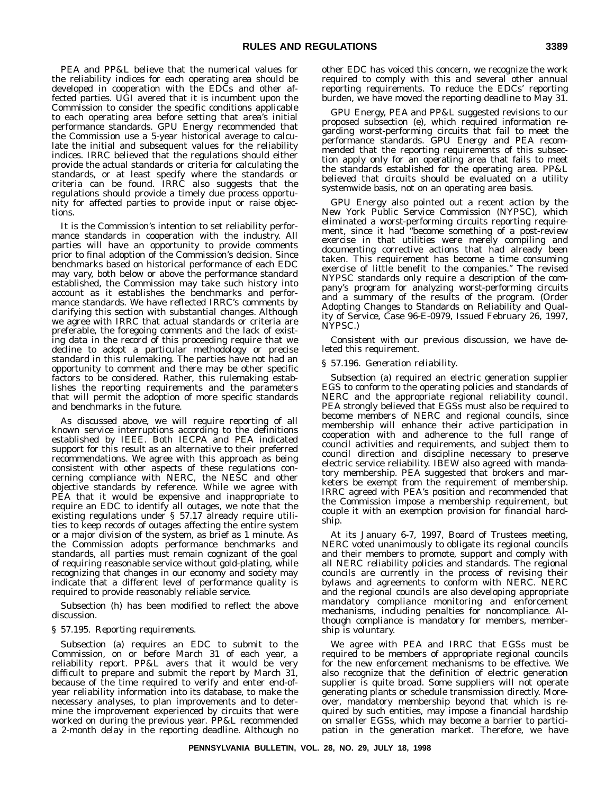PEA and PP&L believe that the numerical values for the reliability indices for each operating area should be developed in cooperation with the EDCs and other affected parties. UGI avered that it is incumbent upon the Commission to consider the specific conditions applicable to each operating area before setting that area's initial performance standards. GPU Energy recommended that the Commission use a 5-year historical average to calculate the initial and subsequent values for the reliability indices. IRRC believed that the regulations should either provide the actual standards or criteria for calculating the standards, or at least specify where the standards or criteria can be found. IRRC also suggests that the regulations should provide a timely due process opportunity for affected parties to provide input or raise objections.

It is the Commission's intention to set reliability performance standards in cooperation with the industry. All parties will have an opportunity to provide comments prior to final adoption of the Commission's decision. Since benchmarks based on historical performance of each EDC may vary, both below or above the performance standard established, the Commission may take such history into account as it establishes the benchmarks and performance standards. We have reflected IRRC's comments by clarifying this section with substantial changes. Although we agree with IRRC that actual standards or criteria are preferable, the foregoing comments and the lack of existing data in the record of this proceeding require that we decline to adopt a particular methodology or precise standard in this rulemaking. The parties have not had an opportunity to comment and there may be other specific factors to be considered. Rather, this rulemaking establishes the reporting requirements and the parameters that will permit the adoption of more specific standards and benchmarks in the future.

As discussed above, we will require reporting of all known service interruptions according to the definitions established by IEEE. Both IECPA and PEA indicated support for this result as an alternative to their preferred recommendations. We agree with this approach as being consistent with other aspects of these regulations concerning compliance with NERC, the NESC and other objective standards by reference. While we agree with PEA that it would be expensive and inappropriate to require an EDC to identify all outages, we note that the existing regulations under § 57.17 already require utilities to keep records of outages affecting the entire system or a major division of the system, as brief as 1 minute. As the Commission adopts performance benchmarks and standards, all parties must remain cognizant of the goal of requiring reasonable service without gold-plating, while recognizing that changes in our economy and society may indicate that a different level of performance quality is required to provide reasonably reliable service.

Subsection (h) has been modified to reflect the above discussion.

#### *§ 57.195. Reporting requirements*.

Subsection (a) requires an EDC to submit to the Commission, on or before March 31 of each year, a reliability report. PP&L avers that it would be very difficult to prepare and submit the report by March 31, because of the time required to verify and enter end-ofyear reliability information into its database, to make the necessary analyses, to plan improvements and to determine the improvement experienced by circuits that were worked on during the previous year. PP&L recommended a 2-month delay in the reporting deadline. Although no

other EDC has voiced this concern, we recognize the work required to comply with this and several other annual reporting requirements. To reduce the EDCs' reporting burden, we have moved the reporting deadline to May 31.

GPU Energy, PEA and PP&L suggested revisions to our proposed subsection (e), which required information regarding worst-performing circuits that fail to meet the performance standards. GPU Energy and PEA recommended that the reporting requirements of this subsection apply only for an operating area that fails to meet the standards established for the operating area. PP&L believed that circuits should be evaluated on a utility systemwide basis, not on an operating area basis.

GPU Energy also pointed out a recent action by the New York Public Service Commission (NYPSC), which eliminated a worst-performing circuits reporting requirement, since it had ''become something of a post-review exercise in that utilities were merely compiling and documenting corrective actions that had already been taken. This requirement has become a time consuming exercise of little benefit to the companies.'' The revised NYPSC standards only require a description of the company's program for analyzing worst-performing circuits and a summary of the results of the program. (Order Adopting Changes to Standards on Reliability and Quality of Service, Case 96-E-0979, Issued February 26, 1997, NYPSC.)

Consistent with our previous discussion, we have deleted this requirement.

#### *§ 57.196. Generation reliability*.

Subsection (a) required an electric generation supplier EGS to conform to the operating policies and standards of NERC and the appropriate regional reliability council. PEA strongly believed that EGSs must also be required to become members of NERC and regional councils, since membership will enhance their active participation in cooperation with and adherence to the full range of council activities and requirements, and subject them to council direction and discipline necessary to preserve electric service reliability. IBEW also agreed with mandatory membership. PEA suggested that brokers and marketers be exempt from the requirement of membership. IRRC agreed with PEA's position and recommended that the Commission impose a membership requirement, but couple it with an exemption provision for financial hardship.

At its January 6-7, 1997, Board of Trustees meeting, NERC voted unanimously to obligate its regional councils and their members to promote, support and comply with all NERC reliability policies and standards. The regional councils are currently in the process of revising their bylaws and agreements to conform with NERC. NERC and the regional councils are also developing appropriate mandatory compliance monitoring and enforcement mechanisms, including penalties for noncompliance. Although compliance is mandatory for members, membership is voluntary.

We agree with PEA and IRRC that EGSs must be required to be members of appropriate regional councils for the new enforcement mechanisms to be effective. We also recognize that the definition of electric generation supplier is quite broad. Some suppliers will not operate generating plants or schedule transmission directly. Moreover, mandatory membership beyond that which is required by such entities, may impose a financial hardship on smaller EGSs, which may become a barrier to participation in the generation market. Therefore, we have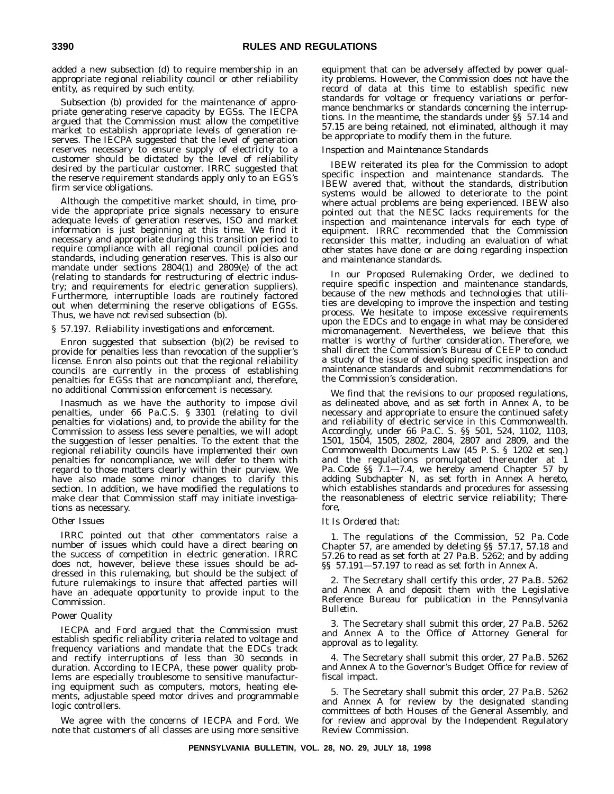added a new subsection (d) to require membership in an appropriate regional reliability council or other reliability entity, as required by such entity.

Subsection (b) provided for the maintenance of appropriate generating reserve capacity by EGSs. The IECPA argued that the Commission must allow the competitive market to establish appropriate levels of generation reserves. The IECPA suggested that the level of generation reserves necessary to ensure supply of electricity to a customer should be dictated by the level of reliability desired by the particular customer. IRRC suggested that the reserve requirement standards apply only to an EGS's firm service obligations.

Although the competitive market should, in time, provide the appropriate price signals necessary to ensure adequate levels of generation reserves, ISO and market information is just beginning at this time. We find it necessary and appropriate during this transition period to require compliance with all regional council policies and standards, including generation reserves. This is also our mandate under sections 2804(1) and 2809(e) of the act (relating to standards for restructuring of electric industry; and requirements for electric generation suppliers). Furthermore, interruptible loads are routinely factored out when determining the reserve obligations of EGSs. Thus, we have not revised subsection (b).

#### *§ 57.197. Reliability investigations and enforcement*.

Enron suggested that subsection (b)(2) be revised to provide for penalties less than revocation of the supplier's license. Enron also points out that the regional reliability councils are currently in the process of establishing penalties for EGSs that are noncompliant and, therefore, no additional Commission enforcement is necessary.

Inasmuch as we have the authority to impose civil penalties, under 66 Pa.C.S. § 3301 (relating to civil penalties for violations) and, to provide the ability for the Commission to assess less severe penalties, we will adopt the suggestion of lesser penalties. To the extent that the regional reliability councils have implemented their own penalties for noncompliance, we will defer to them with regard to those matters clearly within their purview. We have also made some minor changes to clarify this section. In addition, we have modified the regulations to make clear that Commission staff may initiate investigations as necessary.

#### *Other Issues*

IRRC pointed out that other commentators raise a number of issues which could have a direct bearing on the success of competition in electric generation. IRRC does not, however, believe these issues should be addressed in this rulemaking, but should be the subject of future rulemakings to insure that affected parties will have an adequate opportunity to provide input to the Commission.

#### *Power Quality*

IECPA and Ford argued that the Commission must establish specific reliability criteria related to voltage and frequency variations and mandate that the EDCs track and rectify interruptions of less than 30 seconds in duration. According to IECPA, these power quality problems are especially troublesome to sensitive manufacturing equipment such as computers, motors, heating elements, adjustable speed motor drives and programmable logic controllers.

We agree with the concerns of IECPA and Ford. We note that customers of all classes are using more sensitive equipment that can be adversely affected by power quality problems. However, the Commission does not have the record of data at this time to establish specific new standards for voltage or frequency variations or performance benchmarks or standards concerning the interruptions. In the meantime, the standards under §§ 57.14 and 57.15 are being retained, not eliminated, although it may be appropriate to modify them in the future.

#### *Inspection and Maintenance Standards*

IBEW reiterated its plea for the Commission to adopt specific inspection and maintenance standards. The IBEW avered that, without the standards, distribution systems would be allowed to deteriorate to the point where actual problems are being experienced. IBEW also pointed out that the NESC lacks requirements for the inspection and maintenance intervals for each type of equipment. IRRC recommended that the Commission reconsider this matter, including an evaluation of what other states have done or are doing regarding inspection and maintenance standards.

In our Proposed Rulemaking Order, we declined to require specific inspection and maintenance standards, because of the new methods and technologies that utilities are developing to improve the inspection and testing process. We hesitate to impose excessive requirements upon the EDCs and to engage in what may be considered micromanagement. Nevertheless, we believe that this matter is worthy of further consideration. Therefore, we shall direct the Commission's Bureau of CEEP to conduct a study of the issue of developing specific inspection and maintenance standards and submit recommendations for the Commission's consideration.

We find that the revisions to our proposed regulations, as delineated above, and as set forth in Annex A, to be necessary and appropriate to ensure the continued safety and reliability of electric service in this Commonwealth. Accordingly, under 66 Pa.C. S. §§ 501, 524, 1102, 1103, 1501, 1504, 1505, 2802, 2804, 2807 and 2809, and the Commonwealth Documents Law (45 P. S. § 1202 et seq.) and the regulations promulgated thereunder at 1 Pa. Code §§ 7.1-7.4, we hereby amend Chapter 57 by adding Subchapter N, as set forth in Annex A hereto, which establishes standards and procedures for assessing the reasonableness of electric service reliability; *Therefore*,

#### *It Is Ordered that*:

1. The regulations of the Commission, 52 Pa. Code Chapter 57, are amended by deleting §§ 57.17, 57.18 and 57.26 to read as set forth at 27 Pa.B. 5262; and by adding §§ 57.191—57.197 to read as set forth in Annex A.

2. The Secretary shall certify this order, 27 Pa.B. 5262 and Annex A and deposit them with the Legislative Reference Bureau for publication in the *Pennsylvania Bulletin*.

3. The Secretary shall submit this order, 27 Pa.B. 5262 and Annex A to the Office of Attorney General for approval as to legality.

4. The Secretary shall submit this order, 27 Pa.B. 5262 and Annex A to the Governor's Budget Office for review of fiscal impact.

5. The Secretary shall submit this order, 27 Pa.B. 5262 and Annex A for review by the designated standing committees of both Houses of the General Assembly, and for review and approval by the Independent Regulatory Review Commission.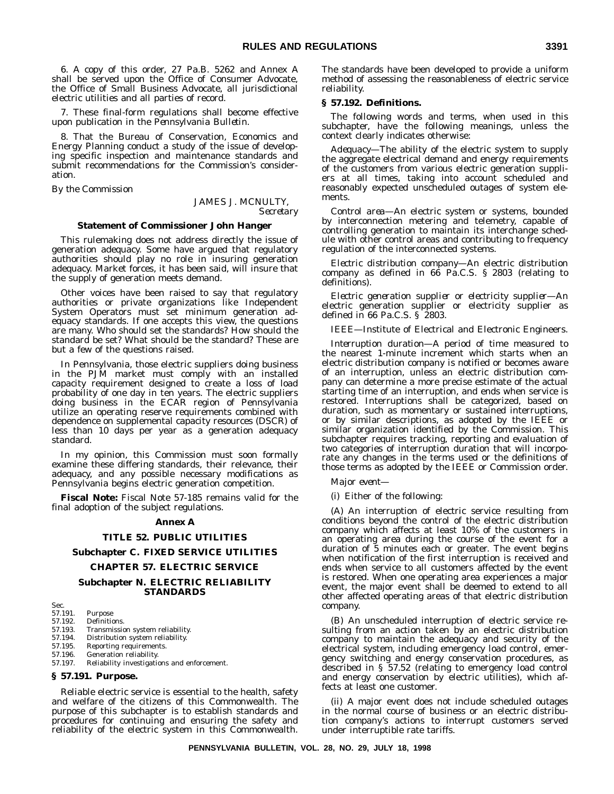6. A copy of this order, 27 Pa.B. 5262 and Annex A shall be served upon the Office of Consumer Advocate, the Office of Small Business Advocate, all jurisdictional electric utilities and all parties of record.

7. These final-form regulations shall become effective upon publication in the *Pennsylvania Bulletin*.

8. That the Bureau of Conservation, Economics and Energy Planning conduct a study of the issue of developing specific inspection and maintenance standards and submit recommendations for the Commission's consideration.

*By the Commission*

JAMES J. MCNULTY, *Secretary*

#### **Statement of Commissioner John Hanger**

This rulemaking does not address directly the issue of generation adequacy. Some have argued that regulatory authorities should play no role in insuring generation adequacy. Market forces, it has been said, will insure that the supply of generation meets demand.

Other voices have been raised to say that regulatory authorities or private organizations like Independent System Operators must set minimum generation adequacy standards. If one accepts this view, the questions are many. Who should set the standards? How should the standard be set? What should be the standard? These are but a few of the questions raised.

In Pennsylvania, those electric suppliers doing business in the PJM market must comply with an installed capacity requirement designed to create a loss of load probability of one day in ten years. The electric suppliers doing business in the ECAR region of Pennsylvania utilize an operating reserve requirements combined with dependence on supplemental capacity resources (DSCR) of less than 10 days per year as a generation adequacy standard.

In my opinion, this Commission must soon formally examine these differing standards, their relevance, their adequacy, and any possible necessary modifications as Pennsylvania begins electric generation competition.

**Fiscal Note:** Fiscal Note 57-185 remains valid for the final adoption of the subject regulations.

#### **Annex A**

#### **TITLE 52. PUBLIC UTILITIES**

#### **Subchapter C. FIXED SERVICE UTILITIES**

#### **CHAPTER 57. ELECTRIC SERVICE**

#### **Subchapter N. ELECTRIC RELIABILITY STANDARDS**

Sec.<br>57.191. 57.191. Purpose 57.192. Definitions.<br>57.193. Transmissio 57.193. Transmission system reliability.<br>57.194. Distribution system reliability. Distribution system reliability. 57.195. Reporting requirements. 57.196. Generation reliability. 57.197. Reliability investigations and enforcement. **§ 57.191. Purpose.**

Reliable electric service is essential to the health, safety and welfare of the citizens of this Commonwealth. The purpose of this subchapter is to establish standards and procedures for continuing and ensuring the safety and reliability of the electric system in this Commonwealth. The standards have been developed to provide a uniform method of assessing the reasonableness of electric service reliability.

#### **§ 57.192. Definitions.**

The following words and terms, when used in this subchapter, have the following meanings, unless the context clearly indicates otherwise:

*Adequacy*—The ability of the electric system to supply the aggregate electrical demand and energy requirements of the customers from various electric generation suppliers at all times, taking into account scheduled and reasonably expected unscheduled outages of system elements.

*Control area*—An electric system or systems, bounded by interconnection metering and telemetry, capable of controlling generation to maintain its interchange schedule with other control areas and contributing to frequency regulation of the interconnected systems.

*Electric distribution company*—An electric distribution company as defined in 66 Pa.C.S. § 2803 (relating to definitions).

*Electric generation supplier* or *electricity supplier*—An electric generation supplier or electricity supplier as defined in 66 Pa.C.S. § 2803.

*IEEE*—Institute of Electrical and Electronic Engineers.

*Interruption duration*—A period of time measured to the nearest 1-minute increment which starts when an electric distribution company is notified or becomes aware of an interruption, unless an electric distribution company can determine a more precise estimate of the actual starting time of an interruption, and ends when service is restored. Interruptions shall be categorized, based on duration, such as momentary or sustained interruptions, or by similar descriptions, as adopted by the IEEE or similar organization identified by the Commission. This subchapter requires tracking, reporting and evaluation of two categories of interruption duration that will incorporate any changes in the terms used or the definitions of those terms as adopted by the IEEE or Commission order.

*Major event*—

(i) Either of the following:

(A) An interruption of electric service resulting from conditions beyond the control of the electric distribution company which affects at least 10% of the customers in an operating area during the course of the event for a duration of 5 minutes each or greater. The event begins when notification of the first interruption is received and ends when service to all customers affected by the event is restored. When one operating area experiences a major event, the major event shall be deemed to extend to all other affected operating areas of that electric distribution company.

(B) An unscheduled interruption of electric service resulting from an action taken by an electric distribution company to maintain the adequacy and security of the electrical system, including emergency load control, emergency switching and energy conservation procedures, as described in § 57.52 (relating to emergency load control and energy conservation by electric utilities), which affects at least one customer.

(ii) A major event does not include scheduled outages in the normal course of business or an electric distribution company's actions to interrupt customers served under interruptible rate tariffs.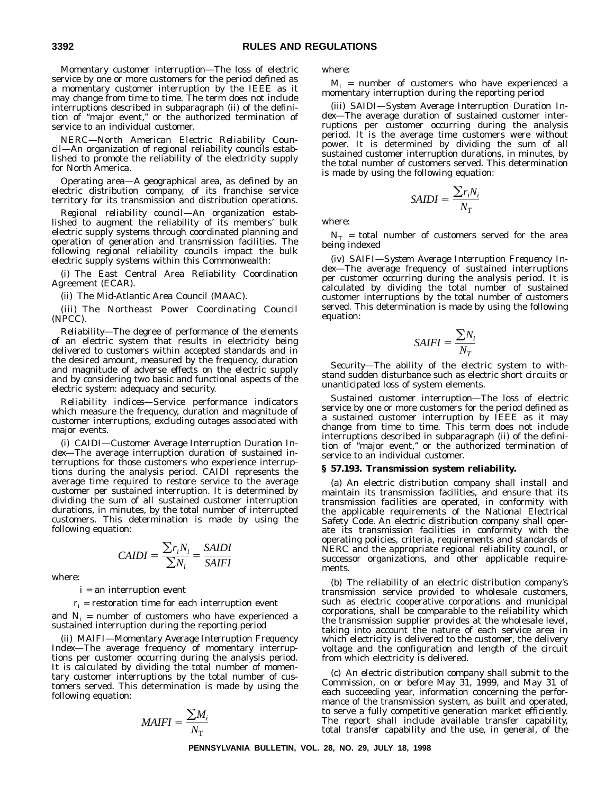*Momentary customer interruption*—The loss of electric service by one or more customers for the period defined as a momentary customer interruption by the IEEE as it may change from time to time. The term does not include interruptions described in subparagraph (ii) of the definition of ''major event,'' or the authorized termination of service to an individual customer.

*NERC—North American Electric Reliability Council*—An organization of regional reliability councils established to promote the reliability of the electricity supply for North America.

*Operating area*—A geographical area, as defined by an electric distribution company, of its franchise service territory for its transmission and distribution operations.

*Regional reliability council*—An organization established to augment the reliability of its members' bulk electric supply systems through coordinated planning and operation of generation and transmission facilities. The following regional reliability councils impact the bulk electric supply systems within this Commonwealth:

(i) The East Central Area Reliability Coordination Agreement (ECAR).

(ii) The Mid-Atlantic Area Council (MAAC).

(iii) The Northeast Power Coordinating Council (NPCC).

*Reliability*—The degree of performance of the elements of an electric system that results in electricity being delivered to customers within accepted standards and in the desired amount, measured by the frequency, duration and magnitude of adverse effects on the electric supply and by considering two basic and functional aspects of the electric system: adequacy and security.

*Reliability indices*—Service performance indicators which measure the frequency, duration and magnitude of customer interruptions, excluding outages associated with major events.

(i) *CAIDI—Customer Average Interruption Duration Index*—The average interruption duration of sustained interruptions for those customers who experience interruptions during the analysis period. CAIDI represents the average time required to restore service to the average customer per sustained interruption. It is determined by dividing the sum of all sustained customer interruption durations, in minutes, by the total number of interrupted customers. This determination is made by using the following equation:

$$
CAIDI = \frac{\sum r_i N_i}{\sum N_i} = \frac{SAIDI}{SAIFI}
$$

where:

i = an interruption event

 $r_i$  = restoration time for each interruption event

and  $N_i$  = number of customers who have experienced a sustained interruption during the reporting period

(ii) *MAIFI—Momentary Average Interruption Frequency Index*—The average frequency of momentary interruptions per customer occurring during the analysis period. It is calculated by dividing the total number of momentary customer interruptions by the total number of customers served. This determination is made by using the following equation:

$$
MAIFI = \frac{\sum M_i}{N_{\rm T}}
$$

where:

 $M_i$  = number of customers who have experienced a momentary interruption during the reporting period

(iii) *SAIDI—System Average Interruption Duration Index*—The average duration of sustained customer interruptions per customer occurring during the analysis period. It is the average time customers were without power. It is determined by dividing the sum of all sustained customer interruption durations, in minutes, by the total number of customers served. This determination is made by using the following equation:

$$
SADI = \frac{\sum r_i N_i}{N_T}
$$

where:

 $N_T$  = total number of customers served for the area being indexed

(iv) *SAIFI—System Average Interruption Frequency Index*—The average frequency of sustained interruptions per customer occurring during the analysis period. It is calculated by dividing the total number of sustained customer interruptions by the total number of customers served. This determination is made by using the following equation:

$$
SAIFI = \frac{\sum N_i}{N_T}
$$

*Security*—The ability of the electric system to withstand sudden disturbance such as electric short circuits or unanticipated loss of system elements.

*Sustained customer interruption*—The loss of electric service by one or more customers for the period defined as a sustained customer interruption by IEEE as it may change from time to time. This term does not include interruptions described in subparagraph (ii) of the definition of ''major event,'' or the authorized termination of service to an individual customer.

#### **§ 57.193. Transmission system reliability.**

(a) An electric distribution company shall install and maintain its transmission facilities, and ensure that its transmission facilities are operated, in conformity with the applicable requirements of the National Electrical Safety Code. An electric distribution company shall operate its transmission facilities in conformity with the operating policies, criteria, requirements and standards of NERC and the appropriate regional reliability council, or successor organizations, and other applicable requirements.

(b) The reliability of an electric distribution company's transmission service provided to wholesale customers, such as electric cooperative corporations and municipal corporations, shall be comparable to the reliability which the transmission supplier provides at the wholesale level, taking into account the nature of each service area in which electricity is delivered to the customer, the delivery voltage and the configuration and length of the circuit from which electricity is delivered.

(c) An electric distribution company shall submit to the Commission, on or before May 31, 1999, and May 31 of each succeeding year, information concerning the performance of the transmission system, as built and operated, to serve a fully competitive generation market efficiently. The report shall include available transfer capability, total transfer capability and the use, in general, of the

**PENNSYLVANIA BULLETIN, VOL. 28, NO. 29, JULY 18, 1998**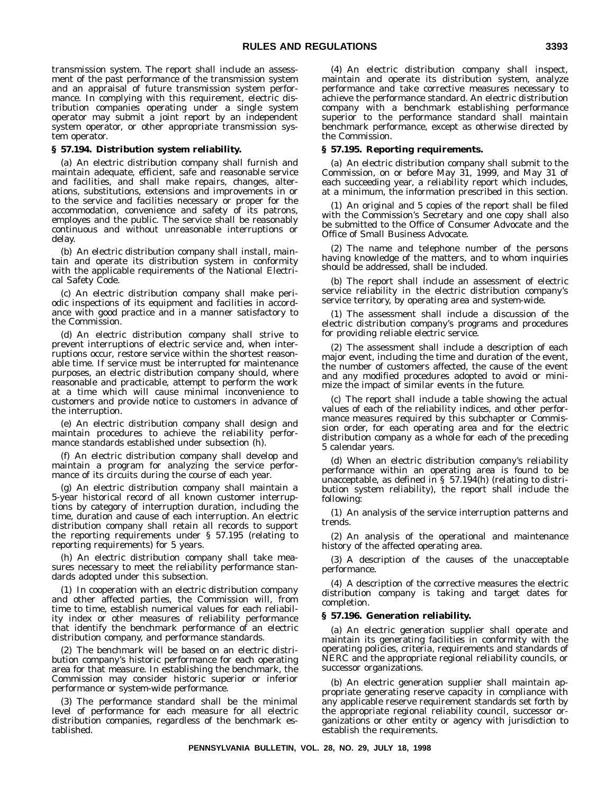transmission system. The report shall include an assessment of the past performance of the transmission system and an appraisal of future transmission system performance. In complying with this requirement, electric distribution companies operating under a single system operator may submit a joint report by an independent system operator, or other appropriate transmission system operator.

#### **§ 57.194. Distribution system reliability.**

(a) An electric distribution company shall furnish and maintain adequate, efficient, safe and reasonable service and facilities, and shall make repairs, changes, alterations, substitutions, extensions and improvements in or to the service and facilities necessary or proper for the accommodation, convenience and safety of its patrons, employes and the public. The service shall be reasonably continuous and without unreasonable interruptions or delay.

(b) An electric distribution company shall install, maintain and operate its distribution system in conformity with the applicable requirements of the National Electrical Safety Code.

(c) An electric distribution company shall make periodic inspections of its equipment and facilities in accordance with good practice and in a manner satisfactory to the Commission.

(d) An electric distribution company shall strive to prevent interruptions of electric service and, when interruptions occur, restore service within the shortest reasonable time. If service must be interrupted for maintenance purposes, an electric distribution company should, where reasonable and practicable, attempt to perform the work at a time which will cause minimal inconvenience to customers and provide notice to customers in advance of the interruption.

(e) An electric distribution company shall design and maintain procedures to achieve the reliability performance standards established under subsection (h).

(f) An electric distribution company shall develop and maintain a program for analyzing the service performance of its circuits during the course of each year.

(g) An electric distribution company shall maintain a 5-year historical record of all known customer interruptions by category of interruption duration, including the time, duration and cause of each interruption. An electric distribution company shall retain all records to support the reporting requirements under § 57.195 (relating to reporting requirements) for 5 years.

(h) An electric distribution company shall take measures necessary to meet the reliability performance standards adopted under this subsection.

(1) In cooperation with an electric distribution company and other affected parties, the Commission will, from time to time, establish numerical values for each reliability index or other measures of reliability performance that identify the benchmark performance of an electric distribution company, and performance standards.

(2) The benchmark will be based on an electric distribution company's historic performance for each operating area for that measure. In establishing the benchmark, the Commission may consider historic superior or inferior performance or system-wide performance.

(3) The performance standard shall be the minimal level of performance for each measure for all electric distribution companies, regardless of the benchmark established.

(4) An electric distribution company shall inspect, maintain and operate its distribution system, analyze performance and take corrective measures necessary to achieve the performance standard. An electric distribution company with a benchmark establishing performance superior to the performance standard shall maintain benchmark performance, except as otherwise directed by the Commission.

#### **§ 57.195. Reporting requirements.**

(a) An electric distribution company shall submit to the Commission, on or before May 31, 1999, and May 31 of each succeeding year, a reliability report which includes, at a minimum, the information prescribed in this section.

(1) An original and 5 copies of the report shall be filed with the Commission's Secretary and one copy shall also be submitted to the Office of Consumer Advocate and the Office of Small Business Advocate.

(2) The name and telephone number of the persons having knowledge of the matters, and to whom inquiries should be addressed, shall be included.

(b) The report shall include an assessment of electric service reliability in the electric distribution company's service territory, by operating area and system-wide.

(1) The assessment shall include a discussion of the electric distribution company's programs and procedures for providing reliable electric service.

(2) The assessment shall include a description of each major event, including the time and duration of the event, the number of customers affected, the cause of the event and any modified procedures adopted to avoid or minimize the impact of similar events in the future.

(c) The report shall include a table showing the actual values of each of the reliability indices, and other performance measures required by this subchapter or Commission order, for each operating area and for the electric distribution company as a whole for each of the preceding 5 calendar years.

(d) When an electric distribution company's reliability performance within an operating area is found to be unacceptable, as defined in § 57.194(h) (relating to distribution system reliability), the report shall include the following:

(1) An analysis of the service interruption patterns and trends.

(2) An analysis of the operational and maintenance history of the affected operating area.

(3) A description of the causes of the unacceptable performance.

(4) A description of the corrective measures the electric distribution company is taking and target dates for completion.

#### **§ 57.196. Generation reliability.**

(a) An electric generation supplier shall operate and maintain its generating facilities in conformity with the operating policies, criteria, requirements and standards of NERC and the appropriate regional reliability councils, or successor organizations.

(b) An electric generation supplier shall maintain appropriate generating reserve capacity in compliance with any applicable reserve requirement standards set forth by the appropriate regional reliability council, successor organizations or other entity or agency with jurisdiction to establish the requirements.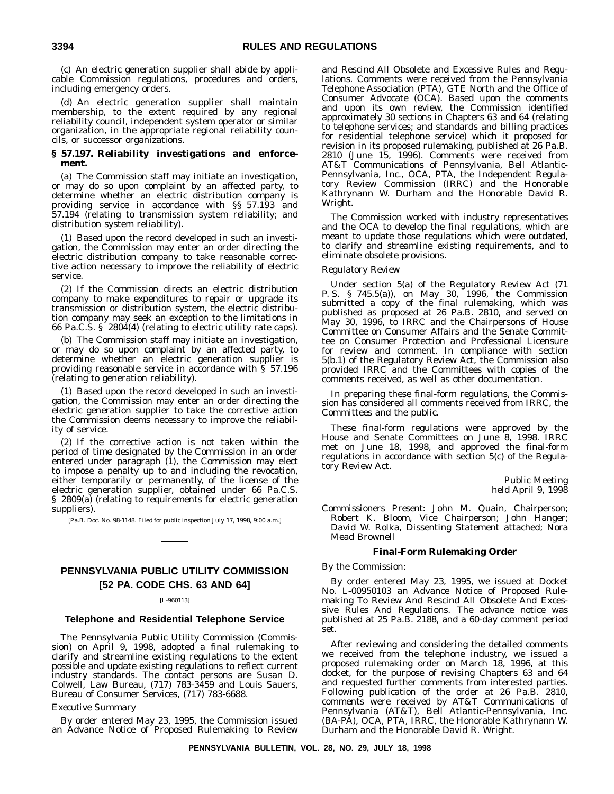(c) An electric generation supplier shall abide by applicable Commission regulations, procedures and orders, including emergency orders.

(d) An electric generation supplier shall maintain membership, to the extent required by any regional reliability council, independent system operator or similar organization, in the appropriate regional reliability councils, or successor organizations.

#### **§ 57.197. Reliability investigations and enforcement.**

(a) The Commission staff may initiate an investigation, or may do so upon complaint by an affected party, to determine whether an electric distribution company is providing service in accordance with §§ 57.193 and 57.194 (relating to transmission system reliability; and distribution system reliability).

(1) Based upon the record developed in such an investigation, the Commission may enter an order directing the electric distribution company to take reasonable corrective action necessary to improve the reliability of electric service.

(2) If the Commission directs an electric distribution company to make expenditures to repair or upgrade its transmission or distribution system, the electric distribution company may seek an exception to the limitations in 66 Pa.C.S. § 2804(4) (relating to electric utility rate caps).

(b) The Commission staff may initiate an investigation, or may do so upon complaint by an affected party, to determine whether an electric generation supplier is providing reasonable service in accordance with § 57.196 (relating to generation reliability).

(1) Based upon the record developed in such an investigation, the Commission may enter an order directing the electric generation supplier to take the corrective action the Commission deems necessary to improve the reliability of service.

(2) If the corrective action is not taken within the period of time designated by the Commission in an order entered under paragraph (1), the Commission may elect to impose a penalty up to and including the revocation, either temporarily or permanently, of the license of the electric generation supplier, obtained under 66 Pa.C.S. § 2809(a) (relating to requirements for electric generation suppliers).

[Pa.B. Doc. No. 98-1148. Filed for public inspection July 17, 1998, 9:00 a.m.]

#### **PENNSYLVANIA PUBLIC UTILITY COMMISSION [52 PA. CODE CHS. 63 AND 64]**

#### [L-960113]

#### **Telephone and Residential Telephone Service**

The Pennsylvania Public Utility Commission (Commission) on April 9, 1998, adopted a final rulemaking to clarify and streamline existing regulations to the extent possible and update existing regulations to reflect current industry standards. The contact persons are Susan D. Colwell, Law Bureau, (717) 783-3459 and Louis Sauers, Bureau of Consumer Services, (717) 783-6688.

#### *Executive Summary*

By order entered May 23, 1995, the Commission issued an Advance Notice of Proposed Rulemaking to Review

and Rescind All Obsolete and Excessive Rules and Regulations. Comments were received from the Pennsylvania Telephone Association (PTA), GTE North and the Office of Consumer Advocate (OCA). Based upon the comments and upon its own review, the Commission identified approximately 30 sections in Chapters 63 and 64 (relating to telephone services; and standards and billing practices for residential telephone service) which it proposed for revision in its proposed rulemaking, published at 26 Pa.B. 2810 (June 15, 1996). Comments were received from AT&T Communications of Pennsylvania, Bell Atlantic-Pennsylvania, Inc., OCA, PTA, the Independent Regulatory Review Commission (IRRC) and the Honorable Kathrynann W. Durham and the Honorable David R. Wright.

The Commission worked with industry representatives and the OCA to develop the final regulations, which are meant to update those regulations which were outdated, to clarify and streamline existing requirements, and to eliminate obsolete provisions.

#### *Regulatory Review*

Under section 5(a) of the Regulatory Review Act (71 P. S. § 745.5(a)), on May 30, 1996, the Commission submitted a copy of the final rulemaking, which was published as proposed at 26 Pa.B. 2810, and served on May 30, 1996, to IRRC and the Chairpersons of House Committee on Consumer Affairs and the Senate Committee on Consumer Protection and Professional Licensure for review and comment. In compliance with section 5(b.1) of the Regulatory Review Act, the Commission also provided IRRC and the Committees with copies of the comments received, as well as other documentation.

In preparing these final-form regulations, the Commission has considered all comments received from IRRC, the Committees and the public.

These final-form regulations were approved by the House and Senate Committees on June 8, 1998. IRRC met on June 18, 1998, and approved the final-form regulations in accordance with section 5(c) of the Regulatory Review Act.

> Public Meeting held April 9, 1998

*Commissioners Present:* John M. Quain, Chairperson; Robert K. Bloom, Vice Chairperson; John Hanger; David W. Rolka, Dissenting Statement attached; Nora Mead Brownell

#### **Final-Form Rulemaking Order**

#### *By the Commission:*

By order entered May 23, 1995, we issued at Docket No. L-00950103 an Advance Notice of Proposed Rulemaking To Review And Rescind All Obsolete And Excessive Rules And Regulations. The advance notice was published at 25 Pa.B. 2188, and a 60-day comment period set.

After reviewing and considering the detailed comments we received from the telephone industry, we issued a proposed rulemaking order on March 18, 1996, at this docket, for the purpose of revising Chapters 63 and 64 and requested further comments from interested parties. Following publication of the order at 26 Pa.B. 2810, comments were received by AT&T Communications of Pennsylvania (AT&T), Bell Atlantic-Pennsylvania, Inc. (BA-PA), OCA, PTA, IRRC, the Honorable Kathrynann W. Durham and the Honorable David R. Wright.

**PENNSYLVANIA BULLETIN, VOL. 28, NO. 29, JULY 18, 1998**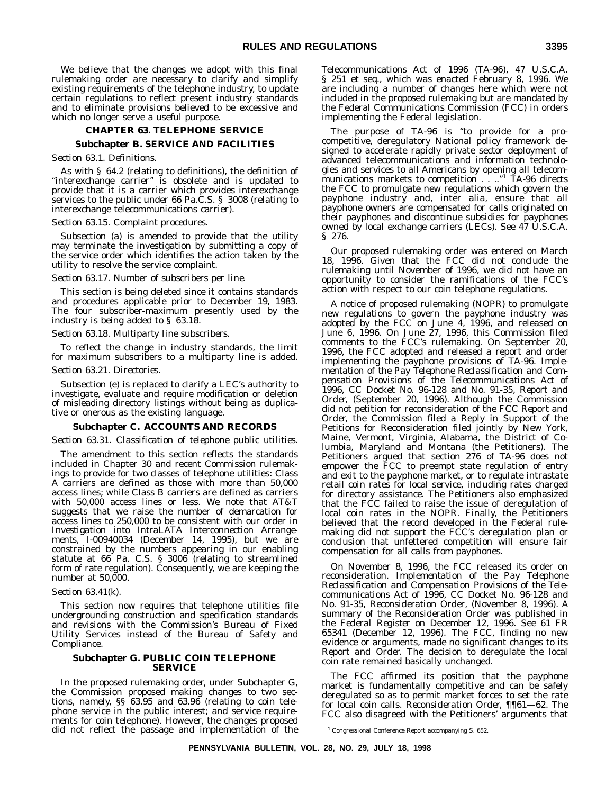We believe that the changes we adopt with this final rulemaking order are necessary to clarify and simplify existing requirements of the telephone industry, to update certain regulations to reflect present industry standards and to eliminate provisions believed to be excessive and which no longer serve a useful purpose.

#### **CHAPTER 63. TELEPHONE SERVICE Subchapter B. SERVICE AND FACILITIES**

#### *Section 63.1. Definitions.*

As with § 64.2 (relating to definitions), the definition of "interexchange carrier" is obsolete and is updated to provide that it is a carrier which provides interexchange services to the public under 66 Pa.C.S. § 3008 (relating to interexchange telecommunications carrier).

#### *Section 63.15. Complaint procedures.*

Subsection (a) is amended to provide that the utility may terminate the investigation by submitting a copy of the service order which identifies the action taken by the utility to resolve the service complaint.

#### *Section 63.17. Number of subscribers per line.*

This section is being deleted since it contains standards and procedures applicable prior to December 19, 1983. The four subscriber-maximum presently used by the industry is being added to § 63.18.

#### *Section 63.18. Multiparty line subscribers.*

To reflect the change in industry standards, the limit for maximum subscribers to a multiparty line is added.

#### *Section 63.21. Directories.*

Subsection (e) is replaced to clarify a LEC's authority to investigate, evaluate and require modification or deletion of misleading directory listings without being as duplicative or onerous as the existing language.

#### **Subchapter C. ACCOUNTS AND RECORDS**

#### *Section 63.31. Classification of telephone public utilities.*

The amendment to this section reflects the standards included in Chapter 30 and recent Commission rulemakings to provide for two classes of telephone utilities: Class A carriers are defined as those with more than 50,000 access lines; while Class B carriers are defined as carriers with 50,000 access lines or less. We note that AT&T suggests that we raise the number of demarcation for access lines to 250,000 to be consistent with our order in *Investigation into IntraLATA Interconnection Arrangements,* I-00940034 (December 14, 1995), but we are constrained by the numbers appearing in our enabling statute at 66 Pa. C.S. § 3006 (relating to streamlined form of rate regulation). Consequently, we are keeping the number at 50,000.

#### *Section 63.41(k).*

This section now requires that telephone utilities file undergrounding construction and specification standards and revisions with the Commission's Bureau of Fixed Utility Services instead of the Bureau of Safety and Compliance.

#### **Subchapter G. PUBLIC COIN TELEPHONE SERVICE**

In the proposed rulemaking order, under Subchapter G, the Commission proposed making changes to two sections, namely, §§ 63.95 and 63.96 (relating to coin telephone service in the public interest; and service requirements for coin telephone). However, the changes proposed did not reflect the passage and implementation of the

Telecommunications Act of 1996 (TA-96), 47 U.S.C.A. § 251 et seq., which was enacted February 8, 1996. We are including a number of changes here which were not included in the proposed rulemaking but are mandated by the Federal Communications Commission (FCC) in orders implementing the Federal legislation.

The purpose of TA-96 is ''to provide for a procompetitive, deregulatory National policy framework designed to accelerate rapidly private sector deployment of advanced telecommunications and information technologies and services to all Americans by opening all telecommunications markets to competition . . ..'' <sup>1</sup> TA-96 directs the FCC to promulgate new regulations which govern the payphone industry and, inter alia, ensure that all payphone owners are compensated for calls originated on their payphones and discontinue subsidies for payphones owned by local exchange carriers (LECs). See 47 U.S.C.A. § 276.

Our proposed rulemaking order was entered on March 18, 1996. Given that the FCC did not conclude the rulemaking until November of 1996, we did not have an opportunity to consider the ramifications of the FCC's action with respect to our coin telephone regulations.

A notice of proposed rulemaking (NOPR) to promulgate new regulations to govern the payphone industry was adopted by the FCC on June 4, 1996, and released on June 6, 1996. On June 27, 1996, this Commission filed comments to the FCC's rulemaking. On September 20, 1996, the FCC adopted and released a report and order implementing the payphone provisions of TA-96. *Implementation of the Pay Telephone Reclassification and Compensation Provisions of the Telecommunications Act of 1996,* CC Docket No. 96-128 and No. 91-35, *Report and Order,* (September 20, 1996). Although the Commission did not petition for reconsideration of the FCC *Report and Order,* the Commission filed a Reply in Support of the Petitions for Reconsideration filed jointly by New York, Maine, Vermont, Virginia, Alabama, the District of Columbia, Maryland and Montana (the Petitioners). The Petitioners argued that section 276 of TA-96 does not empower the FCC to preempt state regulation of entry and exit to the payphone market, or to regulate intrastate retail coin rates for local service, including rates charged for directory assistance. The Petitioners also emphasized that the FCC failed to raise the issue of deregulation of local coin rates in the NOPR. Finally, the Petitioners believed that the record developed in the Federal rulemaking did not support the FCC's deregulation plan or conclusion that unfettered competition will ensure fair compensation for all calls from payphones.

On November 8, 1996, the FCC released its order on reconsideration. *Implementation of the Pay Telephone Reclassification and Compensation Provisions of the Telecommunications Act of 1996,* CC Docket No. 96-128 and No. 91-35, *Reconsideration Order*, (November 8, 1996). A summary of the *Reconsideration Order* was published in the *Federal Register* on December 12, 1996. See 61 FR 65341 (December 12, 1996). The FCC, finding no new evidence or arguments, made no significant changes to its *Report and Order.* The decision to deregulate the local coin rate remained basically unchanged.

The FCC affirmed its position that the payphone market is fundamentally competitive and can be safely deregulated so as to permit market forces to set the rate for local coin calls. *Reconsideration Order,* ¶¶61—62. The FCC also disagreed with the Petitioners' arguments that

<sup>&</sup>lt;sup>1</sup> Congressional Conference Report accompanying S. 652.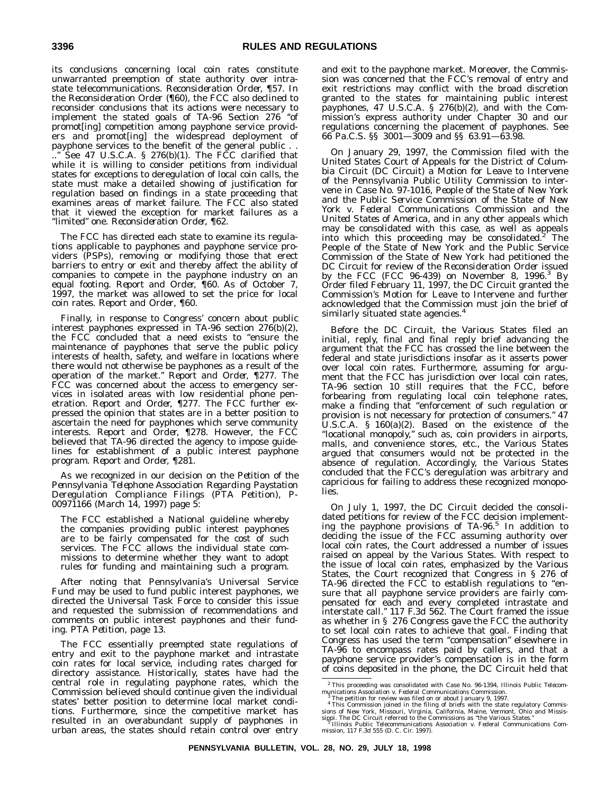its conclusions concerning local coin rates constitute unwarranted preemption of state authority over intrastate telecommunications. *Reconsideration Order,* ¶57. In the *Reconsideration Order* (¶60), the FCC also declined to reconsider conclusions that its actions were necessary to implement the stated goals of TA-96 Section 276 ''of promot[ing] competition among payphone service providers and promot[ing] the widespread deployment of payphone services to the benefit of the general public . . ..'' See 47 U.S.C.A. § 276(b)(1). The FCC clarified that while it is willing to consider petitions from individual states for exceptions to deregulation of local coin calls, the state must make a detailed showing of justification for regulation based on findings in a state proceeding that examines areas of market failure. The FCC also stated that it viewed the exception for market failures as a ''limited'' one. *Reconsideration Order,* ¶62.

The FCC has directed each state to examine its regulations applicable to payphones and payphone service providers (PSPs), removing or modifying those that erect barriers to entry or exit and thereby affect the ability of companies to compete in the payphone industry on an equal footing. *Report and Order,* ¶60. As of October 7, 1997, the market was allowed to set the price for local coin rates. *Report and Order*, ¶60.

Finally, in response to Congress' concern about public interest payphones expressed in TA-96 section 276(b)(2), the FCC concluded that a need exists to ''ensure the maintenance of payphones that serve the public policy interests of health, safety, and welfare in locations where there would not otherwise be payphones as a result of the operation of the market.'' *Report and Order,* ¶277. The FCC was concerned about the access to emergency services in isolated areas with low residential phone penetration. *Report and Order,* ¶277. The FCC further expressed the opinion that states are in a better position to ascertain the need for payphones which serve community interests. *Report and Order,* ¶278. However, the FCC believed that TA-96 directed the agency to impose guidelines for establishment of a public interest payphone program. *Report and Order,* ¶281.

As we recognized in our decision on the *Petition of the Pennsylvania Telephone Association Regarding Paystation Deregulation Compliance Filings (PTA Petition),* P-00971166 (March 14, 1997) page 5:

The FCC established a National guideline whereby the companies providing public interest payphones are to be fairly compensated for the cost of such services. The FCC allows the individual state commissions to determine whether they want to adopt rules for funding and maintaining such a program.

After noting that Pennsylvania's Universal Service Fund may be used to fund public interest payphones, we directed the Universal Task Force to consider this issue and requested the submission of recommendations and comments on public interest payphones and their funding. *PTA Petition,* page 13.

The FCC essentially preempted state regulations of entry and exit to the payphone market and intrastate coin rates for local service, including rates charged for directory assistance. Historically, states have had the central role in regulating payphone rates, which the Commission believed should continue given the individual states' better position to determine local market conditions. Furthermore, since the competitive market has resulted in an overabundant supply of payphones in urban areas, the states should retain control over entry

and exit to the payphone market. Moreover, the Commission was concerned that the FCC's removal of entry and exit restrictions may conflict with the broad discretion granted to the states for maintaining public interest payphones, 47 U.S.C.A. § 276(b)(2), and with the Commission's express authority under Chapter 30 and our regulations concerning the placement of payphones. See 66 Pa.C.S. §§ 3001—3009 and §§ 63.91—63.98.

On January 29, 1997, the Commission filed with the United States Court of Appeals for the District of Columbia Circuit (DC Circuit) a Motion for Leave to Intervene of the Pennsylvania Public Utility Commission to intervene in Case No. 97-1016, *People of the State of New York and the Public Service Commission of the State of New York v. Federal Communications Commission and the United States of America,* and in any other appeals which may be consolidated with this case, as well as appeals<br>into which this proceeding may be consolidated.<sup>2</sup> The People of the State of New York and the Public Service Commission of the State of New York had petitioned the DC Circuit for review of the *Reconsideration Order* issued by the FCC (FCC 96-439) on November 8, 1996.3 By Order filed February 11, 1997, the DC Circuit granted the Commission's Motion for Leave to Intervene and further acknowledged that the Commission must join the brief of similarly situated state agencies.<sup>4</sup>

Before the DC Circuit, the Various States filed an initial, reply, final and final reply brief advancing the argument that the FCC has crossed the line between the federal and state jurisdictions insofar as it asserts power over local coin rates. Furthermore, assuming for argument that the FCC has jurisdiction over local coin rates, TA-96 section 10 still requires that the FCC, before forbearing from regulating local coin telephone rates, make a finding that ''enforcement of such regulation or provision is not necessary for protection of consumers.'' 47 U.S.C.A. § 160(a)(2). Based on the existence of the "locational monopoly," such as, coin providers in airports, malls, and convenience stores, etc., the Various States argued that consumers would not be protected in the absence of regulation. Accordingly, the Various States concluded that the FCC's deregulation was arbitrary and capricious for failing to address these recognized monopolies.

On July 1, 1997, the DC Circuit decided the consolidated petitions for review of the FCC decision implementing the payphone provisions of TA-96.<sup>5</sup> In addition to deciding the issue of the FCC assuming authority over local coin rates, the Court addressed a number of issues raised on appeal by the Various States. With respect to the issue of local coin rates, emphasized by the Various States, the Court recognized that Congress in § 276 of TA-96 directed the FCC to establish regulations to "ensure that all payphone service providers are fairly compensated for each and every completed intrastate and interstate call.'' 117 F.3d 562. The Court framed the issue as whether in § 276 Congress gave the FCC the authority to set local coin rates to achieve that goal. Finding that Congress has used the term ''compensation'' elsewhere in TA-96 to encompass rates paid by callers, and that a payphone service provider's compensation is in the form of coins deposited in the phone, the DC Circuit held that

<sup>2</sup> This proceeding was consolidated with Case No. 96-1394, *Illinois Public Telecom-*

munications Association v. Federal Communications Commission.<br>
<sup>3</sup> The petition for review was filed on or about January 9, 1997.<br>
<sup>4</sup> This Commission joined in the filing of briefs with the state regulatory Commissions o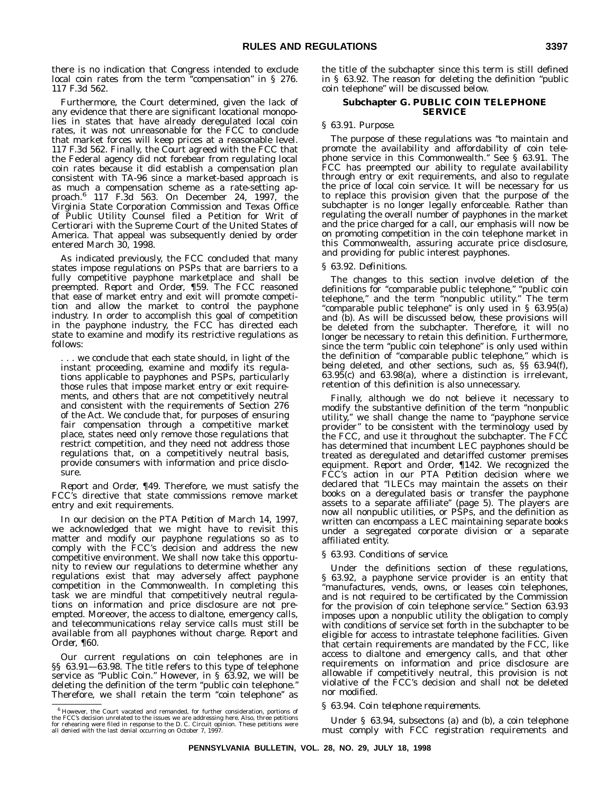there is no indication that Congress intended to exclude local coin rates from the term "compensation" in § 276. 117 F.3d 562.

Furthermore, the Court determined, given the lack of any evidence that there are significant locational monopolies in states that have already deregulated local coin rates, it was not unreasonable for the FCC to conclude that market forces will keep prices at a reasonable level. 117 F.3d 562. Finally, the Court agreed with the FCC that the Federal agency did not forebear from regulating local coin rates because it did establish a compensation plan consistent with TA-96 since a market-based approach is as much a compensation scheme as a rate-setting approach.6 117 F.3d 563. On December 24, 1997, the Virginia State Corporation Commission and Texas Office of Public Utility Counsel filed a Petition for Writ of Certiorari with the Supreme Court of the United States of America. That appeal was subsequently denied by order entered March 30, 1998.

As indicated previously, the FCC concluded that many states impose regulations on PSPs that are barriers to a fully competitive payphone marketplace and shall be preempted. *Report and Order,* ¶59. The FCC reasoned that ease of market entry and exit will promote competition and allow the market to control the payphone industry. In order to accomplish this goal of competition in the payphone industry, the FCC has directed each state to examine and modify its restrictive regulations as follows:

.. we conclude that each state should, in light of the instant proceeding, examine and modify its regulations applicable to payphones and PSPs, particularly those rules that impose market entry or exit requirements, and others that are not competitively neutral and consistent with the requirements of Section 276 of the Act. We conclude that, for purposes of ensuring fair compensation through a competitive market place, states need only remove those regulations that restrict competition, and they need not address those regulations that, on a competitively neutral basis, provide consumers with information and price disclosure.

*Report and Order,* ¶49. Therefore, we must satisfy the FCC's directive that state commissions remove market entry and exit requirements.

In our decision on the *PTA Petition* of March 14, 1997, we acknowledged that we might have to revisit this matter and modify our payphone regulations so as to comply with the FCC's decision and address the new competitive environment. We shall now take this opportunity to review our regulations to determine whether any regulations exist that may adversely affect payphone competition in the Commonwealth. In completing this task we are mindful that competitively neutral regulations on information and price disclosure are not preempted. Moreover, the access to dialtone, emergency calls, and telecommunications relay service calls must still be available from all payphones without charge. *Report and Order,* ¶60.

Our current regulations on coin telephones are in §§ 63.91—63.98. The title refers to this type of telephone service as "Public Coin." However, in § 63.92, we will be deleting the definition of the term ''public coin telephone.'' Therefore, we shall retain the term "coin telephone" as the title of the subchapter since this term is still defined in § 63.92. The reason for deleting the definition ''public coin telephone'' will be discussed below.

#### **Subchapter G. PUBLIC COIN TELEPHONE SERVICE**

#### *§ 63.91. Purpose.*

The purpose of these regulations was ''to maintain and promote the availability and affordability of coin telephone service in this Commonwealth.'' See § 63.91. The FCC has preempted our ability to regulate availability through entry or exit requirements, and also to regulate the price of local coin service. It will be necessary for us to replace this provision given that the purpose of the subchapter is no longer legally enforceable. Rather than regulating the overall number of payphones in the market and the price charged for a call, our emphasis will now be on promoting competition in the coin telephone market in this Commonwealth, assuring accurate price disclosure, and providing for public interest payphones.

#### *§ 63.92. Definitions.*

The changes to this section involve deletion of the definitions for ''comparable public telephone,'' ''public coin telephone,'' and the term ''nonpublic utility.'' The term "comparable public telephone" is only used in § 63.95(a) and (b). As will be discussed below, these provisions will be deleted from the subchapter. Therefore, it will no longer be necessary to retain this definition. Furthermore, since the term "public coin telephone" is only used within the definition of ''comparable public telephone,'' which is being deleted, and other sections, such as, §§ 63.94(f), 63.95(c) and 63.98(a), where a distinction is irrelevant, retention of this definition is also unnecessary.

Finally, although we do not believe it necessary to modify the substantive definition of the term ''nonpublic utility,'' we shall change the name to ''payphone service provider'' to be consistent with the terminology used by the FCC, and use it throughout the subchapter. The FCC has determined that incumbent LEC payphones should be treated as deregulated and detariffed customer premises equipment. *Report and Order,* ¶142. We recognized the FCC's action in our *PTA Petition* decision where we declared that ''ILECs may maintain the assets on their books on a deregulated basis or transfer the payphone assets to a separate affiliate'' (page 5). The players are now all nonpublic utilities, or PSPs, and the definition as written can encompass a LEC maintaining separate books under a segregated corporate division or a separate affiliated entity.

#### *§ 63.93. Conditions of service.*

Under the definitions section of these regulations, § 63.92, a payphone service provider is an entity that ''manufactures, vends, owns, or leases coin telephones, and is not required to be certificated by the Commission for the provision of coin telephone service.'' Section 63.93 imposes upon a nonpublic utility the obligation to comply with conditions of service set forth in the subchapter to be eligible for access to intrastate telephone facilities. Given that certain requirements are mandated by the FCC, like access to dialtone and emergency calls, and that other requirements on information and price disclosure are allowable if competitively neutral, this provision is not violative of the FCC's decision and shall not be deleted nor modified.

#### *§ 63.94. Coin telephone requirements.*

Under § 63.94, subsectons (a) and (b), a coin telephone must comply with FCC registration requirements and

<sup>6</sup> However, the Court vacated and remanded, for further consideration, portions of the FCC's decision unrelated to the issues we are addressing here. Also, three petitions<br>for rehearing were filed in response to the D. C. Circuit opinion. These petitions were<br>all denied with the last denial occurring on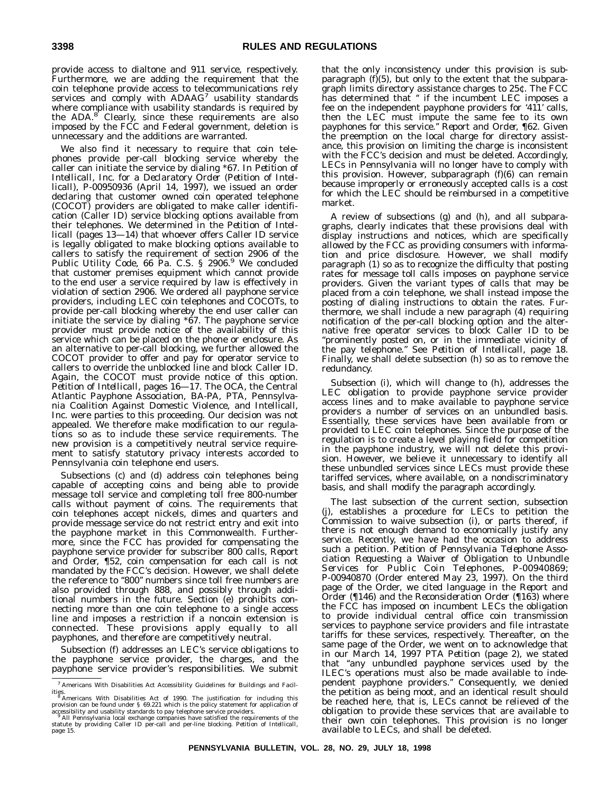provide access to dialtone and 911 service, respectively. Furthermore, we are adding the requirement that the coin telephone provide access to telecommunications rely services and comply with ADAAG<sup>7</sup> usability standards where compliance with usability standards is required by the ADA.<sup>8</sup> Clearly, since these requirements are also imposed by the FCC and Federal government, deletion is unnecessary and the additions are warranted.

We also find it necessary to require that coin telephones provide per-call blocking service whereby the caller can initiate the service by dialing \*67. In *Petition of Intellicall, Inc. for a Declaratory Order (Petition of Intellicall),* P-00950936 (April 14, 1997), we issued an order declaring that customer owned coin operated telephone (COCOT) providers are obligated to make caller identification (Caller ID) service blocking options available from their telephones. We determined in the *Petition of Intellicall* (pages 13—14) that whoever offers Caller ID service is legally obligated to make blocking options available to callers to satisfy the requirement of section 2906 of the Public Utility Code, 66 Pa. C.S. § 2906.<sup>9</sup> We concluded that customer premises equipment which cannot provide to the end user a service required by law is effectively in violation of section 2906. We ordered all payphone service providers, including LEC coin telephones and COCOTs, to provide per-call blocking whereby the end user caller can initiate the service by dialing  $*67$ . The payphone service provider must provide notice of the availability of this service which can be placed on the phone or enclosure. As an alternative to per-call blocking, we further allowed the COCOT provider to offer and pay for operator service to callers to override the unblocked line and block Caller ID. Again, the COCOT must provide notice of this option. *Petition of Intellicall,* pages 16—17. The OCA, the Central Atlantic Payphone Association, BA-PA, PTA, Pennsylvania Coalition Against Domestic Violence, and Intellicall, Inc. were parties to this proceeding. Our decision was not appealed. We therefore make modification to our regulations so as to include these service requirements. The new provision is a competitively neutral service requirement to satisfy statutory privacy interests accorded to Pennsylvania coin telephone end users.

Subsections (c) and (d) address coin telephones being capable of accepting coins and being able to provide message toll service and completing toll free 800-number calls without payment of coins. The requirements that coin telephones accept nickels, dimes and quarters and provide message service do not restrict entry and exit into the payphone market in this Commonwealth. Furthermore, since the FCC has provided for compensating the payphone service provider for subscriber 800 calls, *Report and Order,* ¶52, coin compensation for each call is not mandated by the FCC's decision. However, we shall delete the reference to "800" numbers since toll free numbers are also provided through 888, and possibly through additional numbers in the future. Section (e) prohibits connecting more than one coin telephone to a single access line and imposes a restriction if a noncoin extension is connected. These provisions apply equally to all payphones, and therefore are competitively neutral.

Subsection (f) addresses an LEC's service obligations to the payphone service provider, the charges, and the payphone service provider's responsibilities. We submit that the only inconsistency under this provision is subparagraph (f)(5), but only to the extent that the subparagraph limits directory assistance charges to 25¢. The FCC has determined that " if the incumbent LEC imposes a fee on the independent payphone providers for '411' calls, then the LEC must impute the same fee to its own payphones for this service.'' *Report and Order,* ¶62. Given the preemption on the local charge for directory assistance, this provision on limiting the charge is inconsistent with the FCC's decision and must be deleted. Accordingly, LECs in Pennsylvania will no longer have to comply with this provision. However, subparagraph (f)(6) can remain because improperly or erroneously accepted calls is a cost for which the LEC should be reimbursed in a competitive market.

A review of subsections (g) and (h), and all subparagraphs, clearly indicates that these provisions deal with display instructions and notices, which are specifically allowed by the FCC as providing consumers with information and price disclosure. However, we shall modify paragraph (1) so as to recognize the difficulty that posting rates for message toll calls imposes on payphone service providers. Given the variant types of calls that may be placed from a coin telephone, we shall instead impose the posting of dialing instructions to obtain the rates. Furthermore, we shall include a new paragraph (4) requiring notification of the per-call blocking option and the alternative free operator services to block Caller ID to be ''prominently posted on, or in the immediate vicinity of the pay telephone.'' See *Petition of Intellicall,* page 18. Finally, we shall delete subsection (h) so as to remove the redundancy.

Subsection (i), which will change to (h), addresses the LEC obligation to provide payphone service provider access lines and to make available to payphone service providers a number of services on an unbundled basis. Essentially, these services have been available from or provided to LEC coin telephones. Since the purpose of the regulation is to create a level playing field for competition in the payphone industry, we will not delete this provision. However, we believe it unnecessary to identify all these unbundled services since LECs must provide these tariffed services, where available, on a nondiscriminatory basis, and shall modify the paragraph accordingly.

The last subsection of the current section, subsection (j), establishes a procedure for LECs to petition the Commission to waive subsection (i), or parts thereof, if there is not enough demand to economically justify any service. Recently, we have had the occasion to address such a petition. *Petition of Pennsylvania Telephone Association Requesting a Waiver of Obligation to Unbundle Services for Public Coin Telephones,* P-00940869; P-00940870 (Order entered May 23, 1997). On the third page of the Order, we cited language in the *Report and Order* (¶146) and the *Reconsideration Order* (¶163) where the FCC has imposed on incumbent LECs the obligation to provide individual central office coin transmission services to payphone service providers and file intrastate tariffs for these services, respectively. Thereafter, on the same page of the Order, we went on to acknowledge that in our March 14, 1997 *PTA Petition* (page 2), we stated that ''any unbundled payphone services used by the ILEC's operations must also be made available to independent payphone providers.'' Consequently, we denied the petition as being moot, and an identical result should be reached here, that is, LECs cannot be relieved of the obligation to provide these services that are available to their own coin telephones. This provision is no longer available to LECs, and shall be deleted.

<sup>7</sup> Americans With Disabilities Act Accessibility Guidelines for Buildings and Facil-

<sup>&</sup>lt;sup>8</sup> Americans With Disabilities Act of 1990. The justification for including this provision can be found under § 69.221 which is the policy statement for application of accessibility and usability standards to pay telephon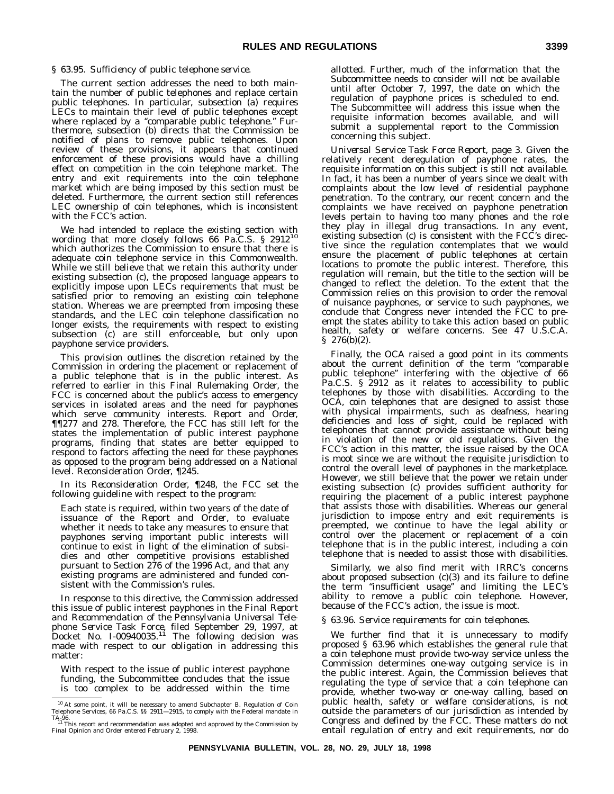### *§ 63.95. Sufficiency of public telephone service.*

The current section addresses the need to both maintain the number of public telephones and replace certain public telephones. In particular, subsection (a) requires LECs to maintain their level of public telephones except where replaced by a "comparable public telephone." Furthermore, subsection (b) directs that the Commission be notified of plans to remove public telephones. Upon review of these provisions, it appears that continued enforcement of these provisions would have a chilling effect on competition in the coin telephone market. The entry and exit requirements into the coin telephone market which are being imposed by this section must be deleted. Furthermore, the current section still references LEC ownership of coin telephones, which is inconsistent with the FCC's action.

We had intended to replace the existing section with wording that more closely follows 66 Pa.C.S. § 291210 which authorizes the Commission to ensure that there is adequate coin telephone service in this Commonwealth. While we still believe that we retain this authority under existing subsection (c), the proposed language appears to explicitly impose upon LECs requirements that must be satisfied prior to removing an existing coin telephone station. Whereas we are preempted from imposing these standards, and the LEC coin telephone classification no longer exists, the requirements with respect to existing subsection (c) are still enforceable, but only upon payphone service providers.

This provision outlines the discretion retained by the Commission in ordering the placement or replacement of a public telephone that is in the public interest. As referred to earlier in this Final Rulemaking Order, the FCC is concerned about the public's access to emergency services in isolated areas and the need for payphones which serve community interests. *Report and Order,* ¶¶277 and 278. Therefore, the FCC has still left for the states the implementation of public interest payphone programs, finding that states are better equipped to respond to factors affecting the need for these payphones as opposed to the program being addressed on a National level. *Reconsideration Order,* ¶245.

In its *Reconsideration Order,* ¶248, the FCC set the following guideline with respect to the program:

Each state is required, within two years of the date of issuance of the *Report and Order*, to evaluate whether it needs to take any measures to ensure that payphones serving important public interests will continue to exist in light of the elimination of subsidies and other competitive provisions established pursuant to Section 276 of the 1996 Act, and that any existing programs are administered and funded consistent with the Commission's rules.

In response to this directive, the Commission addressed this issue of public interest payphones in the *Final Report and Recommendation of the Pennsylvania Universal Telephone Service Task Force,* filed September 29, 1997, at Docket No. I-00940035.11 The following decision was made with respect to our obligation in addressing this matter:

With respect to the issue of public interest payphone funding, the Subcommittee concludes that the issue is too complex to be addressed within the time

allotted. Further, much of the information that the Subcommittee needs to consider will not be available until after October 7, 1997, the date on which the regulation of payphone prices is scheduled to end. The Subcommittee will address this issue when the requisite information becomes available, and will submit a supplemental report to the Commission concerning this subject.

*Universal Service Task Force Report,* page 3. Given the relatively recent deregulation of payphone rates, the requisite information on this subject is still not available. In fact, it has been a number of years since we dealt with complaints about the low level of residential payphone penetration. To the contrary, our recent concern and the complaints we have received on payphone penetration levels pertain to having too many phones and the role they play in illegal drug transactions. In any event, existing subsection (c) is consistent with the FCC's directive since the regulation contemplates that we would ensure the placement of public telephones at certain locations to promote the public interest. Therefore, this regulation will remain, but the title to the section will be changed to reflect the deletion. To the extent that the Commission relies on this provision to order the removal of nuisance payphones, or service to such payphones, we conclude that Congress never intended the FCC to preempt the states ability to take this action based on public health, safety or welfare concerns. See 47 U.S.C.A. § 276(b)(2).

Finally, the OCA raised a good point in its comments about the current definition of the term ''comparable public telephone'' interfering with the objective of 66 Pa.C.S. § 2912 as it relates to accessibility to public telephones by those with disabilities. According to the OCA, coin telephones that are designed to assist those with physical impairments, such as deafness, hearing deficiencies and loss of sight, could be replaced with telephones that cannot provide assistance without being in violation of the new or old regulations. Given the FCC's action in this matter, the issue raised by the OCA is moot since we are without the requisite jurisdiction to control the overall level of payphones in the marketplace. However, we still believe that the power we retain under existing subsection (c) provides sufficient authority for requiring the placement of a public interest payphone that assists those with disabilities. Whereas our general jurisdiction to impose entry and exit requirements is preempted, we continue to have the legal ability or control over the placement or replacement of a coin telephone that is in the public interest, including a coin telephone that is needed to assist those with disabilities.

Similarly, we also find merit with IRRC's concerns about proposed subsection (c)(3) and its failure to define the term ''insufficient usage'' and limiting the LEC's ability to remove a public coin telephone. However, because of the FCC's action, the issue is moot.

### *§ 63.96. Service requirements for coin telephones.*

We further find that it is unnecessary to modify proposed § 63.96 which establishes the general rule that a coin telephone must provide two-way service unless the Commission determines one-way outgoing service is in the public interest. Again, the Commission believes that regulating the type of service that a coin telephone can provide, whether two-way or one-way calling, based on public health, safety or welfare considerations, is not outside the parameters of our jurisdiction as intended by Congress and defined by the FCC. These matters do not entail regulation of entry and exit requirements, nor do

<sup>&</sup>lt;sup>10</sup> At some point, it will be necessary to amend Subchapter B. Regulation of Coin Telephone Services, 66 Pa.C.S. §§ 2911—2915, to comply with the Federal mandate in

TA-96.<br>- '' This report and recommendation was adopted and approved by the Commission by<br>Final Opinion and Order entered February 2, 1998.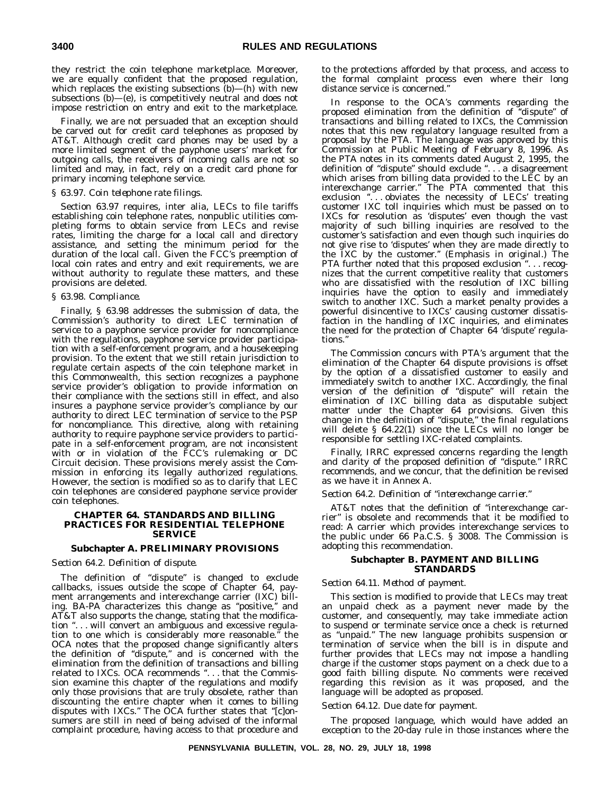they restrict the coin telephone marketplace. Moreover, we are equally confident that the proposed regulation, which replaces the existing subsections  $(b)$ — $(h)$  with new subsections (b)—(e), is competitively neutral and does not impose restriction on entry and exit to the marketplace.

Finally, we are not persuaded that an exception should be carved out for credit card telephones as proposed by AT&T. Although credit card phones may be used by a more limited segment of the payphone users' market for outgoing calls, the receivers of incoming calls are not so limited and may, in fact, rely on a credit card phone for primary incoming telephone service.

### *§ 63.97. Coin telephone rate filings.*

Section 63.97 requires, inter alia, LECs to file tariffs establishing coin telephone rates, nonpublic utilities completing forms to obtain service from LECs and revise rates, limiting the charge for a local call and directory assistance, and setting the minimum period for the duration of the local call. Given the FCC's preemption of local coin rates and entry and exit requirements, we are without authority to regulate these matters, and these provisions are deleted.

### *§ 63.98. Compliance.*

Finally, § 63.98 addresses the submission of data, the Commission's authority to direct LEC termination of service to a payphone service provider for noncompliance with the regulations, payphone service provider participation with a self-enforcement program, and a housekeeping provision. To the extent that we still retain jurisdiction to regulate certain aspects of the coin telephone market in this Commonwealth, this section recognizes a payphone service provider's obligation to provide information on their compliance with the sections still in effect, and also insures a payphone service provider's compliance by our authority to direct LEC termination of service to the PSP for noncompliance. This directive, along with retaining authority to require payphone service providers to participate in a self-enforcement program, are not inconsistent with or in violation of the FCC's rulemaking or DC Circuit decision. These provisions merely assist the Commission in enforcing its legally authorized regulations. However, the section is modified so as to clarify that LEC coin telephones are considered payphone service provider coin telephones.

### **CHAPTER 64. STANDARDS AND BILLING PRACTICES FOR RESIDENTIAL TELEPHONE SERVICE**

### **Subchapter A. PRELIMINARY PROVISIONS**

### *Section 64.2. Definition of dispute.*

The definition of ''dispute'' is changed to exclude callbacks, issues outside the scope of Chapter 64, payment arrangements and interexchange carrier (IXC) billing. BA-PA characterizes this change as ''positive,'' and AT&T also supports the change, stating that the modification ''. . . will convert an ambiguous and excessive regulation to one which is considerably more reasonable.'' the OCA notes that the proposed change significantly alters the definition of ''dispute,'' and is concerned with the elimination from the definition of transactions and billing related to IXCs. OCA recommends "... that the Commission examine this chapter of the regulations and modify only those provisions that are truly obsolete, rather than discounting the entire chapter when it comes to billing disputes with IXCs.'' The OCA further states that ''[c]onsumers are still in need of being advised of the informal complaint procedure, having access to that procedure and

to the protections afforded by that process, and access to the formal complaint process even where their long distance service is concerned.''

In response to the OCA's comments regarding the proposed elimination from the definition of ''dispute'' of transactions and billing related to IXCs, the Commission notes that this new regulatory language resulted from a proposal by the PTA. The language was approved by this Commission at Public Meeting of February 8, 1996. As the PTA notes in its comments dated August 2, 1995, the definition of ''dispute'' should exclude ''...a disagreement which arises from billing data provided to the LEC by an interexchange carrier.'' The PTA commented that this exclusion "... obviates the necessity of LECs' treating customer IXC toll inquiries which must be passed on to IXCs for resolution as 'disputes' even though the vast majority of such billing inquiries are resolved to the customer's satisfaction and even though such inquiries do not give rise to 'disputes' when they are made directly to the IXC by the customer.'' (Emphasis in original.) The PTA further noted that this proposed exclusion ". . . recognizes that the current competitive reality that customers who are dissatisfied with the resolution of IXC billing inquiries have the option to easily and immediately switch to another IXC. Such a market penalty provides a powerful disincentive to IXCs' causing customer dissatisfaction in the handling of IXC inquiries, and eliminates the need for the protection of Chapter 64 'dispute' regulations.''

The Commission concurs with PTA's argument that the elimination of the Chapter 64 dispute provisions is offset by the option of a dissatisfied customer to easily and immediately switch to another IXC. Accordingly, the final version of the definition of ''dispute'' will retain the elimination of IXC billing data as disputable subject matter under the Chapter 64 provisions. Given this change in the definition of "dispute," the final regulations will delete § 64.22(1) since the LECs will no longer be responsible for settling IXC-related complaints.

Finally, IRRC expressed concerns regarding the length and clarity of the proposed definition of ''dispute.'' IRRC recommends, and we concur, that the definition be revised as we have it in Annex A.

### *Section 64.2. Definition of "interexchange carrier."*

AT&T notes that the definition of "interexchange carrier" is obsolete and recommends that it be modified to read: A carrier which provides interexchange services to the public under 66 Pa.C.S. § 3008. The Commission is adopting this recommendation.

### **Subchapter B. PAYMENT AND BILLING STANDARDS**

### *Section 64.11. Method of payment.*

This section is modified to provide that LECs may treat an unpaid check as a payment never made by the customer, and consequently, may take immediate action to suspend or terminate service once a check is returned as ''unpaid.'' The new language prohibits suspension or termination of service when the bill is in dispute and further provides that LECs may not impose a handling charge if the customer stops payment on a check due to a good faith billing dispute. No comments were received regarding this revision as it was proposed, and the language will be adopted as proposed.

### *Section 64.12. Due date for payment.*

The proposed language, which would have added an exception to the 20-day rule in those instances where the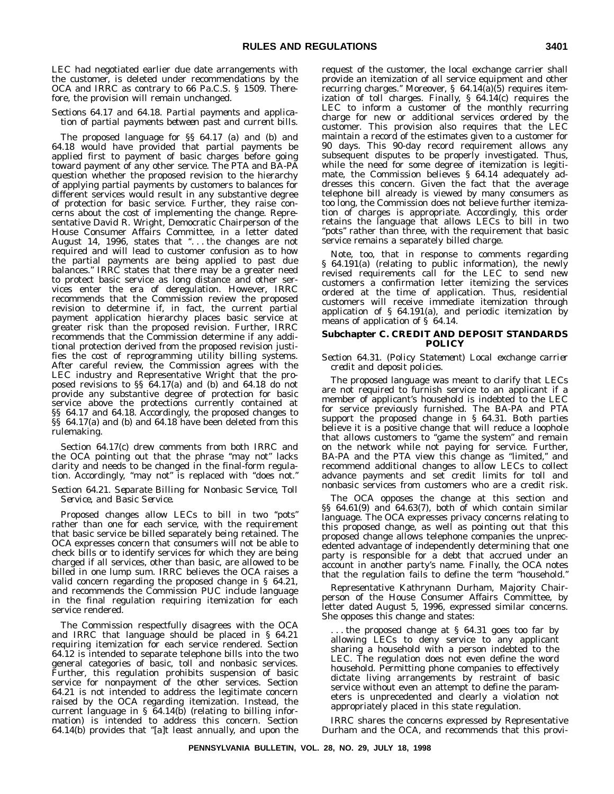LEC had negotiated earlier due date arrangements with the customer, is deleted under recommendations by the OCA and IRRC as contrary to 66 Pa.C.S. § 1509. Therefore, the provision will remain unchanged.

### *Sections 64.17 and 64.18. Partial payments and application of partial payments between past and current bills.*

The proposed language for §§ 64.17 (a) and (b) and 64.18 would have provided that partial payments be applied first to payment of basic charges before going toward payment of any other service. The PTA and BA-PA question whether the proposed revision to the hierarchy of applying partial payments by customers to balances for different services would result in any substantive degree of protection for basic service. Further, they raise concerns about the cost of implementing the change. Representative David R. Wright, Democratic Chairperson of the House Consumer Affairs Committee, in a letter dated August 14, 1996, states that "... the changes are not required and will lead to customer confusion as to how the partial payments are being applied to past due balances.'' IRRC states that there may be a greater need to protect basic service as long distance and other services enter the era of deregulation. However, IRRC recommends that the Commission review the proposed revision to determine if, in fact, the current partial payment application hierarchy places basic service at greater risk than the proposed revision. Further, IRRC recommends that the Commission determine if any additional protection derived from the proposed revision justifies the cost of reprogramming utility billing systems. After careful review, the Commission agrees with the LEC industry and Representative Wright that the proposed revisions to §§ 64.17(a) and (b) and 64.18 do not provide any substantive degree of protection for basic service above the protections currently contained at §§ 64.17 and 64.18. Accordingly, the proposed changes to §§ 64.17(a) and (b) and 64.18 have been deleted from this rulemaking.

Section 64.17(c) drew comments from both IRRC and the OCA pointing out that the phrase "may not" lacks clarity and needs to be changed in the final-form regulation. Accordingly, ''may not'' is replaced with ''does not.''

### *Section 64.21. Separate Billing for Nonbasic Service, Toll Service, and Basic Service.*

Proposed changes allow LECs to bill in two ''pots'' rather than one for each service, with the requirement that basic service be billed separately being retained. The OCA expresses concern that consumers will not be able to check bills or to identify services for which they are being charged if all services, other than basic, are allowed to be billed in one lump sum. IRRC believes the OCA raises a valid concern regarding the proposed change in § 64.21, and recommends the Commission PUC include language in the final regulation requiring itemization for each service rendered.

The Commission respectfully disagrees with the OCA and IRRC that language should be placed in § 64.21 requiring itemization for each service rendered. Section 64.12 is intended to separate telephone bills into the two general categories of basic, toll and nonbasic services. Further, this regulation prohibits suspension of basic service for nonpayment of the other services. Section 64.21 is not intended to address the legitimate concern raised by the OCA regarding itemization. Instead, the current language in § 64.14(b) (relating to billing information) is intended to address this concern. Section 64.14(b) provides that ''[a]t least annually, and upon the

request of the customer, the local exchange carrier shall provide an itemization of all service equipment and other recurring charges.'' Moreover, § 64.14(a)(5) requires itemization of toll charges. Finally,  $\S$  64.14(c) requires the LEC to inform a customer of the monthly recurring charge for new or additional services ordered by the customer. This provision also requires that the LEC maintain a record of the estimates given to a customer for 90 days. This 90-day record requirement allows any subsequent disputes to be properly investigated. Thus, while the need for some degree of itemization is legitimate, the Commission believes § 64.14 adequately addresses this concern. Given the fact that the average telephone bill already is viewed by many consumers as too long, the Commission does not believe further itemization of charges is appropriate. Accordingly, this order retains the language that allows LECs to bill in two "pots" rather than three, with the requirement that basic service remains a separately billed charge.

Note, too, that in response to comments regarding § 64.191(a) (relating to public information), the newly revised requirements call for the LEC to send new customers a confirmation letter itemizing the services ordered at the time of application. Thus, residential customers will receive immediate itemization through application of § 64.191(a), and periodic itemization by means of application of § 64.14.

### **Subchapter C. CREDIT AND DEPOSIT STANDARDS POLICY**

### *Section 64.31. (Policy Statement) Local exchange carrier credit and deposit policies.*

The proposed language was meant to clarify that LECs are not required to furnish service to an applicant if a member of applicant's household is indebted to the LEC for service previously furnished. The BA-PA and PTA support the proposed change in § 64.31. Both parties believe it is a positive change that will reduce a loophole that allows customers to ''game the system'' and remain on the network while not paying for service. Further, BA-PA and the PTA view this change as "limited," and recommend additional changes to allow LECs to collect advance payments and set credit limits for toll and nonbasic services from customers who are a credit risk.

The OCA opposes the change at this section and §§ 64.61(9) and 64.63(7), both of which contain similar language. The OCA expresses privacy concerns relating to this proposed change, as well as pointing out that this proposed change allows telephone companies the unprecedented advantage of independently determining that one party is responsible for a debt that accrued under an account in another party's name. Finally, the OCA notes that the regulation fails to define the term ''household.''

Representative Kathrynann Durham, Majority Chairperson of the House Consumer Affairs Committee, by letter dated August 5, 1996, expressed similar concerns. She opposes this change and states:

. the proposed change at § 64.31 goes too far by allowing LECs to deny service to any applicant sharing a household with a person indebted to the LEC. The regulation does not even define the word household. Permitting phone companies to effectively dictate living arrangements by restraint of basic service without even an attempt to define the parameters is unprecedented and clearly a violation not appropriately placed in this state regulation.

IRRC shares the concerns expressed by Representative Durham and the OCA, and recommends that this provi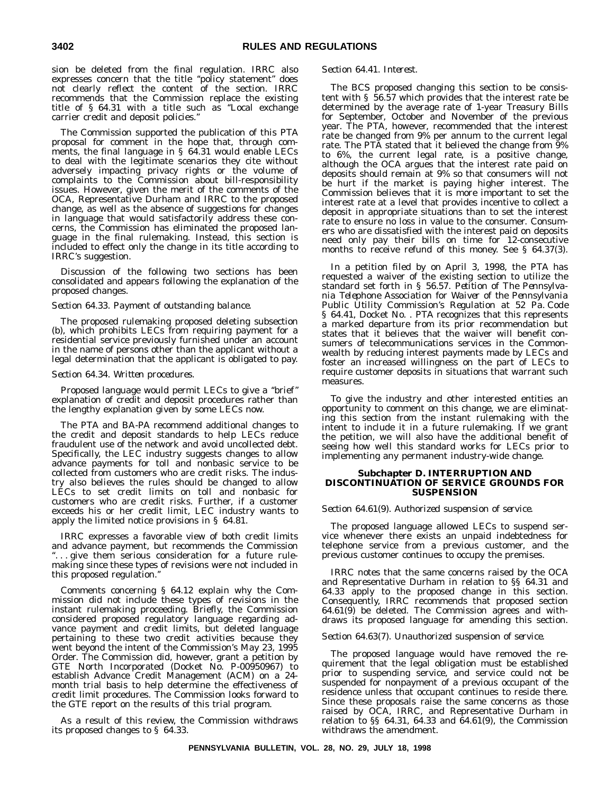sion be deleted from the final regulation. IRRC also expresses concern that the title ''policy statement'' does not clearly reflect the content of the section. IRRC recommends that the Commission replace the existing title of § 64.31 with a title such as ''Local exchange carrier credit and deposit policies.''

The Commission supported the publication of this PTA proposal for comment in the hope that, through comments, the final language in § 64.31 would enable LECs to deal with the legitimate scenarios they cite without adversely impacting privacy rights or the volume of complaints to the Commission about bill-responsibility issues. However, given the merit of the comments of the OCA, Representative Durham and IRRC to the proposed change, as well as the absence of suggestions for changes in language that would satisfactorily address these concerns, the Commission has eliminated the proposed language in the final rulemaking. Instead, this section is included to effect only the change in its title according to IRRC's suggestion.

Discussion of the following two sections has been consolidated and appears following the explanation of the proposed changes.

### *Section 64.33. Payment of outstanding balance.*

The proposed rulemaking proposed deleting subsection (b), which prohibits LECs from requiring payment for a residential service previously furnished under an account in the name of persons other than the applicant without a legal determination that the applicant is obligated to pay.

### *Section 64.34. Written procedures.*

Proposed language would permit LECs to give a ''brief'' explanation of credit and deposit procedures rather than the lengthy explanation given by some LECs now.

The PTA and BA-PA recommend additional changes to the credit and deposit standards to help LECs reduce fraudulent use of the network and avoid uncollected debt. Specifically, the LEC industry suggests changes to allow advance payments for toll and nonbasic service to be collected from customers who are credit risks. The industry also believes the rules should be changed to allow LECs to set credit limits on toll and nonbasic for customers who are credit risks. Further, if a customer exceeds his or her credit limit, LEC industry wants to apply the limited notice provisions in § 64.81.

IRRC expresses a favorable view of both credit limits and advance payment, but recommends the Commission "... give them serious consideration for a future rulemaking since these types of revisions were not included in this proposed regulation.''

Comments concerning § 64.12 explain why the Commission did not include these types of revisions in the instant rulemaking proceeding. Briefly, the Commission considered proposed regulatory language regarding advance payment and credit limits, but deleted language pertaining to these two credit activities because they went beyond the intent of the Commission's May 23, 1995 Order. The Commission did, however, grant a petition by GTE North Incorporated (Docket No. P-00950967) to establish Advance Credit Management (ACM) on a 24 month trial basis to help determine the effectiveness of credit limit procedures. The Commission looks forward to the GTE report on the results of this trial program.

As a result of this review, the Commission withdraws its proposed changes to § 64.33.

### *Section 64.41. Interest.*

The BCS proposed changing this section to be consistent with § 56.57 which provides that the interest rate be determined by the average rate of 1-year Treasury Bills for September, October and November of the previous year. The PTA, however, recommended that the interest rate be changed from 9% per annum to the current legal rate. The PTA stated that it believed the change from 9% to 6%, the current legal rate, is a positive change, although the OCA argues that the interest rate paid on deposits should remain at 9% so that consumers will not be hurt if the market is paying higher interest. The Commission believes that it is more important to set the interest rate at a level that provides incentive to collect a deposit in appropriate situations than to set the interest rate to ensure no loss in value to the consumer. Consumers who are dissatisfied with the interest paid on deposits need only pay their bills on time for 12-consecutive months to receive refund of this money. See § 64.37(3).

In a petition filed by on April 3, 1998, the PTA has requested a waiver of the existing section to utilize the standard set forth in § 56.57. *Petition of The Pennsylvania Telephone Association for Waiver of the Pennsylvania Public Utility Commission's Regulation at 52 Pa. Code § 64.41*, Docket No. . PTA recognizes that this represents a marked departure from its prior recommendation but states that it believes that the waiver will benefit consumers of telecommunications services in the Commonwealth by reducing interest payments made by LECs and foster an increased willingness on the part of LECs to require customer deposits in situations that warrant such measures.

To give the industry and other interested entities an opportunity to comment on this change, we are eliminating this section from the instant rulemaking with the intent to include it in a future rulemaking. If we grant the petition, we will also have the additional benefit of seeing how well this standard works for LECs prior to implementing any permanent industry-wide change.

### **Subchapter D. INTERRUPTION AND DISCONTINUATION OF SERVICE GROUNDS FOR SUSPENSION**

### *Section 64.61(9). Authorized suspension of service.*

The proposed language allowed LECs to suspend service whenever there exists an unpaid indebtedness for telephone service from a previous customer, and the previous customer continues to occupy the premises.

IRRC notes that the same concerns raised by the OCA and Representative Durham in relation to §§ 64.31 and 64.33 apply to the proposed change in this section. Consequently, IRRC recommends that proposed section 64.61(9) be deleted. The Commission agrees and withdraws its proposed language for amending this section.

#### *Section 64.63(7). Unauthorized suspension of service.*

The proposed language would have removed the requirement that the legal obligation must be established prior to suspending service, and service could not be suspended for nonpayment of a previous occupant of the residence unless that occupant continues to reside there. Since these proposals raise the same concerns as those raised by OCA, IRRC, and Representative Durham in relation to §§ 64.31, 64.33 and 64.61(9), the Commission withdraws the amendment.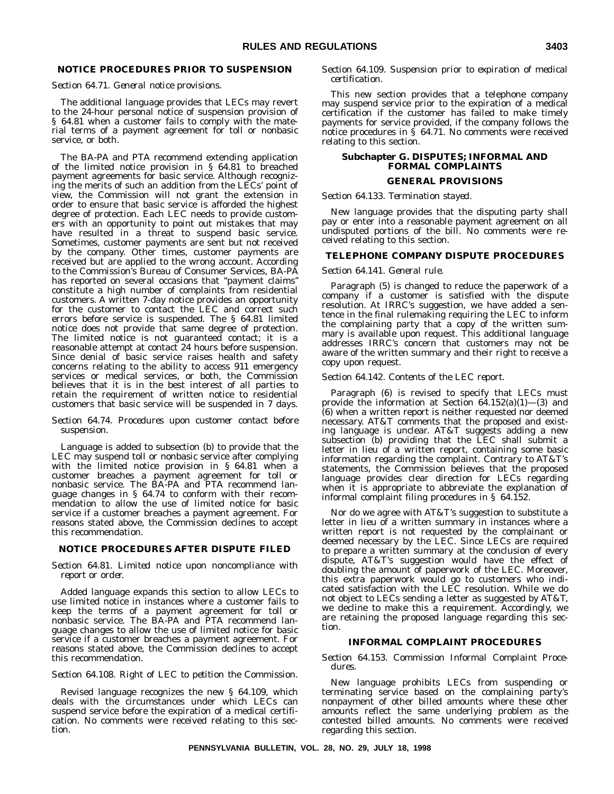## **NOTICE PROCEDURES PRIOR TO SUSPENSION**

### *Section 64.71. General notice provisions.*

The additional language provides that LECs may revert to the 24-hour personal notice of suspension provision of § 64.81 when a customer fails to comply with the material terms of a payment agreement for toll or nonbasic service, or both.

The BA-PA and PTA recommend extending application of the limited notice provision in  $\S$  64.81 to breached payment agreements for basic service. Although recognizing the merits of such an addition from the LECs' point of view, the Commission will not grant the extension in order to ensure that basic service is afforded the highest degree of protection. Each LEC needs to provide customers with an opportunity to point out mistakes that may have resulted in a threat to suspend basic service. Sometimes, customer payments are sent but not received by the company. Other times, customer payments are received but are applied to the wrong account. According to the Commission's Bureau of Consumer Services, BA-PA has reported on several occasions that ''payment claims'' constitute a high number of complaints from residential customers. A written 7-day notice provides an opportunity for the customer to contact the LEC and correct such errors before service is suspended. The § 64.81 limited notice does not provide that same degree of protection. The limited notice is not guaranteed contact; it is a reasonable attempt at contact 24 hours before suspension. Since denial of basic service raises health and safety concerns relating to the ability to access 911 emergency services or medical services, or both, the Commission believes that it is in the best interest of all parties to retain the requirement of written notice to residential customers that basic service will be suspended in 7 days.

### *Section 64.74. Procedures upon customer contact before suspension.*

Language is added to subsection (b) to provide that the LEC may suspend toll or nonbasic service after complying with the limited notice provision in § 64.81 when a customer breaches a payment agreement for toll or nonbasic service. The BA-PA and PTA recommend language changes in § 64.74 to conform with their recommendation to allow the use of limited notice for basic service if a customer breaches a payment agreement. For reasons stated above, the Commission declines to accept this recommendation.

### **NOTICE PROCEDURES AFTER DISPUTE FILED**

### *Section 64.81. Limited notice upon noncompliance with report or order.*

Added language expands this section to allow LECs to use limited notice in instances where a customer fails to keep the terms of a payment agreement for toll or nonbasic service. The BA-PA and PTA recommend language changes to allow the use of limited notice for basic service if a customer breaches a payment agreement. For reasons stated above, the Commission declines to accept this recommendation.

### *Section 64.108. Right of LEC to petition the Commission.*

Revised language recognizes the new § 64.109, which deals with the circumstances under which LECs can suspend service before the expiration of a medical certification. No comments were received relating to this section.

### *Section 64.109. Suspension prior to expiration of medical certification.*

This new section provides that a telephone company may suspend service prior to the expiration of a medical certification if the customer has failed to make timely payments for service provided, if the company follows the notice procedures in § 64.71. No comments were received relating to this section.

### **Subchapter G. DISPUTES; INFORMAL AND FORMAL COMPLAINTS**

### **GENERAL PROVISIONS**

### *Section 64.133. Termination stayed.*

New language provides that the disputing party shall pay or enter into a reasonable payment agreement on all undisputed portions of the bill. No comments were received relating to this section.

### **TELEPHONE COMPANY DISPUTE PROCEDURES**

### *Section 64.141. General rule.*

Paragraph (5) is changed to reduce the paperwork of a company if a customer is satisfied with the dispute resolution. At IRRC's suggestion, we have added a sentence in the final rulemaking requiring the LEC to inform the complaining party that a copy of the written summary is available upon request. This additional language addresses IRRC's concern that customers may not be aware of the written summary and their right to receive a copy upon request.

### *Section 64.142. Contents of the LEC report.*

Paragraph (6) is revised to specify that LECs must provide the information at Section  $64.152(a)(1)$ —(3) and (6) when a written report is neither requested nor deemed necessary. AT&T comments that the proposed and existing language is unclear. AT&T suggests adding a new subsection (b) providing that the LEC shall submit a letter in lieu of a written report, containing some basic information regarding the complaint. Contrary to AT&T's statements, the Commission believes that the proposed language provides clear direction for LECs regarding when it is appropriate to abbreviate the explanation of informal complaint filing procedures in § 64.152.

Nor do we agree with AT&T's suggestion to substitute a letter in lieu of a written summary in instances where a written report is not requested by the complainant or deemed necessary by the LEC. Since LECs are required to prepare a written summary at the conclusion of every dispute, AT&T's suggestion would have the effect of doubling the amount of paperwork of the LEC. Moreover, this extra paperwork would go to customers who indicated satisfaction with the LEC resolution. While we do not object to LECs sending a letter as suggested by AT&T, we decline to make this a requirement. Accordingly, we are retaining the proposed language regarding this section.

### **INFORMAL COMPLAINT PROCEDURES**

### *Section 64.153. Commission Informal Complaint Procedures.*

New language prohibits LECs from suspending or terminating service based on the complaining party's nonpayment of other billed amounts where these other amounts reflect the same underlying problem as the contested billed amounts. No comments were received regarding this section.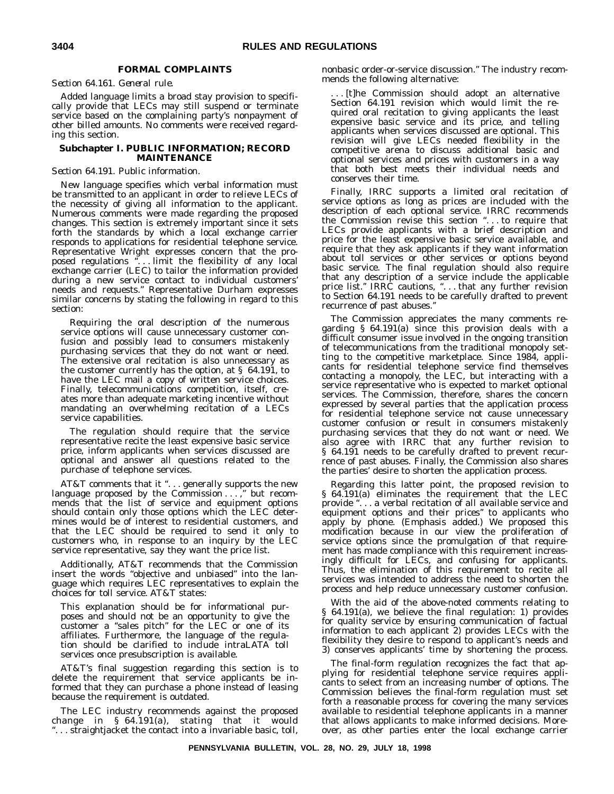### **FORMAL COMPLAINTS**

*Section 64.161. General rule.*

Added language limits a broad stay provision to specifically provide that LECs may still suspend or terminate service based on the complaining party's nonpayment of other billed amounts. No comments were received regarding this section.

### **Subchapter I. PUBLIC INFORMATION; RECORD MAINTENANCE**

### *Section 64.191. Public information.*

New language specifies which verbal information must be transmitted to an applicant in order to relieve LECs of the necessity of giving all information to the applicant. Numerous comments were made regarding the proposed changes. This section is extremely important since it sets forth the standards by which a local exchange carrier responds to applications for residential telephone service. Representative Wright expresses concern that the proposed regulations " $\ldots$  limit the flexibility of any local exchange carrier (LEC) to tailor the information provided during a new service contact to individual customers' needs and requests.'' Representative Durham expresses similar concerns by stating the following in regard to this section:

Requiring the oral description of the numerous service options will cause unnecessary customer confusion and possibly lead to consumers mistakenly purchasing services that they do not want or need. The extensive oral recitation is also unnecessary as the customer currently has the option, at § 64.191, to have the LEC mail a copy of written service choices. Finally, telecommunications competition, itself, creates more than adequate marketing incentive without mandating an overwhelming recitation of a LECs service capabilities.

The regulation should require that the service representative recite the least expensive basic service price, inform applicants when services discussed are optional and answer all questions related to the purchase of telephone services.

AT&T comments that it "... generally supports the new language proposed by the Commission . . . ," but recommends that the list of service and equipment options should contain only those options which the LEC determines would be of interest to residential customers, and that the LEC should be required to send it only to customers who, in response to an inquiry by the LEC service representative, say they want the price list.

Additionally, AT&T recommends that the Commission insert the words "objective and unbiased" into the language which requires LEC representatives to explain the choices for toll service. AT&T states:

This explanation should be for informational purposes and should not be an opportunity to give the customer a ''sales pitch'' for the LEC or one of its affiliates. Furthermore, the language of the regulation should be clarified to include intraLATA toll services once presubscription is available.

AT&T's final suggestion regarding this section is to delete the requirement that service applicants be informed that they can purchase a phone instead of leasing because the requirement is outdated.

The LEC industry recommends against the proposed change in § 64.191(a), stating that it would ''. . . straightjacket the contact into a invariable basic, toll,

nonbasic order-or-service discussion.'' The industry recommends the following alternative:

.. [t]he Commission should adopt an alternative Section 64.191 revision which would limit the required oral recitation to giving applicants the least expensive basic service and its price, and telling applicants when services discussed are optional. This revision will give LECs needed flexibility in the competitive arena to discuss additional basic and optional services and prices with customers in a way that both best meets their individual needs and conserves their time.

Finally, IRRC supports a limited oral recitation of service options as long as prices are included with the description of each optional service. IRRC recommends the Commission revise this section ''. . . to require that LECs provide applicants with a brief description and price for the least expensive basic service available, and require that they ask applicants if they want information about toll services or other services or options beyond basic service. The final regulation should also require that any description of a service include the applicable price list." IRRC cautions, "... that any further revision to Section 64.191 needs to be carefully drafted to prevent recurrence of past abuses.''

The Commission appreciates the many comments regarding § 64.191(a) since this provision deals with a difficult consumer issue involved in the ongoing transition of telecommunications from the traditional monopoly setting to the competitive marketplace. Since 1984, applicants for residential telephone service find themselves contacting a monopoly, the LEC, but interacting with a service representative who is expected to market optional services. The Commission, therefore, shares the concern expressed by several parties that the application process for residential telephone service not cause unnecessary customer confusion or result in consumers mistakenly purchasing services that they do not want or need. We also agree with IRRC that any further revision to § 64.191 needs to be carefully drafted to prevent recurrence of past abuses. Finally, the Commission also shares the parties' desire to shorten the application process.

Regarding this latter point, the proposed revision to § 64.191(a) eliminates the requirement that the LEC provide ''...a verbal recitation of *all* available service and equipment options and their prices'' to applicants who apply by phone. (Emphasis added.) We proposed this modification because in our view the proliferation of service options since the promulgation of that requirement has made compliance with this requirement increasingly difficult for LECs, and confusing for applicants. Thus, the elimination of this requirement to recite all services was intended to address the need to shorten the process and help reduce unnecessary customer confusion.

With the aid of the above-noted comments relating to § 64.191(a), we believe the final regulation: 1) provides for quality service by ensuring communication of factual information to each applicant 2) provides LECs with the flexibility they desire to respond to applicant's needs and 3) conserves applicants' time by shortening the process.

The final-form regulation recognizes the fact that applying for residential telephone service requires applicants to select from an increasing number of options. The Commission believes the final-form regulation must set forth a reasonable process for covering the many services available to residential telephone applicants in a manner that allows applicants to make informed decisions. Moreover, as other parties enter the local exchange carrier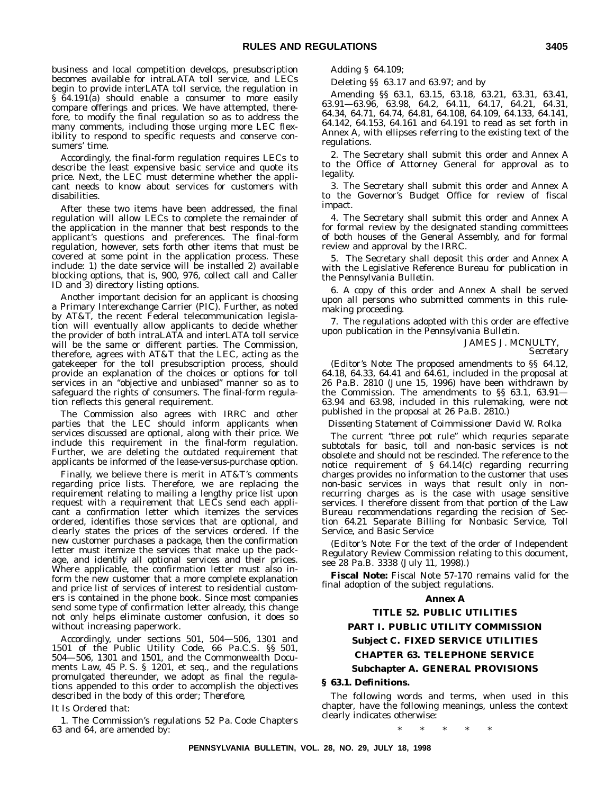business and local competition develops, presubscription becomes available for intraLATA toll service, and LECs begin to provide interLATA toll service, the regulation in §  $64.191(a)$  should enable a consumer to more easily compare offerings and prices. We have attempted, therefore, to modify the final regulation so as to address the many comments, including those urging more LEC flexibility to respond to specific requests and conserve consumers' time.

Accordingly, the final-form regulation requires LECs to describe the least expensive basic service and quote its price. Next, the LEC must determine whether the applicant needs to know about services for customers with disabilities.

After these two items have been addressed, the final regulation will allow LECs to complete the remainder of the application in the manner that best responds to the applicant's questions and preferences. The final-form regulation, however, sets forth other items that must be covered at some point in the application process. These include: 1) the date service will be installed 2) available blocking options, that is, 900, 976, collect call and Caller ID and 3) directory listing options.

Another important decision for an applicant is choosing a Primary Interexchange Carrier (PIC). Further, as noted by AT&T, the recent Federal telecommunication legislation will eventually allow applicants to decide whether the provider of both intraLATA and interLATA toll service will be the same or different parties. The Commission, therefore, agrees with AT&T that the LEC, acting as the gatekeeper for the toll presubscription process, should provide an explanation of the choices or options for toll services in an ''objective and unbiased'' manner so as to safeguard the rights of consumers. The final-form regulation reflects this general requirement.

The Commission also agrees with IRRC and other parties that the LEC should inform applicants when services discussed are optional, along with their price. We include this requirement in the final-form regulation. Further, we are deleting the outdated requirement that applicants be informed of the lease-versus-purchase option.

Finally, we believe there is merit in AT&T's comments regarding price lists. Therefore, we are replacing the requirement relating to mailing a lengthy price list upon request with a requirement that LECs send each applicant a confirmation letter which itemizes the services ordered, identifies those services that are optional, and clearly states the prices of the services ordered. If the new customer purchases a package, then the confirmation letter must itemize the services that make up the package, and identify all optional services and their prices. Where applicable, the confirmation letter must also inform the new customer that a more complete explanation and price list of services of interest to residential customers is contained in the phone book. Since most companies send some type of confirmation letter already, this change not only helps eliminate customer confusion, it does so without increasing paperwork.

Accordingly, under sections 501, 504—506, 1301 and 1501 of the Public Utility Code, 66 Pa.C.S. §§ 501, 504—506, 1301 and 1501, and the Commonwealth Documents Law, 45 P. S. § 1201, et seq., and the regulations promulgated thereunder, we adopt as final the regulations appended to this order to accomplish the objectives described in the body of this order; *Therefore,*

### *It Is Ordered that:*

1. The Commission's regulations 52 Pa. Code Chapters 63 and 64, are amended by:

Adding § 64.109;

Deleting §§ 63.17 and 63.97; and by

Amending §§ 63.1, 63.15, 63.18, 63.21, 63.31, 63.41, 63.91—63.96, 63.98, 64.2, 64.11, 64.17, 64.21, 64.31, 64.34, 64.71, 64.74, 64.81, 64.108, 64.109, 64.133, 64.141, 64.142, 64.153, 64.161 and 64.191 to read as set forth in Annex A, with ellipses referring to the existing text of the regulations.

2. The Secretary shall submit this order and Annex A to the Office of Attorney General for approval as to legality.

3. The Secretary shall submit this order and Annex A to the Governor's Budget Office for review of fiscal impact.

4. The Secretary shall submit this order and Annex A for formal review by the designated standing committees of both houses of the General Assembly, and for formal review and approval by the IRRC.

5. The Secretary shall deposit this order and Annex A with the Legislative Reference Bureau for publication in the *Pennsylvania Bulletin.*

6. A copy of this order and Annex A shall be served upon all persons who submitted comments in this rulemaking proceeding.

7. The regulations adopted with this order are effective upon publication in the *Pennsylvania Bulletin.*

> JAMES J. MCNULTY, *Secretary*

(*Editor's Note:* The proposed amendments to §§ 64.12, 64.18, 64.33, 64.41 and  $64.61$ , included in the proposal at 26 Pa.B. 2810 (June 15, 1996) have been withdrawn by the Commission. The amendments to §§ 63.1, 63.91— 63.94 and 63.98, included in this rulemaking, were not published in the proposal at 26 Pa.B. 2810.)

*Dissenting Statement of Coimmissioner David W. Rolka*

The current "three pot rule" which requries separate subtotals for basic, toll and non-basic services is not obsolete and should not be rescinded. The reference to the notice requirement of § 64.14(c) regarding recurring charges provides no information to the customer that uses non-basic services in ways that result only in nonrecurring charges as is the case with usage sensitive services. I therefore dissent from that portion of the Law Bureau recommendations regarding the recision of Section 64.21 Separate Billing for Nonbasic Service, Toll Service, and Basic Service

(*Editor's Note:* For the text of the order of Independent Regulatory Review Commission relating to this document, see 28 Pa.B. 3338 (July 11, 1998).)

**Fiscal Note:** Fiscal Note 57-170 remains valid for the final adoption of the subject regulations.

### **Annex A**

## **TITLE 52. PUBLIC UTILITIES**

### **PART I. PUBLIC UTILITY COMMISSION**

### **Subject C. FIXED SERVICE UTILITIES**

### **CHAPTER 63. TELEPHONE SERVICE**

### **Subchapter A. GENERAL PROVISIONS**

### **§ 63.1. Definitions.**

The following words and terms, when used in this chapter, have the following meanings, unless the context clearly indicates otherwise:

\*\*\*\*\*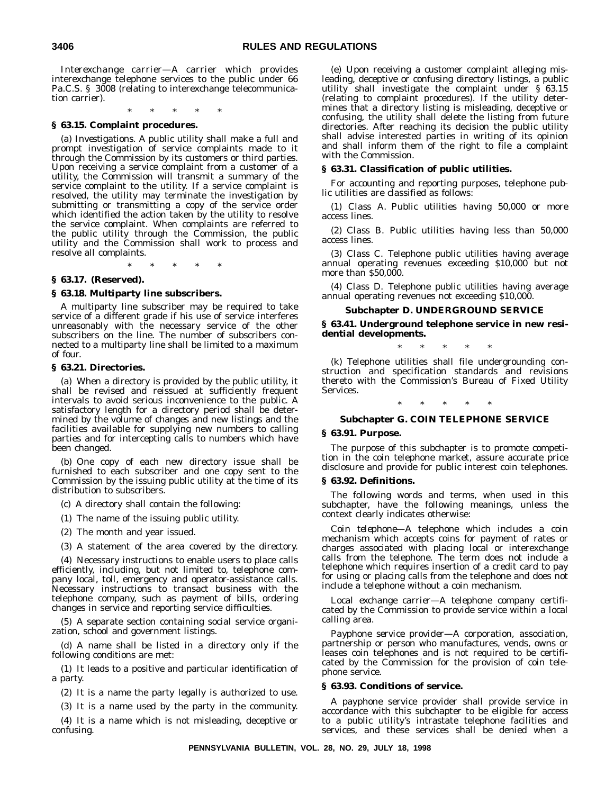*Interexchange carrier*—A carrier which provides interexchange telephone services to the public under 66 Pa.C.S. § 3008 (relating to interexchange telecommunication carrier).

\*\*\*\*\* **§ 63.15. Complaint procedures.**

(a) *Investigations.* A public utility shall make a full and prompt investigation of service complaints made to it through the Commission by its customers or third parties. Upon receiving a service complaint from a customer of a utility, the Commission will transmit a summary of the service complaint to the utility. If a service complaint is resolved, the utility may terminate the investigation by submitting or transmitting a copy of the service order which identified the action taken by the utility to resolve the service complaint. When complaints are referred to the public utility through the Commission, the public utility and the Commission shall work to process and resolve all complaints.

\*\*\*\*\*

### **§ 63.17. (Reserved).**

### **§ 63.18. Multiparty line subscribers.**

A multiparty line subscriber may be required to take service of a different grade if his use of service interferes unreasonably with the necessary service of the other subscribers on the line. The number of subscribers connected to a multiparty line shall be limited to a maximum of four.

### **§ 63.21. Directories.**

(a) When a directory is provided by the public utility, it shall be revised and reissued at sufficiently frequent intervals to avoid serious inconvenience to the public. A satisfactory length for a directory period shall be determined by the volume of changes and new listings and the facilities available for supplying new numbers to calling parties and for intercepting calls to numbers which have been changed.

(b) One copy of each new directory issue shall be furnished to each subscriber and one copy sent to the Commission by the issuing public utility at the time of its distribution to subscribers.

(c) A directory shall contain the following:

(1) The name of the issuing public utility.

(2) The month and year issued.

(3) A statement of the area covered by the directory.

(4) Necessary instructions to enable users to place calls efficiently, including, but not limited to, telephone company local, toll, emergency and operator-assistance calls. Necessary instructions to transact business with the telephone company, such as payment of bills, ordering changes in service and reporting service difficulties.

(5) A separate section containing social service organization, school and government listings.

(d) A name shall be listed in a directory only if the following conditions are met:

(1) It leads to a positive and particular identification of a party.

(2) It is a name the party legally is authorized to use.

(3) It is a name used by the party in the community.

(4) It is a name which is not misleading, deceptive or confusing.

(e) Upon receiving a customer complaint alleging misleading, deceptive or confusing directory listings, a public utility shall investigate the complaint under § 63.15 (relating to complaint procedures). If the utility determines that a directory listing is misleading, deceptive or confusing, the utility shall delete the listing from future directories. After reaching its decision the public utility shall advise interested parties in writing of its opinion and shall inform them of the right to file a complaint with the Commission.

### **§ 63.31. Classification of public utilities.**

For accounting and reporting purposes, telephone public utilities are classified as follows:

(1) *Class* A. Public utilities having 50,000 or more access lines.

(2) *Class* B. Public utilities having less than 50,000 access lines.

(3) *Class* C. Telephone public utilities having average annual operating revenues exceeding \$10,000 but not more than \$50,000.

(4) *Class* D. Telephone public utilities having average annual operating revenues not exceeding \$10,000.

### **Subchapter D. UNDERGROUND SERVICE**

**§ 63.41. Underground telephone service in new residential developments.**

\*\*\*\*\*

(k) Telephone utilities shall file undergrounding construction and specification standards and revisions thereto with the Commission's Bureau of Fixed Utility Services.

\*\*\*\*\*

### **Subchapter G. COIN TELEPHONE SERVICE**

### **§ 63.91. Purpose.**

The purpose of this subchapter is to promote competition in the coin telephone market, assure accurate price disclosure and provide for public interest coin telephones.

### **§ 63.92. Definitions.**

The following words and terms, when used in this subchapter, have the following meanings, unless the context clearly indicates otherwise:

*Coin telephone—*A telephone which includes a coin mechanism which accepts coins for payment of rates or charges associated with placing local or interexchange calls from the telephone. The term does not include a telephone which requires insertion of a credit card to pay for using or placing calls from the telephone and does not include a telephone without a coin mechanism.

*Local exchange carrier—*A telephone company certificated by the Commission to provide service within a local calling area.

*Payphone service provider—*A corporation, association, partnership or person who manufactures, vends, owns or leases coin telephones and is not required to be certificated by the Commission for the provision of coin telephone service.

### **§ 63.93. Conditions of service.**

A payphone service provider shall provide service in accordance with this subchapter to be eligible for access to a public utility's intrastate telephone facilities and services, and these services shall be denied when a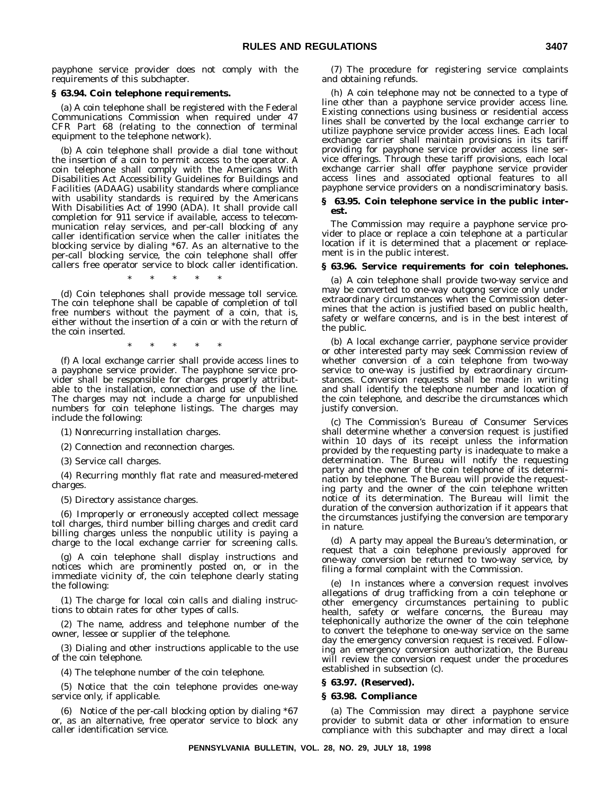payphone service provider does not comply with the requirements of this subchapter.

### **§ 63.94. Coin telephone requirements.**

(a) A coin telephone shall be registered with the Federal Communications Commission when required under 47 CFR Part 68 (relating to the connection of terminal equipment to the telephone network).

(b) A coin telephone shall provide a dial tone without the insertion of a coin to permit access to the operator. A coin telephone shall comply with the Americans With Disabilities Act Accessibility Guidelines for Buildings and Facilities (ADAAG) usability standards where compliance with usability standards is required by the Americans With Disabilities Act of 1990 (ADA). It shall provide call completion for 911 service if available, access to telecommunication relay services, and per-call blocking of any caller identification service when the caller initiates the blocking service by dialing \*67. As an alternative to the per-call blocking service, the coin telephone shall offer callers free operator service to block caller identification.

\*\*\*\*\*

(d) Coin telephones shall provide message toll service. The coin telephone shall be capable of completion of toll free numbers without the payment of a coin, that is, either without the insertion of a coin or with the return of the coin inserted.

\*\*\*\*\*

(f) A local exchange carrier shall provide access lines to a payphone service provider. The payphone service provider shall be responsible for charges properly attributable to the installation, connection and use of the line. The charges may not include a charge for unpublished numbers for coin telephone listings. The charges may include the following:

(1) Nonrecurring installation charges.

(2) Connection and reconnection charges.

(3) Service call charges.

(4) Recurring monthly flat rate and measured-metered charges.

(5) Directory assistance charges.

(6) Improperly or erroneously accepted collect message toll charges, third number billing charges and credit card billing charges unless the nonpublic utility is paying a charge to the local exchange carrier for screening calls.

(g) A coin telephone shall display instructions and notices which are prominently posted on, or in the immediate vicinity of, the coin telephone clearly stating the following:

(1) The charge for local coin calls and dialing instructions to obtain rates for other types of calls.

(2) The name, address and telephone number of the owner, lessee or supplier of the telephone.

(3) Dialing and other instructions applicable to the use of the coin telephone.

(4) The telephone number of the coin telephone.

(5) Notice that the coin telephone provides one-way service only, if applicable.

(6) Notice of the per-call blocking option by dialing \*67 or, as an alternative, free operator service to block any caller identification service.

(7) The procedure for registering service complaints and obtaining refunds.

(h) A coin telephone may not be connected to a type of line other than a payphone service provider access line. Existing connections using business or residential access lines shall be converted by the local exchange carrier to utilize payphone service provider access lines. Each local exchange carrier shall maintain provisions in its tariff providing for payphone service provider access line service offerings. Through these tariff provisions, each local exchange carrier shall offer payphone service provider access lines and associated optional features to all payphone service providers on a nondiscriminatory basis.

### **§ 63.95. Coin telephone service in the public interest.**

The Commission may require a payphone service provider to place or replace a coin telephone at a particular location if it is determined that a placement or replacement is in the public interest.

### **§ 63.96. Service requirements for coin telephones.**

(a) A coin telephone shall provide two-way service and may be converted to one-way outgong service only under extraordinary circumstances when the Commission determines that the action is justified based on public health, safety or welfare concerns, and is in the best interest of the public.

(b) A local exchange carrier, payphone service provider or other interested party may seek Commission review of whether conversion of a coin telephone from two-way service to one-way is justified by extraordinary circumstances. Conversion requests shall be made in writing and shall identify the telephone number and location of the coin telephone, and describe the circumstances which justify conversion.

(c) The Commission's Bureau of Consumer Services shall determine whether a conversion request is justified within 10 days of its receipt unless the information provided by the requesting party is inadequate to make a determination. The Bureau will notify the requesting party and the owner of the coin telephone of its determination by telephone. The Bureau will provide the requesting party and the owner of the coin telephone written notice of its determination. The Bureau will limit the duration of the conversion authorization if it appears that the circumstances justifying the conversion are temporary in nature.

(d) A party may appeal the Bureau's determination, or request that a coin telephone previously approved for one-way conversion be returned to two-way service, by filing a formal complaint with the Commission.

(e) In instances where a conversion request involves allegations of drug trafficking from a coin telephone or other emergency circumstances pertaining to public health, safety or welfare concerns, the Bureau may telephonically authorize the owner of the coin telephone to convert the telephone to one-way service on the same day the emergency conversion request is received. Following an emergency conversion authorization, the Bureau will review the conversion request under the procedures established in subsection (c).

### **§ 63.97. (Reserved).**

### **§ 63.98. Compliance**

(a) The Commission may direct a payphone service provider to submit data or other information to ensure compliance with this subchapter and may direct a local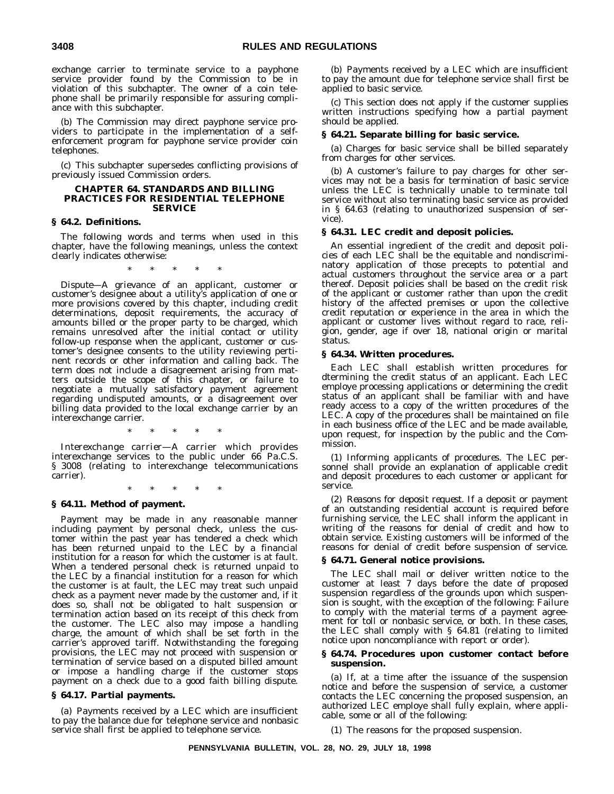exchange carrier to terminate service to a payphone service provider found by the Commission to be in violation of this subchapter. The owner of a coin telephone shall be primarily responsible for assuring compliance with this subchapter.

(b) The Commission may direct payphone service providers to participate in the implementation of a selfenforcement program for payphone service provider coin telephones.

(c) This subchapter supersedes conflicting provisions of previously issued Commission orders.

### **CHAPTER 64. STANDARDS AND BILLING PRACTICES FOR RESIDENTIAL TELEPHONE SERVICE**

### **§ 64.2. Definitions.**

The following words and terms when used in this chapter, have the following meanings, unless the context clearly indicates otherwise:

\*\*\*\*\*

*Dispute—*A grievance of an applicant, customer or customer's designee about a utility's application of one or more provisions covered by this chapter, including credit determinations, deposit requirements, the accuracy of amounts billed or the proper party to be charged, which remains unresolved after the initial contact or utility follow-up response when the applicant, customer or customer's designee consents to the utility reviewing pertinent records or other information and calling back. The term does not include a disagreement arising from matters outside the scope of this chapter, or failure to negotiate a mutually satisfactory payment agreement regarding undisputed amounts, or a disagreement over billing data provided to the local exchange carrier by an interexchange carrier.

\*\*\*\*\*

*Interexchange carrier—*A carrier which provides interexchange services to the public under 66 Pa.C.S. § 3008 (relating to interexchange telecommunications carrier).

\*\*\*\*\*

### **§ 64.11. Method of payment.**

Payment may be made in any reasonable manner including payment by personal check, unless the customer within the past year has tendered a check which has been returned unpaid to the LEC by a financial institution for a reason for which the customer is at fault. When a tendered personal check is returned unpaid to the LEC by a financial institution for a reason for which the customer is at fault, the LEC may treat such unpaid check as a payment never made by the customer and, if it does so, shall not be obligated to halt suspension or termination action based on its receipt of this check from the customer. The LEC also may impose a handling charge, the amount of which shall be set forth in the carrier's approved tariff. Notwithstanding the foregoing provisions, the LEC may not proceed with suspension or termination of service based on a disputed billed amount or impose a handling charge if the customer stops payment on a check due to a good faith billing dispute.

### **§ 64.17. Partial payments.**

(a) Payments received by a LEC which are insufficient to pay the balance due for telephone service and nonbasic service shall first be applied to telephone service.

(b) Payments received by a LEC which are insufficient to pay the amount due for telephone service shall first be applied to basic service.

(c) This section does not apply if the customer supplies written instructions specifying how a partial payment should be applied.

### **§ 64.21. Separate billing for basic service.**

(a) Charges for basic service shall be billed separately from charges for other services.

(b) A customer's failure to pay charges for other services may not be a basis for termination of basic service unless the LEC is technically unable to terminate toll service without also terminating basic service as provided in § 64.63 (relating to unauthorized suspension of service).

### **§ 64.31. LEC credit and deposit policies.**

An essential ingredient of the credit and deposit policies of each LEC shall be the equitable and nondiscriminatory application of those precepts to potential and actual customers throughout the service area or a part thereof. Deposit policies shall be based on the credit risk of the applicant or customer rather than upon the credit history of the affected premises or upon the collective credit reputation or experience in the area in which the applicant or customer lives without regard to race, religion, gender, age if over 18, national origin or marital status.

### **§ 64.34. Written procedures.**

Each LEC shall establish written procedures for dtermining the credit status of an applicant. Each LEC employe processing applications or determining the credit status of an applicant shall be familiar with and have ready access to a copy of the written procedures of the LEC. A copy of the procedures shall be maintained on file in each business office of the LEC and be made available, upon request, for inspection by the public and the Commission.

(1) *Informing applicants of procedures.* The LEC personnel shall provide an explanation of applicable credit and deposit procedures to each customer or applicant for service.

(2) *Reasons for deposit request.* If a deposit or payment of an outstanding residential account is required before furnishing service, the LEC shall inform the applicant in writing of the reasons for denial of credit and how to obtain service. Existing customers will be informed of the reasons for denial of credit before suspension of service.

### **§ 64.71. General notice provisions.**

The LEC shall mail or deliver written notice to the customer at least 7 days before the date of proposed suspension regardless of the grounds upon which suspension is sought, with the exception of the following: Failure to comply with the material terms of a payment agreement for toll or nonbasic service, or both. In these cases, the LEC shall comply with § 64.81 (relating to limited notice upon noncompliance with report or order).

### **§ 64.74. Procedures upon customer contact before suspension.**

(a) If, at a time after the issuance of the suspension notice and before the suspension of service, a customer contacts the LEC concerning the proposed suspension, an authorized LEC employe shall fully explain, where applicable, some or all of the following:

(1) The reasons for the proposed suspension.

**PENNSYLVANIA BULLETIN, VOL. 28, NO. 29, JULY 18, 1998**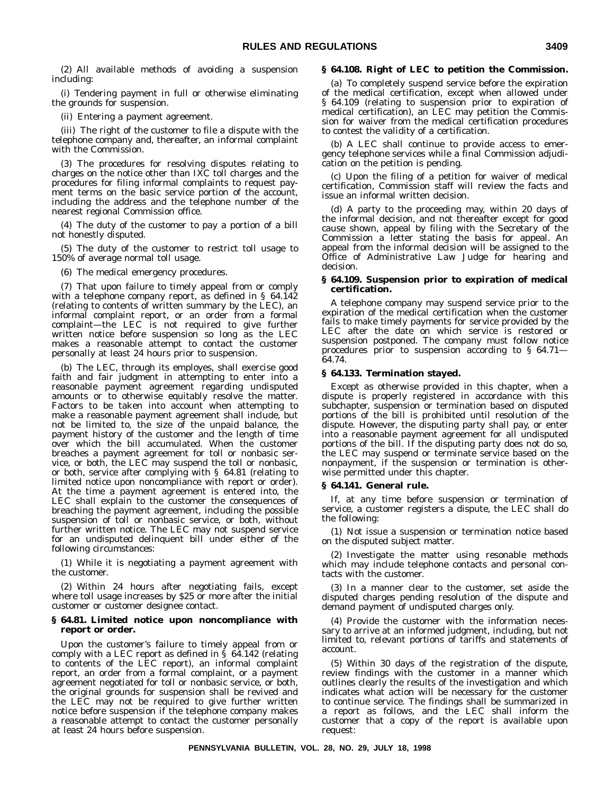(2) All available methods of avoiding a suspension including:

(i) Tendering payment in full or otherwise eliminating the grounds for suspension.

(ii) Entering a payment agreement.

(iii) The right of the customer to file a dispute with the telephone company and, thereafter, an informal complaint with the Commission.

(3) The procedures for resolving disputes relating to charges on the notice other than IXC toll charges and the procedures for filing informal complaints to request payment terms on the basic service portion of the account, including the address and the telephone number of the nearest regional Commission office.

(4) The duty of the customer to pay a portion of a bill not honestly disputed.

(5) The duty of the customer to restrict toll usage to 150% of average normal toll usage.

(6) The medical emergency procedures.

(7) That upon failure to timely appeal from or comply with a telephone company report, as defined in § 64.142 (relating to contents of written summary by the LEC), an informal complaint report, or an order from a formal complaint—the LEC is not required to give further written notice before suspension so long as the LEC makes a reasonable attempt to contact the customer personally at least 24 hours prior to suspension.

(b) The LEC, through its employes, shall exercise good faith and fair judgment in attempting to enter into a reasonable payment agreement regarding undisputed amounts or to otherwise equitably resolve the matter. Factors to be taken into account when attempting to make a reasonable payment agreement shall include, but not be limited to, the size of the unpaid balance, the payment history of the customer and the length of time over which the bill accumulated. When the customer breaches a payment agreement for toll or nonbasic service, or both, the LEC may suspend the toll or nonbasic, or both, service after complying with § 64.81 (relating to limited notice upon noncompliance with report or order). At the time a payment agreement is entered into, the LEC shall explain to the customer the consequences of breaching the payment agreement, including the possible suspension of toll or nonbasic service, or both, without further written notice. The LEC may not suspend service for an undisputed delinquent bill under either of the following circumstances:

(1) While it is negotiating a payment agreement with the customer.

(2) Within 24 hours after negotiating fails, except where toll usage increases by \$25 or more after the initial customer or customer designee contact.

### **§ 64.81. Limited notice upon noncompliance with report or order.**

Upon the customer's failure to timely appeal from or comply with a LEC report as defined in  $\S$  64.142 (relating to contents of the LEC report), an informal complaint report, an order from a formal complaint, or a payment agreement negotiated for toll or nonbasic service, or both, the original grounds for suspension shall be revived and the LEC may not be required to give further written notice before suspension if the telephone company makes a reasonable attempt to contact the customer personally at least 24 hours before suspension.

### **§ 64.108. Right of LEC to petition the Commission.**

(a) To completely suspend service before the expiration of the medical certification, except when allowed under § 64.109 (relating to suspension prior to expiration of medical certification), an LEC may petition the Commission for waiver from the medical certification procedures to contest the validity of a certification.

(b) A LEC shall continue to provide access to emergency telephone services while a final Commission adjudication on the petition is pending.

(c) Upon the filing of a petition for waiver of medical certification, Commission staff will review the facts and issue an informal written decision.

(d) A party to the proceeding may, within 20 days of the informal decision, and not thereafter except for good cause shown, appeal by filing with the Secretary of the Commission a letter stating the basis for appeal. An appeal from the informal decision will be assigned to the Office of Administrative Law Judge for hearing and decision.

### **§ 64.109. Suspension prior to expiration of medical certification.**

A telephone company may suspend service prior to the expiration of the medical certification when the customer fails to make timely payments for service provided by the LEC after the date on which service is restored or suspension postponed. The company must follow notice procedures prior to suspension according to § 64.71— 64.74.

### **§ 64.133. Termination stayed.**

Except as otherwise provided in this chapter, when a dispute is properly registered in accordance with this subchapter, suspension or termination based on disputed portions of the bill is prohibited until resolution of the dispute. However, the disputing party shall pay, or enter into a reasonable payment agreement for all undisputed portions of the bill. If the disputing party does not do so, the LEC may suspend or terminate service based on the nonpayment, if the suspension or termination is otherwise permitted under this chapter.

### **§ 64.141. General rule.**

If, at any time before suspension or termination of service, a customer registers a dispute, the LEC shall do the following:

(1) Not issue a suspension or termination notice based on the disputed subject matter.

(2) Investigate the matter using resonable methods which may include telephone contacts and personal contacts with the customer.

(3) In a manner clear to the customer, set aside the disputed charges pending resolution of the dispute and demand payment of undisputed charges only.

(4) Provide the customer with the information necessary to arrive at an informed judgment, including, but not limited to, relevant portions of tariffs and statements of account.

(5) Within 30 days of the registration of the dispute, review findings with the customer in a manner which outlines clearly the results of the investigation and which indicates what action will be necessary for the customer to continue service. The findings shall be summarized in a report as follows, and the LEC shall inform the customer that a copy of the report is available upon request: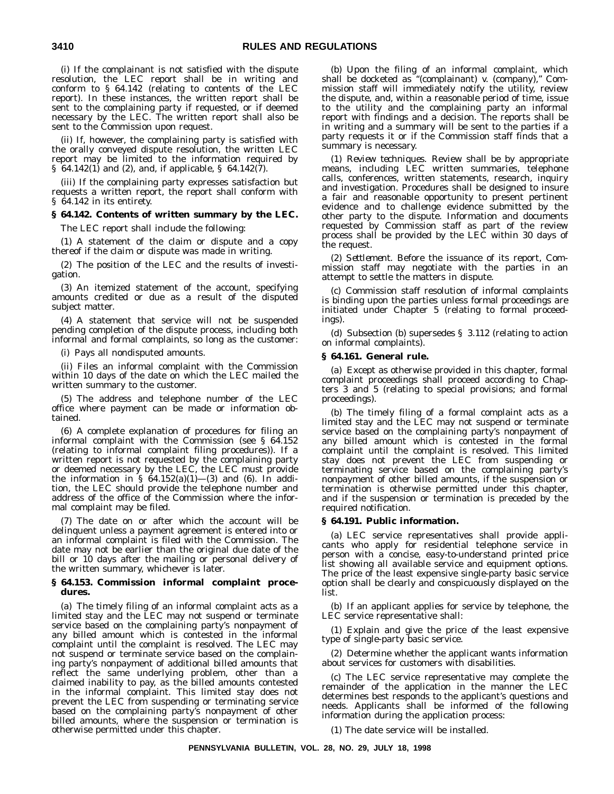(i) If the complainant is not satisfied with the dispute resolution, the LEC report shall be in writing and conform to § 64.142 (relating to contents of the LEC report). In these instances, the written report shall be sent to the complaining party if requested, or if deemed necessary by the LEC. The written report shall also be sent to the Commission upon request.

(ii) If, however, the complaining party is satisfied with the orally conveyed dispute resolution, the written LEC report may be limited to the information required by § 64.142(1) and (2), and, if applicable, § 64.142(7).

(iii) If the complaining party expresses satisfaction but requests a written report, the report shall conform with § 64.142 in its entirety.

### **§ 64.142. Contents of written summary by the LEC.**

The LEC report shall include the following:

(1) A statement of the claim or dispute and a copy thereof if the claim or dispute was made in writing.

(2) The position of the LEC and the results of investigation.

(3) An itemized statement of the account, specifying amounts credited or due as a result of the disputed subject matter.

(4) A statement that service will not be suspended pending completion of the dispute process, including both informal and formal complaints, so long as the customer:

(i) Pays all nondisputed amounts.

(ii) Files an informal complaint with the Commission within 10 days of the date on which the LEC mailed the written summary to the customer.

(5) The address and telephone number of the LEC office where payment can be made or information obtained.

(6) A complete explanation of procedures for filing an informal complaint with the Commission (see § 64.152 (relating to informal complaint filing procedures)). If a written report is not requested by the complaining party or deemed necessary by the LEC, the LEC must provide the information in  $\S$   $64.152(a)(1)$  – (3) and (6). In addition, the LEC should provide the telephone number and address of the office of the Commission where the informal complaint may be filed.

(7) The date on or after which the account will be delinquent unless a payment agreement is entered into or an informal complaint is filed with the Commission. The date may not be earlier than the original due date of the bill or 10 days after the mailing or personal delivery of the written summary, whichever is later.

### **§ 64.153. Commission informal complaint procedures.**

(a) The timely filing of an informal complaint acts as a limited stay and the LEC may not suspend or terminate service based on the complaining party's nonpayment of any billed amount which is contested in the informal complaint until the complaint is resolved. The LEC may not suspend or terminate service based on the complaining party's nonpayment of additional billed amounts that reflect the same underlying problem, other than a claimed inability to pay, as the billed amounts contested in the informal complaint. This limited stay does not prevent the LEC from suspending or terminating service based on the complaining party's nonpayment of other billed amounts, where the suspension or termination is otherwise permitted under this chapter.

(b) Upon the filing of an informal complaint, which shall be docketed as ''(complainant) v. (company),'' Commission staff will immediately notify the utility, review the dispute, and, within a reasonable period of time, issue to the utility and the complaining party an informal report with findings and a decision. The reports shall be in writing and a summary will be sent to the parties if a party requests it or if the Commission staff finds that a summary is necessary.

(1) *Review techniques.* Review shall be by appropriate means, including LEC written summaries, telephone calls, conferences, written statements, research, inquiry and investigation. Procedures shall be designed to insure a fair and reasonable opportunity to present pertinent evidence and to challenge evidence submitted by the other party to the dispute. Information and documents requested by Commission staff as part of the review process shall be provided by the LEC within 30 days of the request.

(2) *Settlement.* Before the issuance of its report, Commission staff may negotiate with the parties in an attempt to settle the matters in dispute.

(c) Commission staff resolution of informal complaints is binding upon the parties unless formal proceedings are initiated under Chapter 5 (relating to formal proceedings).

(d) Subsection (b) supersedes § 3.112 (relating to action on informal complaints).

### **§ 64.161. General rule.**

(a) Except as otherwise provided in this chapter, formal complaint proceedings shall proceed according to Chapters 3 and 5 (relating to special provisions; and formal proceedings).

(b) The timely filing of a formal complaint acts as a limited stay and the LEC may not suspend or terminate service based on the complaining party's nonpayment of any billed amount which is contested in the formal complaint until the complaint is resolved. This limited stay does not prevent the LEC from suspending or terminating service based on the complaining party's nonpayment of other billed amounts, if the suspension or termination is otherwise permitted under this chapter, and if the suspension or termination is preceded by the required notification.

### **§ 64.191. Public information.**

(a) LEC service representatives shall provide applicants who apply for residential telephone service in person with a concise, easy-to-understand printed price list showing all available service and equipment options. The price of the least expensive single-party basic service option shall be clearly and conspicuously displayed on the list.

(b) If an applicant applies for service by telephone, the LEC service representative shall:

(1) Explain and give the price of the least expensive type of single-party basic service.

(2) Determine whether the applicant wants information about services for customers with disabilities.

(c) The LEC service representative may complete the remainder of the application in the manner the LEC determines best responds to the applicant's questions and needs. Applicants shall be informed of the following information during the application process:

(1) The date service will be installed.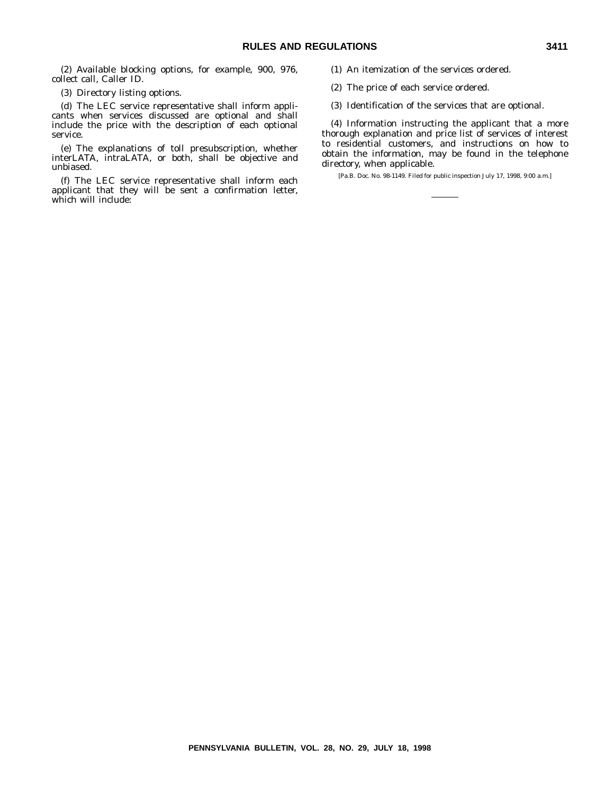(2) Available blocking options, for example, 900, 976, collect call, Caller ID.

(3) Directory listing options.

(d) The LEC service representative shall inform applicants when services discussed are optional and shall include the price with the description of each optional service.

(e) The explanations of toll presubscription, whether interLATA, intraLATA, or both, shall be objective and unbiased.

(f) The LEC service representative shall inform each applicant that they will be sent a confirmation letter, which will include:

(1) An itemization of the services ordered.

(2) The price of each service ordered.

(3) Identification of the services that are optional.

(4) Information instructing the applicant that a more thorough explanation and price list of services of interest to residential customers, and instructions on how to obtain the information, may be found in the telephone directory, when applicable.

[Pa.B. Doc. No. 98-1149. Filed for public inspection July 17, 1998, 9:00 a.m.]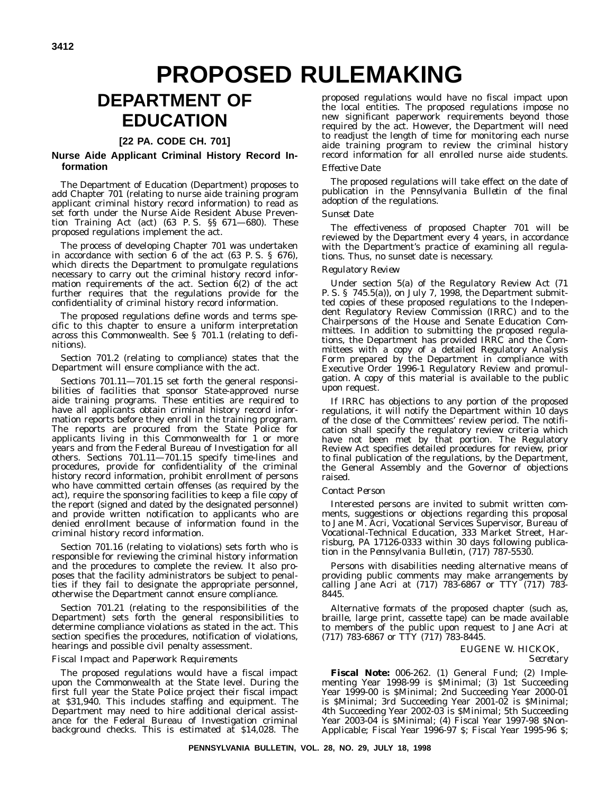# **PROPOSED RULEMAKING**

## **DEPARTMENT OF EDUCATION**

## **[22 PA. CODE CH. 701]**

## **Nurse Aide Applicant Criminal History Record Information**

The Department of Education (Department) proposes to add Chapter 701 (relating to nurse aide training program applicant criminal history record information) to read as set forth under the Nurse Aide Resident Abuse Prevention Training Act (act) (63 P. S. §§ 671—680). These proposed regulations implement the act.

The process of developing Chapter 701 was undertaken in accordance with section 6 of the act (63 P. S. § 676), which directs the Department to promulgate regulations necessary to carry out the criminal history record information requirements of the act. Section  $\ddot{\theta}(2)$  of the act further requires that the regulations provide for the confidentiality of criminal history record information.

The proposed regulations define words and terms specific to this chapter to ensure a uniform interpretation across this Commonwealth. See § 701.1 (relating to definitions).

Section 701.2 (relating to compliance) states that the Department will ensure compliance with the act.

Sections 701.11—701.15 set forth the general responsibilities of facilities that sponsor State-approved nurse aide training programs. These entities are required to have all applicants obtain criminal history record information reports before they enroll in the training program. The reports are procured from the State Police for applicants living in this Commonwealth for 1 or more years and from the Federal Bureau of Investigation for all others. Sections 701.11—701.15 specify time-lines and procedures, provide for confidentiality of the criminal history record information, prohibit enrollment of persons who have committed certain offenses (as required by the act), require the sponsoring facilities to keep a file copy of the report (signed and dated by the designated personnel) and provide written notification to applicants who are denied enrollment because of information found in the criminal history record information.

Section 701.16 (relating to violations) sets forth who is responsible for reviewing the criminal history information and the procedures to complete the review. It also proposes that the facility administrators be subject to penalties if they fail to designate the appropriate personnel, otherwise the Department cannot ensure compliance.

Section 701.21 (relating to the responsibilities of the Department) sets forth the general responsibilities to determine compliance violations as stated in the act. This section specifies the procedures, notification of violations, hearings and possible civil penalty assessment.

### *Fiscal Impact and Paperwork Requirements*

The proposed regulations would have a fiscal impact upon the Commonwealth at the State level. During the first full year the State Police project their fiscal impact at \$31,940. This includes staffing and equipment. The Department may need to hire additional clerical assistance for the Federal Bureau of Investigation criminal background checks. This is estimated at \$14,028. The proposed regulations would have no fiscal impact upon the local entities. The proposed regulations impose no new significant paperwork requirements beyond those required by the act. However, the Department will need to readjust the length of time for monitoring each nurse aide training program to review the criminal history record information for all enrolled nurse aide students.

## *Effective Date*

The proposed regulations will take effect on the date of publication in the *Pennsylvania Bulletin* of the final adoption of the regulations.

### *Sunset Date*

The effectiveness of proposed Chapter 701 will be reviewed by the Department every 4 years, in accordance with the Department's practice of examining all regulations. Thus, no sunset date is necessary.

## *Regulatory Review*

Under section 5(a) of the Regulatory Review Act (71 P. S. § 745.5(a)), on July 7, 1998, the Department submitted copies of these proposed regulations to the Independent Regulatory Review Commission (IRRC) and to the Chairpersons of the House and Senate Education Committees. In addition to submitting the proposed regulations, the Department has provided IRRC and the Committees with a copy of a detailed Regulatory Analysis Form prepared by the Department in compliance with Executive Order 1996-1 Regulatory Review and promulgation. A copy of this material is available to the public upon request.

If IRRC has objections to any portion of the proposed regulations, it will notify the Department within 10 days of the close of the Committees' review period. The notification shall specify the regulatory review criteria which have not been met by that portion. The Regulatory Review Act specifies detailed procedures for review, prior to final publication of the regulations, by the Department, the General Assembly and the Governor of objections raised.

### *Contact Person*

Interested persons are invited to submit written comments, suggestions or objections regarding this proposal to Jane M. Acri, Vocational Services Supervisor, Bureau of Vocational-Technical Education, 333 Market Street, Harrisburg, PA 17126-0333 within 30 days following publication in the *Pennsylvania Bulletin*, (717) 787-5530.

Persons with disabilities needing alternative means of providing public comments may make arrangements by calling Jane Acri at (717) 783-6867 or TTY (717) 783- 8445.

Alternative formats of the proposed chapter (such as, braille, large print, cassette tape) can be made available to members of the public upon request to Jane Acri at (717) 783-6867 or TTY (717) 783-8445.

## EUGENE W. HICKOK,

*Secretary*

**Fiscal Note:** 006-262. (1) General Fund; (2) Implementing Year 1998-99 is \$Minimal; (3) 1st Succeeding Year 1999-00 is \$Minimal; 2nd Succeeding Year 2000-01 is \$Minimal; 3rd Succeeding Year 2001-02 is \$Minimal; 4th Succeeding Year 2002-03 is \$Minimal; 5th Succeeding Year 2003-04 is \$Minimal; (4) Fiscal Year 1997-98 \$Non-Applicable; Fiscal Year 1996-97 \$; Fiscal Year 1995-96 \$;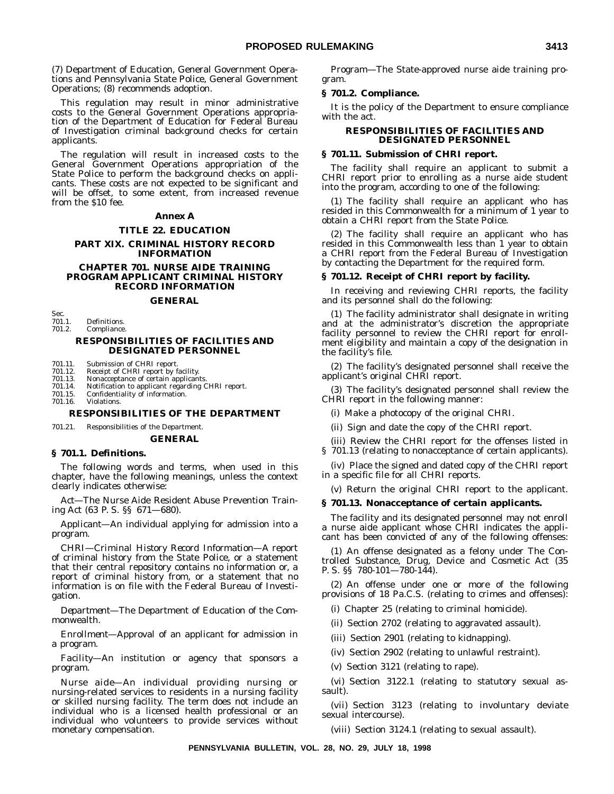(7) Department of Education, General Government Operations and Pennsylvania State Police, General Government Operations; (8) recommends adoption.

This regulation may result in minor administrative costs to the General Government Operations appropriation of the Department of Education for Federal Bureau of Investigation criminal background checks for certain applicants.

The regulation will result in increased costs to the General Government Operations appropriation of the State Police to perform the background checks on applicants. These costs are not expected to be significant and will be offset, to some extent, from increased revenue from the \$10 fee.

### **Annex A**

### **TITLE 22. EDUCATION**

### **PART XIX. CRIMINAL HISTORY RECORD INFORMATION**

### **CHAPTER 701. NURSE AIDE TRAINING PROGRAM APPLICANT CRIMINAL HISTORY RECORD INFORMATION**

#### **GENERAL**

Sec.<br>701.1. Definitions.

### 701.2. Compliance.

### **RESPONSIBILITIES OF FACILITIES AND DESIGNATED PERSONNEL**

701.11. Submission of CHRI report.<br>701.12. Receipt of CHRI report by f.

701.12. Receipt of CHRI report by facility. 701.13. Nonacceptance of certain applicants.

- 
- 701.14. Notification to applicant regarding CHRI report. 701.15. Confidentiality of information.<br>701.16. Violations.
- **Violations**

### **RESPONSIBILITIES OF THE DEPARTMENT**

701.21. Responsibilities of the Department.

### **GENERAL**

### **§ 701.1. Definitions.**

The following words and terms, when used in this chapter, have the following meanings, unless the context clearly indicates otherwise:

*Act*—The Nurse Aide Resident Abuse Prevention Training Act (63 P. S. §§ 671—680).

*Applicant*—An individual applying for admission into a program.

*CHRI—Criminal History Record Information*—A report of criminal history from the State Police, or a statement that their central repository contains no information or, a report of criminal history from, or a statement that no information is on file with the Federal Bureau of Investigation.

*Department*—The Department of Education of the Commonwealth.

*Enrollment*—Approval of an applicant for admission in a program.

*Facility*—An institution or agency that sponsors a program.

*Nurse aide*—An individual providing nursing or nursing-related services to residents in a nursing facility or skilled nursing facility. The term does not include an individual who is a licensed health professional or an individual who volunteers to provide services without monetary compensation.

*Program*—The State-approved nurse aide training program.

### **§ 701.2. Compliance.**

It is the policy of the Department to ensure compliance with the act.

### **RESPONSIBILITIES OF FACILITIES AND DESIGNATED PERSONNEL**

### **§ 701.11. Submission of CHRI report.**

The facility shall require an applicant to submit a CHRI report prior to enrolling as a nurse aide student into the program, according to one of the following:

(1) The facility shall require an applicant who has resided in this Commonwealth for a minimum of 1 year to obtain a CHRI report from the State Police.

(2) The facility shall require an applicant who has resided in this Commonwealth less than 1 year to obtain a CHRI report from the Federal Bureau of Investigation by contacting the Department for the required form.

### **§ 701.12. Receipt of CHRI report by facility.**

In receiving and reviewing CHRI reports, the facility and its personnel shall do the following:

(1) The facility administrator shall designate in writing and at the administrator's discretion the appropriate facility personnel to review the CHRI report for enrollment eligibility and maintain a copy of the designation in the facility's file.

(2) The facility's designated personnel shall receive the applicant's original CHRI report.

(3) The facility's designated personnel shall review the CHRI report in the following manner:

(i) Make a photocopy of the original CHRI.

(ii) Sign and date the copy of the CHRI report.

(iii) Review the CHRI report for the offenses listed in

§ 701.13 (relating to nonacceptance of certain applicants).

(iv) Place the signed and dated copy of the CHRI report in a specific file for all CHRI reports.

(v) Return the original CHRI report to the applicant.

### **§ 701.13. Nonacceptance of certain applicants.**

The facility and its designated personnel may not enroll a nurse aide applicant whose CHRI indicates the applicant has been convicted of any of the following offenses:

(1) An offense designated as a felony under The Controlled Substance, Drug, Device and Cosmetic Act (35 P. S. §§ 780-101—780-144).

(2) An offense under one or more of the following provisions of 18 Pa.C.S. (relating to crimes and offenses):

(i) Chapter 25 (relating to criminal homicide).

(ii) Section 2702 (relating to aggravated assault).

(iii) Section 2901 (relating to kidnapping).

(iv) Section 2902 (relating to unlawful restraint).

(v) Section 3121 (relating to rape).

(vi) Section 3122.1 (relating to statutory sexual assault).

(vii) Section 3123 (relating to involuntary deviate sexual intercourse).

(viii) Section 3124.1 (relating to sexual assault).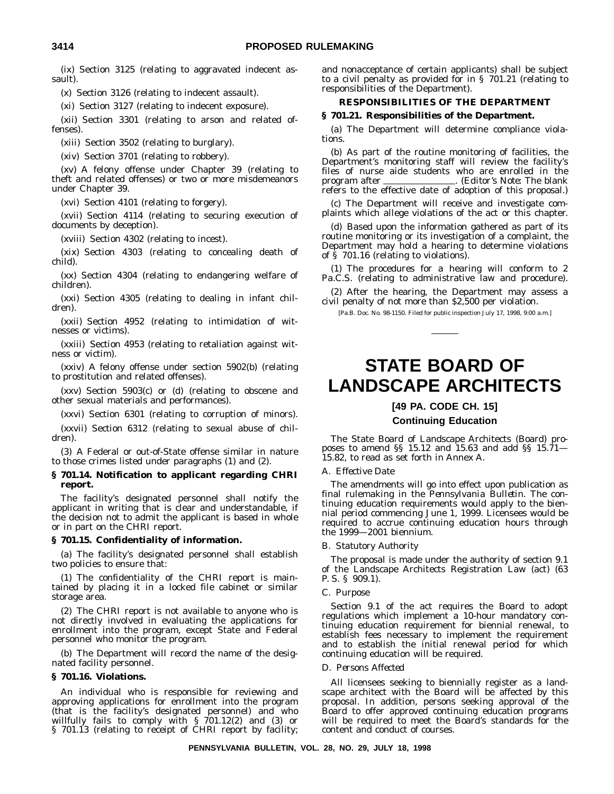(ix) Section 3125 (relating to aggravated indecent assault).

(x) Section 3126 (relating to indecent assault).

(xi) Section 3127 (relating to indecent exposure).

(xii) Section 3301 (relating to arson and related offenses).

(xiii) Section 3502 (relating to burglary).

(xiv) Section 3701 (relating to robbery).

(xv) A felony offense under Chapter 39 (relating to theft and related offenses) or two or more misdemeanors under Chapter 39.

(xvi) Section 4101 (relating to forgery).

(xvii) Section 4114 (relating to securing execution of documents by deception).

(xviii) Section 4302 (relating to incest).

(xix) Section 4303 (relating to concealing death of child).

(xx) Section 4304 (relating to endangering welfare of children).

(xxi) Section 4305 (relating to dealing in infant children).

(xxii) Section 4952 (relating to intimidation of witnesses or victims).

(xxiii) Section 4953 (relating to retaliation against witness or victim).

(xxiv) A felony offense under section 5902(b) (relating to prostitution and related offenses).

(xxv) Section 5903(c) or (d) (relating to obscene and other sexual materials and performances).

(xxvi) Section 6301 (relating to corruption of minors).

(xxvii) Section 6312 (relating to sexual abuse of children).

(3) A Federal or out-of-State offense similar in nature to those crimes listed under paragraphs (1) and (2).

### **§ 701.14. Notification to applicant regarding CHRI report.**

The facility's designated personnel shall notify the applicant in writing that is clear and understandable, if the decision not to admit the applicant is based in whole or in part on the CHRI report.

### **§ 701.15. Confidentiality of information.**

(a) The facility's designated personnel shall establish two policies to ensure that:

(1) The confidentiality of the CHRI report is maintained by placing it in a locked file cabinet or similar storage area.

(2) The CHRI report is not available to anyone who is not directly involved in evaluating the applications for enrollment into the program, except State and Federal personnel who monitor the program.

(b) The Department will record the name of the designated facility personnel.

### **§ 701.16. Violations.**

An individual who is responsible for reviewing and approving applications for enrollment into the program (that is the facility's designated personnel) and who willfully fails to comply with § 701.12(2) and (3) or § 701.13 (relating to receipt of CHRI report by facility; and nonacceptance of certain applicants) shall be subject to a civil penalty as provided for in § 701.21 (relating to responsibilities of the Department).

### **RESPONSIBILITIES OF THE DEPARTMENT**

### **§ 701.21. Responsibilities of the Department.**

(a) The Department will determine compliance violations.

(b) As part of the routine monitoring of facilities, the Department's monitoring staff will review the facility's files of nurse aide students who are enrolled in the program after . (*Editor's Note*: The blank refers to the effective date of adoption of this proposal.)

(c) The Department will receive and investigate complaints which allege violations of the act or this chapter.

(d) Based upon the information gathered as part of its routine monitoring or its investigation of a complaint, the Department may hold a hearing to determine violations of § 701.16 (relating to violations).

(1) The procedures for a hearing will conform to 2 Pa.C.S. (relating to administrative law and procedure).

(2) After the hearing, the Department may assess a civil penalty of not more than \$2,500 per violation.

[Pa.B. Doc. No. 98-1150. Filed for public inspection July 17, 1998, 9:00 a.m.]

## **STATE BOARD OF LANDSCAPE ARCHITECTS**

## **[49 PA. CODE CH. 15] Continuing Education**

The State Board of Landscape Architects (Board) proposes to amend §§ 15.12 and 15.63 and add §§ 15.71— 15.82, to read as set forth in Annex A.

### A. *Effective Date*

The amendments will go into effect upon publication as final rulemaking in the *Pennsylvania Bulletin*. The continuing education requirements would apply to the biennial period commencing June 1, 1999. Licensees would be required to accrue continuing education hours through the 1999—2001 biennium.

### B. *Statutory Authority*

The proposal is made under the authority of section 9.1 of the Landscape Architects Registration Law (act) (63 P. S. § 909.1).

## C. *Purpose*

Section 9.1 of the act requires the Board to adopt regulations which implement a 10-hour mandatory continuing education requirement for biennial renewal, to establish fees necessary to implement the requirement and to establish the initial renewal period for which continuing education will be required.

### D. *Persons Affected*

All licensees seeking to biennially register as a landscape architect with the Board will be affected by this proposal. In addition, persons seeking approval of the Board to offer approved continuing education programs will be required to meet the Board's standards for the content and conduct of courses.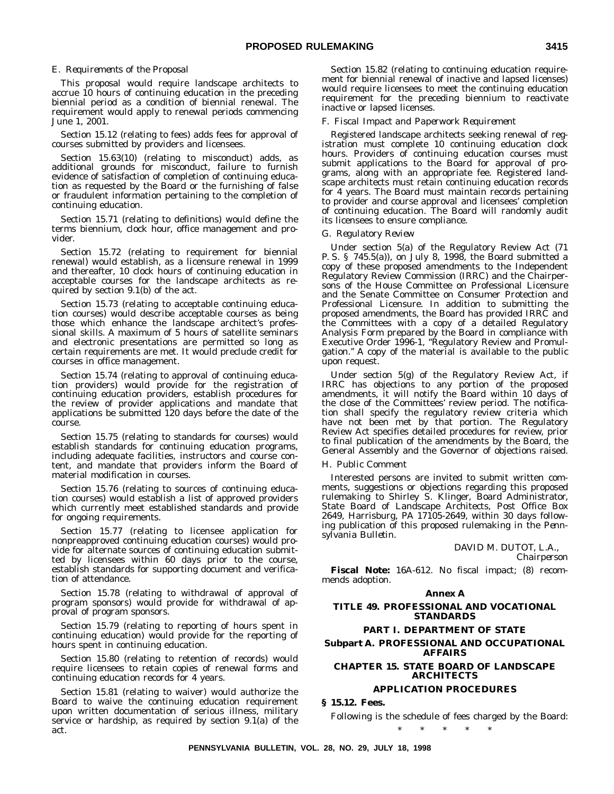### E. *Requirements of the Proposal*

This proposal would require landscape architects to accrue 10 hours of continuing education in the preceding biennial period as a condition of biennial renewal. The requirement would apply to renewal periods commencing June 1, 2001.

Section 15.12 (relating to fees) adds fees for approval of courses submitted by providers and licensees.

Section 15.63(10) (relating to misconduct) adds, as additional grounds for misconduct, failure to furnish evidence of satisfaction of completion of continuing education as requested by the Board or the furnishing of false or fraudulent information pertaining to the completion of continuing education.

Section 15.71 (relating to definitions) would define the terms biennium, clock hour, office management and provider.

Section 15.72 (relating to requirement for biennial renewal) would establish, as a licensure renewal in 1999 and thereafter, 10 clock hours of continuing education in acceptable courses for the landscape architects as required by section 9.1(b) of the act.

Section 15.73 (relating to acceptable continuing education courses) would describe acceptable courses as being those which enhance the landscape architect's professional skills. A maximum of 5 hours of satellite seminars and electronic presentations are permitted so long as certain requirements are met. It would preclude credit for courses in office management.

Section 15.74 (relating to approval of continuing education providers) would provide for the registration of continuing education providers, establish procedures for the review of provider applications and mandate that applications be submitted 120 days before the date of the course.

Section 15.75 (relating to standards for courses) would establish standards for continuing education programs, including adequate facilities, instructors and course content, and mandate that providers inform the Board of material modification in courses.

Section 15.76 (relating to sources of continuing education courses) would establish a list of approved providers which currently meet established standards and provide for ongoing requirements.

Section 15.77 (relating to licensee application for nonpreapproved continuing education courses) would provide for alternate sources of continuing education submitted by licensees within 60 days prior to the course, establish standards for supporting document and verification of attendance.

Section 15.78 (relating to withdrawal of approval of program sponsors) would provide for withdrawal of approval of program sponsors.

Section 15.79 (relating to reporting of hours spent in continuing education) would provide for the reporting of hours spent in continuing education.

Section 15.80 (relating to retention of records) would require licensees to retain copies of renewal forms and continuing education records for 4 years.

Section 15.81 (relating to waiver) would authorize the Board to waive the continuing education requirement upon written documentation of serious illness, military service or hardship, as required by section 9.1(a) of the act.

Section 15.82 (relating to continuing education requirement for biennial renewal of inactive and lapsed licenses) would require licensees to meet the continuing education requirement for the preceding biennium to reactivate inactive or lapsed licenses.

### F. *Fiscal Impact and Paperwork Requirement*

Registered landscape architects seeking renewal of registration must complete 10 continuing education clock hours. Providers of continuing education courses must submit applications to the Board for approval of programs, along with an appropriate fee. Registered landscape architects must retain continuing education records for 4 years. The Board must maintain records pertaining to provider and course approval and licensees' completion of continuing education. The Board will randomly audit its licensees to ensure compliance.

### G. *Regulatory Review*

Under section 5(a) of the Regulatory Review Act (71 P. S. § 745.5(a)), on July 8, 1998, the Board submitted a copy of these proposed amendments to the Independent Regulatory Review Commission (IRRC) and the Chairpersons of the House Committee on Professional Licensure and the Senate Committee on Consumer Protection and Professional Licensure. In addition to submitting the proposed amendments, the Board has provided IRRC and the Committees with a copy of a detailed Regulatory Analysis Form prepared by the Board in compliance with Executive Order 1996-1, "Regulatory Review and Promulgation.'' A copy of the material is available to the public upon request.

Under section 5(g) of the Regulatory Review Act, if IRRC has objections to any portion of the proposed amendments, it will notify the Board within 10 days of the close of the Committees' review period. The notification shall specify the regulatory review criteria which have not been met by that portion. The Regulatory Review Act specifies detailed procedures for review, prior to final publication of the amendments by the Board, the General Assembly and the Governor of objections raised.

#### H. *Public Comment*

Interested persons are invited to submit written comments, suggestions or objections regarding this proposed rulemaking to Shirley S. Klinger, Board Administrator, State Board of Landscape Architects, Post Office Box 2649, Harrisburg, PA 17105-2649, within 30 days following publication of this proposed rulemaking in the *Pennsylvania Bulletin*.

> DAVID M. DUTOT, L.A., *Chairperson*

**Fiscal Note:** 16A-612. No fiscal impact; (8) recommends adoption.

### **Annex A**

### **TITLE 49. PROFESSIONAL AND VOCATIONAL STANDARDS**

### **PART I. DEPARTMENT OF STATE**

### **Subpart A. PROFESSIONAL AND OCCUPATIONAL AFFAIRS**

## **CHAPTER 15. STATE BOARD OF LANDSCAPE ARCHITECTS**

## **APPLICATION PROCEDURES**

### **§ 15.12. Fees.**

Following is the schedule of fees charged by the Board: \*\*\*\*\*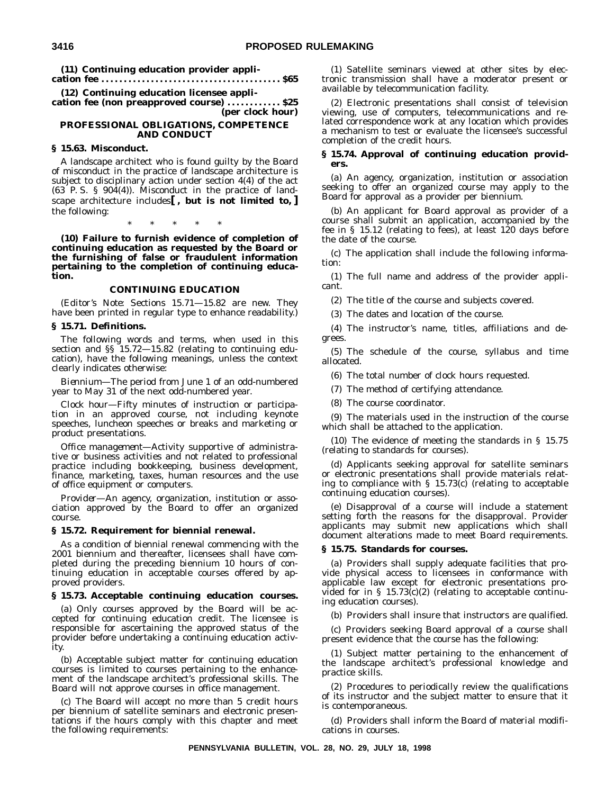**(11) Continuing education provider application fee . . . . . . . . . . . . . . . . . . . . . . . . . . . . . . . . . . . . . . . . \$65**

**(12) Continuing education licensee appli-**

**cation fee (non preapproved course) . . . . . . . . . . . . \$25 (per clock hour)**

### **PROFESSIONAL OBLIGATIONS, COMPETENCE AND CONDUCT**

### **§ 15.63. Misconduct.**

A landscape architect who is found guilty by the Board of misconduct in the practice of landscape architecture is subject to disciplinary action under section 4(4) of the act  $(63$  P.S. §  $904(4)$ ). Misconduct in the practice of landscape architecture includes**[ , but is not limited to, ]** the following:

\*\*\*\*\*

**(10) Failure to furnish evidence of completion of continuing education as requested by the Board or the furnishing of false or fraudulent information pertaining to the completion of continuing education.**

### **CONTINUING EDUCATION**

(*Editor's Note*: Sections 15.71—15.82 are new. They have been printed in regular type to enhance readability.)

## **§ 15.71. Definitions.**

The following words and terms, when used in this section and  $\S$ <sup>5</sup> 15.72-15.82 (relating to continuing education), have the following meanings, unless the context clearly indicates otherwise:

*Biennium*—The period from June 1 of an odd-numbered year to May 31 of the next odd-numbered year.

*Clock hour*—Fifty minutes of instruction or participation in an approved course, not including keynote speeches, luncheon speeches or breaks and marketing or product presentations.

*Office management*—Activity supportive of administrative or business activities and not related to professional practice including bookkeeping, business development, finance, marketing, taxes, human resources and the use of office equipment or computers.

*Provider*—An agency, organization, institution or association approved by the Board to offer an organized course.

### **§ 15.72. Requirement for biennial renewal.**

As a condition of biennial renewal commencing with the 2001 biennium and thereafter, licensees shall have completed during the preceding biennium 10 hours of continuing education in acceptable courses offered by approved providers.

### **§ 15.73. Acceptable continuing education courses.**

(a) Only courses approved by the Board will be accepted for continuing education credit. The licensee is responsible for ascertaining the approved status of the provider before undertaking a continuing education activity.

(b) Acceptable subject matter for continuing education courses is limited to courses pertaining to the enhancement of the landscape architect's professional skills. The Board will not approve courses in office management.

(c) The Board will accept no more than 5 credit hours per biennium of satellite seminars and electronic presentations if the hours comply with this chapter and meet the following requirements:

(1) Satellite seminars viewed at other sites by electronic transmission shall have a moderator present or available by telecommunication facility.

(2) Electronic presentations shall consist of television viewing, use of computers, telecommunications and related correspondence work at any location which provides a mechanism to test or evaluate the licensee's successful completion of the credit hours.

### **§ 15.74. Approval of continuing education providers.**

(a) An agency, organization, institution or association seeking to offer an organized course may apply to the Board for approval as a provider per biennium.

(b) An applicant for Board approval as provider of a course shall submit an application, accompanied by the fee in § 15.12 (relating to fees), at least 120 days before the date of the course.

(c) The application shall include the following information:

(1) The full name and address of the provider applicant.

(2) The title of the course and subjects covered.

(3) The dates and location of the course.

(4) The instructor's name, titles, affiliations and degrees.

(5) The schedule of the course, syllabus and time allocated.

(6) The total number of clock hours requested.

(7) The method of certifying attendance.

(8) The course coordinator.

(9) The materials used in the instruction of the course which shall be attached to the application.

(10) The evidence of meeting the standards in § 15.75 (relating to standards for courses).

(d) Applicants seeking approval for satellite seminars or electronic presentations shall provide materials relating to compliance with  $\S$  15.73(c) (relating to acceptable continuing education courses).

(e) Disapproval of a course will include a statement setting forth the reasons for the disapproval. Provider applicants may submit new applications which shall document alterations made to meet Board requirements.

### **§ 15.75. Standards for courses.**

(a) Providers shall supply adequate facilities that provide physical access to licensees in conformance with applicable law except for electronic presentations provided for in § 15.73(c)(2) (relating to acceptable continuing education courses).

(b) Providers shall insure that instructors are qualified.

(c) Providers seeking Board approval of a course shall present evidence that the course has the following:

(1) Subject matter pertaining to the enhancement of the landscape architect's professional knowledge and practice skills.

(2) Procedures to periodically review the qualifications of its instructor and the subject matter to ensure that it is contemporaneous.

(d) Providers shall inform the Board of material modifications in courses.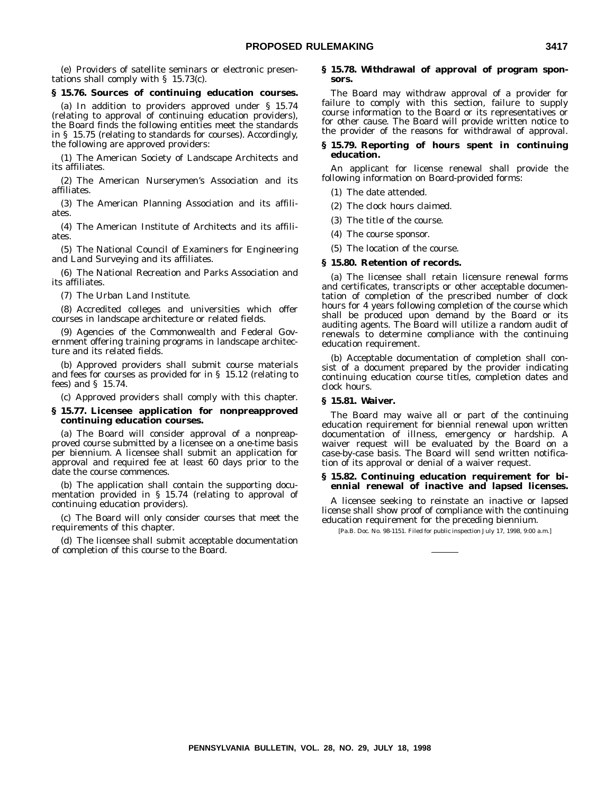(e) Providers of satellite seminars or electronic presentations shall comply with § 15.73(c).

### **§ 15.76. Sources of continuing education courses.**

(a) In addition to providers approved under § 15.74 (relating to approval of continuing education providers), the Board finds the following entities meet the standards in § 15.75 (relating to standards for courses). Accordingly, the following are approved providers:

(1) The American Society of Landscape Architects and its affiliates.

(2) The American Nurserymen's Association and its affiliates.

(3) The American Planning Association and its affiliates

(4) The American Institute of Architects and its affiliates.

(5) The National Council of Examiners for Engineering and Land Surveying and its affiliates.

(6) The National Recreation and Parks Association and its affiliates.

(7) The Urban Land Institute.

(8) Accredited colleges and universities which offer courses in landscape architecture or related fields.

(9) Agencies of the Commonwealth and Federal Government offering training programs in landscape architecture and its related fields.

(b) Approved providers shall submit course materials and fees for courses as provided for in § 15.12 (relating to fees) and § 15.74.

(c) Approved providers shall comply with this chapter.

### **§ 15.77. Licensee application for nonpreapproved continuing education courses.**

(a) The Board will consider approval of a nonpreapproved course submitted by a licensee on a one-time basis per biennium. A licensee shall submit an application for approval and required fee at least 60 days prior to the date the course commences.

(b) The application shall contain the supporting documentation provided in § 15.74 (relating to approval of continuing education providers).

(c) The Board will only consider courses that meet the requirements of this chapter.

(d) The licensee shall submit acceptable documentation of completion of this course to the Board.

### **§ 15.78. Withdrawal of approval of program sponsors.**

The Board may withdraw approval of a provider for failure to comply with this section, failure to supply course information to the Board or its representatives or for other cause. The Board will provide written notice to the provider of the reasons for withdrawal of approval.

### **§ 15.79. Reporting of hours spent in continuing education.**

An applicant for license renewal shall provide the following information on Board-provided forms:

(1) The date attended.

(2) The clock hours claimed.

(3) The title of the course.

(4) The course sponsor.

(5) The location of the course.

### **§ 15.80. Retention of records.**

(a) The licensee shall retain licensure renewal forms and certificates, transcripts or other acceptable documentation of completion of the prescribed number of clock hours for 4 years following completion of the course which shall be produced upon demand by the Board or its auditing agents. The Board will utilize a random audit of renewals to determine compliance with the continuing education requirement.

(b) Acceptable documentation of completion shall consist of a document prepared by the provider indicating continuing education course titles, completion dates and clock hours.

### **§ 15.81. Waiver.**

The Board may waive all or part of the continuing education requirement for biennial renewal upon written documentation of illness, emergency or hardship. A waiver request will be evaluated by the Board on a case-by-case basis. The Board will send written notification of its approval or denial of a waiver request.

### **§ 15.82. Continuing education requirement for biennial renewal of inactive and lapsed licenses.**

A licensee seeking to reinstate an inactive or lapsed license shall show proof of compliance with the continuing education requirement for the preceding biennium.

[Pa.B. Doc. No. 98-1151. Filed for public inspection July 17, 1998, 9:00 a.m.]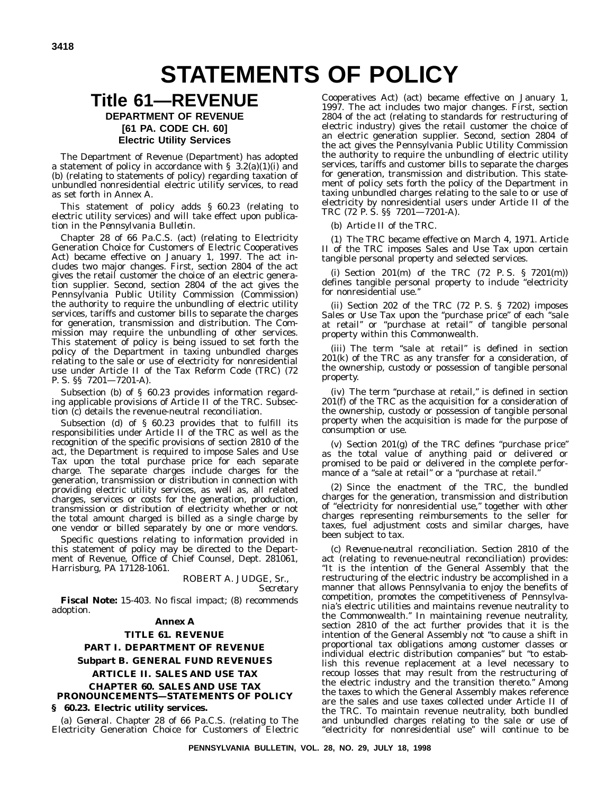# **STATEMENTS OF POLICY**

## **Title 61—REVENUE**

## **DEPARTMENT OF REVENUE [61 PA. CODE CH. 60] Electric Utility Services**

The Department of Revenue (Department) has adopted a statement of policy in accordance with §  $3.2(a)(1)(i)$  and (b) (relating to statements of policy) regarding taxation of unbundled nonresidential electric utility services, to read as set forth in Annex A.

This statement of policy adds § 60.23 (relating to electric utility services) and will take effect upon publication in the *Pennsylvania Bulletin*.

Chapter 28 of 66 Pa.C.S. (act) (relating to Electricity Generation Choice for Customers of Electric Cooperatives Act) became effective on January 1, 1997. The act includes two major changes. First, section 2804 of the act gives the retail customer the choice of an electric generation supplier. Second, section 2804 of the act gives the Pennsylvania Public Utility Commission (Commission) the authority to require the unbundling of electric utility services, tariffs and customer bills to separate the charges for generation, transmission and distribution. The Commission may require the unbundling of other services. This statement of policy is being issued to set forth the policy of the Department in taxing unbundled charges relating to the sale or use of electricity for nonresidential use under Article II of the Tax Reform Code (TRC) (72 P. S. §§ 7201—7201-A).

Subsection (b) of § 60.23 provides information regarding applicable provisions of Article II of the TRC. Subsection (c) details the revenue-neutral reconciliation.

Subsection (d) of § 60.23 provides that to fulfill its responsibilities under Article II of the TRC as well as the recognition of the specific provisions of section 2810 of the act, the Department is required to impose Sales and Use Tax upon the total purchase price for each separate charge. The separate charges include charges for the generation, transmission or distribution in connection with providing electric utility services, as well as, all related charges, services or costs for the generation, production, transmission or distribution of electricity whether or not the total amount charged is billed as a single charge by one vendor or billed separately by one or more vendors.

Specific questions relating to information provided in this statement of policy may be directed to the Department of Revenue, Office of Chief Counsel, Dept. 281061, Harrisburg, PA 17128-1061.

ROBERT A. JUDGE, Sr.,

*Secretary*

**Fiscal Note:** 15-403. No fiscal impact; (8) recommends adoption.

## **Annex A**

**TITLE 61. REVENUE PART I. DEPARTMENT OF REVENUE Subpart B. GENERAL FUND REVENUES ARTICLE II. SALES AND USE TAX**

**CHAPTER 60. SALES AND USE TAX PRONOUNCEMENTS—STATEMENTS OF POLICY**

### **§ 60.23. Electric utility services.**

(a) *General*. Chapter 28 of 66 Pa.C.S. (relating to The Electricity Generation Choice for Customers of Electric

Cooperatives Act) (act) became effective on January 1, 1997. The act includes two major changes. First, section 2804 of the act (relating to standards for restructuring of electric industry) gives the retail customer the choice of an electric generation supplier. Second, section 2804 of the act gives the Pennsylvania Public Utility Commission the authority to require the unbundling of electric utility services, tariffs and customer bills to separate the charges for generation, transmission and distribution. This statement of policy sets forth the policy of the Department in taxing unbundled charges relating to the sale to or use of electricity by nonresidential users under Article II of the TRC (72 P. S. §§ 7201—7201-A).

### (b) *Article II of the TRC*.

(1) The TRC became effective on March 4, 1971. Article II of the TRC imposes Sales and Use Tax upon certain tangible personal property and selected services.

(i) Section  $201(m)$  of the TRC  $(72 \text{ P. S. } § 7201(m))$ defines tangible personal property to include ''electricity for nonresidential use.''

(ii) Section 202 of the TRC (72 P. S. § 7202) imposes Sales or Use Tax upon the "purchase price" of each "sale at retail'' or ''purchase at retail'' of tangible personal property within this Commonwealth.

(iii) The term ''sale at retail'' is defined in section 201(k) of the TRC as any transfer for a consideration, of the ownership, custody or possession of tangible personal property.

(iv) The term ''purchase at retail,'' is defined in section  $201(f)$  of the TRC as the acquisition for a consideration of the ownership, custody or possession of tangible personal property when the acquisition is made for the purpose of consumption or use.

(v) Section 201(g) of the TRC defines ''purchase price'' as the total value of anything paid or delivered or promised to be paid or delivered in the complete performance of a "sale at retail" or a "purchase at retail.'

(2) Since the enactment of the TRC, the bundled charges for the generation, transmission and distribution of ''electricity for nonresidential use,'' together with other charges representing reimbursements to the seller for taxes, fuel adjustment costs and similar charges, have been subject to tax.

(c) *Revenue-neutral reconciliation*. Section 2810 of the act (relating to revenue-neutral reconciliation) provides: ''It is the intention of the General Assembly that the restructuring of the electric industry be accomplished in a manner that allows Pennsylvania to enjoy the benefits of competition, promotes the competitiveness of Pennsylvania's electric utilities and maintains revenue neutrality to the Commonwealth.'' In maintaining revenue neutrality, section 2810 of the act further provides that it is the intention of the General Assembly not ''to cause a shift in proportional tax obligations among customer classes or individual electric distribution companies'' but ''to establish this revenue replacement at a level necessary to recoup losses that may result from the restructuring of the electric industry and the transition thereto.'' Among the taxes to which the General Assembly makes reference are the sales and use taxes collected under Article II of the TRC. To maintain revenue neutrality, both bundled and unbundled charges relating to the sale or use of ''electricity for nonresidential use'' will continue to be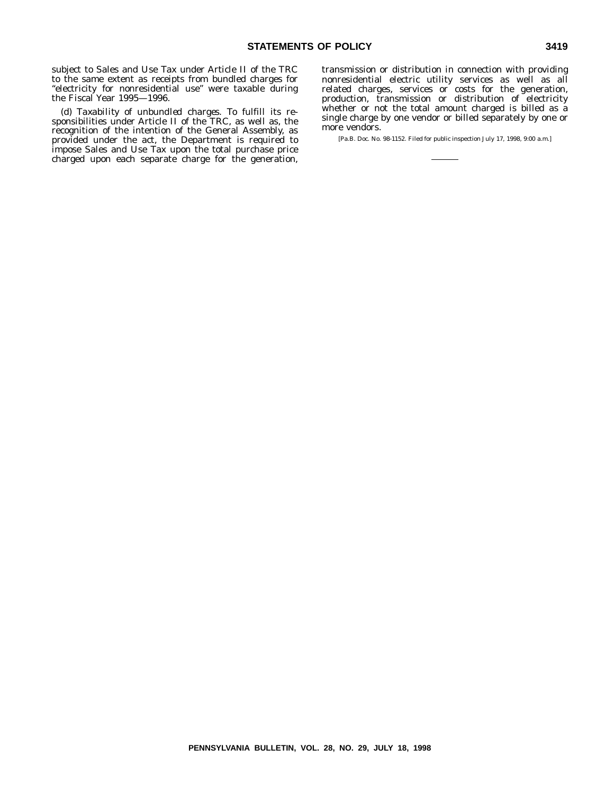subject to Sales and Use Tax under Article II of the TRC to the same extent as receipts from bundled charges for ''electricity for nonresidential use'' were taxable during the Fiscal Year 1995—1996.

(d) *Taxability of unbundled charges*. To fulfill its responsibilities under Article II of the TRC, as well as, the recognition of the intention of the General Assembly, as provided under the act, the Department is required to impose Sales and Use Tax upon the total purchase price charged upon each separate charge for the generation,

transmission or distribution in connection with providing nonresidential electric utility services as well as all related charges, services or costs for the generation, production, transmission or distribution of electricity whether or not the total amount charged is billed as a single charge by one vendor or billed separately by one or more vendors.

[Pa.B. Doc. No. 98-1152. Filed for public inspection July 17, 1998, 9:00 a.m.]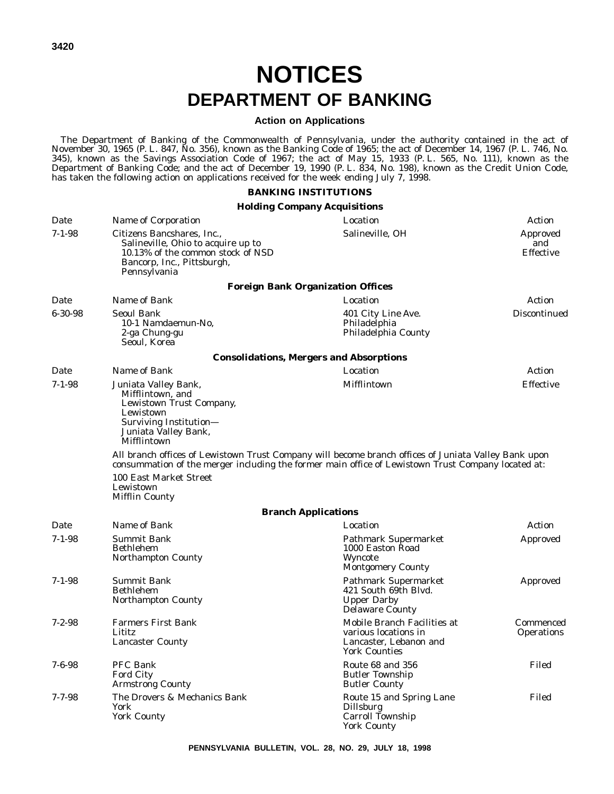# **NOTICES DEPARTMENT OF BANKING**

## **Action on Applications**

The Department of Banking of the Commonwealth of Pennsylvania, under the authority contained in the act of November 30, 1965 (P. L. 847, No. 356), known as the Banking Code of 1965; the act of December 14, 1967 (P. L. 746, No. 345), known as the Savings Association Code of 1967; the act of May 15, 1933 (P. L. 565, No. 111), known as the Department of Banking Code; and the act of December 19, 1990 (P. L. 834, No. 198), known as the Credit Union Code, has taken the following action on applications received for the week ending July 7, 1998.

## **BANKING INSTITUTIONS**

## **Holding Company Acquisitions**

| Date          | Name of Corporation                                                                                                                                                                                        | Location                                                                                              | Action                              |  |
|---------------|------------------------------------------------------------------------------------------------------------------------------------------------------------------------------------------------------------|-------------------------------------------------------------------------------------------------------|-------------------------------------|--|
| $7 - 1 - 98$  | Salineville, OH<br>Citizens Bancshares, Inc.,<br>Salineville, Ohio to acquire up to<br>10.13% of the common stock of NSD<br>Bancorp, Inc., Pittsburgh,<br>Pennsylvania                                     |                                                                                                       | Approved<br>and<br><b>Effective</b> |  |
|               |                                                                                                                                                                                                            | <b>Foreign Bank Organization Offices</b>                                                              |                                     |  |
| Date          | Name of Bank                                                                                                                                                                                               | Location                                                                                              | Action                              |  |
| $6 - 30 - 98$ | <b>Seoul Bank</b><br>10-1 Namdaemun-No.<br>2-ga Chung-gu<br>Seoul, Korea                                                                                                                                   | 401 City Line Ave.<br>Philadelphia<br>Philadelphia County                                             | Discontinued                        |  |
|               |                                                                                                                                                                                                            | <b>Consolidations, Mergers and Absorptions</b>                                                        |                                     |  |
| Date          | Name of Bank                                                                                                                                                                                               | Location                                                                                              | Action                              |  |
| $7 - 1 - 98$  | Juniata Valley Bank,<br>Mifflintown, and<br>Lewistown Trust Company,<br>Lewistown<br>Surviving Institution-<br>Juniata Valley Bank,<br>Mifflintown                                                         | Mifflintown                                                                                           | Effective                           |  |
|               | All branch offices of Lewistown Trust Company will become branch offices of Juniata Valley Bank upon<br>consummation of the merger including the former main office of Lewistown Trust Company located at: |                                                                                                       |                                     |  |
|               | 100 East Market Street<br>Lewistown<br><b>Mifflin County</b>                                                                                                                                               |                                                                                                       |                                     |  |
|               |                                                                                                                                                                                                            | <b>Branch Applications</b>                                                                            |                                     |  |
| Date          | Name of Bank                                                                                                                                                                                               | Location                                                                                              | Action                              |  |
| $7 - 1 - 98$  | <b>Summit Bank</b><br><b>Bethlehem</b><br><b>Northampton County</b>                                                                                                                                        | Pathmark Supermarket<br>1000 Easton Road<br>Wyncote<br><b>Montgomery County</b>                       | Approved                            |  |
| $7 - 1 - 98$  | <b>Summit Bank</b><br><b>Bethlehem</b><br>Northampton County                                                                                                                                               | <b>Pathmark Supermarket</b><br>421 South 69th Blvd.<br><b>Upper Darby</b><br><b>Delaware County</b>   | Approved                            |  |
| $7 - 2 - 98$  | <b>Farmers First Bank</b><br>Lititz<br><b>Lancaster County</b>                                                                                                                                             | Mobile Branch Facilities at<br>various locations in<br>Lancaster, Lebanon and<br><b>York Counties</b> | Commenced<br><b>Operations</b>      |  |
| $7 - 6 - 98$  | <b>PFC Bank</b><br>Ford City<br><b>Armstrong County</b>                                                                                                                                                    | Route 68 and 356<br><b>Butler Township</b><br><b>Butler County</b>                                    | Filed                               |  |
| $7 - 7 - 98$  | The Drovers & Mechanics Bank<br>York<br><b>York County</b>                                                                                                                                                 | Route 15 and Spring Lane<br><b>Dillsburg</b><br>Carroll Township<br><b>York County</b>                | Filed                               |  |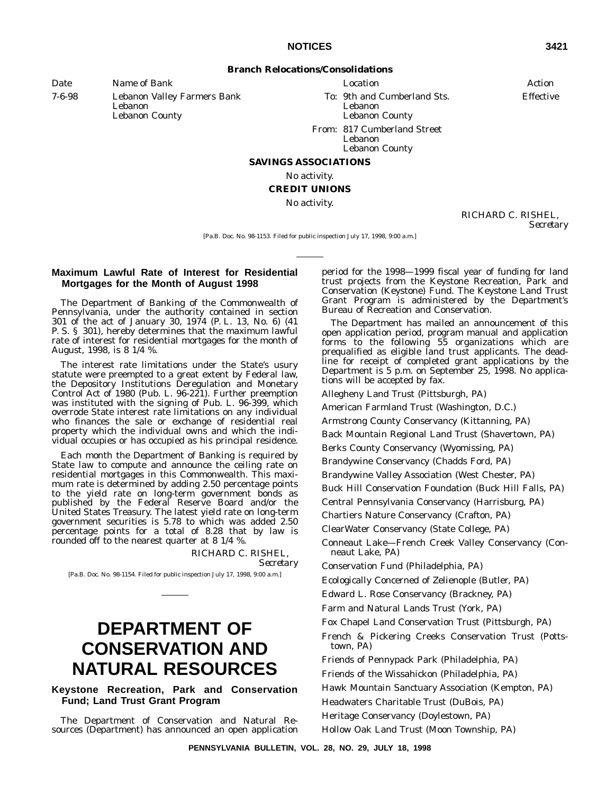**Branch Relocations/Consolidations**

*Date Name of Bank Location Action*

7-6-98 Lebanon Valley Farmers Bank Lebanon Lebanon County

*To*: 9th and Cumberland Sts. Lebanon

Effective

Lebanon County *From*: 817 Cumberland Street

Lebanon Lebanon County

### **SAVINGS ASSOCIATIONS**

No activity.

## **CREDIT UNIONS**

No activity.

RICHARD C. RISHEL, *Secretary*

[Pa.B. Doc. No. 98-1153. Filed for public inspection July 17, 1998, 9:00 a.m.]

## **Maximum Lawful Rate of Interest for Residential Mortgages for the Month of August 1998**

The Department of Banking of the Commonwealth of Pennsylvania, under the authority contained in section 301 of the act of January 30, 1974 (P. L. 13, No. 6) (41 P. S. § 301), hereby determines that the maximum lawful rate of interest for residential mortgages for the month of August, 1998, is 8 1/4 %.

The interest rate limitations under the State's usury statute were preempted to a great extent by Federal law, the Depository Institutions Deregulation and Monetary Control Act of 1980 (Pub. L. 96-221). Further preemption was instituted with the signing of Pub. L. 96-399, which overrode State interest rate limitations on any individual who finances the sale or exchange of residential real property which the individual owns and which the individual occupies or has occupied as his principal residence.

Each month the Department of Banking is required by State law to compute and announce the ceiling rate on residential mortgages in this Commonwealth. This maximum rate is determined by adding 2.50 percentage points to the yield rate on long-term government bonds as published by the Federal Reserve Board and/or the United States Treasury. The latest yield rate on long-term government securities is 5.78 to which was added 2.50 percentage points for a total of 8.28 that by law is rounded off to the nearest quarter at 8 1/4 %.

> RICHARD C. RISHEL, *Secretary*

[Pa.B. Doc. No. 98-1154. Filed for public inspection July 17, 1998, 9:00 a.m.]

## **DEPARTMENT OF CONSERVATION AND NATURAL RESOURCES**

## **Keystone Recreation, Park and Conservation Fund; Land Trust Grant Program**

The Department of Conservation and Natural Resources (Department) has announced an open application period for the 1998—1999 fiscal year of funding for land trust projects from the Keystone Recreation, Park and Conservation (Keystone) Fund. The Keystone Land Trust Grant Program is administered by the Department's Bureau of Recreation and Conservation.

The Department has mailed an announcement of this open application period, program manual and application forms to the following 55 organizations which are prequalified as eligible land trust applicants. The deadline for receipt of completed grant applications by the Department is 5 p.m. on September 25, 1998. No applications will be accepted by fax.

Allegheny Land Trust (Pittsburgh, PA)

American Farmland Trust (Washington, D.C.)

Armstrong County Conservancy (Kittanning, PA)

Back Mountain Regional Land Trust (Shavertown, PA)

Berks County Conservancy (Wyomissing, PA)

Brandywine Conservancy (Chadds Ford, PA)

Brandywine Valley Association (West Chester, PA)

Buck Hill Conservation Foundation (Buck Hill Falls, PA)

Central Pennsylvania Conservancy (Harrisburg, PA)

Chartiers Nature Conservancy (Crafton, PA)

ClearWater Conservancy (State College, PA)

Conneaut Lake—French Creek Valley Conservancy (Conneaut Lake, PA)

Conservation Fund (Philadelphia, PA)

Ecologically Concerned of Zelienople (Butler, PA)

Edward L. Rose Conservancy (Brackney, PA)

Farm and Natural Lands Trust (York, PA)

Fox Chapel Land Conservation Trust (Pittsburgh, PA)

French & Pickering Creeks Conservation Trust (Pottstown, PA)

Friends of Pennypack Park (Philadelphia, PA)

Friends of the Wissahickon (Philadelphia, PA)

Hawk Mountain Sanctuary Association (Kempton, PA)

Headwaters Charitable Trust (DuBois, PA)

Heritage Conservancy (Doylestown, PA)

Hollow Oak Land Trust (Moon Township, PA)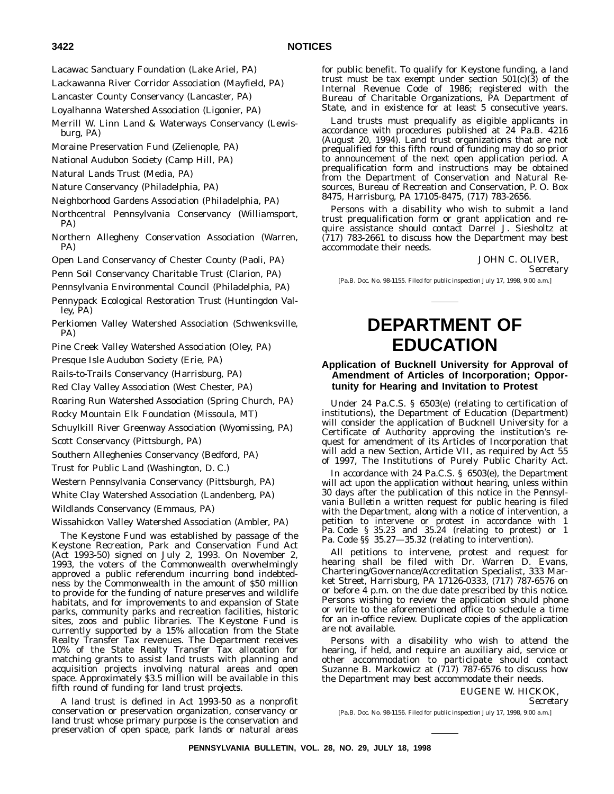Lacawac Sanctuary Foundation (Lake Ariel, PA)

Lackawanna River Corridor Association (Mayfield, PA)

Lancaster County Conservancy (Lancaster, PA)

Loyalhanna Watershed Association (Ligonier, PA)

- Merrill W. Linn Land & Waterways Conservancy (Lewisburg, PA)
- Moraine Preservation Fund (Zelienople, PA)

National Audubon Society (Camp Hill, PA)

- Natural Lands Trust (Media, PA)
- Nature Conservancy (Philadelphia, PA)

Neighborhood Gardens Association (Philadelphia, PA)

- Northcentral Pennsylvania Conservancy (Williamsport, PA)
- Northern Allegheny Conservation Association (Warren, PA)
- Open Land Conservancy of Chester County (Paoli, PA)
- Penn Soil Conservancy Charitable Trust (Clarion, PA)
- Pennsylvania Environmental Council (Philadelphia, PA)
- Pennypack Ecological Restoration Trust (Huntingdon Valley, PA)
- Perkiomen Valley Watershed Association (Schwenksville, PA)
- Pine Creek Valley Watershed Association (Oley, PA)
- Presque Isle Audubon Society (Erie, PA)
- Rails-to-Trails Conservancy (Harrisburg, PA)
- Red Clay Valley Association (West Chester, PA)
- Roaring Run Watershed Association (Spring Church, PA)
- Rocky Mountain Elk Foundation (Missoula, MT)

Schuylkill River Greenway Association (Wyomissing, PA)

- Scott Conservancy (Pittsburgh, PA)
- Southern Alleghenies Conservancy (Bedford, PA)
- Trust for Public Land (Washington, D. C.)
- Western Pennsylvania Conservancy (Pittsburgh, PA)

White Clay Watershed Association (Landenberg, PA)

Wildlands Conservancy (Emmaus, PA)

Wissahickon Valley Watershed Association (Ambler, PA)

The Keystone Fund was established by passage of the Keystone Recreation, Park and Conservation Fund Act (Act 1993-50) signed on July 2, 1993. On November 2, 1993, the voters of the Commonwealth overwhelmingly approved a public referendum incurring bond indebtedness by the Commonwealth in the amount of \$50 million to provide for the funding of nature preserves and wildlife habitats, and for improvements to and expansion of State parks, community parks and recreation facilities, historic sites, zoos and public libraries. The Keystone Fund is currently supported by a 15% allocation from the State Realty Transfer Tax revenues. The Department receives 10% of the State Realty Transfer Tax allocation for matching grants to assist land trusts with planning and acquisition projects involving natural areas and open space. Approximately \$3.5 million will be available in this fifth round of funding for land trust projects.

A land trust is defined in Act 1993-50 as a nonprofit conservation or preservation organization, conservancy or land trust whose primary purpose is the conservation and preservation of open space, park lands or natural areas

for public benefit. To qualify for Keystone funding, a land trust must be tax exempt under section  $501(c)(3)$  of the Internal Revenue Code of 1986; registered with the Bureau of Charitable Organizations, PA Department of State, and in existence for at least 5 consecutive years.

Land trusts must prequalify as eligible applicants in accordance with procedures published at 24 Pa.B. 4216 (August 20, 1994). Land trust organizations that are not prequalified for this fifth round of funding may do so prior to announcement of the next open application period. A prequalification form and instructions may be obtained from the Department of Conservation and Natural Resources, Bureau of Recreation and Conservation, P. O. Box 8475, Harrisburg, PA 17105-8475, (717) 783-2656.

Persons with a disability who wish to submit a land trust prequalification form or grant application and require assistance should contact Darrel J. Siesholtz at (717) 783-2661 to discuss how the Department may best accommodate their needs.

JOHN C. OLIVER,

*Secretary*

[Pa.B. Doc. No. 98-1155. Filed for public inspection July 17, 1998, 9:00 a.m.]

## **DEPARTMENT OF EDUCATION**

## **Application of Bucknell University for Approval of Amendment of Articles of Incorporation; Opportunity for Hearing and Invitation to Protest**

Under 24 Pa.C.S. § 6503(e) (relating to certification of institutions), the Department of Education (Department) will consider the application of Bucknell University for a Certificate of Authority approving the institution's request for amendment of its Articles of Incorporation that will add a new Section, Article VII, as required by Act 55 of 1997, The Institutions of Purely Public Charity Act.

In accordance with 24 Pa.C.S. § 6503(e), the Department will act upon the application without hearing, unless within 30 days after the publication of this notice in the *Pennsylvania Bulletin* a written request for public hearing is filed with the Department, along with a notice of intervention, a petition to intervene or protest in accordance with 1 Pa. Code § 35.23 and 35.24 (relating to protest) or 1 Pa. Code §§ 35.27—35.32 (relating to intervention).

All petitions to intervene, protest and request for hearing shall be filed with Dr. Warren D. Evans, Chartering/Governance/Accreditation Specialist, 333 Market Street, Harrisburg, PA 17126-0333, (717) 787-6576 on or before 4 p.m. on the due date prescribed by this notice. Persons wishing to review the application should phone or write to the aforementioned office to schedule a time for an in-office review. Duplicate copies of the application are not available.

Persons with a disability who wish to attend the hearing, if held, and require an auxiliary aid, service or other accommodation to participate should contact Suzanne B. Markowicz at  $(717)$  787-6576 to discuss how the Department may best accommodate their needs.

EUGENE W. HICKOK,

*Secretary*

[Pa.B. Doc. No. 98-1156. Filed for public inspection July 17, 1998, 9:00 a.m.]

**PENNSYLVANIA BULLETIN, VOL. 28, NO. 29, JULY 18, 1998**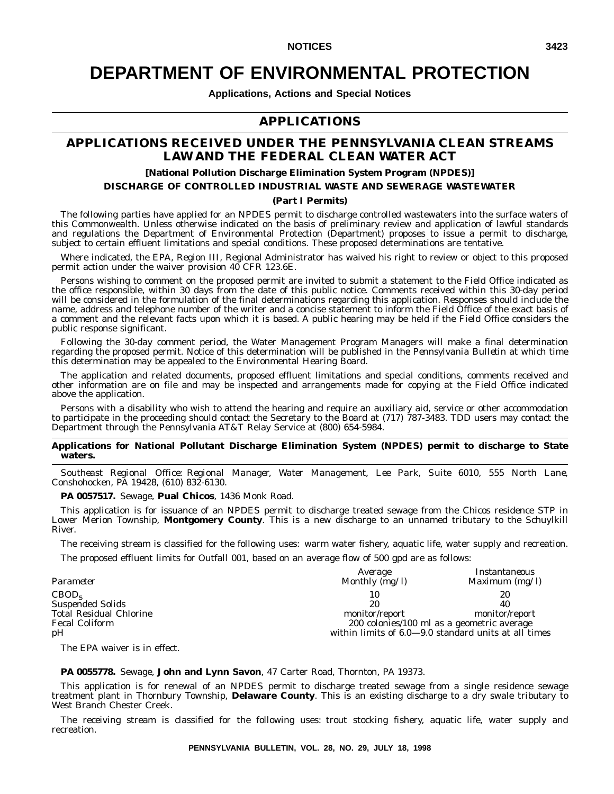## **DEPARTMENT OF ENVIRONMENTAL PROTECTION**

**Applications, Actions and Special Notices**

## **APPLICATIONS**

## **APPLICATIONS RECEIVED UNDER THE PENNSYLVANIA CLEAN STREAMS LAW AND THE FEDERAL CLEAN WATER ACT**

### **[National Pollution Discharge Elimination System Program (NPDES)]**

## **DISCHARGE OF CONTROLLED INDUSTRIAL WASTE AND SEWERAGE WASTEWATER**

### **(Part I Permits)**

The following parties have applied for an NPDES permit to discharge controlled wastewaters into the surface waters of this Commonwealth. Unless otherwise indicated on the basis of preliminary review and application of lawful standards and regulations the Department of Environmental Protection (Department) proposes to issue a permit to discharge, subject to certain effluent limitations and special conditions. These proposed determinations are tentative.

Where indicated, the EPA, Region III, Regional Administrator has waived his right to review or object to this proposed permit action under the waiver provision 40 CFR 123.6E.

Persons wishing to comment on the proposed permit are invited to submit a statement to the Field Office indicated as the office responsible, within 30 days from the date of this public notice. Comments received within this 30-day period will be considered in the formulation of the final determinations regarding this application. Responses should include the name, address and telephone number of the writer and a concise statement to inform the Field Office of the exact basis of a comment and the relevant facts upon which it is based. A public hearing may be held if the Field Office considers the public response significant.

Following the 30-day comment period, the Water Management Program Managers will make a final determination regarding the proposed permit. Notice of this determination will be published in the *Pennsylvania Bulletin* at which time this determination may be appealed to the Environmental Hearing Board.

The application and related documents, proposed effluent limitations and special conditions, comments received and other information are on file and may be inspected and arrangements made for copying at the Field Office indicated above the application.

Persons with a disability who wish to attend the hearing and require an auxiliary aid, service or other accommodation to participate in the proceeding should contact the Secretary to the Board at (717) 787-3483. TDD users may contact the Department through the Pennsylvania AT&T Relay Service at (800) 654-5984.

### **Applications for National Pollutant Discharge Elimination System (NPDES) permit to discharge to State waters.**

*Southeast Regional Office: Regional Manager, Water Management, Lee Park, Suite 6010, 555 North Lane, Conshohocken, PA 19428, (610) 832-6130.*

**PA 0057517.** Sewage, **Pual Chicos**, 1436 Monk Road.

This application is for issuance of an NPDES permit to discharge treated sewage from the Chicos residence STP in Lower Merion Township, **Montgomery County**. This is a new discharge to an unnamed tributary to the Schuylkill River.

The receiving stream is classified for the following uses: warm water fishery, aquatic life, water supply and recreation.

The proposed effluent limits for Outfall 001, based on an average flow of 500 gpd are as follows:

| Parameter                                                                                                     | Average<br>Monthly $\bar{m}g/I$                                                                                                  | Instantaneous<br>Maximum $(mg/l)$ |
|---------------------------------------------------------------------------------------------------------------|----------------------------------------------------------------------------------------------------------------------------------|-----------------------------------|
| CBOD <sub>5</sub><br><b>Suspended Solids</b><br><b>Total Residual Chlorine</b><br><b>Fecal Coliform</b><br>pH | 10<br>20<br>monitor/report<br>200 colonies/100 ml as a geometric average<br>within limits of 6.0-9.0 standard units at all times | 20<br>40<br>monitor/report        |

The EPA waiver is in effect.

### **PA 0055778.** Sewage, **John and Lynn Savon**, 47 Carter Road, Thornton, PA 19373.

This application is for renewal of an NPDES permit to discharge treated sewage from a single residence sewage treatment plant in Thornbury Township, **Delaware County**. This is an existing discharge to a dry swale tributary to West Branch Chester Creek.

The receiving stream is classified for the following uses: trout stocking fishery, aquatic life, water supply and recreation.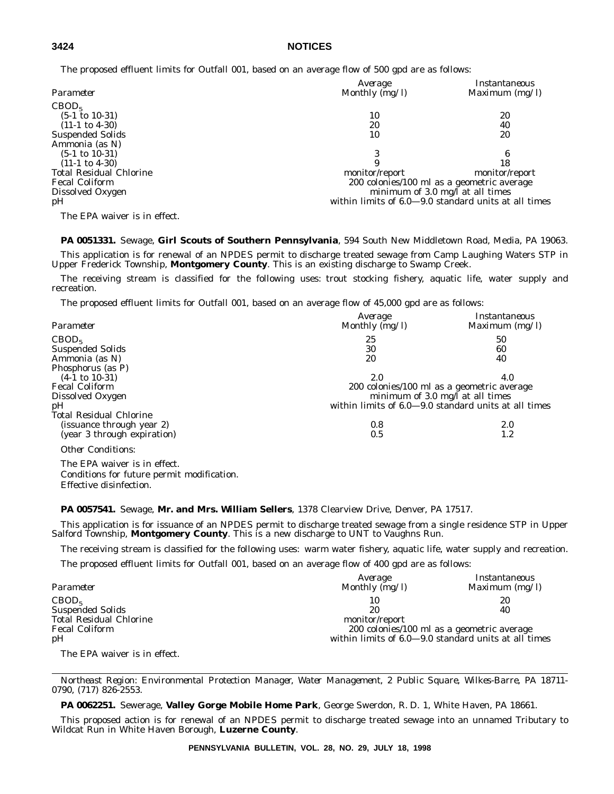## **3424 NOTICES**

The proposed effluent limits for Outfall 001, based on an average flow of 500 gpd are as follows:

| Parameter                      | Average<br>Monthly $\overline{(mg/l)}$               | Instantaneous<br>Maximum $(mg/l)$          |  |
|--------------------------------|------------------------------------------------------|--------------------------------------------|--|
|                                |                                                      |                                            |  |
| CBOD <sub>5</sub>              |                                                      |                                            |  |
| $(5-1 \text{ to } 10-31)$      | 10                                                   | 20                                         |  |
| $(11-1 \text{ to } 4-30)$      | 20                                                   | 40                                         |  |
| <b>Suspended Solids</b>        | 10                                                   | 20                                         |  |
| Ammonia (as N)                 |                                                      |                                            |  |
| $(5-1 \text{ to } 10-31)$      |                                                      |                                            |  |
| $(11-1 \text{ to } 4-30)$      |                                                      | 18                                         |  |
| <b>Total Residual Chlorine</b> | monitor/report                                       | monitor/report                             |  |
| <b>Fecal Coliform</b>          |                                                      | 200 colonies/100 ml as a geometric average |  |
| Dissolved Oxygen               | minimum of $3.0 \text{ mg/l}$ at all times           |                                            |  |
| pH                             | within limits of 6.0-9.0 standard units at all times |                                            |  |
| $\mathbf{m}$                   |                                                      |                                            |  |

The EPA waiver is in effect.

**PA 0051331.** Sewage, **Girl Scouts of Southern Pennsylvania**, 594 South New Middletown Road, Media, PA 19063. This application is for renewal of an NPDES permit to discharge treated sewage from Camp Laughing Waters STP in

Upper Frederick Township, **Montgomery County**. This is an existing discharge to Swamp Creek.

The receiving stream is classified for the following uses: trout stocking fishery, aquatic life, water supply and recreation.

The proposed effluent limits for Outfall 001, based on an average flow of 45,000 gpd are as follows:

| Parameter                      | Average<br>Monthly (mg/l) | Instantaneous<br>Maximum $(mg/l)$                    |
|--------------------------------|---------------------------|------------------------------------------------------|
| CBOD <sub>5</sub>              | 25                        | 50                                                   |
| <b>Suspended Solids</b>        | 30                        | 60                                                   |
| Ammonia (as N)                 | 20                        | 40                                                   |
| Phosphorus (as P)              |                           |                                                      |
| $(4-1 \text{ to } 10-31)$      | 2.0                       | 4.0                                                  |
| <b>Fecal Coliform</b>          |                           | 200 colonies/100 ml as a geometric average           |
| Dissolved Oxygen               |                           | minimum of $3.0 \text{ mg/l}$ at all times           |
| pH                             |                           | within limits of 6.0–9.0 standard units at all times |
| <b>Total Residual Chlorine</b> |                           |                                                      |
| (issuance through year 2)      | 0.8                       | 2.0                                                  |
| (year 3 through expiration)    | 0.5                       | 1.2                                                  |
| <b>Other Conditions:</b>       |                           |                                                      |
| The EDA weiver is in effect    |                           |                                                      |

The EPA waiver is in effect. Conditions for future permit modification. Effective disinfection.

### **PA 0057541.** Sewage, **Mr. and Mrs. William Sellers**, 1378 Clearview Drive, Denver, PA 17517.

This application is for issuance of an NPDES permit to discharge treated sewage from a single residence STP in Upper Salford Township, **Montgomery County**. This is a new discharge to UNT to Vaughns Run.

The receiving stream is classified for the following uses: warm water fishery, aquatic life, water supply and recreation.

The proposed effluent limits for Outfall 001, based on an average flow of 400 gpd are as follows:

| Parameter                      | Average<br>Monthly $(mg/l)$ | Instantaneous<br>Maximum $(mg/l)$                      |
|--------------------------------|-----------------------------|--------------------------------------------------------|
| CBOD <sub>5</sub>              | 10                          | 20                                                     |
| <b>Suspended Solids</b>        | 20                          | 40                                                     |
| <b>Total Residual Chlorine</b> | monitor/report              |                                                        |
| <b>Fecal Coliform</b>          |                             | 200 colonies/100 ml as a geometric average             |
| pH                             |                             | within limits of $6.0-9.0$ standard units at all times |
| The EPA waiver is in effect.   |                             |                                                        |

*Northeast Region: Environmental Protection Manager, Water Management, 2 Public Square, Wilkes-Barre, PA 18711- 0790, (717) 826-2553.*

**PA 0062251.** Sewerage, **Valley Gorge Mobile Home Park**, George Swerdon, R. D. 1, White Haven, PA 18661.

This proposed action is for renewal of an NPDES permit to discharge treated sewage into an unnamed Tributary to Wildcat Run in White Haven Borough, **Luzerne County**.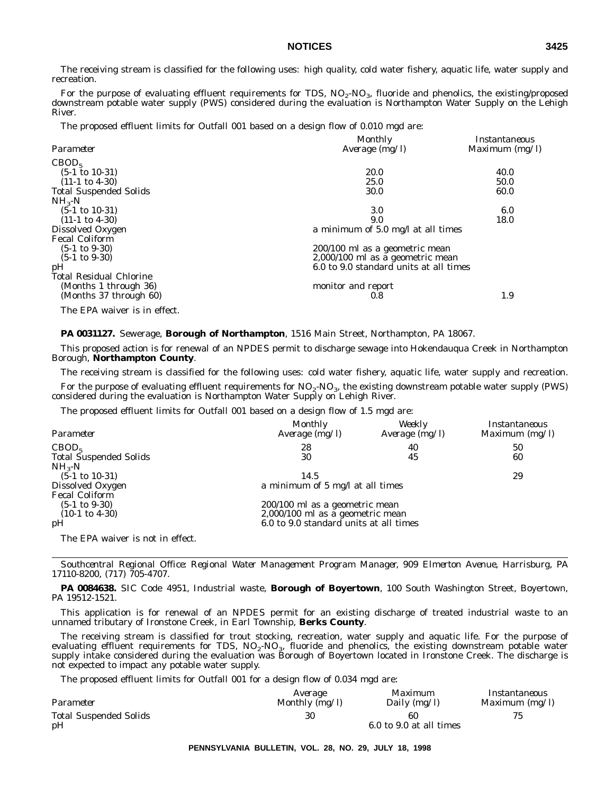The receiving stream is classified for the following uses: high quality, cold water fishery, aquatic life, water supply and recreation.

For the purpose of evaluating effluent requirements for TDS,  $NO_2$ - $NO_3$ , fluoride and phenolics, the existing/proposed downstream potable water supply (PWS) considered during the evaluation is Northampton Water Supply on the Lehigh River.

The proposed effluent limits for Outfall 001 based on a design flow of 0.010 mgd are:

|                                | <b>Monthly</b>                         | Instantaneous    |
|--------------------------------|----------------------------------------|------------------|
| Parameter                      | Average $(mg/l)$                       | Maximum $(mg/l)$ |
| CBOD <sub>5</sub>              |                                        |                  |
| $(5-1 \text{ to } 10-31)$      | <b>20.0</b>                            | 40.0             |
| $(11-1 \text{ to } 4-30)$      | 25.0                                   | 50.0             |
| <b>Total Suspended Solids</b>  | 30.0                                   | 60.0             |
| $NH_{3}-N$                     |                                        |                  |
| $(5-1 \text{ to } 10-31)$      | 3.0                                    | 6.0              |
| $(11-1 \text{ to } 4-30)$      | 9.0                                    | 18.0             |
| Dissolved Oxygen               | a minimum of 5.0 mg/l at all times     |                  |
| <b>Fecal Coliform</b>          |                                        |                  |
| $(5-1 \text{ to } 9-30)$       | 200/100 ml as a geometric mean         |                  |
| $(5-1 \text{ to } 9-30)$       | 2,000/100 ml as a geometric mean       |                  |
| pH                             | 6.0 to 9.0 standard units at all times |                  |
| <b>Total Residual Chlorine</b> |                                        |                  |
| (Months 1 through 36)          | monitor and report                     |                  |
| (Months 37 through 60)         | 0.8                                    | 1.9              |
| The EPA waiver is in effect.   |                                        |                  |

**PA 0031127.** Sewerage, **Borough of Northampton**, 1516 Main Street, Northampton, PA 18067.

This proposed action is for renewal of an NPDES permit to discharge sewage into Hokendauqua Creek in Northampton Borough, **Northampton County**.

The receiving stream is classified for the following uses: cold water fishery, aquatic life, water supply and recreation.

For the purpose of evaluating effluent requirements for  $NO<sub>2</sub>-NO<sub>3</sub>$ , the existing downstream potable water supply (PWS) considered during the evaluation is Northampton Water Supply on Lehigh River.

The proposed effluent limits for Outfall 001 based on a design flow of 1.5 mgd are:

| Parameter                        | Monthly<br>Average $(mg/l)$            | Weekly<br>Average $(mg/l)$ | Instantaneous<br>Maximum $(mg/l)$ |
|----------------------------------|----------------------------------------|----------------------------|-----------------------------------|
| CBOD <sub>5</sub>                | 28                                     | 40                         | 50                                |
| <b>Total Suspended Solids</b>    | 30                                     | 45                         | 60                                |
| $NH_{3}-N$                       |                                        |                            |                                   |
| $(5-1 \text{ to } 10-31)$        | 14.5                                   |                            | 29                                |
| Dissolved Oxygen                 | a minimum of 5 mg/l at all times       |                            |                                   |
| <b>Fecal Coliform</b>            |                                        |                            |                                   |
| $(5-1 \text{ to } 9-30)$         | $200/100$ ml as a geometric mean       |                            |                                   |
| $(10-1 \text{ to } 4-30)$        | 2,000/100 ml as a geometric mean       |                            |                                   |
| pH                               | 6.0 to 9.0 standard units at all times |                            |                                   |
| The EPA waiver is not in effect. |                                        |                            |                                   |

*Southcentral Regional Office: Regional Water Management Program Manager, 909 Elmerton Avenue, Harrisburg, PA 17110-8200, (717) 705-4707.*

**PA 0084638.** SIC Code 4951, Industrial waste, **Borough of Boyertown**, 100 South Washington Street, Boyertown, PA 19512-1521.

This application is for renewal of an NPDES permit for an existing discharge of treated industrial waste to an unnamed tributary of Ironstone Creek, in Earl Township, **Berks County**.

The receiving stream is classified for trout stocking, recreation, water supply and aquatic life. For the purpose of evaluating effluent requirements for TDS,  $NO_2\text{-}NO_3$ , fluoride and phenolics, the existing downstream potable water supply intake considered during the evaluation was Borough of Boyertown located in Ironstone Creek. The discharge is not expected to impact any potable water supply.

The proposed effluent limits for Outfall 001 for a design flow of 0.034 mgd are:

|                               | Average        | Maximum                 | Instantaneous    |
|-------------------------------|----------------|-------------------------|------------------|
| Parameter                     | Monthly (mg/l) | Daily (mg/l)            | Maximum $(mg/l)$ |
| <b>Total Suspended Solids</b> | 30             | 60                      |                  |
| pH                            |                | 6.0 to 9.0 at all times |                  |

**PENNSYLVANIA BULLETIN, VOL. 28, NO. 29, JULY 18, 1998**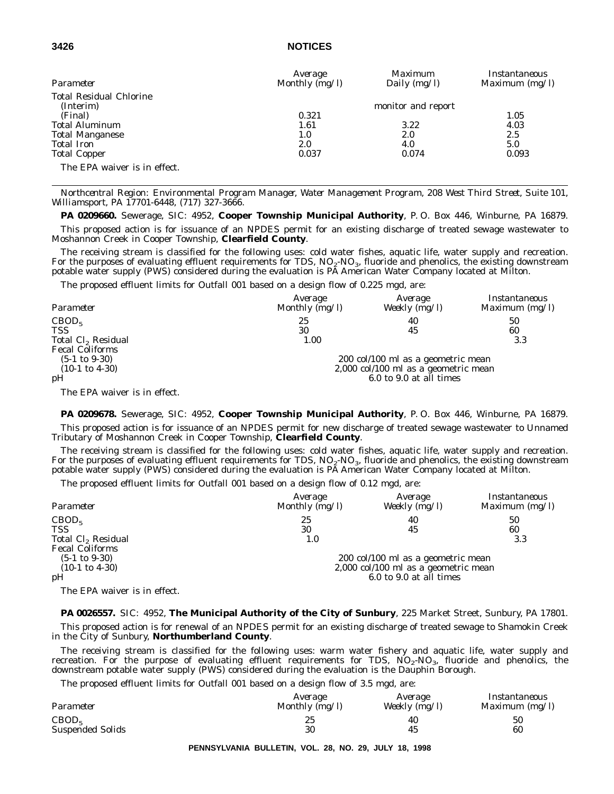## **3426 NOTICES**

| Parameter                      | Average<br>Monthly $(mg/l)$ | Maximum<br>Daily $(mg/l)$ | Instantaneous<br>Maximum $(mg/l)$ |
|--------------------------------|-----------------------------|---------------------------|-----------------------------------|
| <b>Total Residual Chlorine</b> |                             |                           |                                   |
| (Interim)                      |                             | monitor and report        |                                   |
| (Final)                        | 0.321                       |                           | 1.05                              |
| <b>Total Aluminum</b>          | 1.61                        | 3.22                      | 4.03                              |
| <b>Total Manganese</b>         | 1.0                         | 2.0                       | 2.5                               |
| <b>Total Iron</b>              | 2.0                         | 4.0                       | 5.0                               |
| <b>Total Copper</b>            | 0.037                       | 0.074                     | 0.093                             |
| The EPA waiver is in effect.   |                             |                           |                                   |

*Northcentral Region: Environmental Program Manager, Water Management Program, 208 West Third Street, Suite 101, Williamsport, PA 17701-6448, (717) 327-3666.*

**PA 0209660.** Sewerage, SIC: 4952, **Cooper Township Municipal Authority**, P. O. Box 446, Winburne, PA 16879.

This proposed action is for issuance of an NPDES permit for an existing discharge of treated sewage wastewater to Moshannon Creek in Cooper Township, **Clearfield County**.

The receiving stream is classified for the following uses: cold water fishes, aquatic life, water supply and recreation. For the purposes of evaluating effluent requirements for TDS,  $NO<sub>2</sub>-NO<sub>3</sub>$ , fluoride and phenolics, the existing downstream potable water supply (PWS) considered during the evaluation is PA American Water Company located at Milton.

The proposed effluent limits for Outfall 001 based on a design flow of 0.225 mgd, are:

| Parameter                      | Average<br>Monthly $(mg/l)$ | Average<br>Weekly (mg/l)             | Instantaneous<br>Maximum $(mg/l)$ |
|--------------------------------|-----------------------------|--------------------------------------|-----------------------------------|
| CBOD <sub>5</sub>              | 25                          | 40                                   | 50                                |
| <b>TSS</b>                     | 30                          | 45                                   | 60                                |
| Total Cl <sub>2</sub> Residual | 1.00                        |                                      | 3.3                               |
| <b>Fecal Coliforms</b>         |                             |                                      |                                   |
| $(5-1 \text{ to } 9-30)$       |                             | 200 col/100 ml as a geometric mean   |                                   |
| $(10-1 \text{ to } 4-30)$      |                             | 2,000 col/100 ml as a geometric mean |                                   |
| pH                             |                             | 6.0 to 9.0 at all times              |                                   |
|                                |                             |                                      |                                   |

The EPA waiver is in effect.

**PA 0209678.** Sewerage, SIC: 4952, **Cooper Township Municipal Authority**, P. O. Box 446, Winburne, PA 16879. This proposed action is for issuance of an NPDES permit for new discharge of treated sewage wastewater to Unnamed Tributary of Moshannon Creek in Cooper Township, **Clearfield County**.

The receiving stream is classified for the following uses: cold water fishes, aquatic life, water supply and recreation. For the purposes of evaluating effluent requirements for TDS,  $NO<sub>2</sub>-NO<sub>3</sub>$ , fluoride and phenolics, the existing downstream potable water supply (PWS) considered during the evaluation is PA American Water Company located at Milton.

The proposed effluent limits for Outfall 001 based on a design flow of 0.12 mgd, are:

| Parameter                      | Average<br>Monthly (mg/l) | Average<br>Weekly $(mg/l)$           | Instantaneous<br>Maximum $(mg/l)$ |
|--------------------------------|---------------------------|--------------------------------------|-----------------------------------|
| CBOD <sub>5</sub>              | 25                        | 40                                   | 50                                |
| <b>TSS</b>                     | 30                        | 45                                   | 60                                |
| Total Cl <sub>2</sub> Residual | 1.0                       |                                      | 3.3                               |
| <b>Fecal Coliforms</b>         |                           |                                      |                                   |
| $(5-1 \text{ to } 9-30)$       |                           | 200 col/100 ml as a geometric mean   |                                   |
| $(10-1 \text{ to } 4-30)$      |                           | 2,000 col/100 ml as a geometric mean |                                   |
| pH                             |                           | 6.0 to 9.0 at all times              |                                   |
| The FPA waiver is in effect    |                           |                                      |                                   |

The EPA waiver is in effect.

**PA 0026557.** SIC: 4952, **The Municipal Authority of the City of Sunbury**, 225 Market Street, Sunbury, PA 17801.

This proposed action is for renewal of an NPDES permit for an existing discharge of treated sewage to Shamokin Creek in the City of Sunbury, **Northumberland County**.

The receiving stream is classified for the following uses: warm water fishery and aquatic life, water supply and recreation. For the purpose of evaluating effluent requirements for TDS,  $NO<sub>2</sub>-NO<sub>3</sub>$ , fluoride and phenolics, the downstream potable water supply (PWS) considered during the evaluation is the Dauphin Borough.

The proposed effluent limits for Outfall 001 based on a design flow of 3.5 mgd, are:

| Parameter               | Average        | Average         | Instantaneous    |
|-------------------------|----------------|-----------------|------------------|
|                         | Monthly (mg/l) | Weekly $(mg/l)$ | Maximum $(mg/l)$ |
| CBOD <sub>5</sub>       | 25             | 40              | 50               |
| <b>Suspended Solids</b> | 30             | 45              | 60               |

**PENNSYLVANIA BULLETIN, VOL. 28, NO. 29, JULY 18, 1998**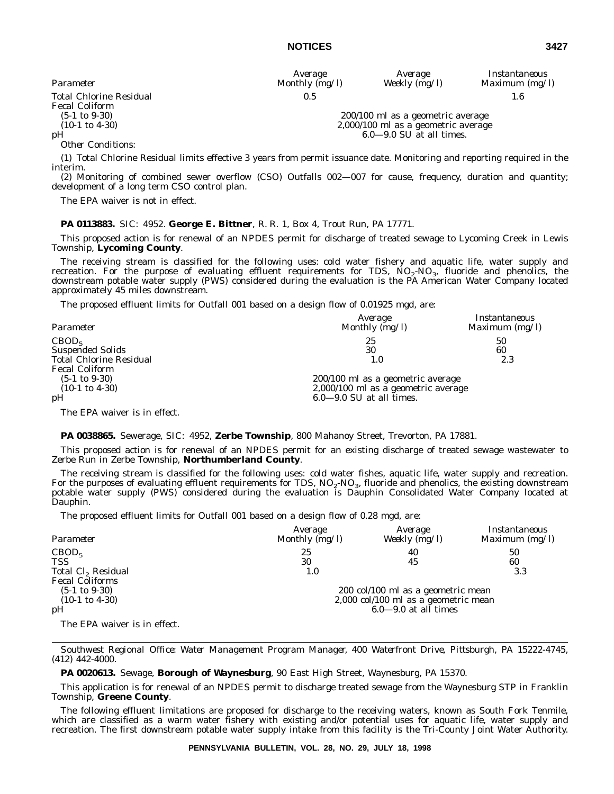| Average      | Average         | Instantaneous  |
|--------------|-----------------|----------------|
| nthly (mg/l) | Weekly $(mg/l)$ | Maximum $(mg)$ |

*Parameter Monthly (mg/l) Weekly (mg/l) Maximum (mg/l)* Total Chlorine Residual 0.5 1.6

(5-1 to 9-30) 200/100 ml as a geometric average (10-1 to 4-30)  $2,000/100$  ml as a geometric average  $6.0-9.0$  SU at all times.  $6.0 - 9.0$  SU at all times.

Fecal Coliform<br>(5-1 to 9-30)

*Other Conditions*:

(1) Total Chlorine Residual limits effective 3 years from permit issuance date. Monitoring and reporting required in the interim.

(2) Monitoring of combined sewer overflow (CSO) Outfalls 002—007 for cause, frequency, duration and quantity; development of a long term CSO control plan.

The EPA waiver is not in effect.

## **PA 0113883.** SIC: 4952. **George E. Bittner**, R. R. 1, Box 4, Trout Run, PA 17771.

This proposed action is for renewal of an NPDES permit for discharge of treated sewage to Lycoming Creek in Lewis Township, **Lycoming County**.

The receiving stream is classified for the following uses: cold water fishery and aquatic life, water supply and recreation. For the purpose of evaluating effluent requirements for TDS,  $NO_2\text{-}NO_3$ , fluoride and phenolics, the downstream potable water supply (PWS) considered during the evaluation is the PA American Water Company located approximately 45 miles downstream.

The proposed effluent limits for Outfall 001 based on a design flow of 0.01925 mgd, are:

| Parameter                      | Average<br>Monthly (mg/l)           | Instantaneous<br>Maximum $(mg/l)$ |
|--------------------------------|-------------------------------------|-----------------------------------|
| CBOD <sub>5</sub>              | 25                                  | 50                                |
| <b>Suspended Solids</b>        | 30                                  | 60                                |
| <b>Total Chlorine Residual</b> | $1.0\,$                             | 2.3                               |
| <b>Fecal Coliform</b>          |                                     |                                   |
| $(5-1 \text{ to } 9-30)$       | 200/100 ml as a geometric average   |                                   |
| $(10-1 \text{ to } 4-30)$      | 2,000/100 ml as a geometric average |                                   |
| pH                             | $6.0 - 9.0$ SU at all times.        |                                   |
|                                |                                     |                                   |

The EPA waiver is in effect.

### **PA 0038865.** Sewerage, SIC: 4952, **Zerbe Township**, 800 Mahanoy Street, Trevorton, PA 17881.

This proposed action is for renewal of an NPDES permit for an existing discharge of treated sewage wastewater to Zerbe Run in Zerbe Township, **Northumberland County**.

The receiving stream is classified for the following uses: cold water fishes, aquatic life, water supply and recreation. For the purposes of evaluating effluent requirements for TDS,  $NO<sub>2</sub>-NO<sub>3</sub>$ , fluoride and phenolics, the existing downstream potable water supply (PWS) considered during the evaluation is Dauphin Consolidated Water Company located at Dauphin.

The proposed effluent limits for Outfall 001 based on a design flow of 0.28 mgd, are:

| Parameter                      | Average<br>Monthly (mg/l)            | Average<br>Weekly (mg/l)           | Instantaneous<br>Maximum $(mg/l)$ |  |
|--------------------------------|--------------------------------------|------------------------------------|-----------------------------------|--|
| CBOD <sub>5</sub>              | 25                                   | 40                                 | 50                                |  |
| TSS                            | 30                                   | 45                                 | 60                                |  |
| Total Cl <sub>2</sub> Residual | 1.0                                  |                                    | 3.3                               |  |
| <b>Fecal Coliforms</b>         |                                      |                                    |                                   |  |
| $(5-1 \text{ to } 9-30)$       |                                      | 200 col/100 ml as a geometric mean |                                   |  |
| $(10-1 \text{ to } 4-30)$      | 2,000 col/100 ml as a geometric mean |                                    |                                   |  |
| pH                             | $6.0-9.0$ at all times               |                                    |                                   |  |
| The EPA waiver is in effect.   |                                      |                                    |                                   |  |

*Southwest Regional Office: Water Management Program Manager, 400 Waterfront Drive, Pittsburgh, PA 15222-4745, (412) 442-4000.*

**PA 0020613.** Sewage, **Borough of Waynesburg**, 90 East High Street, Waynesburg, PA 15370.

This application is for renewal of an NPDES permit to discharge treated sewage from the Waynesburg STP in Franklin Township, **Greene County**.

The following effluent limitations are proposed for discharge to the receiving waters, known as South Fork Tenmile, which are classified as a warm water fishery with existing and/or potential uses for aquatic life, water supply and recreation. The first downstream potable water supply intake from this facility is the Tri-County Joint Water Authority.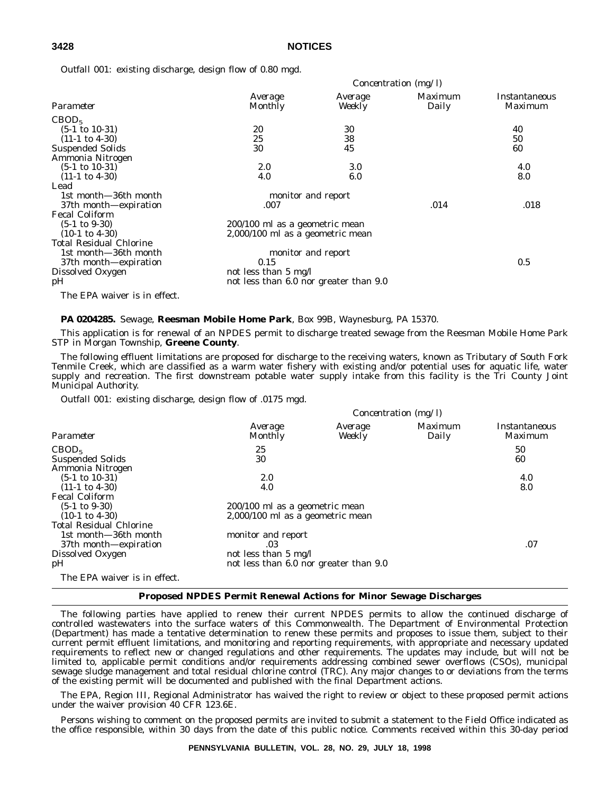### **3428 NOTICES**

*Outfall 001*: existing discharge, design flow of 0.80 mgd.

|                                | Concentration (mg/l)                   |                    |                         |                                 |
|--------------------------------|----------------------------------------|--------------------|-------------------------|---------------------------------|
| Parameter                      | Average<br>Monthly                     | Average<br>Weekly  | <i>Maximum</i><br>Daily | Instantaneous<br><i>Maximum</i> |
| CBOD <sub>5</sub>              |                                        |                    |                         |                                 |
| $(5-1 \text{ to } 10-31)$      | 20                                     | 30                 |                         | 40                              |
| $(11-1 \text{ to } 4-30)$      | 25                                     | 38                 |                         | 50                              |
| <b>Suspended Solids</b>        | 30                                     | 45                 |                         | 60                              |
| Ammonia Nitrogen               |                                        |                    |                         |                                 |
| $(5-1 \text{ to } 10-31)$      | 2.0                                    | 3.0                |                         | 4.0                             |
| $(11-1 \text{ to } 4-30)$      | 4.0                                    | 6.0                |                         | 8.0                             |
| Lead                           |                                        |                    |                         |                                 |
| 1st month-36th month           |                                        | monitor and report |                         |                                 |
| 37th month-expiration          | .007                                   |                    | .014                    | .018                            |
| <b>Fecal Coliform</b>          |                                        |                    |                         |                                 |
| $(5-1 \text{ to } 9-30)$       | 200/100 ml as a geometric mean         |                    |                         |                                 |
| $(10-1 \text{ to } 4-30)$      | 2,000/100 ml as a geometric mean       |                    |                         |                                 |
| <b>Total Residual Chlorine</b> |                                        |                    |                         |                                 |
| 1st month-36th month           |                                        | monitor and report |                         |                                 |
| 37th month-expiration          | 0.15                                   |                    |                         | 0.5                             |
| Dissolved Oxygen               | not less than 5 mg/l                   |                    |                         |                                 |
| pН                             | not less than 6.0 nor greater than 9.0 |                    |                         |                                 |
|                                |                                        |                    |                         |                                 |

## The EPA waiver is in effect.

### **PA 0204285.** Sewage, **Reesman Mobile Home Park**, Box 99B, Waynesburg, PA 15370.

This application is for renewal of an NPDES permit to discharge treated sewage from the Reesman Mobile Home Park STP in Morgan Township, **Greene County**.

The following effluent limitations are proposed for discharge to the receiving waters, known as Tributary of South Fork Tenmile Creek, which are classified as a warm water fishery with existing and/or potential uses for aquatic life, water supply and recreation. The first downstream potable water supply intake from this facility is the Tri County Joint Municipal Authority.

*Outfall 001*: existing discharge, design flow of .0175 mgd.

| Concentration (mg/l) |                   |                                                                                                                                      |                          |
|----------------------|-------------------|--------------------------------------------------------------------------------------------------------------------------------------|--------------------------|
| Average<br>Monthly   | Average<br>Weekly | Maximum<br>Daily                                                                                                                     | Instantaneous<br>Maximum |
| 25                   |                   |                                                                                                                                      | 50                       |
| 30                   |                   |                                                                                                                                      | 60                       |
| 2.0                  |                   |                                                                                                                                      | 4.0                      |
| 4.0                  |                   |                                                                                                                                      | 8.0                      |
|                      |                   |                                                                                                                                      |                          |
|                      |                   |                                                                                                                                      |                          |
|                      |                   |                                                                                                                                      |                          |
|                      |                   |                                                                                                                                      |                          |
| monitor and report   |                   |                                                                                                                                      |                          |
| .03                  |                   |                                                                                                                                      | .07                      |
|                      |                   |                                                                                                                                      |                          |
|                      |                   |                                                                                                                                      |                          |
|                      |                   |                                                                                                                                      |                          |
|                      |                   | 200/100 ml as a geometric mean<br>2,000/100 ml as a geometric mean<br>not less than 5 mg/l<br>not less than 6.0 nor greater than 9.0 |                          |

### **Proposed NPDES Permit Renewal Actions for Minor Sewage Discharges**

The following parties have applied to renew their current NPDES permits to allow the continued discharge of controlled wastewaters into the surface waters of this Commonwealth. The Department of Environmental Protection (Department) has made a tentative determination to renew these permits and proposes to issue them, subject to their current permit effluent limitations, and monitoring and reporting requirements, with appropriate and necessary updated requirements to reflect new or changed regulations and other requirements. The updates may include, but will not be limited to, applicable permit conditions and/or requirements addressing combined sewer overflows (CSOs), municipal sewage sludge management and total residual chlorine control (TRC). Any major changes to or deviations from the terms of the existing permit will be documented and published with the final Department actions.

The EPA, Region III, Regional Administrator has waived the right to review or object to these proposed permit actions under the waiver provision 40 CFR 123.6E.

Persons wishing to comment on the proposed permits are invited to submit a statement to the Field Office indicated as the office responsible, within 30 days from the date of this public notice. Comments received within this 30-day period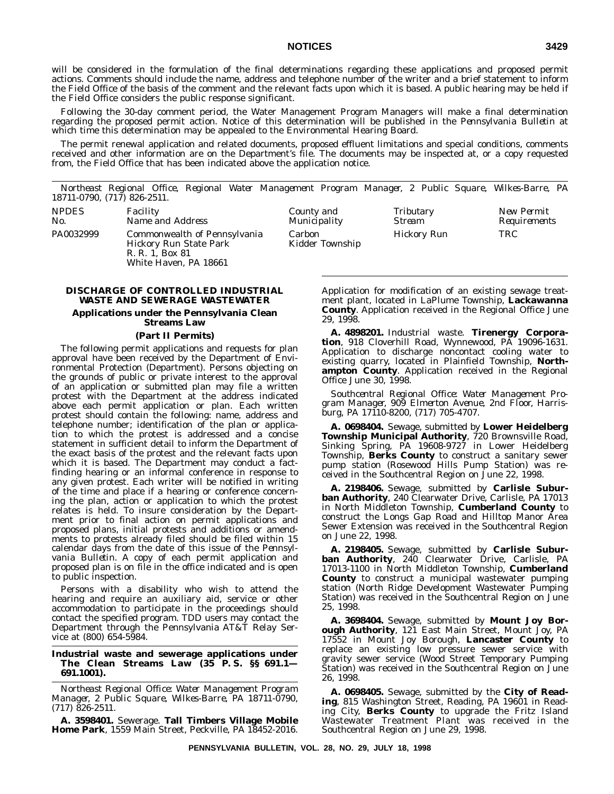## **NOTICES 3429**

will be considered in the formulation of the final determinations regarding these applications and proposed permit actions. Comments should include the name, address and telephone number of the writer and a brief statement to inform the Field Office of the basis of the comment and the relevant facts upon which it is based. A public hearing may be held if the Field Office considers the public response significant.

Following the 30-day comment period, the Water Management Program Managers will make a final determination regarding the proposed permit action. Notice of this determination will be published in the *Pennsylvania Bulletin* at which time this determination may be appealed to the Environmental Hearing Board.

The permit renewal application and related documents, proposed effluent limitations and special conditions, comments received and other information are on the Department's file. The documents may be inspected at, or a copy requested from, the Field Office that has been indicated above the application notice.

*Northeast Regional Office, Regional Water Management Program Manager, 2 Public Square, Wilkes-Barre, PA 18711-0790, (717) 826-2511.*

Carbon

Kidder Township

| <i>NPDES</i> | <i>Facility</i>              | Countv and   | Tributary   | New Permii |
|--------------|------------------------------|--------------|-------------|------------|
| No.          | <i>Name and Address</i>      | Municipality | Stream      | Reauiremen |
| PA0032999    | Commonwealth of Pennsylvania | Carbon       | Hickorv Run | TRC        |

*No. Name and Address Municipality Stream Requirements* PA0032999 Commonwealth of Pennsylvania Hickory Run State Park R. R. 1, Box 81 White Haven, PA 18661

### **DISCHARGE OF CONTROLLED INDUSTRIAL WASTE AND SEWERAGE WASTEWATER**

## **Applications under the Pennsylvania Clean Streams Law**

## **(Part II Permits)**

The following permit applications and requests for plan approval have been received by the Department of Environmental Protection (Department). Persons objecting on the grounds of public or private interest to the approval of an application or submitted plan may file a written protest with the Department at the address indicated above each permit application or plan. Each written protest should contain the following: name, address and telephone number; identification of the plan or application to which the protest is addressed and a concise statement in sufficient detail to inform the Department of the exact basis of the protest and the relevant facts upon which it is based. The Department may conduct a factfinding hearing or an informal conference in response to any given protest. Each writer will be notified in writing of the time and place if a hearing or conference concerning the plan, action or application to which the protest relates is held. To insure consideration by the Department prior to final action on permit applications and proposed plans, initial protests and additions or amendments to protests already filed should be filed within 15 calendar days from the date of this issue of the *Pennsylvania Bulletin*. A copy of each permit application and proposed plan is on file in the office indicated and is open to public inspection.

Persons with a disability who wish to attend the hearing and require an auxiliary aid, service or other accommodation to participate in the proceedings should contact the specified program. TDD users may contact the Department through the Pennsylvania AT&T Relay Service at (800) 654-5984.

### **Industrial waste and sewerage applications under The Clean Streams Law (35 P. S. §§ 691.1— 691.1001).**

*Northeast Regional Office: Water Management Program Manager, 2 Public Square, Wilkes-Barre, PA 18711-0790, (717) 826-2511.*

**A. 3598401.** Sewerage. **Tall Timbers Village Mobile Home Park**, 1559 Main Street, Peckville, PA 18452-2016. Application for modification of an existing sewage treatment plant, located in LaPlume Township, **Lackawanna County**. Application received in the Regional Office June 29, 1998.

Hickory Run TRC

**A. 4898201.** Industrial waste. **Tirenergy Corporation**, 918 Cloverhill Road, Wynnewood, PA 19096-1631. Application to discharge noncontact cooling water to existing quarry, located in Plainfield Township, **Northampton County**. Application received in the Regional Office June 30, 1998.

*Southcentral Regional Office: Water Management Program Manager, 909 Elmerton Avenue, 2nd Floor, Harrisburg, PA 17110-8200, (717) 705-4707.*

**A. 0698404.** Sewage, submitted by **Lower Heidelberg Township Municipal Authority**, 720 Brownsville Road, Sinking Spring, PA 19608-9727 in Lower Heidelberg Township, **Berks County** to construct a sanitary sewer pump station (Rosewood Hills Pump Station) was received in the Southcentral Region on June 22, 1998.

**A. 2198406.** Sewage, submitted by **Carlisle Suburban Authority**, 240 Clearwater Drive, Carlisle, PA 17013 in North Middleton Township, **Cumberland County** to construct the Longs Gap Road and Hilltop Manor Area Sewer Extension was received in the Southcentral Region on June 22, 1998.

**A. 2198405.** Sewage, submitted by **Carlisle Suburban Authority**, 240 Clearwater Drive, Carlisle, PA 17013-1100 in North Middleton Township, **Cumberland County** to construct a municipal wastewater pumping station (North Ridge Development Wastewater Pumping Station) was received in the Southcentral Region on June 25, 1998.

**A. 3698404.** Sewage, submitted by **Mount Joy Borough Authority**, 121 East Main Street, Mount Joy, PA 17552 in Mount Joy Borough, **Lancaster County** to replace an existing low pressure sewer service with gravity sewer service (Wood Street Temporary Pumping Station) was received in the Southcentral Region on June 26, 1998.

**A. 0698405.** Sewage, submitted by the **City of Reading**, 815 Washington Street, Reading, PA 19601 in Reading City, **Berks County** to upgrade the Fritz Island Wastewater Treatment Plant was received in the Southcentral Region on June 29, 1998.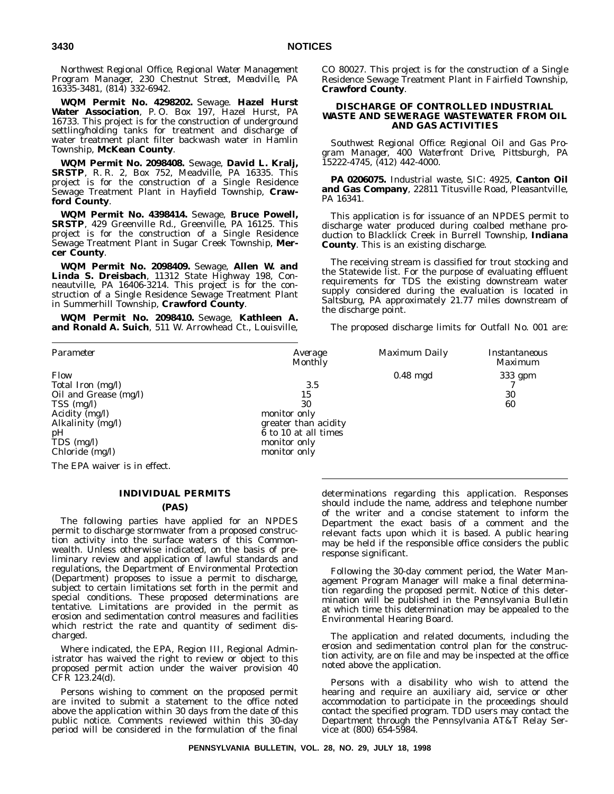*Northwest Regional Office, Regional Water Management Program Manager, 230 Chestnut Street, Meadville, PA 16335-3481, (814) 332-6942.*

**WQM Permit No. 4298202.** Sewage. **Hazel Hurst Water Association**, P. O. Box 197, Hazel Hurst, PA 16733. This project is for the construction of underground settling/holding tanks for treatment and discharge of water treatment plant filter backwash water in Hamlin Township, **McKean County**.

**WQM Permit No. 2098408.** Sewage, **David L. Kralj, SRSTP**, R. R. 2, Box 752, Meadville, PA 16335. This project is for the construction of a Single Residence Sewage Treatment Plant in Hayfield Township, **Crawford County**.

**WQM Permit No. 4398414.** Sewage, **Bruce Powell, SRSTP**, 429 Greenville Rd., Greenville, PA 16125. This project is for the construction of a Single Residence Sewage Treatment Plant in Sugar Creek Township, **Mercer County**.

**WQM Permit No. 2098409.** Sewage, **Allen W. and Linda S. Dreisbach**, 11312 State Highway 198, Conneautville, PA 16406-3214. This project is for the construction of a Single Residence Sewage Treatment Plant in Summerhill Township, **Crawford County**.

**WQM Permit No. 2098410.** Sewage, **Kathleen A. and Ronald A. Suich**, 511 W. Arrowhead Ct., Louisville,

### CO 80027. This project is for the construction of a Single Residence Sewage Treatment Plant in Fairfield Township, **Crawford County**.

### **DISCHARGE OF CONTROLLED INDUSTRIAL WASTE AND SEWERAGE WASTEWATER FROM OIL AND GAS ACTIVITIES**

*Southwest Regional Office: Regional Oil and Gas Program Manager, 400 Waterfront Drive, Pittsburgh, PA 15222-4745, (412) 442-4000.*

**PA 0206075.** Industrial waste, SIC: 4925, **Canton Oil and Gas Company**, 22811 Titusville Road, Pleasantville, PA 16341.

This application is for issuance of an NPDES permit to discharge water produced during coalbed methane production to Blacklick Creek in Burrell Township, **Indiana County**. This is an existing discharge.

The receiving stream is classified for trout stocking and the Statewide list. For the purpose of evaluating effluent requirements for TDS the existing downstream water supply considered during the evaluation is located in Saltsburg, PA approximately 21.77 miles downstream of the discharge point.

The proposed discharge limits for Outfall No. 001 are:

| Parameter                                                                                                                                          | Average<br><b>Monthly</b>                                                                                       | Maximum Daily | Instantaneous<br>Maximum |
|----------------------------------------------------------------------------------------------------------------------------------------------------|-----------------------------------------------------------------------------------------------------------------|---------------|--------------------------|
| Flow<br>Total Iron (mg/l)<br>Oil and Grease (mg/l)<br>$TSS$ (mg/l)<br>Acidity $(mg/l)$<br>Alkalinity (mg/l)<br>pH<br>TDS (mg/l)<br>Chloride (mg/l) | 3.5<br>15<br>30<br>monitor only<br>greater than acidity<br>6 to 10 at all times<br>monitor only<br>monitor only | $0.48$ mgd    | 333 gpm<br>30<br>60      |

The EPA waiver is in effect.

### **INDIVIDUAL PERMITS**

### **(PAS)**

The following parties have applied for an NPDES permit to discharge stormwater from a proposed construction activity into the surface waters of this Commonwealth. Unless otherwise indicated, on the basis of preliminary review and application of lawful standards and regulations, the Department of Environmental Protection (Department) proposes to issue a permit to discharge, subject to certain limitations set forth in the permit and special conditions. These proposed determinations are tentative. Limitations are provided in the permit as erosion and sedimentation control measures and facilities which restrict the rate and quantity of sediment discharged.

Where indicated, the EPA, Region III, Regional Administrator has waived the right to review or object to this proposed permit action under the waiver provision 40 CFR 123.24(d).

Persons wishing to comment on the proposed permit are invited to submit a statement to the office noted above the application within 30 days from the date of this public notice. Comments reviewed within this 30-day period will be considered in the formulation of the final

determinations regarding this application. Responses should include the name, address and telephone number of the writer and a concise statement to inform the Department the exact basis of a comment and the relevant facts upon which it is based. A public hearing may be held if the responsible office considers the public response significant.

Following the 30-day comment period, the Water Management Program Manager will make a final determination regarding the proposed permit. Notice of this determination will be published in the *Pennsylvania Bulletin* at which time this determination may be appealed to the Environmental Hearing Board.

The application and related documents, including the erosion and sedimentation control plan for the construction activity, are on file and may be inspected at the office noted above the application.

Persons with a disability who wish to attend the hearing and require an auxiliary aid, service or other accommodation to participate in the proceedings should contact the specified program. TDD users may contact the Department through the Pennsylvania AT&T Relay Service at (800) 654-5984.

**PENNSYLVANIA BULLETIN, VOL. 28, NO. 29, JULY 18, 1998**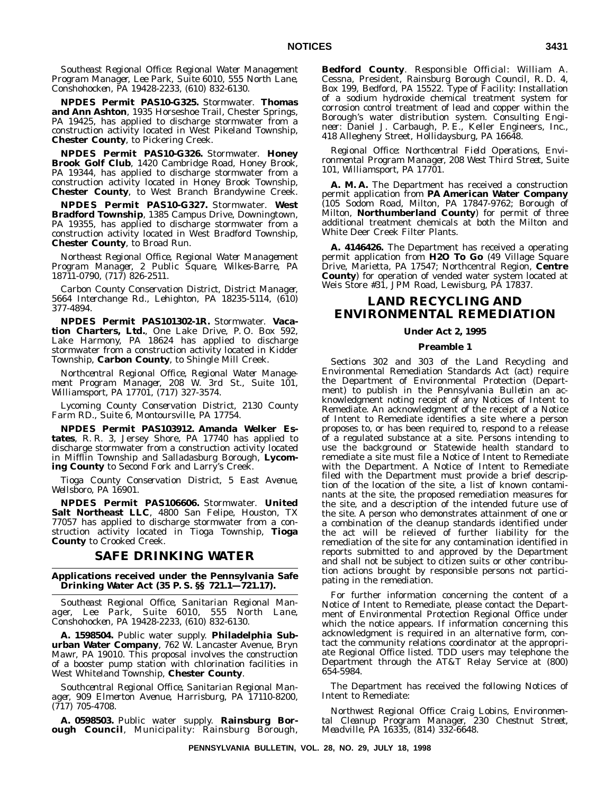*Southeast Regional Office: Regional Water Management Program Manager, Lee Park, Suite 6010, 555 North Lane, Conshohocken, PA 19428-2233, (610) 832-6130.*

**NPDES Permit PAS10-G325.** Stormwater. **Thomas and Ann Ashton**, 1935 Horseshoe Trail, Chester Springs, PA 19425, has applied to discharge stormwater from a construction activity located in West Pikeland Township, **Chester County**, to Pickering Creek.

**NPDES Permit PAS10-G326.** Stormwater. **Honey Brook Golf Club**, 1420 Cambridge Road, Honey Brook, PA 19344, has applied to discharge stormwater from a construction activity located in Honey Brook Township, **Chester County**, to West Branch Brandywine Creek.

**NPDES Permit PAS10-G327.** Stormwater. **West Bradford Township**, 1385 Campus Drive, Downingtown, PA 19355, has applied to discharge stormwater from a construction activity located in West Bradford Township, **Chester County**, to Broad Run.

*Northeast Regional Office, Regional Water Management Program Manager, 2 Public Square, Wilkes-Barre, PA 18711-0790, (717) 826-2511.*

*Carbon County Conservation District, District Manager, 5664 Interchange Rd., Lehighton, PA 18235-5114, (610) 377-4894.*

**NPDES Permit PAS101302-1R.** Stormwater. **Vacation Charters, Ltd.**, One Lake Drive, P. O. Box 592, Lake Harmony, PA 18624 has applied to discharge stormwater from a construction activity located in Kidder Township, **Carbon County**, to Shingle Mill Creek.

*Northcentral Regional Office, Regional Water Management Program Manager, 208 W. 3rd St., Suite 101, Williamsport, PA 17701, (717) 327-3574.*

*Lycoming County Conservation District, 2130 County Farm RD., Suite 6, Montoursville, PA 17754.*

**NPDES Permit PAS103912. Amanda Welker Estates**, R. R. 3, Jersey Shore, PA 17740 has applied to discharge stormwater from a construction activity located in Mifflin Township and Salladasburg Borough, **Lycoming County** to Second Fork and Larry's Creek.

*Tioga County Conservation District, 5 East Avenue, Wellsboro, PA 16901.*

**NPDES Permit PAS106606.** Stormwater. **United Salt Northeast LLC**, 4800 San Felipe, Houston, TX 77057 has applied to discharge stormwater from a construction activity located in Tioga Township, **Tioga County** to Crooked Creek.

## **SAFE DRINKING WATER**

### **Applications received under the Pennsylvania Safe Drinking Water Act (35 P. S. §§ 721.1—721.17).**

*Southeast Regional Office, Sanitarian Regional Manager, Lee Park, Suite 6010, 555 North Lane, Conshohocken, PA 19428-2233, (610) 832-6130.*

**A. 1598504.** Public water supply. **Philadelphia Suburban Water Company**, 762 W. Lancaster Avenue, Bryn Mawr, PA 19010. This proposal involves the construction of a booster pump station with chlorination facilities in West Whiteland Township, **Chester County**.

*Southcentral Regional Office, Sanitarian Regional Manager, 909 Elmerton Avenue, Harrisburg, PA 17110-8200, (717) 705-4708.*

**A. 0598503.** Public water supply. **Rainsburg Borough Council**, Municipality: Rainsburg Borough, **Bedford County**. *Responsible Official*: William A. Cessna, President, Rainsburg Borough Council, R. D. 4, Box 199, Bedford, PA 15522. *Type of Facility*: Installation of a sodium hydroxide chemical treatment system for corrosion control treatment of lead and copper within the Borough's water distribution system. *Consulting Engineer*: Daniel J. Carbaugh, P. E., Keller Engineers, Inc., 418 Allegheny Street, Hollidaysburg, PA 16648.

*Regional Office: Northcentral Field Operations, Environmental Program Manager, 208 West Third Street, Suite 101, Williamsport, PA 17701.*

**A. M. A.** The Department has received a construction permit application from **PA American Water Company** (105 Sodom Road, Milton, PA 17847-9762; Borough of Milton, **Northumberland County**) for permit of three additional treatment chemicals at both the Milton and White Deer Creek Filter Plants.

**A. 4146426.** The Department has received a operating permit application from **H2O To Go** (49 Village Square Drive, Marietta, PA 17547; Northcentral Region, **Centre County**) for operation of vended water system located at Weis Store #31, JPM Road, Lewisburg, PA 17837.

## **LAND RECYCLING AND ENVIRONMENTAL REMEDIATION**

### **Under Act 2, 1995**

### **Preamble 1**

Sections 302 and 303 of the Land Recycling and Environmental Remediation Standards Act (act) require the Department of Environmental Protection (Department) to publish in the *Pennsylvania Bulletin* an acknowledgment noting receipt of any Notices of Intent to Remediate. An acknowledgment of the receipt of a Notice of Intent to Remediate identifies a site where a person proposes to, or has been required to, respond to a release of a regulated substance at a site. Persons intending to use the background or Statewide health standard to remediate a site must file a Notice of Intent to Remediate with the Department. A Notice of Intent to Remediate filed with the Department must provide a brief description of the location of the site, a list of known contaminants at the site, the proposed remediation measures for the site, and a description of the intended future use of the site. A person who demonstrates attainment of one or a combination of the cleanup standards identified under the act will be relieved of further liability for the remediation of the site for any contamination identified in reports submitted to and approved by the Department and shall not be subject to citizen suits or other contribution actions brought by responsible persons not participating in the remediation.

For further information concerning the content of a Notice of Intent to Remediate, please contact the Department of Environmental Protection Regional Office under which the notice appears. If information concerning this acknowledgment is required in an alternative form, contact the community relations coordinator at the appropriate Regional Office listed. TDD users may telephone the Department through the AT&T Relay Service at (800) 654-5984.

The Department has received the following Notices of Intent to Remediate:

*Northwest Regional Office: Craig Lobins, Environmental Cleanup Program Manager, 230 Chestnut Street, Meadville, PA 16335, (814) 332-6648.*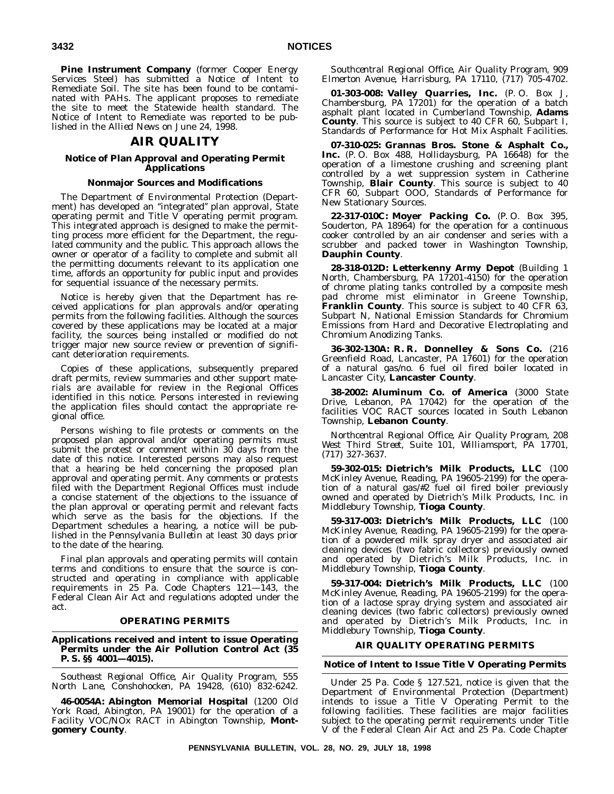**Pine Instrument Company** (former Cooper Energy Services Steel) has submitted a Notice of Intent to Remediate Soil. The site has been found to be contaminated with PAHs. The applicant proposes to remediate the site to meet the Statewide health standard. The Notice of Intent to Remediate was reported to be published in the *Allied News* on June 24, 1998.

## **AIR QUALITY**

### **Notice of Plan Approval and Operating Permit Applications**

### **Nonmajor Sources and Modifications**

The Department of Environmental Protection (Department) has developed an ''integrated'' plan approval, State operating permit and Title V operating permit program. This integrated approach is designed to make the permitting process more efficient for the Department, the regulated community and the public. This approach allows the owner or operator of a facility to complete and submit all the permitting documents relevant to its application one time, affords an opportunity for public input and provides for sequential issuance of the necessary permits.

Notice is hereby given that the Department has received applications for plan approvals and/or operating permits from the following facilities. Although the sources covered by these applications may be located at a major facility, the sources being installed or modified do not trigger major new source review or prevention of significant deterioration requirements.

Copies of these applications, subsequently prepared draft permits, review summaries and other support materials are available for review in the Regional Offices identified in this notice. Persons interested in reviewing the application files should contact the appropriate regional office.

Persons wishing to file protests or comments on the proposed plan approval and/or operating permits must submit the protest or comment within 30 days from the date of this notice. Interested persons may also request that a hearing be held concerning the proposed plan approval and operating permit. Any comments or protests filed with the Department Regional Offices must include a concise statement of the objections to the issuance of the plan approval or operating permit and relevant facts which serve as the basis for the objections. If the Department schedules a hearing, a notice will be published in the *Pennsylvania Bulletin* at least 30 days prior to the date of the hearing.

Final plan approvals and operating permits will contain terms and conditions to ensure that the source is constructed and operating in compliance with applicable requirements in 25 Pa. Code Chapters 121—143, the Federal Clean Air Act and regulations adopted under the act.

### **OPERATING PERMITS**

### **Applications received and intent to issue Operating Permits under the Air Pollution Control Act (35 P. S. §§ 4001—4015).**

*Southeast Regional Office, Air Quality Program, 555 North Lane, Conshohocken, PA 19428, (610) 832-6242.*

**46-0054A: Abington Memorial Hospital** (1200 Old York Road, Abington, PA 19001) for the operation of a Facility VOC/NOx RACT in Abington Township, **Montgomery County**.

*Southcentral Regional Office, Air Quality Program, 909 Elmerton Avenue, Harrisburg, PA 17110, (717) 705-4702.*

**01-303-008: Valley Quarries, Inc.** (P. O. Box J, Chambersburg, PA 17201) for the operation of a batch asphalt plant located in Cumberland Township, **Adams County**. This source is subject to 40 CFR 60, Subpart I, Standards of Performance for Hot Mix Asphalt Facilities.

**07-310-025: Grannas Bros. Stone & Asphalt Co., Inc.** (P. O. Box 488, Hollidaysburg, PA 16648) for the operation of a limestone crushing and screening plant controlled by a wet suppression system in Catherine Township, **Blair County**. This source is subject to 40 CFR 60, Subpart OOO, Standards of Performance for New Stationary Sources.

**22-317-010C: Moyer Packing Co.** (P. O. Box 395, Souderton, PA 18964) for the operation for a continuous cooker controlled by an air condenser and series with a scrubber and packed tower in Washington Township, **Dauphin County**.

**28-318-012D: Letterkenny Army Depot** (Building 1 North, Chambersburg, PA 17201-4150) for the operation of chrome plating tanks controlled by a composite mesh pad chrome mist eliminator in Greene Township, **Franklin County**. This source is subject to 40 CFR 63, Subpart N, National Emission Standards for Chromium Emissions from Hard and Decorative Electroplating and Chromium Anodizing Tanks.

**36-302-130A: R. R. Donnelley & Sons Co.** (216 Greenfield Road, Lancaster, PA 17601) for the operation of a natural gas/no. 6 fuel oil fired boiler located in Lancaster City, **Lancaster County**.

**38-2002: Aluminum Co. of America** (3000 State Drive, Lebanon, PA 17042) for the operation of the facilities VOC RACT sources located in South Lebanon Township, **Lebanon County**.

*Northcentral Regional Office, Air Quality Program, 208 West Third Street, Suite 101, Williamsport, PA 17701, (717) 327-3637.*

**59-302-015: Dietrich's Milk Products, LLC** (100 McKinley Avenue, Reading, PA 19605-2199) for the operation of a natural gas/#2 fuel oil fired boiler previously owned and operated by Dietrich's Milk Products, Inc. in Middlebury Township, **Tioga County**.

**59-317-003: Dietrich's Milk Products, LLC** (100 McKinley Avenue, Reading, PA 19605-2199) for the operation of a powdered milk spray dryer and associated air cleaning devices (two fabric collectors) previously owned and operated by Dietrich's Milk Products, Inc. in Middlebury Township, **Tioga County**.

**59-317-004: Dietrich's Milk Products, LLC** (100 McKinley Avenue, Reading, PA 19605-2199) for the operation of a lactose spray drying system and associated air cleaning devices (two fabric collectors) previously owned and operated by Dietrich's Milk Products, Inc. in Middlebury Township, **Tioga County**.

### **AIR QUALITY OPERATING PERMITS**

### **Notice of Intent to Issue Title V Operating Permits**

Under 25 Pa. Code § 127.521, notice is given that the Department of Environmental Protection (Department) intends to issue a Title V Operating Permit to the following facilities. These facilities are major facilities subject to the operating permit requirements under Title V of the Federal Clean Air Act and 25 Pa. Code Chapter

**PENNSYLVANIA BULLETIN, VOL. 28, NO. 29, JULY 18, 1998**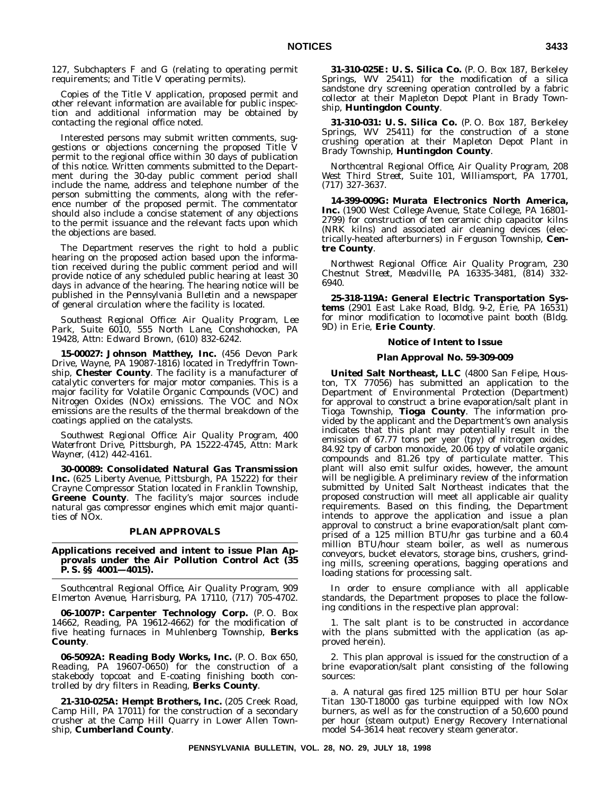127, Subchapters F and G (relating to operating permit requirements; and Title V operating permits).

Copies of the Title V application, proposed permit and other relevant information are available for public inspection and additional information may be obtained by contacting the regional office noted.

Interested persons may submit written comments, suggestions or objections concerning the proposed Title permit to the regional office within 30 days of publication of this notice. Written comments submitted to the Department during the 30-day public comment period shall include the name, address and telephone number of the person submitting the comments, along with the reference number of the proposed permit. The commentator should also include a concise statement of any objections to the permit issuance and the relevant facts upon which the objections are based.

The Department reserves the right to hold a public hearing on the proposed action based upon the information received during the public comment period and will provide notice of any scheduled public hearing at least 30 days in advance of the hearing. The hearing notice will be published in the *Pennsylvania Bulletin* and a newspaper of general circulation where the facility is located.

*Southeast Regional Office: Air Quality Program, Lee Park, Suite 6010, 555 North Lane, Conshohocken, PA 19428, Attn: Edward Brown, (610) 832-6242.*

**15-00027: Johnson Matthey, Inc.** (456 Devon Park Drive, Wayne, PA 19087-1816) located in Tredyffrin Township, **Chester County**. The facility is a manufacturer of catalytic converters for major motor companies. This is a major facility for Volatile Organic Compounds (VOC) and Nitrogen Oxides (NOx) emissions. The VOC and NOx emissions are the results of the thermal breakdown of the coatings applied on the catalysts.

*Southwest Regional Office: Air Quality Program, 400 Waterfront Drive, Pittsburgh, PA 15222-4745, Attn: Mark Wayner, (412) 442-4161.*

**30-00089: Consolidated Natural Gas Transmission Inc.** (625 Liberty Avenue, Pittsburgh, PA 15222) for their Crayne Compressor Station located in Franklin Township, **Greene County**. The facility's major sources include natural gas compressor engines which emit major quantities of NOx.

### **PLAN APPROVALS**

### **Applications received and intent to issue Plan Approvals under the Air Pollution Control Act (35 P. S. §§ 4001—4015).**

*Southcentral Regional Office, Air Quality Program, 909 Elmerton Avenue, Harrisburg, PA 17110, (717) 705-4702.*

**06-1007P: Carpenter Technology Corp.** (P. O. Box 14662, Reading, PA 19612-4662) for the modification of five heating furnaces in Muhlenberg Township, **Berks County**.

**06-5092A: Reading Body Works, Inc.** (P. O. Box 650, Reading, PA 19607-0650) for the construction of a stakebody topcoat and E-coating finishing booth controlled by dry filters in Reading, **Berks County**.

**21-310-025A: Hempt Brothers, Inc.** (205 Creek Road, Camp Hill, PA 17011) for the construction of a secondary crusher at the Camp Hill Quarry in Lower Allen Township, **Cumberland County**.

**31-310-025E: U. S. Silica Co.** (P. O. Box 187, Berkeley Springs, WV 25411) for the modification of a silica sandstone dry screening operation controlled by a fabric collector at their Mapleton Depot Plant in Brady Township, **Huntingdon County**.

**31-310-031: U. S. Silica Co.** (P. O. Box 187, Berkeley Springs, WV 25411) for the construction of a stone crushing operation at their Mapleton Depot Plant in Brady Township, **Huntingdon County**.

*Northcentral Regional Office, Air Quality Program, 208 West Third Street, Suite 101, Williamsport, PA 17701, (717) 327-3637.*

**14-399-009G: Murata Electronics North America, Inc.** (1900 West College Avenue, State College, PA 16801- 2799) for construction of ten ceramic chip capacitor kilns (NRK kilns) and associated air cleaning devices (electrically-heated afterburners) in Ferguson Township, **Centre County**.

*Northwest Regional Office: Air Quality Program, 230 Chestnut Street, Meadville, PA 16335-3481, (814) 332- 6940.*

**25-318-119A: General Electric Transportation Systems** (2901 East Lake Road, Bldg. 9-2, Erie, PA 16531) for minor modification to locomotive paint booth (Bldg. 9D) in Erie, **Erie County**.

### **Notice of Intent to Issue**

### **Plan Approval No. 59-309-009**

**United Salt Northeast, LLC** (4800 San Felipe, Houston, TX 77056) has submitted an application to the Department of Environmental Protection (Department) for approval to construct a brine evaporation/salt plant in Tioga Township, **Tioga County**. The information provided by the applicant and the Department's own analysis indicates that this plant may potentially result in the emission of 67.77 tons per year (tpy) of nitrogen oxides, 84.92 tpy of carbon monoxide, 20.06 tpy of volatile organic compounds and 81.26 tpy of particulate matter. This plant will also emit sulfur oxides, however, the amount will be negligible. A preliminary review of the information submitted by United Salt Northeast indicates that the proposed construction will meet all applicable air quality requirements. Based on this finding, the Department intends to approve the application and issue a plan approval to construct a brine evaporation/salt plant comprised of a 125 million BTU/hr gas turbine and a 60.4 million BTU/hour steam boiler, as well as numerous conveyors, bucket elevators, storage bins, crushers, grinding mills, screening operations, bagging operations and loading stations for processing salt.

In order to ensure compliance with all applicable standards, the Department proposes to place the following conditions in the respective plan approval:

1. The salt plant is to be constructed in accordance with the plans submitted with the application (as approved herein).

2. This plan approval is issued for the construction of a brine evaporation/salt plant consisting of the following sources:

a. A natural gas fired 125 million BTU per hour Solar Titan 130-T18000 gas turbine equipped with low  $NOx$ burners, as well as for the construction of a 50,600 pound per hour (steam output) Energy Recovery International model S4-3614 heat recovery steam generator.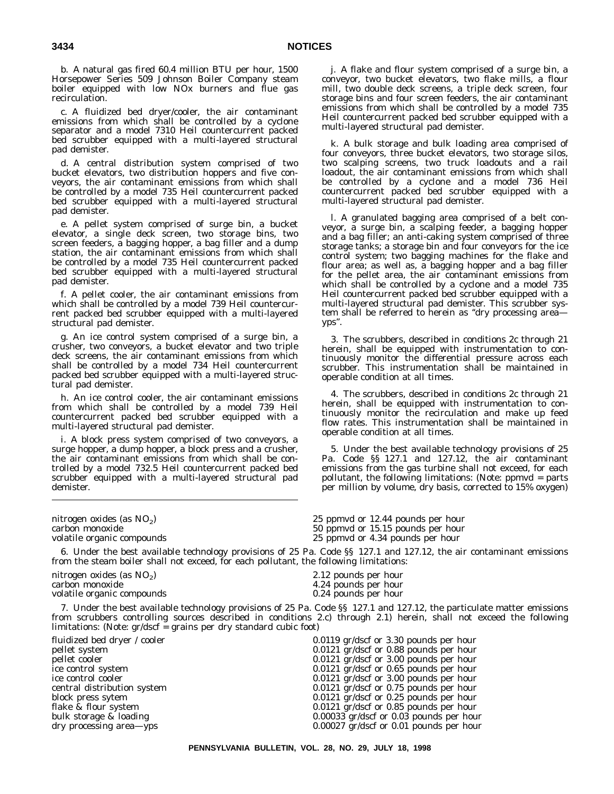b. A natural gas fired 60.4 million BTU per hour, 1500 Horsepower Series 509 Johnson Boiler Company steam boiler equipped with low NOx burners and flue gas recirculation.

c. A fluidized bed dryer/cooler, the air contaminant emissions from which shall be controlled by a cyclone separator and a model 7310 Heil countercurrent packed bed scrubber equipped with a multi-layered structural pad demister.

d. A central distribution system comprised of two bucket elevators, two distribution hoppers and five conveyors, the air contaminant emissions from which shall be controlled by a model 735 Heil countercurrent packed bed scrubber equipped with a multi-layered structural pad demister.

e. A pellet system comprised of surge bin, a bucket elevator, a single deck screen, two storage bins, two screen feeders, a bagging hopper, a bag filler and a dump station, the air contaminant emissions from which shall be controlled by a model 735 Heil countercurrent packed bed scrubber equipped with a multi-layered structural pad demister.

f. A pellet cooler, the air contaminant emissions from which shall be controlled by a model 739 Heil countercurrent packed bed scrubber equipped with a multi-layered structural pad demister.

g. An ice control system comprised of a surge bin, a crusher, two conveyors, a bucket elevator and two triple deck screens, the air contaminant emissions from which shall be controlled by a model 734 Heil countercurrent packed bed scrubber equipped with a multi-layered structural pad demister.

h. An ice control cooler, the air contaminant emissions from which shall be controlled by a model 739 Heil countercurrent packed bed scrubber equipped with a multi-layered structural pad demister.

i. A block press system comprised of two conveyors, a surge hopper, a dump hopper, a block press and a crusher, the air contaminant emissions from which shall be controlled by a model 732.5 Heil countercurrent packed bed scrubber equipped with a multi-layered structural pad demister.

limitations: (Note:  $gr/dscf = grains per dry standard cubic foot$ )

j. A flake and flour system comprised of a surge bin, a conveyor, two bucket elevators, two flake mills, a flour mill, two double deck screens, a triple deck screen, four storage bins and four screen feeders, the air contaminant emissions from which shall be controlled by a model 735 Heil countercurrent packed bed scrubber equipped with a multi-layered structural pad demister.

k. A bulk storage and bulk loading area comprised of four conveyors, three bucket elevators, two storage silos, two scalping screens, two truck loadouts and a rail loadout, the air contaminant emissions from which shall be controlled by a cyclone and a model 736 Heil countercurrent packed bed scrubber equipped with a multi-layered structural pad demister.

l. A granulated bagging area comprised of a belt conveyor, a surge bin, a scalping feeder, a bagging hopper and a bag filler; an anti-caking system comprised of three storage tanks; a storage bin and four conveyors for the ice control system; two bagging machines for the flake and flour area; as well as, a bagging hopper and a bag filler for the pellet area, the air contaminant emissions from which shall be controlled by a cyclone and a model 735 Heil countercurrent packed bed scrubber equipped with a multi-layered structural pad demister. This scrubber system shall be referred to herein as "dry processing areayps''.

3. The scrubbers, described in conditions 2c through 21 herein, shall be equipped with instrumentation to continuously monitor the differential pressure across each scrubber. This instrumentation shall be maintained in operable condition at all times.

4. The scrubbers, described in conditions 2c through 21 herein, shall be equipped with instrumentation to continuously monitor the recirculation and make up feed flow rates. This instrumentation shall be maintained in operable condition at all times.

5. Under the best available technology provisions of 25 Pa. Code §§ 127.1 and 127.12, the air contaminant emissions from the gas turbine shall not exceed, for each pollutant, the following limitations: (Note: ppmvd = parts per million by volume, dry basis, corrected to 15% oxygen)

nitrogen oxides (as NO<sub>2</sub>) 25 ppmvd or 12.44 pounds per hour carbon monoxide 30 ppmvd or 15.15 pounds per hour

50 ppmvd or 15.15 pounds per hour

volatile organic compounds 25 ppmvd or 4.34 pounds per hour

6. Under the best available technology provisions of 25 Pa. Code §§ 127.1 and 127.12, the air contaminant emissions from the steam boiler shall not exceed, for each pollutant, the following limitations:

nitrogen oxides (as  $NO<sub>2</sub>$ ) 2.12 pounds per hour carbon monoxide 4.24 pounds per hour volatile organic compounds

4.24 pounds per hour<br>0.24 pounds per hour 7. Under the best available technology provisions of 25 Pa. Code §§ 127.1 and 127.12, the particulate matter emissions from scrubbers controlling sources described in conditions 2.c) through 2.1) herein, shall not exceed the following

fluidized bed dryer / cooler 0.0119 gr/dscf or 3.30 pounds per hour pellet system 0.0121 gr/dscf or 0.88 pounds per hour  $0.0121$  gr/dscf or 3.00 pounds per hour ice control system 0.0121 gr/dscf or 0.65 pounds per hour ice control cooler and the control cooler and the control cooler of the control cooler of the control distribution system of the control of  $0.0121 \text{ gr/ds}$  and  $0.0121 \text{ gr/ds}$  of  $0.75 \text{ pounds per hour}$  $0.0121$  gr/dscf or  $0.75$  pounds per hour block press sytem  $0.0121$  gr/dscf or 0.25 pounds per hour<br>flake & flour system  $0.0121$  gr/dscf or 0.85 pounds per hour flake & flour system 0.0121 gr/dscf or 0.85 pounds per hour<br>bulk storage & loading 0.00033 gr/dscf or 0.03 pounds per hour  $0.00033$  gr/dscf or  $0.03$  pounds per hour dry processing area—yps 0.00027 gr/dscf or 0.01 pounds per hour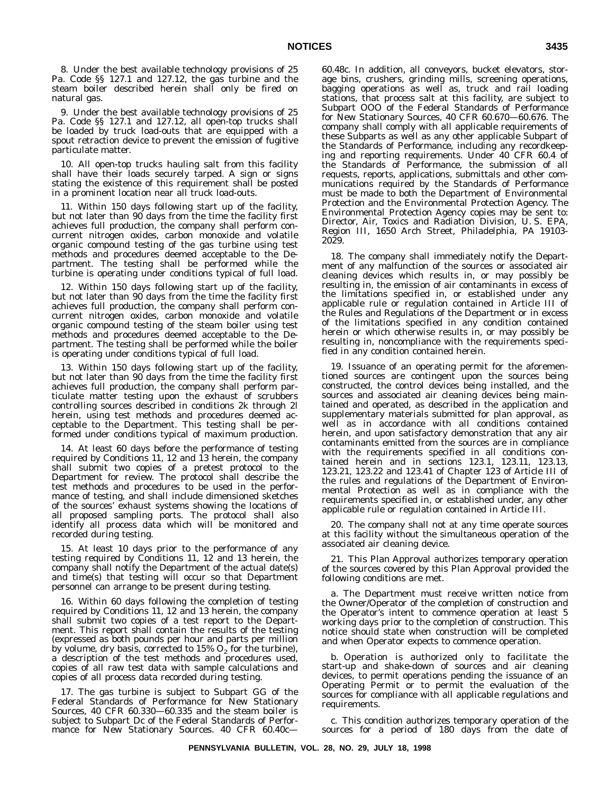8. Under the best available technology provisions of 25 Pa. Code §§ 127.1 and 127.12, the gas turbine and the steam boiler described herein shall only be fired on natural gas.

9. Under the best available technology provisions of 25 Pa. Code §§ 127.1 and 127.12, all open-top trucks shall be loaded by truck load-outs that are equipped with a spout retraction device to prevent the emission of fugitive particulate matter.

10. All open-top trucks hauling salt from this facility shall have their loads securely tarped. A sign or signs stating the existence of this requirement shall be posted in a prominent location near all truck load-outs.

11. Within 150 days following start up of the facility, but not later than 90 days from the time the facility first achieves full production, the company shall perform concurrent nitrogen oxides, carbon monoxide and volatile organic compound testing of the gas turbine using test methods and procedures deemed acceptable to the Department. The testing shall be performed while the turbine is operating under conditions typical of full load.

12. Within 150 days following start up of the facility, but not later than 90 days from the time the facility first achieves full production, the company shall perform concurrent nitrogen oxides, carbon monoxide and volatile organic compound testing of the steam boiler using test methods and procedures deemed acceptable to the Department. The testing shall be performed while the boiler is operating under conditions typical of full load.

13. Within 150 days following start up of the facility, but not later than 90 days from the time the facility first achieves full production, the company shall perform particulate matter testing upon the exhaust of scrubbers controlling sources described in conditions 2k through 2l herein, using test methods and procedures deemed acceptable to the Department. This testing shall be performed under conditions typical of maximum production.

14. At least 60 days before the performance of testing required by Conditions 11, 12 and 13 herein, the company shall submit two copies of a pretest protocol to the Department for review. The protocol shall describe the test methods and procedures to be used in the performance of testing, and shall include dimensioned sketches of the sources' exhaust systems showing the locations of all proposed sampling ports. The protocol shall also identify all process data which will be monitored and recorded during testing.

15. At least 10 days prior to the performance of any testing required by Conditions 11, 12 and 13 herein, the company shall notify the Department of the actual date(s) and time(s) that testing will occur so that Department personnel can arrange to be present during testing.

16. Within 60 days following the completion of testing required by Conditions 11, 12 and 13 herein, the company shall submit two copies of a test report to the Department. This report shall contain the results of the testing (expressed as both pounds per hour and parts per million by volume, dry basis, corrected to  $15\%$  O<sub>2</sub> for the turbine), a description of the test methods and procedures used, copies of all raw test data with sample calculations and copies of all process data recorded during testing.

17. The gas turbine is subject to Subpart GG of the Federal Standards of Performance for New Stationary Sources, 40 CFR 60.330—60.335 and the steam boiler is subject to Subpart Dc of the Federal Standards of Performance for New Stationary Sources. 40 CFR 60.40c60.48c. In addition, all conveyors, bucket elevators, storage bins, crushers, grinding mills, screening operations, bagging operations as well as, truck and rail loading stations, that process salt at this facility, are subject to Subpart OOO of the Federal Standards of Performance for New Stationary Sources, 40 CFR 60.670—60.676. The company shall comply with all applicable requirements of these Subparts as well as any other applicable Subpart of the Standards of Performance, including any recordkeeping and reporting requirements. Under 40 CFR 60.4 of the Standards of Performance, the submission of all requests, reports, applications, submittals and other communications required by the Standards of Performance must be made to both the Department of Environmental Protection and the Environmental Protection Agency. The Environmental Protection Agency copies may be sent to: Director, Air, Toxics and Radiation Division, U. S. EPA, Region III, 1650 Arch Street, Philadelphia, PA 19103- 2029.

18. The company shall immediately notify the Department of any malfunction of the sources or associated air cleaning devices which results in, or may possibly be resulting in, the emission of air contaminants in excess of the limitations specified in, or established under any applicable rule or regulation contained in Article III of the Rules and Regulations of the Department or in excess of the limitations specified in any condition contained herein or which otherwise results in, or may possibly be resulting in, noncompliance with the requirements specified in any condition contained herein.

19. Issuance of an operating permit for the aforementioned sources are contingent upon the sources being constructed, the control devices being installed, and the sources and associated air cleaning devices being maintained and operated, as described in the application and supplementary materials submitted for plan approval, as well as in accordance with all conditions contained herein, and upon satisfactory demonstration that any air contaminants emitted from the sources are in compliance with the requirements specified in all conditions contained herein and in sections 123.1, 123.11, 123.13, 123.21, 123.22 and 123.41 of Chapter 123 of Article III of the rules and regulations of the Department of Environmental Protection as well as in compliance with the requirements specified in, or established under, any other applicable rule or regulation contained in Article III.

20. The company shall not at any time operate sources at this facility without the simultaneous operation of the associated air cleaning device.

21. This Plan Approval authorizes temporary operation of the sources covered by this Plan Approval provided the following conditions are met.

a. The Department must receive written notice from the Owner/Operator of the completion of construction and the Operator's intent to commence operation at least 5 working days prior to the completion of construction. This notice should state when construction will be completed and when Operator expects to commence operation.

b. Operation is authorized only to facilitate the start-up and shake-down of sources and air cleaning devices, to permit operations pending the issuance of an Operating Permit or to permit the evaluation of the sources for compliance with all applicable regulations and requirements.

c. This condition authorizes temporary operation of the sources for a period of 180 days from the date of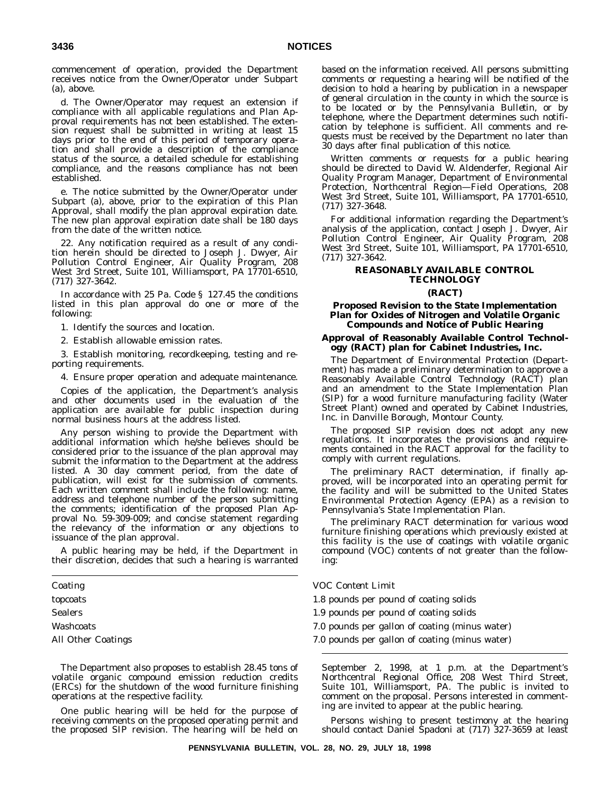commencement of operation, provided the Department receives notice from the Owner/Operator under Subpart (a), above.

d. The Owner/Operator may request an extension if compliance with all applicable regulations and Plan Approval requirements has not been established. The extension request shall be submitted in writing at least 15 days prior to the end of this period of temporary operation and shall provide a description of the compliance status of the source, a detailed schedule for establishing compliance, and the reasons compliance has not been established.

e. The notice submitted by the Owner/Operator under Subpart (a), above, prior to the expiration of this Plan Approval, shall modify the plan approval expiration date. The new plan approval expiration date shall be 180 days from the date of the written notice.

22. Any notification required as a result of any condition herein should be directed to Joseph J. Dwyer, Air Pollution Control Engineer, Air Quality Program, 208 West 3rd Street, Suite 101, Williamsport, PA 17701-6510, (717) 327-3642.

In accordance with 25 Pa. Code § 127.45 the conditions listed in this plan approval do one or more of the following:

1. Identify the sources and location.

2. Establish allowable emission rates.

3. Establish monitoring, recordkeeping, testing and reporting requirements.

4. Ensure proper operation and adequate maintenance.

Copies of the application, the Department's analysis and other documents used in the evaluation of the application are available for public inspection during normal business hours at the address listed.

Any person wishing to provide the Department with additional information which he/she believes should be considered prior to the issuance of the plan approval may submit the information to the Department at the address listed. A 30 day comment period, from the date of publication, will exist for the submission of comments. Each written comment shall include the following: name, address and telephone number of the person submitting the comments; identification of the proposed Plan Approval No. 59-309-009; and concise statement regarding the relevancy of the information or any objections to issuance of the plan approval.

A public hearing may be held, if the Department in their discretion, decides that such a hearing is warranted

The Department also proposes to establish 28.45 tons of volatile organic compound emission reduction credits (ERCs) for the shutdown of the wood furniture finishing operations at the respective facility.

One public hearing will be held for the purpose of receiving comments on the proposed operating permit and the proposed SIP revision. The hearing will be held on

based on the information received. All persons submitting comments or requesting a hearing will be notified of the decision to hold a hearing by publication in a newspaper of general circulation in the county in which the source is to be located or by the *Pennsylvania Bulletin*, or by telephone, where the Department determines such notification by telephone is sufficient. All comments and requests must be received by the Department no later than 30 days after final publication of this notice.

Written comments or requests for a public hearing should be directed to David W. Aldenderfer, Regional Air Quality Program Manager, Department of Environmental Protection, Northcentral Region—Field Operations, 208 West 3rd Street, Suite 101, Williamsport, PA 17701-6510, (717) 327-3648.

For additional information regarding the Department's analysis of the application, contact Joseph J. Dwyer, Air Pollution Control Engineer, Air Quality Program, 208 West 3rd Street, Suite 101, Williamsport, PA 17701-6510, (717) 327-3642.

# **REASONABLY AVAILABLE CONTROL TECHNOLOGY**

## **(RACT)**

# **Proposed Revision to the State Implementation Plan for Oxides of Nitrogen and Volatile Organic Compounds and Notice of Public Hearing**

# **Approval of Reasonably Available Control Technology (RACT) plan for Cabinet Industries, Inc.**

The Department of Environmental Protection (Department) has made a preliminary determination to approve a Reasonably Available Control Technology (RACT) plan and an amendment to the State Implementation Plan (SIP) for a wood furniture manufacturing facility (Water Street Plant) owned and operated by Cabinet Industries, Inc. in Danville Borough, Montour County.

The proposed SIP revision does not adopt any new regulations. It incorporates the provisions and requirements contained in the RACT approval for the facility to comply with current regulations.

The preliminary RACT determination, if finally approved, will be incorporated into an operating permit for the facility and will be submitted to the United States Environmental Protection Agency (EPA) as a revision to Pennsylvania's State Implementation Plan.

The preliminary RACT determination for various wood furniture finishing operations which previously existed at this facility is the use of coatings with volatile organic compound (VOC) contents of not greater than the following:

### *Coating VOC Content Limit*

topcoats 1.8 pounds per pound of coating solids

- Sealers 1.9 pounds per pound of coating solids
- Washcoats 7.0 pounds per gallon of coating (minus water)
- All Other Coatings 7.0 pounds per gallon of coating (minus water)

September 2, 1998, at 1 p.m. at the Department's Northcentral Regional Office, 208 West Third Street, Suite 101, Williamsport, PA. The public is invited to comment on the proposal. Persons interested in commenting are invited to appear at the public hearing.

Persons wishing to present testimony at the hearing should contact Daniel Spadoni at (717) 327-3659 at least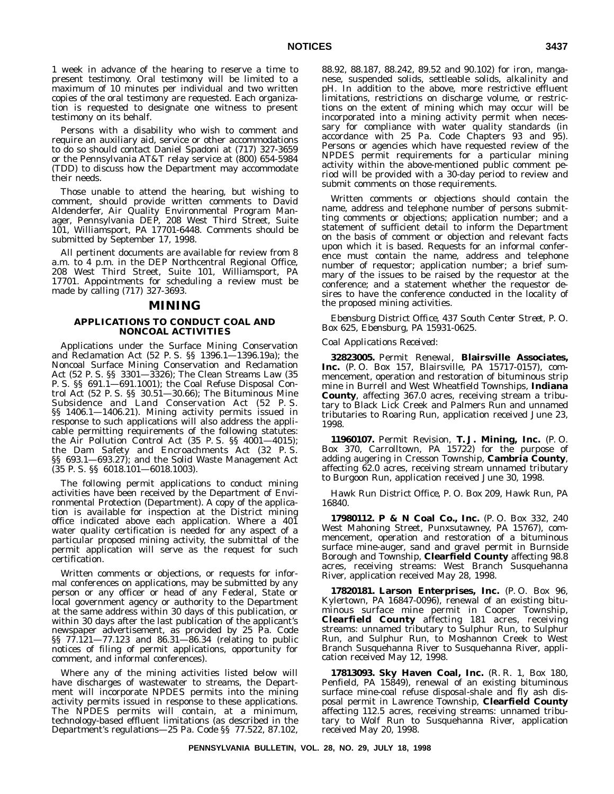1 week in advance of the hearing to reserve a time to present testimony. Oral testimony will be limited to a maximum of 10 minutes per individual and two written copies of the oral testimony are requested. Each organization is requested to designate one witness to present testimony on its behalf.

Persons with a disability who wish to comment and require an auxiliary aid, service or other accommodations to do so should contact Daniel Spadoni at (717) 327-3659 or the Pennsylvania AT&T relay service at (800) 654-5984 (TDD) to discuss how the Department may accommodate their needs.

Those unable to attend the hearing, but wishing to comment, should provide written comments to David Aldenderfer, Air Quality Environmental Program Manager, Pennsylvania DEP, 208 West Third Street, Suite 101, Williamsport, PA 17701-6448. Comments should be submitted by September 17, 1998.

All pertinent documents are available for review from 8 a.m. to 4 p.m. in the DEP Northcentral Regional Office, 208 West Third Street, Suite 101, Williamsport, PA 17701. Appointments for scheduling a review must be made by calling (717) 327-3693.

# **MINING**

# **APPLICATIONS TO CONDUCT COAL AND NONCOAL ACTIVITIES**

Applications under the Surface Mining Conservation and Reclamation Act (52 P. S. §§ 1396.1—1396.19a); the Noncoal Surface Mining Conservation and Reclamation Act (52 P. S. §§ 3301—3326); The Clean Streams Law (35 P. S. §§ 691.1—691.1001); the Coal Refuse Disposal Control Act (52 P. S. §§ 30.51—30.66); The Bituminous Mine Subsidence and Land Conservation Act (52 P. S. §§ 1406.1—1406.21). Mining activity permits issued in response to such applications will also address the applicable permitting requirements of the following statutes: the Air Pollution Control Act (35 P. S. §§ 4001—4015); the Dam Safety and Encroachments Act (32 P. S. §§ 693.1—693.27); and the Solid Waste Management Act (35 P. S. §§ 6018.101—6018.1003).

The following permit applications to conduct mining activities have been received by the Department of Environmental Protection (Department). A copy of the application is available for inspection at the District mining office indicated above each application. Where a 401 water quality certification is needed for any aspect of a particular proposed mining activity, the submittal of the permit application will serve as the request for such certification.

Written comments or objections, or requests for informal conferences on applications, may be submitted by any person or any officer or head of any Federal, State or local government agency or authority to the Department at the same address within 30 days of this publication, or within 30 days after the last publication of the applicant's newspaper advertisement, as provided by 25 Pa. Code §§ 77.121—77.123 and 86.31—86.34 (relating to public notices of filing of permit applications, opportunity for comment, and informal conferences).

Where any of the mining activities listed below will have discharges of wastewater to streams, the Department will incorporate NPDES permits into the mining activity permits issued in response to these applications. The NPDES permits will contain, at a minimum, technology-based effluent limitations (as described in the Department's regulations—25 Pa. Code §§ 77.522, 87.102,

88.92, 88.187, 88.242, 89.52 and 90.102) for iron, manganese, suspended solids, settleable solids, alkalinity and pH. In addition to the above, more restrictive effluent limitations, restrictions on discharge volume, or restrictions on the extent of mining which may occur will be incorporated into a mining activity permit when necessary for compliance with water quality standards (in accordance with 25 Pa. Code Chapters 93 and 95). Persons or agencies which have requested review of the NPDES permit requirements for a particular mining activity within the above-mentioned public comment period will be provided with a 30-day period to review and submit comments on those requirements.

Written comments or objections should contain the name, address and telephone number of persons submitting comments or objections; application number; and a statement of sufficient detail to inform the Department on the basis of comment or objection and relevant facts upon which it is based. Requests for an informal conference must contain the name, address and telephone number of requestor; application number; a brief summary of the issues to be raised by the requestor at the conference; and a statement whether the requestor desires to have the conference conducted in the locality of the proposed mining activities.

*Ebensburg District Office, 437 South Center Street, P. O. Box 625, Ebensburg, PA 15931-0625.*

#### *Coal Applications Received*:

**32823005.** Permit Renewal, **Blairsville Associates, Inc.** (P. O. Box 157, Blairsville, PA 15717-0157), commencement, operation and restoration of bituminous strip mine in Burrell and West Wheatfield Townships, **Indiana County**, affecting 367.0 acres, receiving stream a tributary to Black Lick Creek and Palmers Run and unnamed tributaries to Roaring Run, application received June 23, 1998.

**11960107.** Permit Revision, **T. J. Mining, Inc.** (P. O. Box 370, Carrolltown, PA 15722) for the purpose of adding augering in Cresson Township, **Cambria County**, affecting 62.0 acres, receiving stream unnamed tributary to Burgoon Run, application received June 30, 1998.

*Hawk Run District Office, P. O. Box 209, Hawk Run, PA 16840.*

**17980112. P & N Coal Co., Inc.** (P. O. Box 332, 240 West Mahoning Street, Punxsutawney, PA 15767), commencement, operation and restoration of a bituminous surface mine-auger, sand and gravel permit in Burnside Borough and Township, **Clearfield County** affecting 98.8 acres, receiving streams: West Branch Susquehanna River, application received May 28, 1998.

**17820181. Larson Enterprises, Inc.** (P. O. Box 96, Kylertown, PA 16847-0096), renewal of an existing bituminous surface mine permit in Cooper Township, **Clearfield County** affecting 181 acres, receiving streams: unnamed tributary to Sulphur Run, to Sulphur Run, and Sulphur Run, to Moshannon Creek to West Branch Susquehanna River to Susquehanna River, application received May 12, 1998.

**17813093. Sky Haven Coal, Inc.** (R. R. 1, Box 180, Penfield, PA 15849), renewal of an existing bituminous surface mine-coal refuse disposal-shale and fly ash disposal permit in Lawrence Township, **Clearfield County** affecting 112.5 acres, receiving streams: unnamed tributary to Wolf Run to Susquehanna River, application received May 20, 1998.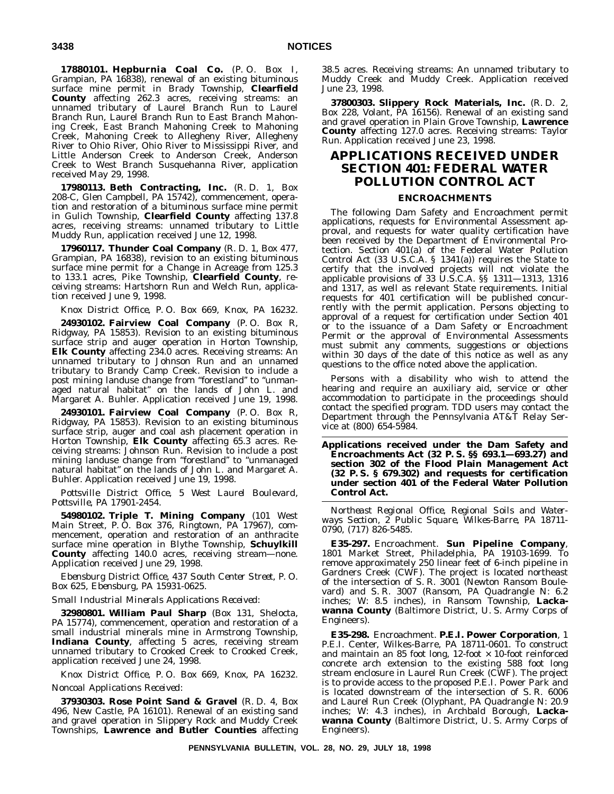**17880101. Hepburnia Coal Co.** (P. O. Box I, Grampian, PA 16838), renewal of an existing bituminous surface mine permit in Brady Township, **Clearfield County** affecting 262.3 acres, receiving streams: an unnamed tributary of Laurel Branch Run to Laurel Branch Run, Laurel Branch Run to East Branch Mahoning Creek, East Branch Mahoning Creek to Mahoning Creek, Mahoning Creek to Allegheny River, Allegheny River to Ohio River, Ohio River to Mississippi River, and Little Anderson Creek to Anderson Creek, Anderson Creek to West Branch Susquehanna River, application received May 29, 1998.

**17980113. Beth Contracting, Inc.** (R. D. 1, Box 208-C, Glen Campbell, PA 15742), commencement, operation and restoration of a bituminous surface mine permit in Gulich Township, **Clearfield County** affecting 137.8 acres, receiving streams: unnamed tributary to Little Muddy Run, application received June 12, 1998.

**17960117. Thunder Coal Company** (R. D. 1, Box 477, Grampian, PA 16838), revision to an existing bituminous surface mine permit for a Change in Acreage from 125.3 to 133.1 acres, Pike Township, **Clearfield County**, receiving streams: Hartshorn Run and Welch Run, application received June 9, 1998.

*Knox District Office, P. O. Box 669, Knox, PA 16232.*

**24930102. Fairview Coal Company** (P. O. Box R, Ridgway, PA 15853). Revision to an existing bituminous surface strip and auger operation in Horton Township, **Elk County** affecting 234.0 acres. Receiving streams: An unnamed tributary to Johnson Run and an unnamed tributary to Brandy Camp Creek. Revision to include a post mining landuse change from "forestland" to "unmanaged natural habitat'' on the lands of John L. and Margaret A. Buhler. Application received June 19, 1998.

**24930101. Fairview Coal Company** (P. O. Box R, Ridgway, PA 15853). Revision to an existing bituminous surface strip, auger and coal ash placement operation in Horton Township, **Elk County** affecting 65.3 acres. Receiving streams: Johnson Run. Revision to include a post mining landuse change from ''forestland'' to ''unmanaged natural habitat'' on the lands of John L. and Margaret A. Buhler. Application received June 19, 1998.

*Pottsville District Office, 5 West Laurel Boulevard, Pottsville, PA 17901-2454.*

**54980102. Triple T. Mining Company** (101 West Main Street, P. O. Box 376, Ringtown, PA 17967), commencement, operation and restoration of an anthracite surface mine operation in Blythe Township, **Schuylkill County** affecting 140.0 acres, receiving stream—none. Application received June 29, 1998.

*Ebensburg District Office, 437 South Center Street, P. O. Box 625, Ebensburg, PA 15931-0625.*

# *Small Industrial Minerals Applications Received*:

**32980801. William Paul Sharp** (Box 131, Shelocta, PA 15774), commencement, operation and restoration of a small industrial minerals mine in Armstrong Township, **Indiana County**, affecting 5 acres, receiving stream unnamed tributary to Crooked Creek to Crooked Creek, application received June 24, 1998.

*Knox District Office, P. O. Box 669, Knox, PA 16232. Noncoal Applications Received*:

**37930303. Rose Point Sand & Gravel** (R. D. 4, Box 496, New Castle, PA 16101). Renewal of an existing sand and gravel operation in Slippery Rock and Muddy Creek Townships, **Lawrence and Butler Counties** affecting

38.5 acres. Receiving streams: An unnamed tributary to Muddy Creek and Muddy Creek. Application received June 23, 1998.

**37800303. Slippery Rock Materials, Inc.** (R. D. 2, Box 228, Volant, PA 16156). Renewal of an existing sand and gravel operation in Plain Grove Township, **Lawrence County** affecting 127.0 acres. Receiving streams: Taylor Run. Application received June 23, 1998.

# **APPLICATIONS RECEIVED UNDER SECTION 401: FEDERAL WATER POLLUTION CONTROL ACT**

# **ENCROACHMENTS**

The following Dam Safety and Encroachment permit applications, requests for Environmental Assessment approval, and requests for water quality certification have been received by the Department of Environmental Protection. Section 401(a) of the Federal Water Pollution Control Act (33 U.S.C.A. § 1341(a)) requires the State to certify that the involved projects will not violate the applicable provisions of 33 U.S.C.A. §§ 1311—1313, 1316 and 1317, as well as relevant State requirements. Initial requests for 401 certification will be published concurrently with the permit application. Persons objecting to approval of a request for certification under Section 401 or to the issuance of a Dam Safety or Encroachment Permit or the approval of Environmental Assessments must submit any comments, suggestions or objections within 30 days of the date of this notice as well as any questions to the office noted above the application.

Persons with a disability who wish to attend the hearing and require an auxiliary aid, service or other accommodation to participate in the proceedings should contact the specified program. TDD users may contact the Department through the Pennsylvania AT&T Relay Service at (800) 654-5984.

**Applications received under the Dam Safety and Encroachments Act (32 P. S. §§ 693.1—693.27) and section 302 of the Flood Plain Management Act (32 P. S. § 679.302) and requests for certification under section 401 of the Federal Water Pollution Control Act.**

*Northeast Regional Office, Regional Soils and Waterways Section, 2 Public Square, Wilkes-Barre, PA 18711- 0790, (717) 826-5485.*

**E35-297.** Encroachment. **Sun Pipeline Company**, 1801 Market Street, Philadelphia, PA 19103-1699. To remove approximately 250 linear feet of 6-inch pipeline in Gardners Creek (CWF). The project is located northeast of the intersection of S. R. 3001 (Newton Ransom Boulevard) and S. R. 3007 (Ransom, PA Quadrangle N: 6.2 inches; W: 8.5 inches), in Ransom Township, **Lackawanna County** (Baltimore District, U. S. Army Corps of Engineers).

**E35-298.** Encroachment. **P.E.I. Power Corporation**, 1 P.E.I. Center, Wilkes-Barre, PA 18711-0601. To construct and maintain an 85 foot long,  $12$ -foot  $\times$  10-foot reinforced concrete arch extension to the existing 588 foot long stream enclosure in Laurel Run Creek (CWF). The project is to provide access to the proposed P.E.I. Power Park and is located downstream of the intersection of S. R. 6006 and Laurel Run Creek (Olyphant, PA Quadrangle N: 20.9 inches; W: 4.3 inches), in Archbald Borough, **Lackawanna County** (Baltimore District, U. S. Army Corps of Engineers).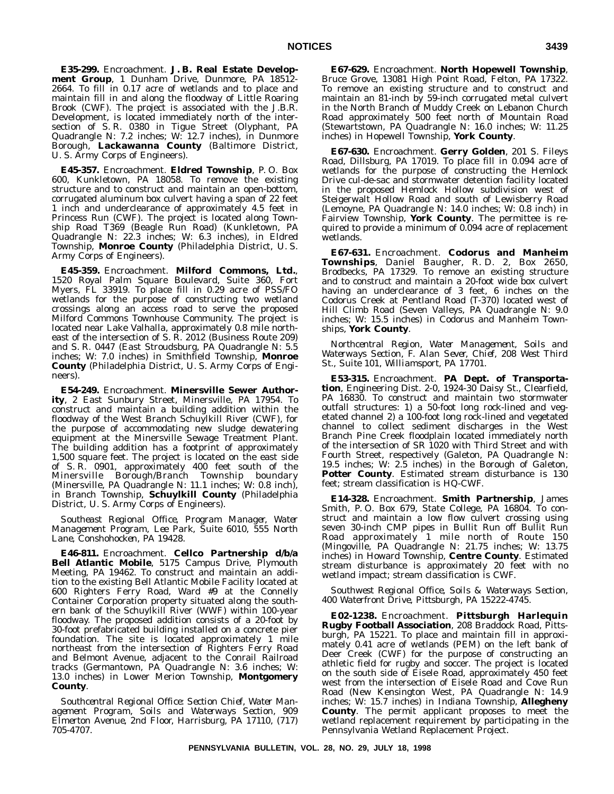**E35-299.** Encroachment. **J. B. Real Estate Development Group**, 1 Dunham Drive, Dunmore, PA 18512- 2664. To fill in 0.17 acre of wetlands and to place and maintain fill in and along the floodway of Little Roaring Brook (CWF). The project is associated with the J.B.R. Development, is located immediately north of the intersection of S. R. 0380 in Tigue Street (Olyphant, PA Quadrangle N: 7.2 inches; W: 12.7 inches), in Dunmore Borough, **Lackawanna County** (Baltimore District, U. S. Army Corps of Engineers).

**E45-357.** Encroachment. **Eldred Township**, P. O. Box 600, Kunkletown, PA 18058. To remove the existing structure and to construct and maintain an open-bottom, corrugated aluminum box culvert having a span of 22 feet 1 inch and underclearance of approximately 4.5 feet in Princess Run (CWF). The project is located along Township Road T369 (Beagle Run Road) (Kunkletown, PA Quadrangle N: 22.3 inches; W: 6.3 inches), in Eldred Township, **Monroe County** (Philadelphia District, U. S. Army Corps of Engineers).

**E45-359.** Encroachment. **Milford Commons, Ltd.**, 1520 Royal Palm Square Boulevard, Suite 360, Fort Myers, FL 33919. To place fill in 0.29 acre of PSS/FO wetlands for the purpose of constructing two wetland crossings along an access road to serve the proposed Milford Commons Townhouse Community. The project is located near Lake Valhalla, approximately 0.8 mile northeast of the intersection of S. R. 2012 (Business Route 209) and S. R. 0447 (East Stroudsburg, PA Quadrangle N: 5.5 inches; W: 7.0 inches) in Smithfield Township, **Monroe County** (Philadelphia District, U. S. Army Corps of Engineers).

**E54-249.** Encroachment. **Minersville Sewer Authority**, 2 East Sunbury Street, Minersville, PA 17954. To construct and maintain a building addition within the floodway of the West Branch Schuylkill River (CWF), for the purpose of accommodating new sludge dewatering equipment at the Minersville Sewage Treatment Plant. The building addition has a footprint of approximately 1,500 square feet. The project is located on the east side of S. R. 0901, approximately 400 feet south of the Minersville Borough/Branch Township boundary (Minersville, PA Quadrangle N: 11.1 inches; W: 0.8 inch), in Branch Township, **Schuylkill County** (Philadelphia District, U. S. Army Corps of Engineers).

*Southeast Regional Office, Program Manager, Water Management Program, Lee Park, Suite 6010, 555 North Lane, Conshohocken, PA 19428.*

**E46-811.** Encroachment. **Cellco Partnership d/b/a Bell Atlantic Mobile**, 5175 Campus Drive, Plymouth Meeting, PA 19462. To construct and maintain an addition to the existing Bell Atlantic Mobile Facility located at 600 Righters Ferry Road, Ward #9 at the Connelly Container Corporation property situated along the southern bank of the Schuylkill River (WWF) within 100-year floodway. The proposed addition consists of a 20-foot by 30-foot prefabricated building installed on a concrete pier foundation. The site is located approximately 1 mile northeast from the intersection of Righters Ferry Road and Belmont Avenue, adjacent to the Conrail Railroad tracks (Germantown, PA Quadrangle N: 3.6 inches; W: 13.0 inches) in Lower Merion Township, **Montgomery County**.

*Southcentral Regional Office: Section Chief, Water Management Program, Soils and Waterways Section, 909 Elmerton Avenue, 2nd Floor, Harrisburg, PA 17110, (717) 705-4707.*

**E67-629.** Encroachment. **North Hopewell Township**, Bruce Grove, 13081 High Point Road, Felton, PA 17322. To remove an existing structure and to construct and maintain an 81-inch by 59-inch corrugated metal culvert in the North Branch of Muddy Creek on Lebanon Church Road approximately 500 feet north of Mountain Road (Stewartstown, PA Quadrangle N: 16.0 inches; W: 11.25 inches) in Hopewell Township, **York County**.

**E67-630.** Encroachment. **Gerry Golden**, 201 S. Fileys Road, Dillsburg, PA 17019. To place fill in 0.094 acre of wetlands for the purpose of constructing the Hemlock Drive cul-de-sac and stormwater detention facility located in the proposed Hemlock Hollow subdivision west of Steigerwalt Hollow Road and south of Lewisberry Road (Lemoyne, PA Quadrangle N: 14.0 inches; W: 0.8 inch) in Fairview Township, **York County**. The permittee is required to provide a minimum of 0.094 acre of replacement wetlands.

**E67-631.** Encroachment. **Codorus and Manheim Townships**, Daniel Baugher, R. D. 2, Box 2650, Brodbecks, PA 17329. To remove an existing structure and to construct and maintain a 20-foot wide box culvert having an underclearance of 3 feet, 6 inches on the Codorus Creek at Pentland Road (T-370) located west of Hill Climb Road (Seven Valleys, PA Quadrangle N: 9.0 inches; W: 15.5 inches) in Codorus and Manheim Townships, **York County**.

*Northcentral Region, Water Management, Soils and Waterways Section, F. Alan Sever, Chief, 208 West Third St., Suite 101, Williamsport, PA 17701.*

**E53-315.** Encroachment. **PA Dept. of Transportation**, Engineering Dist. 2-0, 1924-30 Daisy St., Clearfield, PA 16830. To construct and maintain two stormwater outfall structures: 1) a 50-foot long rock-lined and vegetated channel 2) a 100-foot long rock-lined and vegetated channel to collect sediment discharges in the West Branch Pine Creek floodplain located immediately north of the intersection of SR 1020 with Third Street and with Fourth Street, respectively (Galeton, PA Quadrangle N: 19.5 inches; W: 2.5 inches) in the Borough of Galeton, **Potter County**. Estimated stream disturbance is 130 feet; stream classification is HQ-CWF.

**E14-328.** Encroachment. **Smith Partnership**, James Smith, P. O. Box 679, State College, PA 16804. To construct and maintain a low flow culvert crossing using seven 30-inch CMP pipes in Bullit Run off Bullit Run Road approximately 1 mile north of Route 150 (Mingoville, PA Quadrangle N: 21.75 inches; W: 13.75 inches) in Howard Township, **Centre County**. Estimated stream disturbance is approximately 20 feet with no wetland impact; stream classification is CWF.

*Southwest Regional Office, Soils & Waterways Section, 400 Waterfront Drive, Pittsburgh, PA 15222-4745.*

**E02-1238.** Encroachment. **Pittsburgh Harlequin Rugby Football Association**, 208 Braddock Road, Pittsburgh, PA 15221. To place and maintain fill in approximately 0.41 acre of wetlands (PEM) on the left bank of Deer Creek (CWF) for the purpose of constructing an athletic field for rugby and soccer. The project is located on the south side of Eisele Road, approximately 450 feet west from the intersection of Eisele Road and Cove Run Road (New Kensington West, PA Quadrangle N: 14.9 inches; W: 15.7 inches) in Indiana Township, **Allegheny County**. The permit applicant proposes to meet the wetland replacement requirement by participating in the Pennsylvania Wetland Replacement Project.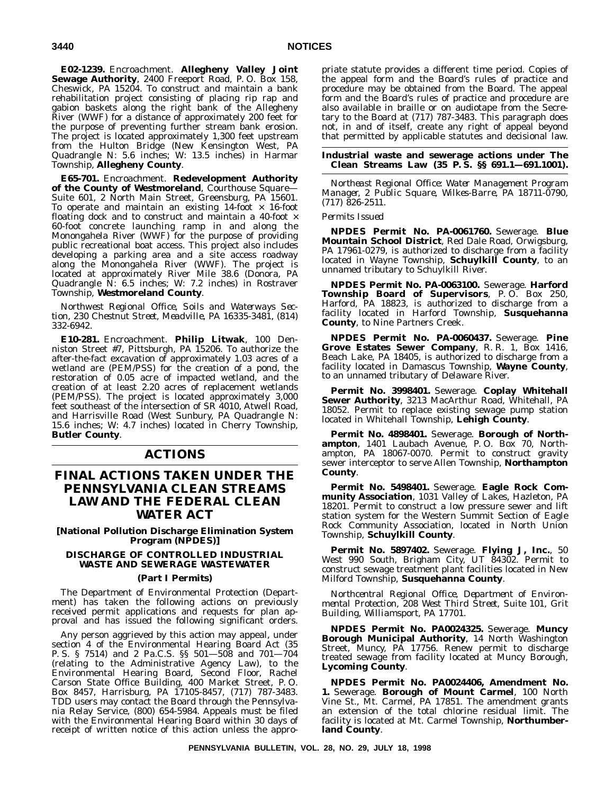**E02-1239.** Encroachment. **Allegheny Valley Joint Sewage Authority**, 2400 Freeport Road, P. O. Box 158, Cheswick, PA 15204. To construct and maintain a bank rehabilitation project consisting of placing rip rap and gabion baskets along the right bank of the Allegheny River (WWF) for a distance of approximately 200 feet for the purpose of preventing further stream bank erosion. The project is located approximately 1,300 feet upstream from the Hulton Bridge (New Kensington West, PA Quadrangle N: 5.6 inches; W: 13.5 inches) in Harmar Township, **Allegheny County**.

**E65-701.** Encroachment. **Redevelopment Authority of the County of Westmoreland**, Courthouse Square— Suite 601, 2 North Main Street, Greensburg, PA 15601. To operate and maintain an existing  $14$ -foot  $\times$  16-foot floating dock and to construct and maintain a 40-foot  $\times$ 60-foot concrete launching ramp in and along the Monongahela River (WWF) for the purpose of providing public recreational boat access. This project also includes developing a parking area and a site access roadway along the Monongahela River (WWF). The project is located at approximately River Mile 38.6 (Donora, PA Quadrangle N: 6.5 inches; W: 7.2 inches) in Rostraver Township, **Westmoreland County**.

*Northwest Regional Office, Soils and Waterways Section, 230 Chestnut Street, Meadville, PA 16335-3481, (814) 332-6942.*

**E10-281.** Encroachment. **Philip Litwak**, 100 Denniston Street #7, Pittsburgh, PA 15206. To authorize the after-the-fact excavation of approximately 1.03 acres of a wetland are (PEM/PSS) for the creation of a pond, the restoration of 0.05 acre of impacted wetland, and the creation of at least 2.20 acres of replacement wetlands (PEM/PSS). The project is located approximately 3,000 feet southeast of the intersection of SR 4010, Atwell Road, and Harrisville Road (West Sunbury, PA Quadrangle N: 15.6 inches; W: 4.7 inches) located in Cherry Township, **Butler County**.

# **ACTIONS**

# **FINAL ACTIONS TAKEN UNDER THE PENNSYLVANIA CLEAN STREAMS LAW AND THE FEDERAL CLEAN WATER ACT**

**[National Pollution Discharge Elimination System Program (NPDES)]**

# **DISCHARGE OF CONTROLLED INDUSTRIAL WASTE AND SEWERAGE WASTEWATER**

# **(Part I Permits)**

The Department of Environmental Protection (Department) has taken the following actions on previously received permit applications and requests for plan approval and has issued the following significant orders.

Any person aggrieved by this action may appeal, under section 4 of the Environmental Hearing Board Act (35 P. S. § 7514) and 2 Pa.C.S. §§ 501—508 and 701—704 (relating to the Administrative Agency Law), to the Environmental Hearing Board, Second Floor, Rachel Carson State Office Building, 400 Market Street, P. O. Box 8457, Harrisburg, PA 17105-8457, (717) 787-3483. TDD users may contact the Board through the Pennsylvania Relay Service, (800) 654-5984. Appeals must be filed with the Environmental Hearing Board within 30 days of receipt of written notice of this action unless the appropriate statute provides a different time period. Copies of the appeal form and the Board's rules of practice and procedure may be obtained from the Board. The appeal form and the Board's rules of practice and procedure are also available in braille or on audiotape from the Secretary to the Board at (717) 787-3483. This paragraph does not, in and of itself, create any right of appeal beyond that permitted by applicable statutes and decisional law.

# **Industrial waste and sewerage actions under The Clean Streams Law (35 P. S. §§ 691.1—691.1001).**

*Northeast Regional Office: Water Management Program Manager, 2 Public Square, Wilkes-Barre, PA 18711-0790, (717) 826-2511.*

# *Permits Issued*

**NPDES Permit No. PA-0061760.** Sewerage. **Blue Mountain School District**, Red Dale Road, Orwigsburg, PA 17961-0279, is authorized to discharge from a facility located in Wayne Township, **Schuylkill County**, to an unnamed tributary to Schuylkill River.

**NPDES Permit No. PA-0063100.** Sewerage. **Harford Township Board of Supervisors**, P. O. Box 250, Harford, PA 18823, is authorized to discharge from a facility located in Harford Township, **Susquehanna County**, to Nine Partners Creek.

**NPDES Permit No. PA-0060437.** Sewerage. **Pine Grove Estates Sewer Company**, R. R. 1, Box 1416, Beach Lake, PA 18405, is authorized to discharge from a facility located in Damascus Township, **Wayne County**, to an unnamed tributary of Delaware River.

**Permit No. 3998401.** Sewerage. **Coplay Whitehall Sewer Authority**, 3213 MacArthur Road, Whitehall, PA 18052. Permit to replace existing sewage pump station located in Whitehall Township, **Lehigh County**.

**Permit No. 4898401.** Sewerage. **Borough of Northampton**, 1401 Laubach Avenue, P. O. Box 70, Northampton, PA 18067-0070. Permit to construct gravity sewer interceptor to serve Allen Township, **Northampton County**.

**Permit No. 5498401.** Sewerage. **Eagle Rock Community Association**, 1031 Valley of Lakes, Hazleton, PA 18201. Permit to construct a low pressure sewer and lift station system for the Western Summit Section of Eagle Rock Community Association, located in North Union Township, **Schuylkill County**.

**Permit No. 5897402.** Sewerage. **Flying J, Inc.**, 50 West 990 South, Brigham City, UT 84302. Permit to construct sewage treatment plant facilities located in New Milford Township, **Susquehanna County**.

*Northcentral Regional Office, Department of Environmental Protection, 208 West Third Street, Suite 101, Grit Building, Williamsport, PA 17701.*

**NPDES Permit No. PA0024325.** Sewerage. **Muncy Borough Municipal Authority**, 14 North Washington Street, Muncy, PA 17756. Renew permit to discharge treated sewage from facility located at Muncy Borough, **Lycoming County**.

**NPDES Permit No. PA0024406, Amendment No. 1.** Sewerage. **Borough of Mount Carmel**, 100 North Vine St., Mt. Carmel, PA 17851. The amendment grants an extension of the total chlorine residual limit. The facility is located at Mt. Carmel Township, **Northumberland County**.

**PENNSYLVANIA BULLETIN, VOL. 28, NO. 29, JULY 18, 1998**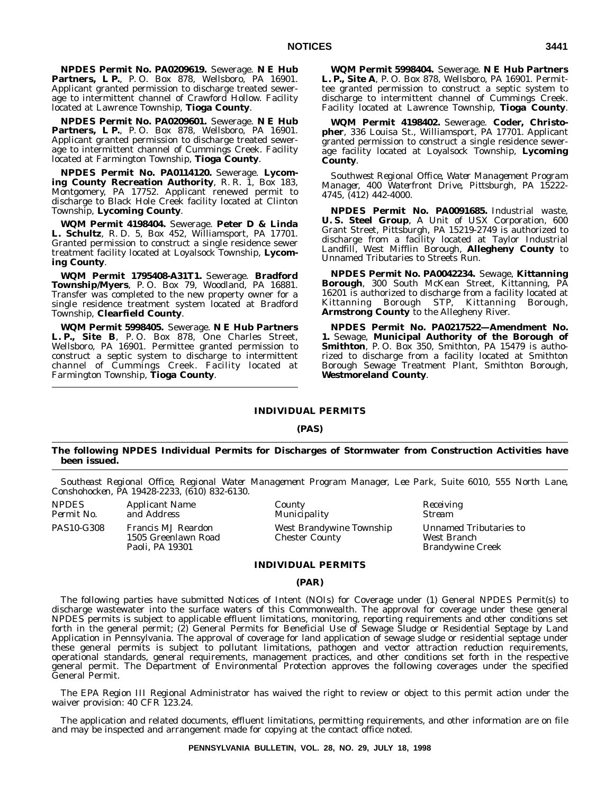**NPDES Permit No. PA0209619.** Sewerage. **N E Hub Partners, L P.**, P. O. Box 878, Wellsboro, PA 16901. Applicant granted permission to discharge treated sewerage to intermittent channel of Crawford Hollow. Facility located at Lawrence Township, **Tioga County**.

**NPDES Permit No. PA0209601.** Sewerage. **N E Hub Partners, L P.**, P. O. Box 878, Wellsboro, PA 16901. Applicant granted permission to discharge treated sewerage to intermittent channel of Cummings Creek. Facility located at Farmington Township, **Tioga County**.

**NPDES Permit No. PA0114120.** Sewerage. **Lycom**ing County Recreation Authority, R. R. I, Box 183, Montgomery, PA 17752. Applicant renewed permit to discharge to Black Hole Creek facility located at Clinton Township, **Lycoming County**.

**WQM Permit 4198404.** Sewerage. **Peter D & Linda L. Schultz**, R. D. 5, Box 452, Williamsport, PA 17701. Granted permission to construct a single residence sewer treatment facility located at Loyalsock Township, **Lycoming County**.

**WQM Permit 1795408-A31T1.** Sewerage. **Bradford Township/Myers**, P. O. Box 79, Woodland, PA 16881. Transfer was completed to the new property owner for a single residence treatment system located at Bradford Township, **Clearfield County**.

**WQM Permit 5998405.** Sewerage. **N E Hub Partners L. P., Site B**, P. O. Box 878, One Charles Street, Wellsboro, PA 16901. Permittee granted permission to construct a septic system to discharge to intermittent channel of Cummings Creek. Facility located at Farmington Township, **Tioga County**.

**WQM Permit 5998404.** Sewerage. **N E Hub Partners L. P., Site A**, P. O. Box 878, Wellsboro, PA 16901. Permittee granted permission to construct a septic system to discharge to intermittent channel of Cummings Creek. Facility located at Lawrence Township, **Tioga County**.

**WQM Permit 4198402.** Sewerage. **Coder, Christopher**, 336 Louisa St., Williamsport, PA 17701. Applicant granted permission to construct a single residence sewerage facility located at Loyalsock Township, **Lycoming County**.

*Southwest Regional Office, Water Management Program Manager, 400 Waterfront Drive, Pittsburgh, PA 15222- 4745, (412) 442-4000.*

**NPDES Permit No. PA0091685.** Industrial waste, **U. S. Steel Group**, A Unit of USX Corporation, 600 Grant Street, Pittsburgh, PA 15219-2749 is authorized to discharge from a facility located at Taylor Industrial Landfill, West Mifflin Borough, **Allegheny County** to Unnamed Tributaries to Streets Run.

**NPDES Permit No. PA0042234.** Sewage, **Kittanning Borough**, 300 South McKean Street, Kittanning, PA 16201 is authorized to discharge from a facility located at Kittanning Borough STP, **Armstrong County** to the Allegheny River.

**NPDES Permit No. PA0217522—Amendment No. 1.** Sewage, **Municipal Authority of the Borough of Smithton**, P. O. Box 350, Smithton, PA 15479 is authorized to discharge from a facility located at Smithton Borough Sewage Treatment Plant, Smithton Borough, **Westmoreland County**.

# **INDIVIDUAL PERMITS**

# **(PAS)**

# **The following NPDES Individual Permits for Discharges of Stormwater from Construction Activities have been issued.**

*Southeast Regional Office, Regional Water Management Program Manager, Lee Park, Suite 6010, 555 North Lane, Conshohocken, PA 19428-2233, (610) 832-6130.*

*NPDES Applicant Name County Receiving* PAS10-G308 Francis MJ Reardon 1505 Greenlawn Road Paoli, PA 19301

*Municipality* West Brandywine Township Chester County

Unnamed Tributaries to West Branch Brandywine Creek

### **INDIVIDUAL PERMITS**

#### **(PAR)**

The following parties have submitted Notices of Intent (NOIs) for Coverage under (1) General NPDES Permit(s) to discharge wastewater into the surface waters of this Commonwealth. The approval for coverage under these general NPDES permits is subject to applicable effluent limitations, monitoring, reporting requirements and other conditions set forth in the general permit; (2) General Permits for Beneficial Use of Sewage Sludge or Residential Septage by Land Application in Pennsylvania. The approval of coverage for land application of sewage sludge or residential septage under these general permits is subject to pollutant limitations, pathogen and vector attraction reduction requirements, operational standards, general requirements, management practices, and other conditions set forth in the respective general permit. The Department of Environmental Protection approves the following coverages under the specified General Permit.

The EPA Region III Regional Administrator has waived the right to review or object to this permit action under the waiver provision: 40 CFR 123.24.

The application and related documents, effluent limitations, permitting requirements, and other information are on file and may be inspected and arrangement made for copying at the contact office noted.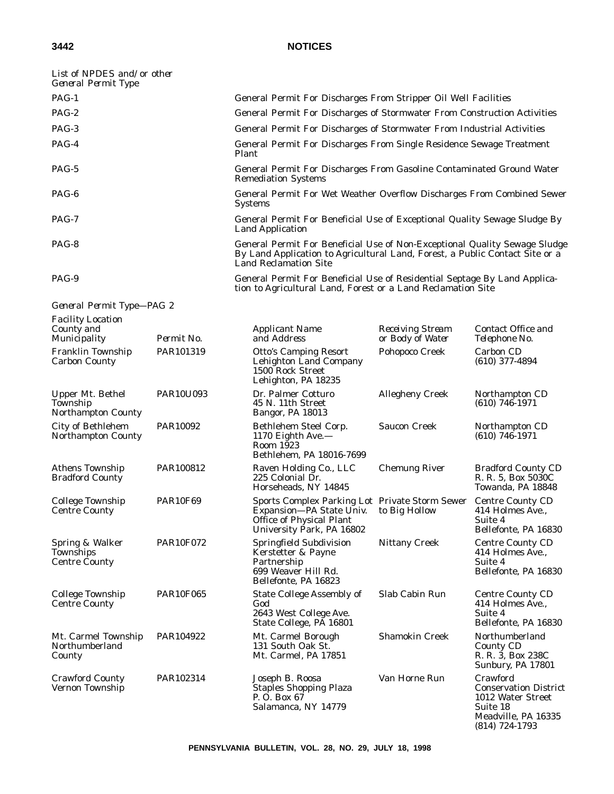*General Permit Type—PAG 2*

# **3442 NOTICES**

| List of NPDES and/or other<br>General Permit Type |                                                                                                                                                                                            |
|---------------------------------------------------|--------------------------------------------------------------------------------------------------------------------------------------------------------------------------------------------|
| $PAG-1$                                           | General Permit For Discharges From Stripper Oil Well Facilities                                                                                                                            |
| $PAG-2$                                           | General Permit For Discharges of Stormwater From Construction Activities                                                                                                                   |
| PAG-3                                             | General Permit For Discharges of Stormwater From Industrial Activities                                                                                                                     |
| PAG-4                                             | General Permit For Discharges From Single Residence Sewage Treatment<br>Plant                                                                                                              |
| PAG-5                                             | General Permit For Discharges From Gasoline Contaminated Ground Water<br><b>Remediation Systems</b>                                                                                        |
| $PAG-6$                                           | General Permit For Wet Weather Overflow Discharges From Combined Sewer<br><b>Systems</b>                                                                                                   |
| $PAG-7$                                           | General Permit For Beneficial Use of Exceptional Quality Sewage Sludge By<br><b>Land Application</b>                                                                                       |
| PAG-8                                             | General Permit For Beneficial Use of Non-Exceptional Quality Sewage Sludge<br>By Land Application to Agricultural Land, Forest, a Public Contact Site or a<br><b>Land Reclamation Site</b> |
| PAG-9                                             | General Permit For Beneficial Use of Residential Septage By Land Applica-                                                                                                                  |

tion to Agricultural Land, Forest or a Land Reclamation Site

| <b>Facility Location</b><br>County and<br>Municipality    | Permit No.       | <b>Applicant Name</b><br>and Address                                                                                                       | <b>Receiving Stream</b><br>or Body of Water | Contact Office and<br>Telephone No.                                            |
|-----------------------------------------------------------|------------------|--------------------------------------------------------------------------------------------------------------------------------------------|---------------------------------------------|--------------------------------------------------------------------------------|
| Franklin Township<br><b>Carbon County</b>                 | PAR101319        | <b>Otto's Camping Resort</b><br><b>Lehighton Land Company</b><br>1500 Rock Street<br>Lehighton, PA 18235                                   | Pohopoco Creek                              | Carbon CD<br>$(610)$ 377-4894                                                  |
| Upper Mt. Bethel<br>Township<br><b>Northampton County</b> | <b>PAR10U093</b> | Dr. Palmer Cotturo<br>45 N. 11th Street<br>Bangor, PA 18013                                                                                | <b>Allegheny Creek</b>                      | Northampton CD<br>$(610)$ 746-1971                                             |
| City of Bethlehem<br>Northampton County                   | PAR10092         | Bethlehem Steel Corp.<br>1170 Eighth Ave.-<br>Room 1923<br>Bethlehem, PA 18016-7699                                                        | <b>Saucon Creek</b>                         | Northampton CD<br>$(610)$ 746-1971                                             |
| <b>Athens Township</b><br><b>Bradford County</b>          | PAR100812        | Raven Holding Co., LLC<br>225 Colonial Dr.<br>Horseheads, NY 14845                                                                         | <b>Chemung River</b>                        | <b>Bradford County CD</b><br>R. R. 5, Box 5030C<br>Towanda, PA 18848           |
| <b>College Township</b><br><b>Centre County</b>           | <b>PAR10F69</b>  | <b>Sports Complex Parking Lot Private Storm Sewer</b><br>Expansion-PA State Univ.<br>Office of Physical Plant<br>University Park, PA 16802 | to Big Hollow                               | <b>Centre County CD</b><br>414 Holmes Ave.,<br>Suite 4<br>Bellefonte, PA 16830 |
| Spring & Walker<br>Townships<br><b>Centre County</b>      | <b>PAR10F072</b> | Springfield Subdivision<br>Kerstetter & Payne<br>Partnership<br>699 Weaver Hill Rd.<br>Bellefonte, PA 16823                                | <b>Nittany Creek</b>                        | <b>Centre County CD</b><br>414 Holmes Ave.,<br>Suite 4<br>Bellefonte, PA 16830 |
| <b>College Township</b><br><b>Centre County</b>           | <b>PAR10F065</b> | <b>State College Assembly of</b><br>God<br>2643 West College Ave.<br>State College, PĂ 16801                                               | Slab Cabin Run                              | <b>Centre County CD</b><br>414 Holmes Ave.,<br>Suite 4<br>Bellefonte, PA 16830 |
| Mt. Carmel Township<br>Northumberland<br>County           | PAR104922        | Mt. Carmel Borough<br>131 South Oak St.<br>Mt. Carmel, PA 17851                                                                            | <b>Shamokin Creek</b>                       | Northumberland<br><b>County CD</b><br>R. R. 3, Box 238C<br>Sunbury, PA 17801   |
| <b>Crawford County</b><br>Vernon Township                 | PAR102314        | Joseph B. Roosa<br><b>Staples Shopping Plaza</b><br>P. O. Box 67                                                                           | Van Horne Run                               | Crawford<br><b>Conservation District</b><br>1012 Water Street                  |

Conservation District 1012 Water Street Suite 18 Meadville, PA 16335 (814) 724-1793

Salamanca, NY 14779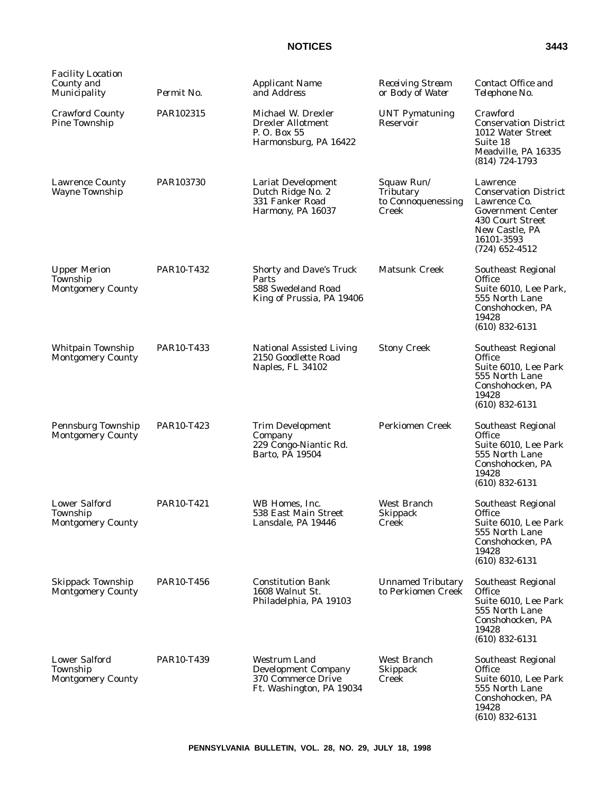| <b>Facility Location</b><br>County and<br>Municipality       | Permit No. | <b>Applicant Name</b><br>and Address                                                                | <b>Receiving Stream</b><br>or Body of Water            | Contact Office and<br>Telephone No.                                                                                                                          |
|--------------------------------------------------------------|------------|-----------------------------------------------------------------------------------------------------|--------------------------------------------------------|--------------------------------------------------------------------------------------------------------------------------------------------------------------|
| <b>Crawford County</b><br>Pine Township                      | PAR102315  | Michael W. Drexler<br><b>Drexler Allotment</b><br>P. O. Box 55<br>Harmonsburg, PA 16422             | <b>UNT Pymatuning</b><br>Reservoir                     | Crawford<br><b>Conservation District</b><br>1012 Water Street<br>Suite 18<br>Meadville, PA 16335<br>$(814)$ 724-1793                                         |
| <b>Lawrence County</b><br><b>Wayne Township</b>              | PAR103730  | Lariat Development<br>Dutch Ridge No. 2<br>331 Fanker Road<br>Harmony, PA 16037                     | Squaw Run/<br>Tributary<br>to Connoquenessing<br>Creek | Lawrence<br><b>Conservation District</b><br>Lawrence Co.<br><b>Government Center</b><br>430 Court Street<br>New Castle, PA<br>16101-3593<br>$(724)$ 652-4512 |
| <b>Upper Merion</b><br>Township<br><b>Montgomery County</b>  | PAR10-T432 | Shorty and Dave's Truck<br>Parts<br>588 Swedeland Road<br>King of Prussia, PA 19406                 | <b>Matsunk Creek</b>                                   | Southeast Regional<br><b>Office</b><br>Suite 6010, Lee Park,<br>555 North Lane<br>Conshohocken, PA<br>19428<br>$(610)$ 832-6131                              |
| Whitpain Township<br><b>Montgomery County</b>                | PAR10-T433 | <b>National Assisted Living</b><br>2150 Goodlette Road<br>Naples, FL 34102                          | <b>Stony Creek</b>                                     | Southeast Regional<br>Office<br>Suite 6010, Lee Park<br>555 North Lane<br>Conshohocken, PA<br>19428<br>$(610)$ 832-6131                                      |
| Pennsburg Township<br><b>Montgomery County</b>               | PAR10-T423 | <b>Trim Development</b><br>Company<br>229 Congo-Niantic Rd.<br>Barto, PA 19504                      | <b>Perkiomen Creek</b>                                 | Southeast Regional<br><b>Office</b><br>Suite 6010, Lee Park<br>555 North Lane<br>Conshohocken, PA<br>19428<br>$(610)$ 832-6131                               |
| <b>Lower Salford</b><br>Township<br><b>Montgomery County</b> | PAR10-T421 | WB Homes, Inc.<br>538 East Main Street<br>Lansdale, PA 19446                                        | West Branch<br><b>Skippack</b><br>Creek                | Southeast Regional<br>Office<br>Suite 6010, Lee Park<br>555 North Lane<br>Conshohocken, PA<br>19428<br>$(610)$ 832-6131                                      |
| <b>Skippack Township</b><br><b>Montgomery County</b>         | PAR10-T456 | <b>Constitution Bank</b><br>1608 Walnut St.<br>Philadelphia, PA 19103                               | <b>Unnamed Tributary</b><br>to Perkiomen Creek         | <b>Southeast Regional</b><br>Office<br>Suite 6010, Lee Park<br>555 North Lane<br>Conshohocken, PA<br>19428<br>$(610)$ 832-6131                               |
| <b>Lower Salford</b><br>Township<br><b>Montgomery County</b> | PAR10-T439 | <b>Westrum Land</b><br><b>Development Company</b><br>370 Commerce Drive<br>Ft. Washington, PA 19034 | <b>West Branch</b><br>Skippack<br>Creek                | <b>Southeast Regional</b><br><b>Office</b><br>Suite 6010, Lee Park<br>555 North Lane<br>Conshohocken, PA<br>19428<br>$(610)$ 832-6131                        |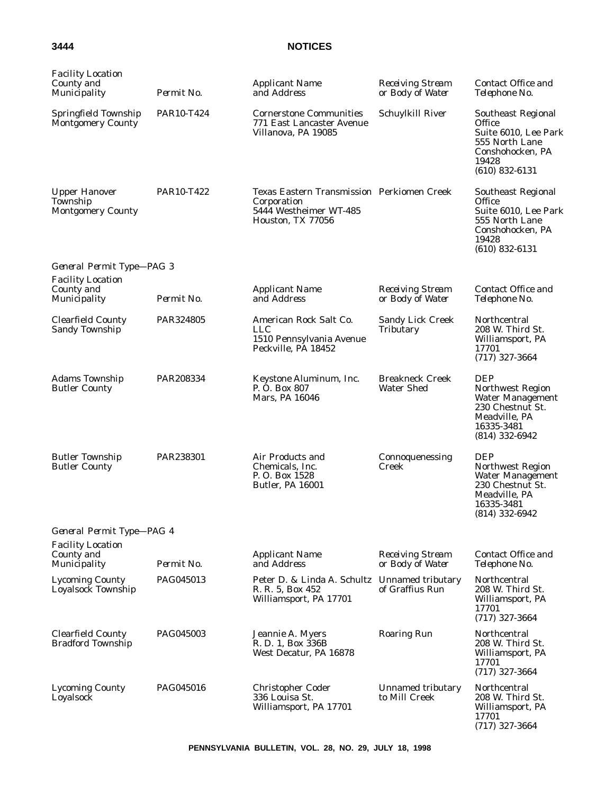| <b>Facility Location</b><br>County and<br>Municipality       | Permit No. | <b>Applicant Name</b><br>and Address                                                                     | <b>Receiving Stream</b><br>or Body of Water | Contact Office and<br>Telephone No.                                                                                              |
|--------------------------------------------------------------|------------|----------------------------------------------------------------------------------------------------------|---------------------------------------------|----------------------------------------------------------------------------------------------------------------------------------|
| Springfield Township<br><b>Montgomery County</b>             | PAR10-T424 | <b>Cornerstone Communities</b><br>771 East Lancaster Avenue<br>Villanova, PA 19085                       | Schuylkill River                            | <b>Southeast Regional</b><br>Office<br>Suite 6010, Lee Park<br>555 North Lane<br>Conshohocken, PA<br>19428<br>$(610)$ 832-6131   |
| <b>Upper Hanover</b><br>Township<br><b>Montgomery County</b> | PAR10-T422 | Texas Eastern Transmission Perkiomen Creek<br>Corporation<br>5444 Westheimer WT-485<br>Houston, TX 77056 |                                             | <b>Southeast Regional</b><br>Office<br>Suite 6010, Lee Park<br>555 North Lane<br>Conshohocken, PA<br>19428<br>$(610)$ 832-6131   |
| General Permit Type-PAG 3                                    |            |                                                                                                          |                                             |                                                                                                                                  |
| <b>Facility Location</b>                                     |            |                                                                                                          |                                             |                                                                                                                                  |
| County and<br>Municipality                                   | Permit No. | <b>Applicant Name</b><br>and Address                                                                     | <b>Receiving Stream</b><br>or Body of Water | Contact Office and<br>Telephone No.                                                                                              |
| <b>Clearfield County</b><br><b>Sandy Township</b>            | PAR324805  | American Rock Salt Co.<br><b>LLC</b><br>1510 Pennsylvania Avenue<br>Peckville, PA 18452                  | <b>Sandy Lick Creek</b><br>Tributary        | Northcentral<br>208 W. Third St.<br>Williamsport, PA<br>17701<br>$(717)$ 327-3664                                                |
| <b>Adams Township</b><br><b>Butler County</b>                | PAR208334  | Keystone Aluminum, Inc.<br>P. O. Box 807<br>Mars, PA 16046                                               | <b>Breakneck Creek</b><br><b>Water Shed</b> | <b>DEP</b><br>Northwest Region<br><b>Water Management</b><br>230 Chestnut St.<br>Meadville, PA<br>16335-3481<br>$(814)$ 332-6942 |
| <b>Butler Township</b><br><b>Butler County</b>               | PAR238301  | Air Products and<br>Chemicals. Inc.<br>P. O. Box 1528<br><b>Butler, PA 16001</b>                         | Connoquenessing<br>Creek                    | <b>DEP</b><br>Northwest Region<br><b>Water Management</b><br>230 Chestnut St.<br>Meadville, PA<br>16335-3481<br>(814) 332-6942   |
| General Permit Type-PAG 4                                    |            |                                                                                                          |                                             |                                                                                                                                  |
| <b>Facility Location</b>                                     |            |                                                                                                          |                                             |                                                                                                                                  |
| County and<br>Municipality                                   | Permit No. | <b>Applicant Name</b><br>and Address                                                                     | <b>Receiving Stream</b><br>or Body of Water | Contact Office and<br>Telephone No.                                                                                              |
| <b>Lycoming County</b><br>Loyalsock Township                 | PAG045013  | Peter D. & Linda A. Schultz Unnamed tributary<br>R. R. 5, Box 452<br>Williamsport, PA 17701              | of Graffius Run                             | Northcentral<br>208 W. Third St.<br>Williamsport, PA<br>17701<br>$(717)$ 327-3664                                                |
| <b>Clearfield County</b><br><b>Bradford Township</b>         | PAG045003  | Jeannie A. Myers<br>R. D. 1, Box 336B<br>West Decatur, PA 16878                                          | <b>Roaring Run</b>                          | Northcentral<br>208 W. Third St.<br>Williamsport, PA<br>17701<br>$(717)$ 327-3664                                                |
| <b>Lycoming County</b><br>Loyalsock                          | PAG045016  | <b>Christopher Coder</b><br>336 Louisa St.<br>Williamsport, PA 17701                                     | Unnamed tributary<br>to Mill Creek          | Northcentral<br>208 W. Third St.<br>Williamsport, PA<br>17701<br>$(717)$ 327-3664                                                |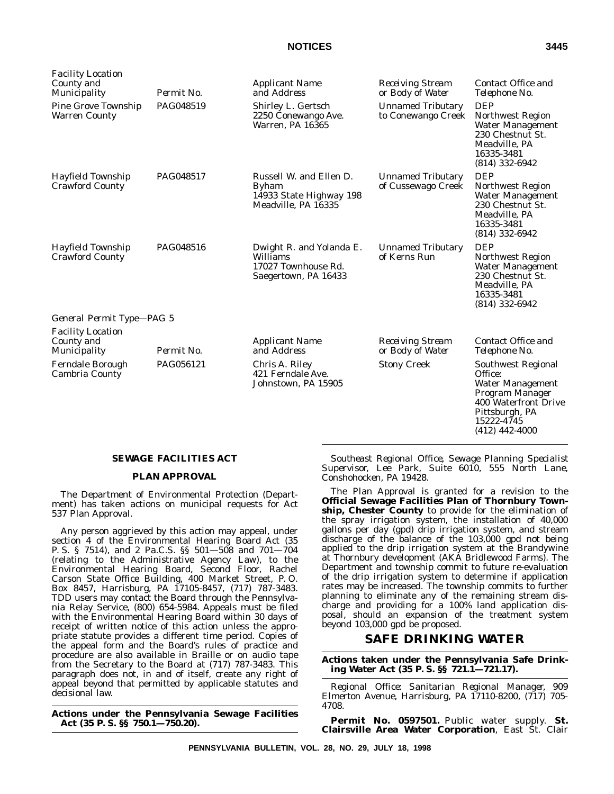| <i>Facility Location</i><br>County and<br>Municipality | Permit No. | <i>Applicant Name</i><br>and Address                                                      | <b>Receiving Stream</b><br>or Body of Water    | Contact Office and<br>Telephone No.                                                                                                                     |
|--------------------------------------------------------|------------|-------------------------------------------------------------------------------------------|------------------------------------------------|---------------------------------------------------------------------------------------------------------------------------------------------------------|
| Pine Grove Township<br>Warren County                   | PAG048519  | Shirley L. Gertsch<br>2250 Conewango Ave.<br>Warren, PA 16365                             | <b>Unnamed Tributary</b><br>to Conewango Creek | <b>DEP</b><br>Northwest Region<br><b>Water Management</b><br>230 Chestnut St.<br>Meadville, PA<br>16335-3481<br>$(814)$ 332-6942                        |
| Hayfield Township<br>Crawford County                   | PAG048517  | Russell W. and Ellen D.<br><b>Byham</b><br>14933 State Highway 198<br>Meadville, PA 16335 | <b>Unnamed Tributary</b><br>of Cussewago Creek | <b>DEP</b><br><b>Northwest Region</b><br><b>Water Management</b><br>230 Chestnut St.<br>Meadville, PA<br>16335-3481<br>$(814)$ 332-6942                 |
| Hayfield Township<br>Crawford County                   | PAG048516  | Dwight R. and Yolanda E.<br>Williams<br>17027 Townhouse Rd.<br>Saegertown, PA 16433       | <b>Unnamed Tributary</b><br>of Kerns Run       | <b>DEP</b><br><b>Northwest Region</b><br>Water Management<br>230 Chestnut St.<br>Meadville, PA<br>16335-3481<br>$(814)$ 332-6942                        |
| General Permit Type-PAG 5                              |            |                                                                                           |                                                |                                                                                                                                                         |
| Facility Location<br>County and<br>Municipality        | Permit No. | <b>Applicant Name</b><br>and Address                                                      | <b>Receiving Stream</b><br>or Body of Water    | Contact Office and<br>Telephone No.                                                                                                                     |
| Ferndale Borough<br>Cambria County                     | PAG056121  | Chris A. Riley<br>421 Ferndale Ave.<br>Johnstown, PA 15905                                | <b>Stony Creek</b>                             | Southwest Regional<br>Office:<br><b>Water Management</b><br>Program Manager<br>400 Waterfront Drive<br>Pittsburgh, PA<br>15222-4745<br>$(412)$ 442-4000 |

# **SEWAGE FACILITIES ACT**

# **PLAN APPROVAL**

The Department of Environmental Protection (Department) has taken actions on municipal requests for Act 537 Plan Approval.

Any person aggrieved by this action may appeal, under section 4 of the Environmental Hearing Board Act (35 P. S. § 7514), and 2 Pa.C.S. §§ 501—508 and 701—704 (relating to the Administrative Agency Law), to the Environmental Hearing Board, Second Floor, Rachel Carson State Office Building, 400 Market Street, P. O. Box 8457, Harrisburg, PA 17105-8457, (717) 787-3483. TDD users may contact the Board through the Pennsylvania Relay Service, (800) 654-5984. Appeals must be filed with the Environmental Hearing Board within 30 days of receipt of written notice of this action unless the appropriate statute provides a different time period. Copies of the appeal form and the Board's rules of practice and procedure are also available in Braille or on audio tape from the Secretary to the Board at (717) 787-3483. This paragraph does not, in and of itself, create any right of appeal beyond that permitted by applicable statutes and decisional law.

**Actions under the Pennsylvania Sewage Facilities Act (35 P. S. §§ 750.1—750.20).**

*Southeast Regional Office, Sewage Planning Specialist Supervisor, Lee Park, Suite 6010, 555 North Lane, Conshohocken, PA 19428.*

The Plan Approval is granted for a revision to the **Official Sewage Facilities Plan of Thornbury Township, Chester County** to provide for the elimination of the spray irrigation system, the installation of 40,000 gallons per day (gpd) drip irrigation system, and stream discharge of the balance of the 103,000 gpd not being applied to the drip irrigation system at the Brandywine at Thornbury development (AKA Bridlewood Farms). The Department and township commit to future re-evaluation of the drip irrigation system to determine if application rates may be increased. The township commits to further planning to eliminate any of the remaining stream discharge and providing for a 100% land application disposal, should an expansion of the treatment system beyond 103,000 gpd be proposed.

# **SAFE DRINKING WATER**

**Actions taken under the Pennsylvania Safe Drinking Water Act (35 P. S. §§ 721.1—721.17).**

*Regional Office: Sanitarian Regional Manager, 909 Elmerton Avenue, Harrisburg, PA 17110-8200, (717) 705- 4708.*

**Permit No. 0597501.** Public water supply. **St. Clairsville Area Water Corporation**, East St. Clair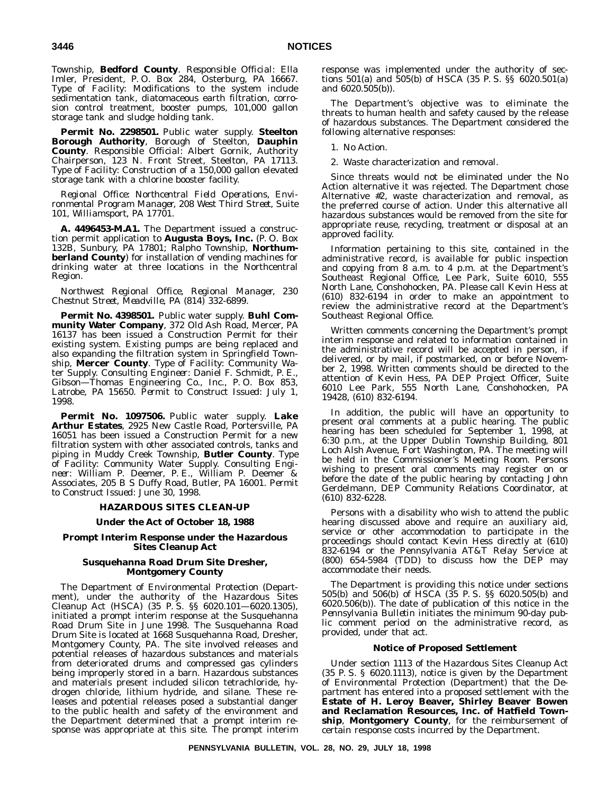Township, **Bedford County**. *Responsible Official*: Ella Imler, President, P. O. Box 284, Osterburg, PA 16667. *Type of Facility*: Modifications to the system include sedimentation tank, diatomaceous earth filtration, corrosion control treatment, booster pumps, 101,000 gallon storage tank and sludge holding tank.

**Permit No. 2298501.** Public water supply. **Steelton Borough Authority**, Borough of Steelton, **Dauphin County**. *Responsible Official*: Albert Gornik, Authority Chairperson, 123 N. Front Street, Steelton, PA 17113. *Type of Facility*: Construction of a 150,000 gallon elevated storage tank with a chlorine booster facility.

*Regional Office: Northcentral Field Operations, Environmental Program Manager, 208 West Third Street, Suite 101, Williamsport, PA 17701.*

**A. 4496453-M.A1.** The Department issued a construction permit application to **Augusta Boys, Inc.** (P. O. Box 132B, Sunbury, PA 17801; Ralpho Township, **Northumberland County**) for installation of vending machines for drinking water at three locations in the Northcentral Region.

*Northwest Regional Office, Regional Manager, 230 Chestnut Street, Meadville, PA (814) 332-6899.*

**Permit No. 4398501.** Public water supply. **Buhl Community Water Company**, 372 Old Ash Road, Mercer, PA 16137 has been issued a Construction Permit for their existing system. Existing pumps are being replaced and also expanding the filtration system in Springfield Township, **Mercer County**. *Type of Facility*: Community Water Supply. *Consulting Engineer*: Daniel F. Schmidt, P. E., Gibson—Thomas Engineering Co., Inc., P. O. Box 853, Latrobe, PA 15650. *Permit to Construct Issued*: July 1, 1998.

**Permit No. 1097506.** Public water supply. **Lake Arthur Estates**, 2925 New Castle Road, Portersville, PA 16051 has been issued a Construction Permit for a new filtration system with other associated controls, tanks and piping in Muddy Creek Township, **Butler County**. *Type of Facility*: Community Water Supply. *Consulting Engineer*: William P. Deemer, P. E., William P. Deemer & Associates, 205BSDuffy Road, Butler, PA 16001. *Permit to Construct Issued*: June 30, 1998.

#### **HAZARDOUS SITES CLEAN-UP**

# **Under the Act of October 18, 1988**

# **Prompt Interim Response under the Hazardous Sites Cleanup Act**

# **Susquehanna Road Drum Site Dresher, Montgomery County**

The Department of Environmental Protection (Department), under the authority of the Hazardous Sites Cleanup Act (HSCA) (35 P. S. §§ 6020.101—6020.1305), initiated a prompt interim response at the Susquehanna Road Drum Site in June 1998. The Susquehanna Road Drum Site is located at 1668 Susquehanna Road, Dresher, Montgomery County, PA. The site involved releases and potential releases of hazardous substances and materials from deteriorated drums and compressed gas cylinders being improperly stored in a barn. Hazardous substances and materials present included silicon tetrachloride, hydrogen chloride, lithium hydride, and silane. These releases and potential releases posed a substantial danger to the public health and safety of the environment and the Department determined that a prompt interim response was appropriate at this site. The prompt interim

response was implemented under the authority of sections 501(a) and 505(b) of HSCA (35 P. S. §§ 6020.501(a) and 6020.505(b)).

The Department's objective was to eliminate the threats to human health and safety caused by the release of hazardous substances. The Department considered the following alternative responses:

1. No Action.

2. Waste characterization and removal.

Since threats would not be eliminated under the No Action alternative it was rejected. The Department chose Alternative #2, waste characterization and removal, as the preferred course of action. Under this alternative all hazardous substances would be removed from the site for appropriate reuse, recycling, treatment or disposal at an approved facility.

Information pertaining to this site, contained in the administrative record, is available for public inspection and copying from 8 a.m. to 4 p.m. at the Department's Southeast Regional Office, Lee Park, Suite 6010, 555 North Lane, Conshohocken, PA. Please call Kevin Hess at (610) 832-6194 in order to make an appointment to review the administrative record at the Department's Southeast Regional Office.

Written comments concerning the Department's prompt interim response and related to information contained in the administrative record will be accepted in person, if delivered, or by mail, if postmarked, on or before November 2, 1998. Written comments should be directed to the attention of Kevin Hess, PA DEP Project Officer, Suite 6010 Lee Park, 555 North Lane, Conshohocken, PA 19428, (610) 832-6194.

In addition, the public will have an opportunity to present oral comments at a public hearing. The public hearing has been scheduled for September 1, 1998, at 6:30 p.m., at the Upper Dublin Township Building, 801 Loch Alsh Avenue, Fort Washington, PA. The meeting will be held in the Commissioner's Meeting Room. Persons wishing to present oral comments may register on or before the date of the public hearing by contacting John Gerdelmann, DEP Community Relations Coordinator, at (610) 832-6228.

Persons with a disability who wish to attend the public hearing discussed above and require an auxiliary aid, service or other accommodation to participate in the proceedings should contact Kevin Hess directly at (610) 832-6194 or the Pennsylvania AT&T Relay Service at (800) 654-5984 (TDD) to discuss how the DEP may accommodate their needs.

The Department is providing this notice under sections 505(b) and 506(b) of HSCA (35 P. S. §§ 6020.505(b) and 6020.506(b)). The date of publication of this notice in the *Pennsylvania Bulletin* initiates the minimum 90-day public comment period on the administrative record, as provided, under that act.

# **Notice of Proposed Settlement**

Under section 1113 of the Hazardous Sites Cleanup Act (35 P. S. § 6020.1113), notice is given by the Department of Environmental Protection (Department) that the Department has entered into a proposed settlement with the **Estate of H. Leroy Beaver, Shirley Beaver Bowen and Reclamation Resources, Inc. of Hatfield Township**, **Montgomery County**, for the reimbursement of certain response costs incurred by the Department.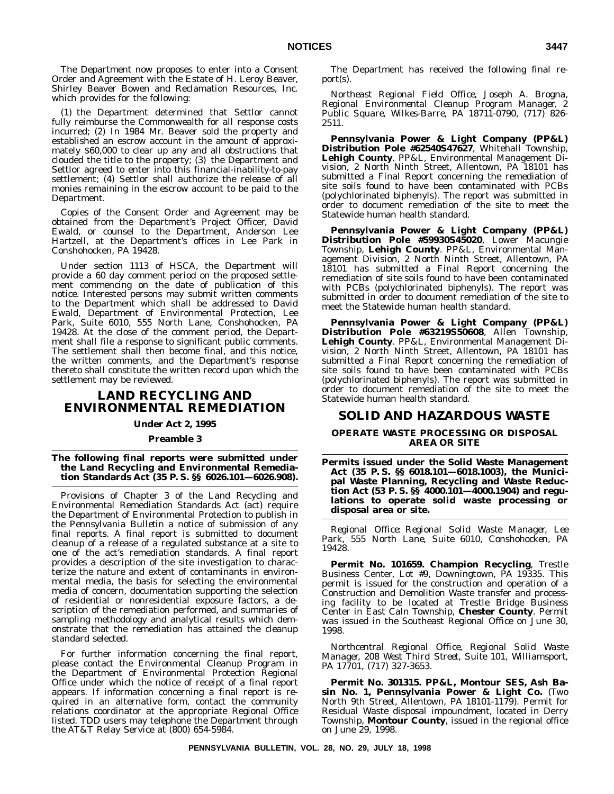The Department now proposes to enter into a Consent Order and Agreement with the Estate of H. Leroy Beaver, Shirley Beaver Bowen and Reclamation Resources, Inc. which provides for the following:

(1) the Department determined that Settlor cannot fully reimburse the Commonwealth for all response costs incurred; (2) In 1984 Mr. Beaver sold the property and established an escrow account in the amount of approximately \$60,000 to clear up any and all obstructions that clouded the title to the property; (3) the Department and Settlor agreed to enter into this financial-inability-to-pay settlement; (4) Settlor shall authorize the release of all monies remaining in the escrow account to be paid to the Department.

Copies of the Consent Order and Agreement may be obtained from the Department's Project Officer, David Ewald, or counsel to the Department, Anderson Lee Hartzell, at the Department's offices in Lee Park in Conshohocken, PA 19428.

Under section 1113 of HSCA, the Department will provide a 60 day comment period on the proposed settlement commencing on the date of publication of this notice. Interested persons may submit written comments to the Department which shall be addressed to David Ewald, Department of Environmental Protection, Lee Park, Suite 6010, 555 North Lane, Conshohocken, PA 19428. At the close of the comment period, the Department shall file a response to significant public comments. The settlement shall then become final, and this notice, the written comments, and the Department's response thereto shall constitute the written record upon which the settlement may be reviewed.

# **LAND RECYCLING AND ENVIRONMENTAL REMEDIATION**

# **Under Act 2, 1995**

#### **Preamble 3**

**The following final reports were submitted under the Land Recycling and Environmental Remediation Standards Act (35 P. S. §§ 6026.101—6026.908).**

Provisions of Chapter 3 of the Land Recycling and Environmental Remediation Standards Act (act) require the Department of Environmental Protection to publish in the *Pennsylvania Bulletin* a notice of submission of any final reports. A final report is submitted to document cleanup of a release of a regulated substance at a site to one of the act's remediation standards. A final report provides a description of the site investigation to characterize the nature and extent of contaminants in environmental media, the basis for selecting the environmental media of concern, documentation supporting the selection of residential or nonresidential exposure factors, a description of the remediation performed, and summaries of sampling methodology and analytical results which demonstrate that the remediation has attained the cleanup standard selected.

For further information concerning the final report, please contact the Environmental Cleanup Program in the Department of Environmental Protection Regional Office under which the notice of receipt of a final report appears. If information concerning a final report is required in an alternative form, contact the community relations coordinator at the appropriate Regional Office listed. TDD users may telephone the Department through the AT&T Relay Service at (800) 654-5984.

The Department has received the following final report(s).

*Northeast Regional Field Office, Joseph A. Brogna, Regional Environmental Cleanup Program Manager, 2 Public Square, Wilkes-Barre, PA 18711-0790, (717) 826- 2511.*

**Pennsylvania Power & Light Company (PP&L) Distribution Pole #62540S47627**, Whitehall Township, **Lehigh County**. PP&L, Environmental Management Division, 2 North Ninth Street, Allentown, PA 18101 has submitted a Final Report concerning the remediation of site soils found to have been contaminated with PCBs (polychlorinated biphenyls). The report was submitted in order to document remediation of the site to meet the Statewide human health standard.

**Pennsylvania Power & Light Company (PP&L) Distribution Pole #59930S45020**, Lower Macungie Township, **Lehigh County**. PP&L, Environmental Management Division, 2 North Ninth Street, Allentown, PA 18101 has submitted a Final Report concerning the remediation of site soils found to have been contaminated with PCBs (polychlorinated biphenyls). The report was submitted in order to document remediation of the site to meet the Statewide human health standard.

**Pennsylvania Power & Light Company (PP&L) Distribution Pole #63219S50608**, Allen Township, **Lehigh County**. PP&L, Environmental Management Division, 2 North Ninth Street, Allentown, PA 18101 has submitted a Final Report concerning the remediation of site soils found to have been contaminated with PCBs (polychlorinated biphenyls). The report was submitted in order to document remediation of the site to meet the Statewide human health standard.

# **SOLID AND HAZARDOUS WASTE**

# **OPERATE WASTE PROCESSING OR DISPOSAL AREA OR SITE**

**Permits issued under the Solid Waste Management Act (35 P. S. §§ 6018.101—6018.1003), the Municipal Waste Planning, Recycling and Waste Reduction Act (53 P. S. §§ 4000.101—4000.1904) and regulations to operate solid waste processing or disposal area or site.**

*Regional Office: Regional Solid Waste Manager, Lee Park, 555 North Lane, Suite 6010, Conshohocken, PA 19428.*

**Permit No. 101659. Champion Recycling**, Trestle Business Center, Lot #9, Downingtown, PA 19335. This permit is issued for the construction and operation of a Construction and Demolition Waste transfer and processing facility to be located at Trestle Bridge Business Center in East Caln Township, **Chester County**. Permit was issued in the Southeast Regional Office on June 30, 1998.

*Northcentral Regional Office, Regional Solid Waste Manager, 208 West Third Street, Suite 101, Williamsport, PA 17701, (717) 327-3653.*

**Permit No. 301315. PP&L, Montour SES, Ash Basin No. 1, Pennsylvania Power & Light Co.** (Two North 9th Street, Allentown, PA 18101-1179). Permit for Residual Waste disposal impoundment, located in Derry Township, **Montour County**, issued in the regional office on June 29, 1998.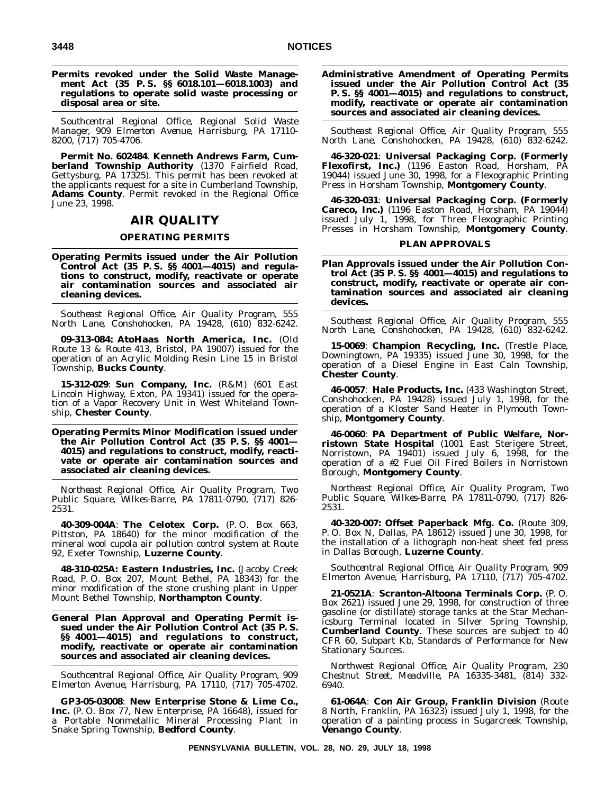# **Permits revoked under the Solid Waste Management Act (35 P. S. §§ 6018.101—6018.1003) and regulations to operate solid waste processing or disposal area or site.**

*Southcentral Regional Office, Regional Solid Waste Manager, 909 Elmerton Avenue, Harrisburg, PA 17110- 8200, (717) 705-4706.*

**Permit No. 602484**. **Kenneth Andrews Farm, Cumberland Township Authority** (1370 Fairfield Road, Gettysburg, PA 17325). This permit has been revoked at the applicants request for a site in Cumberland Township, **Adams County**. Permit revoked in the Regional Office June 23, 1998.

# **AIR QUALITY**

# **OPERATING PERMITS**

**Operating Permits issued under the Air Pollution Control Act (35 P. S. §§ 4001—4015) and regulations to construct, modify, reactivate or operate air contamination sources and associated air cleaning devices.**

*Southeast Regional Office, Air Quality Program, 555 North Lane, Conshohocken, PA 19428, (610) 832-6242.*

**09-313-084: AtoHaas North America, Inc.** (Old Route 13 & Route 413, Bristol, PA 19007) issued for the operation of an Acrylic Molding Resin Line 15 in Bristol Township, **Bucks County**.

**15-312-029**: **Sun Company, Inc.** (R&M) (601 East Lincoln Highway, Exton, PA 19341) issued for the operation of a Vapor Recovery Unit in West Whiteland Township, **Chester County**.

**Operating Permits Minor Modification issued under the Air Pollution Control Act (35 P. S. §§ 4001— 4015) and regulations to construct, modify, reactivate or operate air contamination sources and associated air cleaning devices.**

*Northeast Regional Office, Air Quality Program, Two Public Square, Wilkes-Barre, PA 17811-0790, (717) 826- 2531.*

**40-309-004A**: **The Celotex Corp.** (P. O. Box 663, Pittston, PA 18640) for the minor modification of the mineral wool cupola air pollution control system at Route 92, Exeter Township, **Luzerne County**.

**48-310-025A: Eastern Industries, Inc.** (Jacoby Creek Road, P. O. Box 207, Mount Bethel, PA 18343) for the minor modification of the stone crushing plant in Upper Mount Bethel Township, **Northampton County**.

**General Plan Approval and Operating Permit issued under the Air Pollution Control Act (35 P. S. §§ 4001—4015) and regulations to construct, modify, reactivate or operate air contamination sources and associated air cleaning devices.**

*Southcentral Regional Office, Air Quality Program, 909 Elmerton Avenue, Harrisburg, PA 17110, (717) 705-4702.*

**GP3-05-03008**: **New Enterprise Stone & Lime Co., Inc.** (P. O. Box 77, New Enterprise, PA 16648), issued for a Portable Nonmetallic Mineral Processing Plant in Snake Spring Township, **Bedford County**.

**Administrative Amendment of Operating Permits issued under the Air Pollution Control Act (35 P. S. §§ 4001—4015) and regulations to construct, modify, reactivate or operate air contamination sources and associated air cleaning devices.**

*Southeast Regional Office, Air Quality Program, 555 North Lane, Conshohocken, PA 19428, (610) 832-6242.*

**46-320-021**: **Universal Packaging Corp. (Formerly Flexofirst, Inc.)** (1196 Easton Road, Horsham, PA 19044) issued June 30, 1998, for a Flexographic Printing Press in Horsham Township, **Montgomery County**.

**46-320-031**: **Universal Packaging Corp. (Formerly Careco, Inc.)** (1196 Easton Road, Horsham, PA 19044) issued July 1, 1998, for Three Flexographic Printing Presses in Horsham Township, **Montgomery County**.

# **PLAN APPROVALS**

**Plan Approvals issued under the Air Pollution Control Act (35 P. S. §§ 4001—4015) and regulations to construct, modify, reactivate or operate air contamination sources and associated air cleaning devices.**

*Southeast Regional Office, Air Quality Program, 555 North Lane, Conshohocken, PA 19428, (610) 832-6242.*

**15-0069**: **Champion Recycling, Inc.** (Trestle Place, Downingtown, PA 19335) issued June 30, 1998, for the operation of a Diesel Engine in East Caln Township, **Chester County**.

**46-0057**: **Hale Products, Inc.** (433 Washington Street, Conshohocken, PA 19428) issued July 1, 1998, for the operation of a Kloster Sand Heater in Plymouth Township, **Montgomery County**.

**46-0060**: **PA Department of Public Welfare, Norristown State Hospital** (1001 East Sterigere Street, Norristown, PA 19401) issued July 6, 1998, for the operation of a #2 Fuel Oil Fired Boilers in Norristown Borough, **Montgomery County**.

*Northeast Regional Office, Air Quality Program, Two Public Square, Wilkes-Barre, PA 17811-0790, (717) 826- 2531.*

**40-320-007: Offset Paperback Mfg. Co.** (Route 309, P. O. Box N, Dallas, PA 18612) issued June 30, 1998, for the installation of a lithograph non-heat sheet fed press in Dallas Borough, **Luzerne County**.

*Southcentral Regional Office, Air Quality Program, 909 Elmerton Avenue, Harrisburg, PA 17110, (717) 705-4702.*

**21-0521A**: **Scranton-Altoona Terminals Corp.** (P. O. Box 2621) issued June 29, 1998, for construction of three gasoline (or distillate) storage tanks at the Star Mechanicsburg Terminal located in Silver Spring Township, **Cumberland County**. These sources are subject to 40 CFR 60, Subpart Kb, Standards of Performance for New Stationary Sources.

*Northwest Regional Office, Air Quality Program, 230 Chestnut Street, Meadville, PA 16335-3481, (814) 332- 6940.*

**61-064A**: **Con Air Group, Franklin Division** (Route 8 North, Franklin, PA 16323) issued July 1, 1998, for the operation of a painting process in Sugarcreek Township, **Venango County**.

**PENNSYLVANIA BULLETIN, VOL. 28, NO. 29, JULY 18, 1998**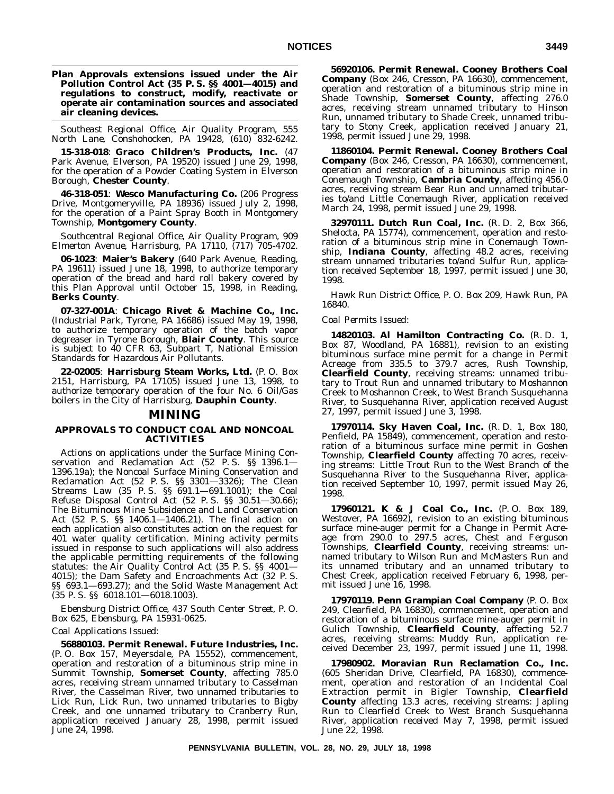**Plan Approvals extensions issued under the Air Pollution Control Act (35 P. S. §§ 4001—4015) and regulations to construct, modify, reactivate or operate air contamination sources and associated air cleaning devices.**

*Southeast Regional Office, Air Quality Program, 555 North Lane, Conshohocken, PA 19428, (610) 832-6242.*

**15-318-018**: **Graco Children's Products, Inc.** (47 Park Avenue, Elverson, PA 19520) issued June 29, 1998, for the operation of a Powder Coating System in Elverson Borough, **Chester County**.

**46-318-051**: **Wesco Manufacturing Co.** (206 Progress Drive, Montgomeryville, PA 18936) issued July 2, 1998, for the operation of a Paint Spray Booth in Montgomery Township, **Montgomery County**.

*Southcentral Regional Office, Air Quality Program, 909 Elmerton Avenue, Harrisburg, PA 17110, (717) 705-4702.*

**06-1023**: **Maier's Bakery** (640 Park Avenue, Reading, PA 19611) issued June 18, 1998, to authorize temporary operation of the bread and hard roll bakery covered by this Plan Approval until October 15, 1998, in Reading, **Berks County**.

**07-327-001A**: **Chicago Rivet & Machine Co., Inc.** (Industrial Park, Tyrone, PA 16686) issued May 19, 1998, to authorize temporary operation of the batch vapor degreaser in Tyrone Borough, **Blair County**. This source is subject to 40 CFR 63, Subpart T, National Emission Standards for Hazardous Air Pollutants.

**22-02005**: **Harrisburg Steam Works, Ltd.** (P. O. Box 2151, Harrisburg, PA 17105) issued June 13, 1998, to authorize temporary operation of the four No. 6 Oil/Gas boilers in the City of Harrisburg, **Dauphin County**.

# **MINING**

# **APPROVALS TO CONDUCT COAL AND NONCOAL ACTIVITIES**

Actions on applications under the Surface Mining Conservation and Reclamation Act (52 P. S. §§ 1396.1— 1396.19a); the Noncoal Surface Mining Conservation and Reclamation Act (52 P. S. §§ 3301—3326); The Clean Streams Law (35 P. S. §§ 691.1—691.1001); the Coal Refuse Disposal Control Act (52 P. S. §§ 30.51—30.66); The Bituminous Mine Subsidence and Land Conservation Act (52 P. S. §§ 1406.1—1406.21). The final action on each application also constitutes action on the request for 401 water quality certification. Mining activity permits issued in response to such applications will also address the applicable permitting requirements of the following statutes: the Air Quality Control Act (35 P. S. §§ 4001— 4015); the Dam Safety and Encroachments Act (32 P. S. §§ 693.1—693.27); and the Solid Waste Management Act (35 P. S. §§ 6018.101—6018.1003).

*Ebensburg District Office, 437 South Center Street, P. O. Box 625, Ebensburg, PA 15931-0625.*

#### *Coal Applications Issued*:

**56880103. Permit Renewal. Future Industries, Inc.** (P. O. Box 157, Meyersdale, PA 15552), commencement, operation and restoration of a bituminous strip mine in Summit Township, **Somerset County**, affecting 785.0 acres, receiving stream unnamed tributary to Casselman River, the Casselman River, two unnamed tributaries to Lick Run, Lick Run, two unnamed tributaries to Bigby Creek, and one unnamed tributary to Cranberry Run, application received January 28, 1998, permit issued June 24, 1998.

**56920106. Permit Renewal. Cooney Brothers Coal Company** (Box 246, Cresson, PA 16630), commencement, operation and restoration of a bituminous strip mine in Shade Township, **Somerset County**, affecting 276.0 acres, receiving stream unnamed tributary to Hinson Run, unnamed tributary to Shade Creek, unnamed tributary to Stony Creek, application received January 21, 1998, permit issued June 29, 1998.

**11860104. Permit Renewal. Cooney Brothers Coal Company** (Box 246, Cresson, PA 16630), commencement, operation and restoration of a bituminous strip mine in Conemaugh Township, **Cambria County**, affecting 456.0 acres, receiving stream Bear Run and unnamed tributaries to/and Little Conemaugh River, application received March 24, 1998, permit issued June 29, 1998.

**32970111. Dutch Run Coal, Inc.** (R. D. 2, Box 366, Shelocta, PA 15774), commencement, operation and restoration of a bituminous strip mine in Conemaugh Township, **Indiana County**, affecting 48.2 acres, receiving stream unnamed tributaries to/and Sulfur Run, application received September 18, 1997, permit issued June 30, 1998.

*Hawk Run District Office, P. O. Box 209, Hawk Run, PA 16840.*

# *Coal Permits Issued*:

**14820103. Al Hamilton Contracting Co.** (R. D. 1, Box 87, Woodland, PA 16881), revision to an existing bituminous surface mine permit for a change in Permit Acreage from 335.5 to 379.7 acres, Rush Township, **Clearfield County**, receiving streams: unnamed tributary to Trout Run and unnamed tributary to Moshannon Creek to Moshannon Creek, to West Branch Susquehanna River, to Susquehanna River, application received August 27, 1997, permit issued June 3, 1998.

**17970114. Sky Haven Coal, Inc.** (R. D. 1, Box 180, Penfield, PA 15849), commencement, operation and restoration of a bituminous surface mine permit in Goshen Township, **Clearfield County** affecting 70 acres, receiving streams: Little Trout Run to the West Branch of the Susquehanna River to the Susquehanna River, application received September 10, 1997, permit issued May 26, 1998.

**17960121. K & J Coal Co., Inc.** (P. O. Box 189, Westover, PA 16692), revision to an existing bituminous surface mine-auger permit for a Change in Permit Acreage from 290.0 to 297.5 acres, Chest and Ferguson Townships, **Clearfield County**, receiving streams: unnamed tributary to Wilson Run and McMasters Run and its unnamed tributary and an unnamed tributary to Chest Creek, application received February 6, 1998, permit issued June 16, 1998.

**17970119. Penn Grampian Coal Company** (P. O. Box 249, Clearfield, PA 16830), commencement, operation and restoration of a bituminous surface mine-auger permit in Gulich Township, **Clearfield County**, affecting 52.7 acres, receiving streams: Muddy Run, application received December 23, 1997, permit issued June 11, 1998.

**17980902. Moravian Run Reclamation Co., Inc.** (605 Sheridan Drive, Clearfield, PA 16830), commencement, operation and restoration of an Incidental Coal Extraction permit in Bigler Township, **Clearfield County** affecting 13.3 acres, receiving streams: Japling Run to Clearfield Creek to West Branch Susquehanna River, application received May 7, 1998, permit issued June 22, 1998.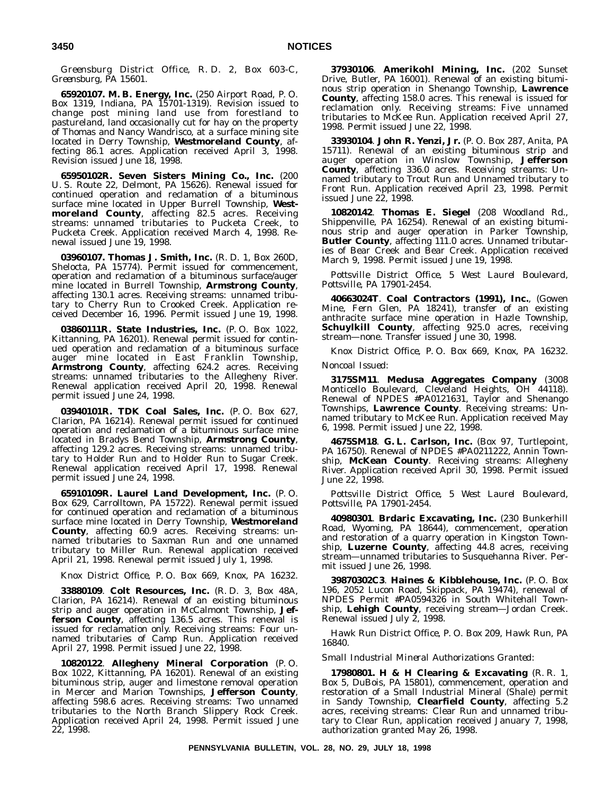*Greensburg District Office, R. D. 2, Box 603-C, Greensburg, PA 15601.*

**65920107. M. B. Energy, Inc.** (250 Airport Road, P. O. Box 1319, Indiana, PA 15701-1319). Revision issued to change post mining land use from forestland to pastureland, land occasionally cut for hay on the property of Thomas and Nancy Wandrisco, at a surface mining site located in Derry Township, **Westmoreland County**, affecting 86.1 acres. Application received April 3, 1998. Revision issued June 18, 1998.

**65950102R. Seven Sisters Mining Co., Inc.** (200 U. S. Route 22, Delmont, PA 15626). Renewal issued for continued operation and reclamation of a bituminous surface mine located in Upper Burrell Township, **Westmoreland County**, affecting 82.5 acres. Receiving streams: unnamed tributaries to Pucketa Creek, to Pucketa Creek. Application received March 4, 1998. Renewal issued June 19, 1998.

**03960107. Thomas J. Smith, Inc.** (R. D. 1, Box 260D, Shelocta, PA 15774). Permit issued for commencement, operation and reclamation of a bituminous surface/auger mine located in Burrell Township, **Armstrong County**, affecting 130.1 acres. Receiving streams: unnamed tributary to Cherry Run to Crooked Creek. Application received December 16, 1996. Permit issued June 19, 1998.

**03860111R. State Industries, Inc.** (P. O. Box 1022, Kittanning, PA 16201). Renewal permit issued for continued operation and reclamation of a bituminous surface auger mine located in East Franklin Township, **Armstrong County**, affecting 624.2 acres. Receiving streams: unnamed tributaries to the Allegheny River. Renewal application received April 20, 1998. Renewal permit issued June 24, 1998.

**03940101R. TDK Coal Sales, Inc.** (P. O. Box 627, Clarion, PA 16214). Renewal permit issued for continued operation and reclamation of a bituminous surface mine located in Bradys Bend Township, **Armstrong County**, affecting 129.2 acres. Receiving streams: unnamed tributary to Holder Run and to Holder Run to Sugar Creek. Renewal application received April 17, 1998. Renewal permit issued June 24, 1998.

**65910109R. Laurel Land Development, Inc.** (P. O. Box 629, Carrolltown, PA 15722). Renewal permit issued for continued operation and reclamation of a bituminous surface mine located in Derry Township, **Westmoreland County**, affecting 60.9 acres. Receiving streams: unnamed tributaries to Saxman Run and one unnamed tributary to Miller Run. Renewal application received April 21, 1998. Renewal permit issued July 1, 1998.

*Knox District Office, P. O. Box 669, Knox, PA 16232.*

**33880109**. **Colt Resources, Inc.** (R. D. 3, Box 48A, Clarion, PA 16214). Renewal of an existing bituminous strip and auger operation in McCalmont Township, **Jefferson County**, affecting 136.5 acres. This renewal is issued for reclamation only. Receiving streams: Four unnamed tributaries of Camp Run. Application received April 27, 1998. Permit issued June 22, 1998.

**10820122**. **Allegheny Mineral Corporation** (P. O. Box 1022, Kittanning, PA 16201). Renewal of an existing bituminous strip, auger and limestone removal operation in Mercer and Marion Townships, **Jefferson County**, affecting 598.6 acres. Receiving streams: Two unnamed tributaries to the North Branch Slippery Rock Creek. Application received April 24, 1998. Permit issued June 22, 1998.

**37930106**. **Amerikohl Mining, Inc.** (202 Sunset Drive, Butler, PA 16001). Renewal of an existing bituminous strip operation in Shenango Township, **Lawrence County**, affecting 158.0 acres. This renewal is issued for reclamation only. Receiving streams: Five unnamed tributaries to McKee Run. Application received April 27, 1998. Permit issued June 22, 1998.

**33930104**. **John R. Yenzi, Jr.** (P. O. Box 287, Anita, PA 15711). Renewal of an existing bituminous strip and auger operation in Winslow Township, **Jefferson County**, affecting 336.0 acres. Receiving streams: Unnamed tributary to Trout Run and Unnamed tributary to Front Run. Application received April 23, 1998. Permit issued June 22, 1998.

**10820142**. **Thomas E. Siegel** (208 Woodland Rd., Shippenville, PA 16254). Renewal of an existing bituminous strip and auger operation in Parker Township, **Butler County**, affecting 111.0 acres. Unnamed tributaries of Bear Creek and Bear Creek. Application received March 9, 1998. Permit issued June 19, 1998.

*Pottsville District Office, 5 West Laurel Boulevard, Pottsville, PA 17901-2454.*

**40663024T**. **Coal Contractors (1991), Inc.**, (Gowen Mine, Fern Glen, PA 18241), transfer of an existing anthracite surface mine operation in Hazle Township, **Schuylkill County**, affecting 925.0 acres, receiving stream—none. Transfer issued June 30, 1998.

*Knox District Office, P. O. Box 669, Knox, PA 16232. Noncoal Issued*:

**3175SM11**. **Medusa Aggregates Company** (3008 Monticello Boulevard, Cleveland Heights, OH 44118). Renewal of NPDES #PA0121631, Taylor and Shenango Townships, **Lawrence County**. Receiving streams: Unnamed tributary to McKee Run. Application received May 6, 1998. Permit issued June 22, 1998.

**4675SM18**. **G. L. Carlson, Inc.** (Box 97, Turtlepoint, PA 16750). Renewal of NPDES #PA0211222, Annin Township, **McKean County**. Receiving streams: Allegheny River. Application received April 30, 1998. Permit issued June 22, 1998.

*Pottsville District Office, 5 West Laurel Boulevard, Pottsville, PA 17901-2454.*

**40980301**. **Brdaric Excavating, Inc.** (230 Bunkerhill Road, Wyoming, PA 18644), commencement, operation and restoration of a quarry operation in Kingston Township, **Luzerne County**, affecting 44.8 acres, receiving stream—unnamed tributaries to Susquehanna River. Permit issued June 26, 1998.

**39870302C3**. **Haines & Kibblehouse, Inc.** (P. O. Box 196, 2052 Lucon Road, Skippack, PA 19474), renewal of NPDES Permit #PA0594326 in South Whitehall Township, **Lehigh County**, receiving stream—Jordan Creek. Renewal issued July 2, 1998.

*Hawk Run District Office, P. O. Box 209, Hawk Run, PA 16840.*

*Small Industrial Mineral Authorizations Granted*:

**17980801. H&HClearing & Excavating** (R. R. 1, Box 5, DuBois, PA 15801), commencement, operation and restoration of a Small Industrial Mineral (Shale) permit in Sandy Township, **Clearfield County**, affecting 5.2 acres, receiving streams: Clear Run and unnamed tributary to Clear Run, application received January 7, 1998, authorization granted May 26, 1998.

**PENNSYLVANIA BULLETIN, VOL. 28, NO. 29, JULY 18, 1998**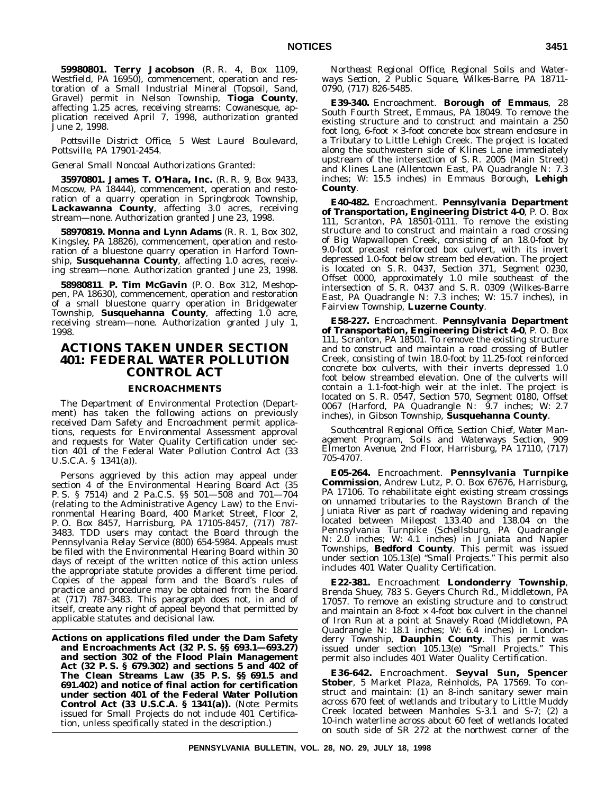**59980801. Terry Jacobson** (R. R. 4, Box 1109, Westfield, PA 16950), commencement, operation and restoration of a Small Industrial Mineral (Topsoil, Sand, Gravel) permit in Nelson Township, **Tioga County**, affecting 1.25 acres, receiving streams: Cowanesque, application received April 7, 1998, authorization granted June 2, 1998.

*Pottsville District Office, 5 West Laurel Boulevard, Pottsville, PA 17901-2454.*

*General Small Noncoal Authorizations Granted*:

**35970801. James T. O'Hara, Inc.** (R. R. 9, Box 9433, Moscow, PA 18444), commencement, operation and restoration of a quarry operation in Springbrook Township, **Lackawanna County**, affecting 3.0 acres, receiving stream—none. Authorization granted June 23, 1998.

**58970819. Monna and Lynn Adams** (R. R. 1, Box 302, Kingsley, PA 18826), commencement, operation and restoration of a bluestone quarry operation in Harford Township, **Susquehanna County**, affecting 1.0 acres, receiving stream—none. Authorization granted June 23, 1998.

**58980811**. **P. Tim McGavin** (P. O. Box 312, Meshoppen, PA 18630), commencement, operation and restoration of a small bluestone quarry operation in Bridgewater Township, **Susquehanna County**, affecting 1.0 acre, receiving stream—none. Authorization granted July 1, 1998.

# **ACTIONS TAKEN UNDER SECTION 401: FEDERAL WATER POLLUTION CONTROL ACT**

# **ENCROACHMENTS**

The Department of Environmental Protection (Department) has taken the following actions on previously received Dam Safety and Encroachment permit applications, requests for Environmental Assessment approval and requests for Water Quality Certification under section 401 of the Federal Water Pollution Control Act (33 U.S.C.A. § 1341(a)).

Persons aggrieved by this action may appeal under section 4 of the Environmental Hearing Board Act (35 P. S. § 7514) and 2 Pa.C.S. §§ 501—508 and 701—704 (relating to the Administrative Agency Law) to the Environmental Hearing Board, 400 Market Street, Floor 2, P. O. Box 8457, Harrisburg, PA 17105-8457, (717) 787- 3483. TDD users may contact the Board through the Pennsylvania Relay Service (800) 654-5984. Appeals must be filed with the Environmental Hearing Board within 30 days of receipt of the written notice of this action unless the appropriate statute provides a different time period. Copies of the appeal form and the Board's rules of practice and procedure may be obtained from the Board at (717) 787-3483. This paragraph does not, in and of itself, create any right of appeal beyond that permitted by applicable statutes and decisional law.

**Actions on applications filed under the Dam Safety and Encroachments Act (32 P. S. §§ 693.1—693.27) and section 302 of the Flood Plain Management Act (32 P. S. § 679.302) and sections 5 and 402 of The Clean Streams Law (35 P. S. §§ 691.5 and 691.402) and notice of final action for certification under section 401 of the Federal Water Pollution Control Act (33 U.S.C.A. § 1341(a)).** (*Note*: Permits issued for Small Projects do not include 401 Certification, unless specifically stated in the description.)

*Northeast Regional Office, Regional Soils and Waterways Section, 2 Public Square, Wilkes-Barre, PA 18711- 0790, (717) 826-5485.*

**E39-340.** Encroachment. **Borough of Emmaus**, 28 South Fourth Street, Emmaus, PA 18049. To remove the existing structure and to construct and maintain a 250 foot long,  $6$ -foot  $\times$  3-foot concrete box stream enclosure in a Tributary to Little Lehigh Creek. The project is located along the southwestern side of Klines Lane immediately upstream of the intersection of S. R. 2005 (Main Street) and Klines Lane (Allentown East, PA Quadrangle N: 7.3 inches; W: 15.5 inches) in Emmaus Borough, **Lehigh County**.

**E40-482.** Encroachment. **Pennsylvania Department of Transportation, Engineering District 4-0**, P. O. Box 111, Scranton, PA 18501-0111. To remove the existing structure and to construct and maintain a road crossing of Big Wapwallopen Creek, consisting of an 18.0-foot by 9.0-foot precast reinforced box culvert, with its invert depressed 1.0-foot below stream bed elevation. The project is located on S.R. 0437, Section 371, Segment 0230, Offset 0000, approximately 1.0 mile southeast of the intersection of S. R. 0437 and S. R. 0309 (Wilkes-Barre East, PA Quadrangle N: 7.3 inches; W: 15.7 inches), in Fairview Township, **Luzerne County**.

**E58-227.** Encroachment. **Pennsylvania Department of Transportation, Engineering District 4-0**, P. O. Box 111, Scranton, PA 18501. To remove the existing structure and to construct and maintain a road crossing of Butler Creek, consisting of twin 18.0-foot by 11.25-foot reinforced concrete box culverts, with their inverts depressed 1.0 foot below streambed elevation. One of the culverts will contain a 1.1-foot-high weir at the inlet. The project is located on S. R. 0547, Section 570, Segment 0180, Offset 0067 (Harford, PA Quadrangle N: 9.7 inches; W: 2.7 inches), in Gibson Township, **Susquehanna County**.

*Southcentral Regional Office, Section Chief, Water Management Program, Soils and Waterways Section, 909 Elmerton Avenue, 2nd Floor, Harrisburg, PA 17110, (717) 705-4707.*

**E05-264.** Encroachment. **Pennsylvania Turnpike Commission**, Andrew Lutz, P. O. Box 67676, Harrisburg, PA 17106. To rehabilitate eight existing stream crossings on unnamed tributaries to the Raystown Branch of the Juniata River as part of roadway widening and repaving located between Milepost 133.40 and 138.04 on the Pennsylvania Turnpike (Schellsburg, PA Quadrangle N: 2.0 inches; W: 4.1 inches) in Juniata and Napier Townships, **Bedford County**. This permit was issued under section 105.13(e) ''Small Projects.'' This permit also includes 401 Water Quality Certification.

**E22-381.** Encroachment **Londonderry Township**, Brenda Shuey, 783 S. Geyers Church Rd., Middletown, PA 17057. To remove an existing structure and to construct and maintain an 8-foot  $\times$  4-foot box culvert in the channel of Iron Run at a point at Snavely Road (Middletown, PA Quadrangle N: 18.1 inches; W: 6.4 inches) in Londonderry Township, **Dauphin County**. This permit was issued under section 105.13(e) ''Small Projects.'' This permit also includes 401 Water Quality Certification.

**E36-642.** Encroachment. **Seyval Sun, Spencer Stober**, 5 Market Plaza, Reinholds, PA 17569. To construct and maintain: (1) an 8-inch sanitary sewer main across 670 feet of wetlands and tributary to Little Muddy Creek located between Manholes S-3.1 and S-7; (2) a 10-inch waterline across about 60 feet of wetlands located on south side of SR 272 at the northwest corner of the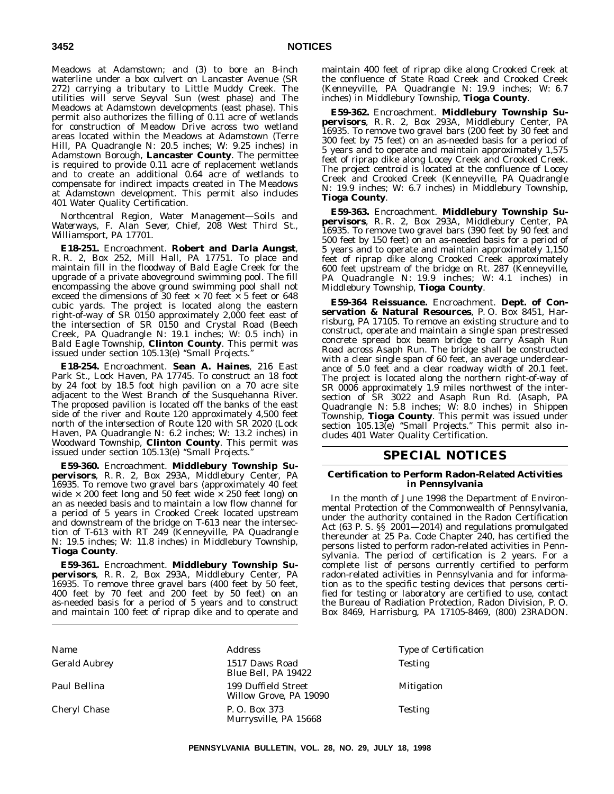Meadows at Adamstown; and (3) to bore an 8-inch waterline under a box culvert on Lancaster Avenue (SR 272) carrying a tributary to Little Muddy Creek. The utilities will serve Seyval Sun (west phase) and The Meadows at Adamstown developments (east phase). This permit also authorizes the filling of 0.11 acre of wetlands for construction of Meadow Drive across two wetland areas located within the Meadows at Adamstown (Terre Hill, PA Quadrangle N: 20.5 inches; W: 9.25 inches) in Adamstown Borough, **Lancaster County**. The permittee is required to provide 0.11 acre of replacement wetlands and to create an additional 0.64 acre of wetlands to compensate for indirect impacts created in The Meadows at Adamstown development. This permit also includes 401 Water Quality Certification.

*Northcentral Region, Water Management—Soils and Waterways, F. Alan Sever, Chief, 208 West Third St., Williamsport, PA 17701.*

**E18-251.** Encroachment. **Robert and Darla Aungst**, R. R. 2, Box 252, Mill Hall, PA 17751. To place and maintain fill in the floodway of Bald Eagle Creek for the upgrade of a private aboveground swimming pool. The fill encompassing the above ground swimming pool shall not exceed the dimensions of 30 feet  $\times$  70 feet  $\times$  5 feet or 648 cubic yards. The project is located along the eastern right-of-way of SR 0150 approximately 2,000 feet east of the intersection of SR 0150 and Crystal Road (Beech Creek, PA Quadrangle N: 19.1 inches; W: 0.5 inch) in Bald Eagle Township, **Clinton County**. This permit was issued under section 105.13(e) "Small Projects.

**E18-254.** Encroachment. **Sean A. Haines**, 216 East Park St., Lock Haven, PA 17745. To construct an 18 foot by 24 foot by 18.5 foot high pavilion on a 70 acre site adjacent to the West Branch of the Susquehanna River. The proposed pavilion is located off the banks of the east side of the river and Route 120 approximately 4,500 feet north of the intersection of Route 120 with SR 2020 (Lock Haven, PA Quadrangle N: 6.2 inches; W: 13.2 inches) in Woodward Township, **Clinton County**. This permit was issued under section 105.13(e) ''Small Projects.''

**E59-360.** Encroachment. **Middlebury Township Supervisors**, R. R. 2, Box 293A, Middlebury Center, PA 16935. To remove two gravel bars (approximately 40 feet wide  $\times$  200 feet long and 50 feet wide  $\times$  250 feet long) on an as needed basis and to maintain a low flow channel for a period of 5 years in Crooked Creek located upstream and downstream of the bridge on T-613 near the intersection of T-613 with RT 249 (Kenneyville, PA Quadrangle N: 19.5 inches; W: 11.8 inches) in Middlebury Township, **Tioga County**.

**E59-361.** Encroachment. **Middlebury Township Supervisors**, R. R. 2, Box 293A, Middlebury Center, PA 16935. To remove three gravel bars (400 feet by 50 feet, 400 feet by 70 feet and 200 feet by 50 feet) on an as-needed basis for a period of 5 years and to construct and maintain 100 feet of riprap dike and to operate and

maintain 400 feet of riprap dike along Crooked Creek at the confluence of State Road Creek and Crooked Creek (Kenneyville, PA Quadrangle N: 19.9 inches; W: 6.7 inches) in Middlebury Township, **Tioga County**.

**E59-362.** Encroachment. **Middlebury Township Supervisors**, R. R. 2, Box 293A, Middlebury Center, PA 16935. To remove two gravel bars (200 feet by 30 feet and 300 feet by 75 feet) on an as-needed basis for a period of 5 years and to operate and maintain approximately 1,575 feet of riprap dike along Locey Creek and Crooked Creek. The project centroid is located at the confluence of Locey Creek and Crooked Creek (Kenneyville, PA Quadrangle N: 19.9 inches; W: 6.7 inches) in Middlebury Township, **Tioga County**.

**E59-363.** Encroachment. **Middlebury Township Supervisors**, R. R. 2, Box 293A, Middlebury Center, PA 16935. To remove two gravel bars (390 feet by 90 feet and 500 feet by 150 feet) on an as-needed basis for a period of 5 years and to operate and maintain approximately 1,150 feet of riprap dike along Crooked Creek approximately 600 feet upstream of the bridge on Rt. 287 (Kenneyville, PA Quadrangle N: 19.9 inches; W: 4.1 inches) in Middlebury Township, **Tioga County**.

**E59-364 Reissuance.** Encroachment. **Dept. of Conservation & Natural Resources**, P. O. Box 8451, Harrisburg, PA 17105. To remove an existing structure and to construct, operate and maintain a single span prestressed concrete spread box beam bridge to carry Asaph Run Road across Asaph Run. The bridge shall be constructed with a clear single span of 60 feet, an average underclearance of 5.0 feet and a clear roadway width of 20.1 feet. The project is located along the northern right-of-way of SR 0006 approximately 1.9 miles northwest of the intersection of SR 3022 and Asaph Run Rd. (Asaph, PA Quadrangle N: 5.8 inches; W: 8.0 inches) in Shippen Township, **Tioga County**. This permit was issued under section 105.13(e) "Small Projects." This permit also includes 401 Water Quality Certification.

# **SPECIAL NOTICES**

# **Certification to Perform Radon-Related Activities in Pennsylvania**

In the month of June 1998 the Department of Environmental Protection of the Commonwealth of Pennsylvania, under the authority contained in the Radon Certification Act (63 P. S. §§ 2001—2014) and regulations promulgated thereunder at 25 Pa. Code Chapter 240, has certified the persons listed to perform radon-related activities in Pennsylvania. The period of certification is 2 years. For a complete list of persons currently certified to perform radon-related activities in Pennsylvania and for information as to the specific testing devices that persons certified for testing or laboratory are certified to use, contact the Bureau of Radiation Protection, Radon Division, P. O. Box 8469, Harrisburg, PA 17105-8469, (800) 23RADON.

| Gerald Aubrey<br>1517 Daws Road<br>Blue Bell, PA 19422<br>Paul Bellina<br>199 Duffield Street<br>Willow Grove, PA 19090<br>Cheryl Chase<br>P. O. Box 373 | Type of Certification |
|----------------------------------------------------------------------------------------------------------------------------------------------------------|-----------------------|
|                                                                                                                                                          | <b>Testing</b>        |
|                                                                                                                                                          | <b>Mitigation</b>     |
| Murrysville, PA 15668                                                                                                                                    | <b>Testing</b>        |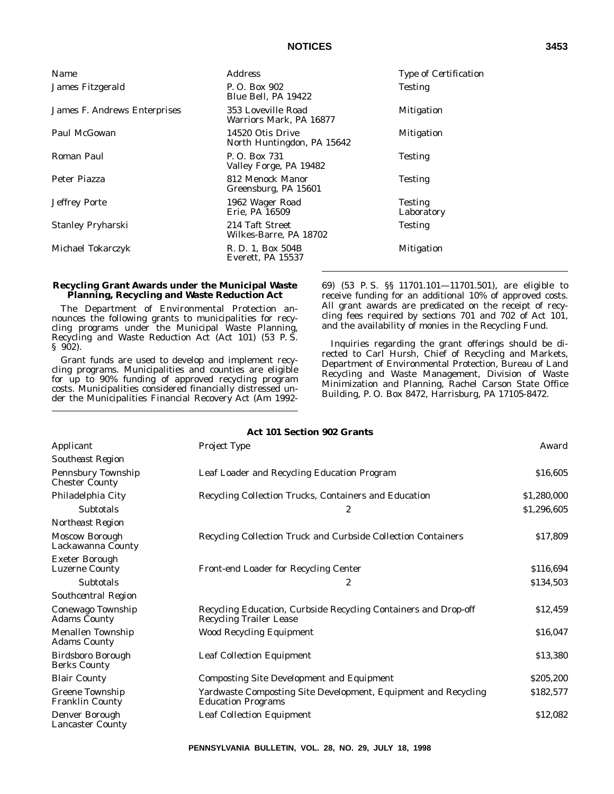| P.O. Box 902                                                                                       |  |
|----------------------------------------------------------------------------------------------------|--|
| James Fitzgerald<br><b>Testing</b><br>Blue Bell, PA 19422                                          |  |
| 353 Loveville Road<br>James F. Andrews Enterprises<br><b>Mitigation</b><br>Warriors Mark, PA 16877 |  |
| Paul McGowan<br>14520 Otis Drive<br><b>Mitigation</b><br>North Huntingdon, PA 15642                |  |
| Roman Paul<br>P.O. Box 731<br><b>Testing</b><br>Valley Forge, PA 19482                             |  |
| 812 Menock Manor<br>Peter Piazza<br><b>Testing</b><br>Greensburg, PA 15601                         |  |
| Jeffrey Porte<br>1962 Wager Road<br><b>Testing</b><br>Erie, PA 16509<br>Laboratory                 |  |
| Stanley Pryharski<br>214 Taft Street<br><b>Testing</b><br>Wilkes-Barre, PA 18702                   |  |
| Michael Tokarczyk<br>R. D. 1, Box 504B<br><b>Mitigation</b><br>Everett, PA 15537                   |  |

# **Recycling Grant Awards under the Municipal Waste Planning, Recycling and Waste Reduction Act**

The Department of Environmental Protection announces the following grants to municipalities for recycling programs under the Municipal Waste Planning, Recycling and Waste Reduction Act (Act 101) (53 P. S. § 902).

Grant funds are used to develop and implement recycling programs. Municipalities and counties are eligible for up to 90% funding of approved recycling program costs. Municipalities considered financially distressed under the Municipalities Financial Recovery Act (Am 199269) (53 P. S. §§ 11701.101—11701.501), are eligible to receive funding for an additional 10% of approved costs. All grant awards are predicated on the receipt of recycling fees required by sections 701 and 702 of Act 101, and the availability of monies in the Recycling Fund.

Inquiries regarding the grant offerings should be directed to Carl Hursh, Chief of Recycling and Markets, Department of Environmental Protection, Bureau of Land Recycling and Waste Management, Division of Waste Minimization and Planning, Rachel Carson State Office Building, P. O. Box 8472, Harrisburg, PA 17105-8472.

|                                                    | <b>Act 101 Section 902 Grants</b>                                                                 |             |
|----------------------------------------------------|---------------------------------------------------------------------------------------------------|-------------|
| Applicant                                          | Project Type                                                                                      | Award       |
| <b>Southeast Region</b>                            |                                                                                                   |             |
| <b>Pennsbury Township</b><br><b>Chester County</b> | Leaf Loader and Recycling Education Program                                                       | \$16,605    |
| Philadelphia City                                  | Recycling Collection Trucks, Containers and Education                                             | \$1,280,000 |
| Subtotals                                          | $\boldsymbol{2}$                                                                                  | \$1,296,605 |
| Northeast Region                                   |                                                                                                   |             |
| <b>Moscow Borough</b><br>Lackawanna County         | Recycling Collection Truck and Curbside Collection Containers                                     | \$17,809    |
| <b>Exeter Borough</b><br><b>Luzerne County</b>     | Front-end Loader for Recycling Center                                                             | \$116,694   |
| Subtotals                                          | 2                                                                                                 | \$134,503   |
| Southcentral Region                                |                                                                                                   |             |
| Conewago Township<br><b>Adams County</b>           | Recycling Education, Curbside Recycling Containers and Drop-off<br><b>Recycling Trailer Lease</b> | \$12,459    |
| Menallen Township<br><b>Adams County</b>           | <b>Wood Recycling Equipment</b>                                                                   | \$16,047    |
| Birdsboro Borough<br><b>Berks County</b>           | <b>Leaf Collection Equipment</b>                                                                  | \$13,380    |
| <b>Blair County</b>                                | <b>Composting Site Development and Equipment</b>                                                  | \$205,200   |
| <b>Greene Township</b><br><b>Franklin County</b>   | Yardwaste Composting Site Development, Equipment and Recycling<br><b>Education Programs</b>       | \$182,577   |
| Denver Borough<br><b>Lancaster County</b>          | Leaf Collection Equipment                                                                         | \$12.082    |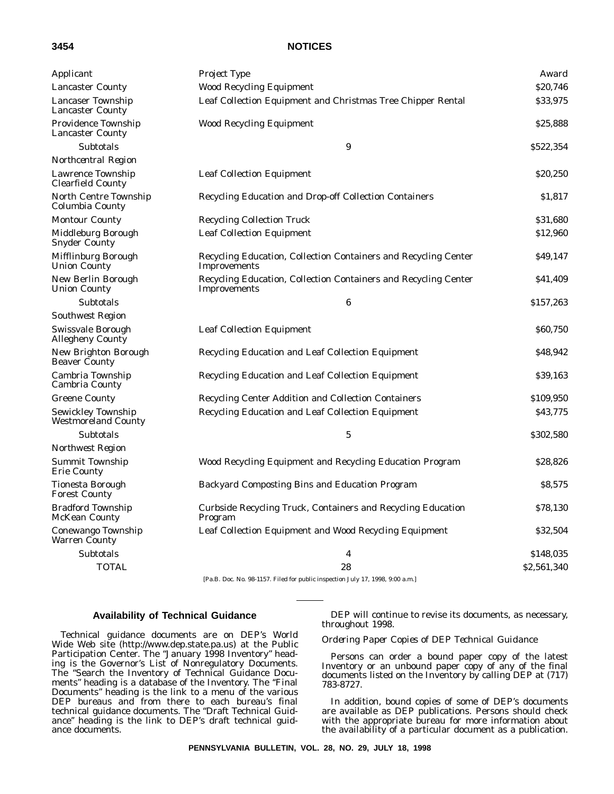|--|

| Applicant                                           | Project Type                                                                    | Award       |
|-----------------------------------------------------|---------------------------------------------------------------------------------|-------------|
| <b>Lancaster County</b>                             | <b>Wood Recycling Equipment</b>                                                 | \$20,746    |
| <b>Lancaser Township</b><br><b>Lancaster County</b> | Leaf Collection Equipment and Christmas Tree Chipper Rental                     | \$33,975    |
| Providence Township<br><b>Lancaster County</b>      | <b>Wood Recycling Equipment</b>                                                 | \$25,888    |
| Subtotals                                           | 9                                                                               | \$522,354   |
| Northcentral Region                                 |                                                                                 |             |
| Lawrence Township<br>Clearfield County              | <b>Leaf Collection Equipment</b>                                                | \$20,250    |
| North Centre Township<br>Columbia County            | <b>Recycling Education and Drop-off Collection Containers</b>                   | \$1,817     |
| <b>Montour County</b>                               | <b>Recycling Collection Truck</b>                                               | \$31,680    |
| Middleburg Borough<br><b>Snyder County</b>          | <b>Leaf Collection Equipment</b>                                                | \$12,960    |
| Mifflinburg Borough<br><b>Union County</b>          | Recycling Education, Collection Containers and Recycling Center<br>Improvements | \$49,147    |
| New Berlin Borough<br><b>Union County</b>           | Recycling Education, Collection Containers and Recycling Center<br>Improvements | \$41,409    |
| Subtotals                                           | 6                                                                               | \$157,263   |
| <b>Southwest Region</b>                             |                                                                                 |             |
| Swissvale Borough<br><b>Allegheny County</b>        | <b>Leaf Collection Equipment</b>                                                | \$60,750    |
| New Brighton Borough<br><b>Beaver County</b>        | Recycling Education and Leaf Collection Equipment                               | \$48,942    |
| Cambria Township<br>Cambria County                  | Recycling Education and Leaf Collection Equipment                               | \$39,163    |
| <b>Greene County</b>                                | Recycling Center Addition and Collection Containers                             | \$109,950   |
| Sewickley Township<br><b>Westmoreland County</b>    | Recycling Education and Leaf Collection Equipment                               | \$43,775    |
| Subtotals                                           | $\mathbf 5$                                                                     | \$302,580   |
| Northwest Region                                    |                                                                                 |             |
| Summit Township<br><b>Erie County</b>               | Wood Recycling Equipment and Recycling Education Program                        | \$28,826    |
| Tionesta Borough<br><b>Forest County</b>            | Backyard Composting Bins and Education Program                                  | \$8,575     |
| <b>Bradford Township</b><br><b>McKean County</b>    | Curbside Recycling Truck, Containers and Recycling Education<br>Program         | \$78,130    |
| Conewango Township<br>Warren County                 | Leaf Collection Equipment and Wood Recycling Equipment                          | \$32,504    |
| <b>Subtotals</b>                                    | 4                                                                               | \$148,035   |
| <b>TOTAL</b>                                        | 28                                                                              | \$2,561,340 |

[Pa.B. Doc. No. 98-1157. Filed for public inspection July 17, 1998, 9:00 a.m.]

# **Availability of Technical Guidance**

Technical guidance documents are on DEP's World Wide Web site (http://www.dep.state.pa.us) at the Public Participation Center. The "January 1998 Inventory" heading is the Governor's List of Nonregulatory Documents. The ''Search the Inventory of Technical Guidance Documents'' heading is a database of the Inventory. The ''Final Documents'' heading is the link to a menu of the various DEP bureaus and from there to each bureau's final technical guidance documents. The ''Draft Technical Guidance'' heading is the link to DEP's draft technical guidance documents.

DEP will continue to revise its documents, as necessary, throughout 1998.

# *Ordering Paper Copies of DEP Technical Guidance*

Persons can order a bound paper copy of the latest Inventory or an unbound paper copy of any of the final documents listed on the Inventory by calling DEP at (717) 783-8727.

In addition, bound copies of some of DEP's documents are available as DEP publications. Persons should check with the appropriate bureau for more information about the availability of a particular document as a publication.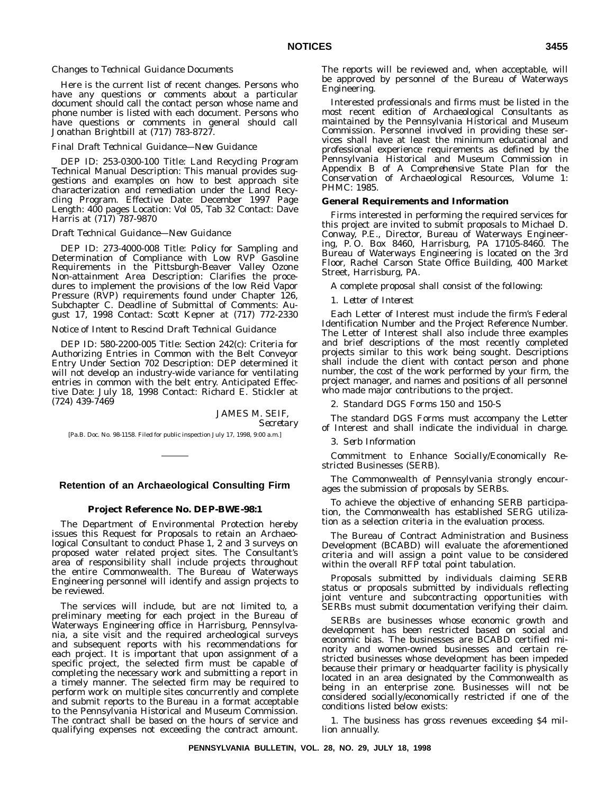### *Changes to Technical Guidance Documents*

Here is the current list of recent changes. Persons who have any questions or comments about a particular document should call the contact person whose name and phone number is listed with each document. Persons who have questions or comments in general should call Jonathan Brightbill at (717) 783-8727.

### *Final Draft Technical Guidance—New Guidance*

DEP ID: 253-0300-100 Title: Land Recycling Program Technical Manual Description: This manual provides suggestions and examples on how to best approach site characterization and remediation under the Land Recycling Program. Effective Date: December 1997 Page Length: 400 pages Location: Vol 05, Tab 32 Contact: Dave Harris at (717) 787-9870

#### *Draft Technical Guidance—New Guidance*

DEP ID: 273-4000-008 Title: Policy for Sampling and Determination of Compliance with Low RVP Gasoline Requirements in the Pittsburgh-Beaver Valley Ozone Non-attainment Area Description: Clarifies the procedures to implement the provisions of the low Reid Vapor Pressure (RVP) requirements found under Chapter 126, Subchapter C. Deadline of Submittal of Comments: August 17, 1998 Contact: Scott Kepner at (717) 772-2330

# *Notice of Intent to Rescind Draft Technical Guidance*

DEP ID: 580-2200-005 Title: Section 242(c): Criteria for Authorizing Entries in Common with the Belt Conveyor Entry Under Section 702 Description: DEP determined it will not develop an industry-wide variance for ventilating entries in common with the belt entry. Anticipated Effective Date: July 18, 1998 Contact: Richard E. Stickler at (724) 439-7469

> JAMES M. SEIF, *Secretary*

[Pa.B. Doc. No. 98-1158. Filed for public inspection July 17, 1998, 9:00 a.m.]

# **Retention of an Archaeological Consulting Firm**

# **Project Reference No. DEP-BWE-98:1**

The Department of Environmental Protection hereby issues this Request for Proposals to retain an Archaeological Consultant to conduct Phase 1, 2 and 3 surveys on proposed water related project sites. The Consultant's area of responsibility shall include projects throughout the entire Commonwealth. The Bureau of Waterways Engineering personnel will identify and assign projects to be reviewed.

The services will include, but are not limited to, a preliminary meeting for each project in the Bureau of Waterways Engineering office in Harrisburg, Pennsylvania, a site visit and the required archeological surveys and subsequent reports with his recommendations for each project. It is important that upon assignment of a specific project, the selected firm must be capable of completing the necessary work and submitting a report in a timely manner. The selected firm may be required to perform work on multiple sites concurrently and complete and submit reports to the Bureau in a format acceptable to the Pennsylvania Historical and Museum Commission. The contract shall be based on the hours of service and qualifying expenses not exceeding the contract amount.

The reports will be reviewed and, when acceptable, will be approved by personnel of the Bureau of Waterways Engineering.

Interested professionals and firms must be listed in the most recent edition of *Archaeological Consultants* as maintained by the Pennsylvania Historical and Museum Commission. Personnel involved in providing these services shall have at least the minimum educational and professional experience requirements as defined by the Pennsylvania Historical and Museum Commission in Appendix B of *A Comprehensive State Plan for the Conservation of Archaeological Resources, Volume 1:* PHMC: 1985.

#### **General Requirements and Information**

Firms interested in performing the required services for this project are invited to submit proposals to Michael D. Conway, P.E., Director, Bureau of Waterways Engineering, P. O. Box 8460, Harrisburg, PA 17105-8460. The Bureau of Waterways Engineering is located on the 3rd Floor, Rachel Carson State Office Building, 400 Market Street, Harrisburg, PA.

A complete proposal shall consist of the following:

#### 1. *Letter of Interest*

Each Letter of Interest must include the firm's Federal Identification Number and the Project Reference Number. The Letter of Interest shall also include three examples and brief descriptions of the most recently completed projects similar to this work being sought. Descriptions shall include the client with contact person and phone number, the cost of the work performed by your firm, the project manager, and names and positions of all personnel who made major contributions to the project.

2. *Standard DGS Forms 150 and 150-S*

The standard DGS Forms must accompany the Letter of Interest and shall indicate the individual in charge.

#### 3. *Serb Information*

Commitment to Enhance Socially/Economically Restricted Businesses (SERB).

The Commonwealth of Pennsylvania strongly encourages the submission of proposals by SERBs.

To achieve the objective of enhancing SERB participation, the Commonwealth has established SERG utilization as a selection criteria in the evaluation process.

The Bureau of Contract Administration and Business Development (BCABD) will evaluate the aforementioned criteria and will assign a point value to be considered within the overall RFP total point tabulation.

Proposals submitted by individuals claiming SERB status or proposals submitted by individuals reflecting joint venture and subcontracting opportunities with SERBs must submit documentation verifying their claim.

SERBs are businesses whose economic growth and development has been restricted based on social and economic bias. The businesses are BCABD certified minority and women-owned businesses and certain restricted businesses whose development has been impeded because their primary or headquarter facility is physically located in an area designated by the Commonwealth as being in an enterprise zone. Businesses will not be considered socially/economically restricted if one of the conditions listed below exists:

1. The business has gross revenues exceeding \$4 million annually.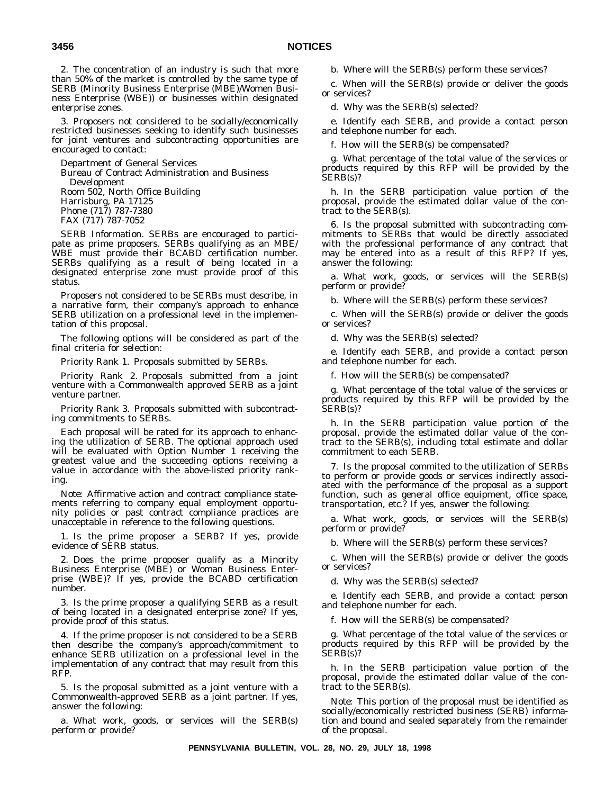2. The concentration of an industry is such that more than 50% of the market is controlled by the same type of SERB (Minority Business Enterprise (MBE)/Women Business Enterprise (WBE)) or businesses within designated enterprise zones.

3. Proposers not considered to be socially/economically restricted businesses seeking to identify such businesses for joint ventures and subcontracting opportunities are encouraged to contact:

Department of General Services Bureau of Contract Administration and Business Development Room 502, North Office Building Harrisburg, PA 17125 Phone (717) 787-7380 FAX (717) 787-7052

*SERB Information*. SERBs are encouraged to participate as prime proposers. SERBs qualifying as an MBE/ WBE must provide their BCABD certification number. SERBs qualifying as a result of being located in a designated enterprise zone must provide proof of this status.

Proposers not considered to be SERBs must describe, in a narrative form, their company's approach to enhance SERB utilization on a professional level in the implementation of this proposal.

The following options will be considered as part of the final criteria for selection:

*Priority Rank 1.* Proposals submitted by SERBs.

*Priority Rank 2.* Proposals submitted from a joint venture with a Commonwealth approved SERB as a joint venture partner.

*Priority Rank 3.* Proposals submitted with subcontracting commitments to SERBs.

Each proposal will be rated for its approach to enhancing the utilization of SERB. The optional approach used will be evaluated with Option Number 1 receiving the greatest value and the succeeding options receiving a value in accordance with the above-listed priority ranking.

*Note*: Affirmative action and contract compliance statements referring to company equal employment opportunity policies or past contract compliance practices are unacceptable in reference to the following questions.

1. Is the prime proposer a SERB? If yes, provide evidence of SERB status.

2. Does the prime proposer qualify as a Minority Business Enterprise (MBE) or Woman Business Enterprise (WBE)? If yes, provide the BCABD certification number.

3. Is the prime proposer a qualifying SERB as a result of being located in a designated enterprise zone? If yes, provide proof of this status.

4. If the prime proposer is not considered to be a SERB then describe the company's approach/commitment to enhance SERB utilization on a professional level in the implementation of any contract that may result from this RFP.

5. Is the proposal submitted as a joint venture with a Commonwealth-approved SERB as a joint partner. If yes, answer the following:

a. What work, goods, or services will the SERB(s) perform or provide?

b. Where will the SERB(s) perform these services?

c. When will the SERB(s) provide or deliver the goods or services?

d. Why was the SERB(s) selected?

e. Identify each SERB, and provide a contact person and telephone number for each.

f. How will the SERB(s) be compensated?

g. What percentage of the total value of the services or products required by this RFP will be provided by the SERB(s)?

h. In the SERB participation value portion of the proposal, provide the estimated dollar value of the contract to the SERB(s).

6. Is the proposal submitted with subcontracting commitments to SERBs that would be directly associated with the professional performance of any contract that may be entered into as a result of this RFP? If yes, answer the following:

a. What work, goods, or services will the SERB(s) perform or provide?

b. Where will the SERB(s) perform these services?

c. When will the SERB(s) provide or deliver the goods or services?

d. Why was the SERB(s) selected?

e. Identify each SERB, and provide a contact person and telephone number for each.

f. How will the SERB(s) be compensated?

g. What percentage of the total value of the services or products required by this RFP will be provided by the SERB(s)?

h. In the SERB participation value portion of the proposal, provide the estimated dollar value of the contract to the SERB(s), including total estimate and dollar commitment to each SERB.

7. Is the proposal commited to the utilization of SERBs to perform or provide goods or services indirectly associated with the performance of the proposal as a support function, such as general office equipment, office space, transportation, etc.? If yes, answer the following:

a. What work, goods, or services will the SERB(s) perform or provide?

b. Where will the SERB(s) perform these services?

c. When will the SERB(s) provide or deliver the goods or services?

d. Why was the SERB(s) selected?

e. Identify each SERB, and provide a contact person and telephone number for each.

f. How will the SERB(s) be compensated?

g. What percentage of the total value of the services or products required by this RFP will be provided by the SERB(s)?

h. In the SERB participation value portion of the proposal, provide the estimated dollar value of the contract to the SERB(s).

*Note*: This portion of the proposal must be identified as socially/economically restricted business (SERB) information and bound and sealed separately from the remainder of the proposal.

**PENNSYLVANIA BULLETIN, VOL. 28, NO. 29, JULY 18, 1998**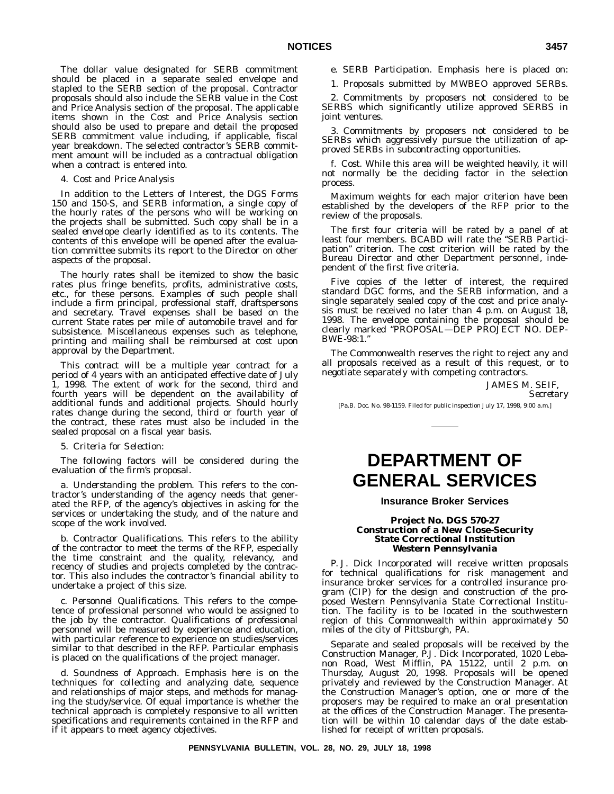The dollar value designated for SERB commitment should be placed in a separate sealed envelope and stapled to the SERB section of the proposal. Contractor proposals should also include the SERB value in the Cost and Price Analysis section of the proposal. The applicable items shown in the Cost and Price Analysis section should also be used to prepare and detail the proposed SERB commitment value including, if applicable, fiscal year breakdown. The selected contractor's SERB commitment amount will be included as a contractual obligation when a contract is entered into.

# 4. *Cost and Price Analysis*

In addition to the Letters of Interest, the DGS Forms 150 and 150-S, and SERB information, a single copy of the hourly rates of the persons who will be working on the projects shall be submitted. Such copy shall be in a sealed envelope clearly identified as to its contents. The contents of this envelope will be opened after the evaluation committee submits its report to the Director on other aspects of the proposal.

The hourly rates shall be itemized to show the basic rates plus fringe benefits, profits, administrative costs, etc., for these persons. Examples of such people shall include a firm principal, professional staff, draftspersons and secretary. Travel expenses shall be based on the current State rates per mile of automobile travel and for subsistence. Miscellaneous expenses such as telephone, printing and mailing shall be reimbursed at cost upon approval by the Department.

This contract will be a multiple year contract for a period of 4 years with an anticipated effective date of July 1, 1998. The extent of work for the second, third and fourth years will be dependent on the availability of additional funds and additional projects. Should hourly rates change during the second, third or fourth year of the contract, these rates must also be included in the sealed proposal on a fiscal year basis.

### 5. *Criteria for Selection*:

The following factors will be considered during the evaluation of the firm's proposal.

a. *Understanding the problem*. This refers to the contractor's understanding of the agency needs that generated the RFP, of the agency's objectives in asking for the services or undertaking the study, and of the nature and scope of the work involved.

b. *Contractor Qualifications*. This refers to the ability of the contractor to meet the terms of the RFP, especially the time constraint and the quality, relevancy, and recency of studies and projects completed by the contractor. This also includes the contractor's financial ability to undertake a project of this size.

c. *Personnel Qualifications*. This refers to the competence of professional personnel who would be assigned to the job by the contractor. Qualifications of professional personnel will be measured by experience and education, with particular reference to experience on studies/services similar to that described in the RFP. Particular emphasis is placed on the qualifications of the project manager.

d. *Soundness of Approach*. Emphasis here is on the techniques for collecting and analyzing date, sequence and relationships of major steps, and methods for managing the study/service. Of equal importance is whether the technical approach is completely responsive to all written specifications and requirements contained in the RFP and if it appears to meet agency objectives.

e. *SERB Participation*. Emphasis here is placed on:

1. Proposals submitted by MWBEO approved SERBs.

2. Commitments by proposers not considered to be SERBS which significantly utilize approved SERBS in joint ventures.

3. Commitments by proposers not considered to be SERBs which aggressively pursue the utilization of approved SERBs in subcontracting opportunities.

f. *Cost*. While this area will be weighted heavily, it will not normally be the deciding factor in the selection process.

Maximum weights for each major criterion have been established by the developers of the RFP prior to the review of the proposals.

The first four criteria will be rated by a panel of at least four members. BCABD will rate the ''SERB Participation'' criterion. The cost criterion will be rated by the Bureau Director and other Department personnel, independent of the first five criteria.

Five copies of the letter of interest, the required standard DGC forms, and the SERB information, and a single separately sealed copy of the cost and price analysis must be received no later than 4 p.m. on August 18, 1998. The envelope containing the proposal should be clearly marked ''PROPOSAL—DEP PROJECT NO. DEP-BWE-98:1.''

The Commonwealth reserves the right to reject any and all proposals received as a result of this request, or to negotiate separately with competing contractors.

JAMES M. SEIF,

*Secretary*

[Pa.B. Doc. No. 98-1159. Filed for public inspection July 17, 1998, 9:00 a.m.]

# **DEPARTMENT OF GENERAL SERVICES**

# **Insurance Broker Services**

# **Project No. DGS 570-27 Construction of a New Close-Security State Correctional Institution Western Pennsylvania**

P. J. Dick Incorporated will receive written proposals for technical qualifications for risk management and insurance broker services for a controlled insurance program (CIP) for the design and construction of the proposed Western Pennsylvania State Correctional Institution. The facility is to be located in the southwestern region of this Commonwealth within approximately 50 miles of the city of Pittsburgh, PA.

Separate and sealed proposals will be received by the Construction Manager, P.J. Dick Incorporated, 1020 Lebanon Road, West Mifflin, PA 15122, until 2 p.m. on Thursday, August 20, 1998. Proposals will be opened privately and reviewed by the Construction Manager. At the Construction Manager's option, one or more of the proposers may be required to make an oral presentation at the offices of the Construction Manager. The presentation will be within 10 calendar days of the date established for receipt of written proposals.

**PENNSYLVANIA BULLETIN, VOL. 28, NO. 29, JULY 18, 1998**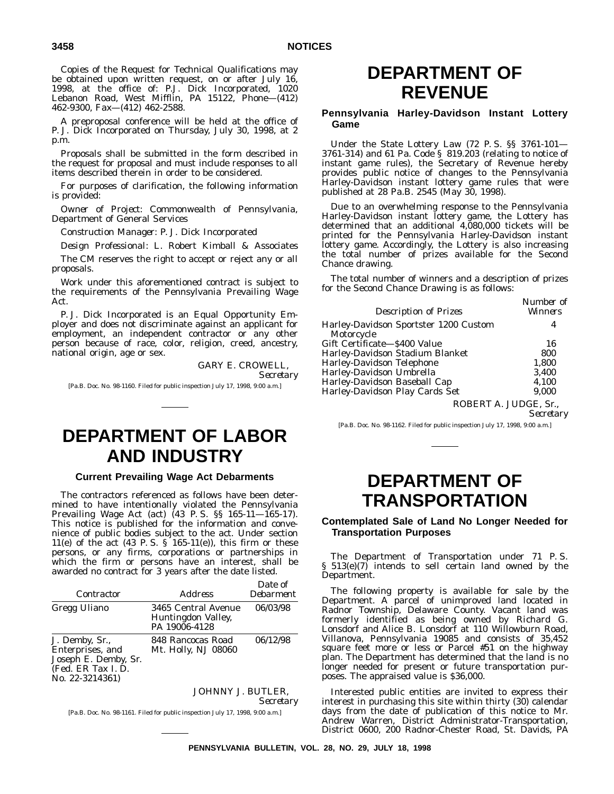Copies of the Request for Technical Qualifications may be obtained upon written request, on or after July 16, 1998, at the office of: P.J. Dick Incorporated, 1020 Lebanon Road, West Mifflin, PA 15122, Phone—(412) 462-9300, Fax—(412) 462-2588.

A preproposal conference will be held at the office of P. J. Dick Incorporated on Thursday, July 30, 1998, at 2 p.m.

Proposals shall be submitted in the form described in the request for proposal and must include responses to all items described therein in order to be considered.

For purposes of clarification, the following information is provided:

*Owner of Project*: Commonwealth of Pennsylvania, Department of General Services

*Construction Manager*: P. J. Dick Incorporated

*Design Professional*: L. Robert Kimball & Associates The CM reserves the right to accept or reject any or all proposals.

Work under this aforementioned contract is subject to the requirements of the Pennsylvania Prevailing Wage Act.

P. J. Dick Incorporated is an Equal Opportunity Employer and does not discriminate against an applicant for employment, an independent contractor or any other person because of race, color, religion, creed, ancestry, national origin, age or sex.

> GARY E. CROWELL, *Secretary*

[Pa.B. Doc. No. 98-1160. Filed for public inspection July 17, 1998, 9:00 a.m.]

# **DEPARTMENT OF LABOR AND INDUSTRY**

# **Current Prevailing Wage Act Debarments**

The contractors referenced as follows have been determined to have intentionally violated the Pennsylvania Prevailing Wage Act (act) (43 P. S. §§ 165-11—165-17). This notice is published for the information and convenience of public bodies subject to the act. Under section 11(e) of the act  $(43 \text{ P. S. } \text{S}^{\text{I}} 165-11 \text{ (e)}),$  this firm or these persons, or any firms, corporations or partnerships in which the firm or persons have an interest, shall be awarded no contract for 3 years after the date listed.

| Contractor                                                                                         | <i>Address</i>                                             | Date of<br><i>Debarment</i> |
|----------------------------------------------------------------------------------------------------|------------------------------------------------------------|-----------------------------|
| Gregg Uliano                                                                                       | 3465 Central Avenue<br>Huntingdon Valley,<br>PA 19006-4128 | 06/03/98                    |
| J. Demby, Sr.,<br>Enterprises, and<br>Joseph E. Demby, Sr.<br>(Fed. ER Tax I.D.<br>No. 22-3214361) | 848 Rancocas Road<br>Mt. Holly, NJ 08060                   | 06/12/98                    |
|                                                                                                    |                                                            |                             |

JOHNNY J. BUTLER, *Secretary*

[Pa.B. Doc. No. 98-1161. Filed for public inspection July 17, 1998, 9:00 a.m.]

# **DEPARTMENT OF REVENUE**

# **Pennsylvania Harley-Davidson Instant Lottery Game**

Under the State Lottery Law (72 P. S. §§ 3761-101— 3761-314) and 61 Pa. Code § 819.203 (relating to notice of instant game rules), the Secretary of Revenue hereby provides public notice of changes to the Pennsylvania Harley-Davidson instant lottery game rules that were published at 28 Pa.B. 2545 (May 30, 1998).

Due to an overwhelming response to the Pennsylvania Harley-Davidson instant lottery game, the Lottery has determined that an additional 4,080,000 tickets will be printed for the Pennsylvania Harley-Davidson instant lottery game. Accordingly, the Lottery is also increasing the total number of prizes available for the Second Chance drawing.

The total number of winners and a description of prizes for the Second Chance Drawing is as follows:

| <b>Description of Prizes</b>                        | Number of<br><i>Winners</i> |
|-----------------------------------------------------|-----------------------------|
| Harley-Davidson Sportster 1200 Custom<br>Motorcycle | 4                           |
| Gift Certificate—\$400 Value                        | 16                          |
| Harley-Davidson Stadium Blanket                     | 800                         |
| Harley-Davidson Telephone                           | 1,800                       |
| Harley-Davidson Umbrella                            | 3.400                       |
| Harley-Davidson Baseball Cap                        | 4,100                       |
| Harley-Davidson Play Cards Set                      | 9,000                       |
|                                                     |                             |

ROBERT A. JUDGE, Sr.,

*Secretary*

[Pa.B. Doc. No. 98-1162. Filed for public inspection July 17, 1998, 9:00 a.m.]

# **DEPARTMENT OF TRANSPORTATION**

# **Contemplated Sale of Land No Longer Needed for Transportation Purposes**

The Department of Transportation under 71 P. S. § 513(e)(7) intends to sell certain land owned by the Department.

The following property is available for sale by the Department. A parcel of unimproved land located in Radnor Township, Delaware County. Vacant land was formerly identified as being owned by Richard G. Lonsdorf and Alice B. Lonsdorf at 110 Willowburn Road, Villanova, Pennsylvania 19085 and consists of 35,452 square feet more or less or Parcel #51 on the highway plan. The Department has determined that the land is no longer needed for present or future transportation purposes. The appraised value is \$36,000.

Interested public entities are invited to express their interest in purchasing this site within thirty (30) calendar days from the date of publication of this notice to Mr. Andrew Warren, District Administrator-Transportation, District 0600, 200 Radnor-Chester Road, St. Davids, PA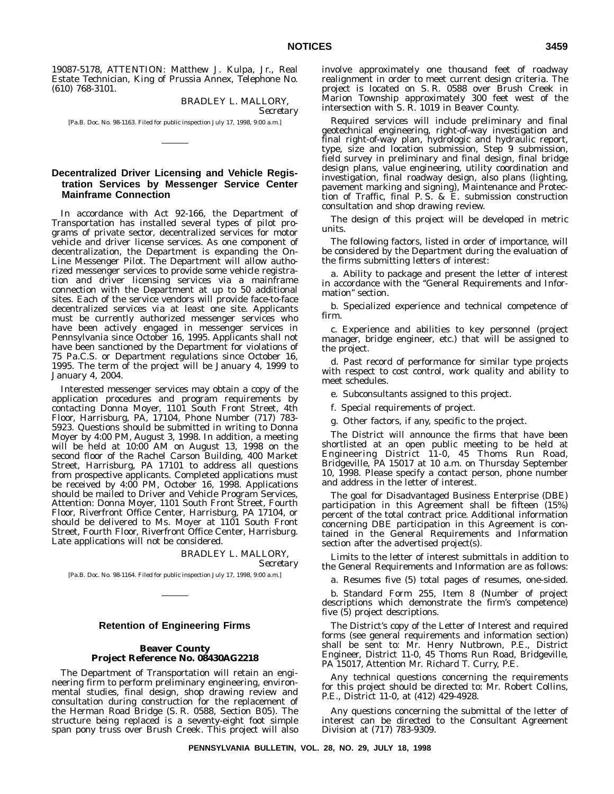19087-5178, ATTENTION: Matthew J. Kulpa, Jr., Real Estate Technician, King of Prussia Annex, Telephone No. (610) 768-3101.

> BRADLEY L. MALLORY, *Secretary*

[Pa.B. Doc. No. 98-1163. Filed for public inspection July 17, 1998, 9:00 a.m.]

# **Decentralized Driver Licensing and Vehicle Registration Services by Messenger Service Center Mainframe Connection**

In accordance with Act 92-166, the Department of Transportation has installed several types of pilot programs of private sector, decentralized services for motor vehicle and driver license services. As one component of decentralization, the Department is expanding the On-Line Messenger Pilot. The Department will allow authorized messenger services to provide some vehicle registration and driver licensing services via a mainframe connection with the Department at up to 50 additional sites. Each of the service vendors will provide face-to-face decentralized services via at least one site. Applicants must be currently authorized messenger services who have been actively engaged in messenger services in Pennsylvania since October 16, 1995. Applicants shall not have been sanctioned by the Department for violations of 75 Pa.C.S. or Department regulations since October 16, 1995. The term of the project will be January 4, 1999 to January 4, 2004.

Interested messenger services may obtain a copy of the application procedures and program requirements by contacting Donna Moyer, 1101 South Front Street, 4th Floor, Harrisburg, PA, 17104, Phone Number (717) 783- 5923. Questions should be submitted in writing to Donna Moyer by 4:00 PM, August 3, 1998. In addition, a meeting will be held at 10:00 AM on August 13, 1998 on the second floor of the Rachel Carson Building, 400 Market Street, Harrisburg, PA 17101 to address all questions from prospective applicants. Completed applications must be received by 4:00 PM, October 16, 1998. Applications should be mailed to Driver and Vehicle Program Services, Attention: Donna Moyer, 1101 South Front Street, Fourth Floor, Riverfront Office Center, Harrisburg, PA 17104, or should be delivered to Ms. Moyer at 1101 South Front Street, Fourth Floor, Riverfront Office Center, Harrisburg. Late applications will not be considered.

# BRADLEY L. MALLORY,

*Secretary*

[Pa.B. Doc. No. 98-1164. Filed for public inspection July 17, 1998, 9:00 a.m.]

# **Retention of Engineering Firms**

# **Beaver County Project Reference No. 08430AG2218**

The Department of Transportation will retain an engineering firm to perform preliminary engineering, environmental studies, final design, shop drawing review and consultation during construction for the replacement of the Herman Road Bridge (S. R. 0588, Section B05). The structure being replaced is a seventy-eight foot simple span pony truss over Brush Creek. This project will also

involve approximately one thousand feet of roadway realignment in order to meet current design criteria. The project is located on S. R. 0588 over Brush Creek in Marion Township approximately 300 feet west of the intersection with S. R. 1019 in Beaver County.

Required services will include preliminary and final geotechnical engineering, right-of-way investigation and final right-of-way plan, hydrologic and hydraulic report, type, size and location submission, Step 9 submission, field survey in preliminary and final design, final bridge design plans, value engineering, utility coordination and investigation, final roadway design, also plans (lighting, pavement marking and signing), Maintenance and Protection of Traffic, final P. S. & E. submission construction consultation and shop drawing review.

The design of this project will be developed in metric units.

The following factors, listed in order of importance, will be considered by the Department during the evaluation of the firms submitting letters of interest:

a. Ability to package and present the letter of interest in accordance with the ''General Requirements and Information'' section.

b. Specialized experience and technical competence of firm.

c. Experience and abilities to key personnel (project manager, bridge engineer, etc.) that will be assigned to the project.

d. Past record of performance for similar type projects with respect to cost control, work quality and ability to meet schedules.

e. Subconsultants assigned to this project.

f. Special requirements of project.

g. Other factors, if any, specific to the project.

The District will announce the firms that have been shortlisted at an open public meeting to be held at Engineering District 11-0, 45 Thoms Run Road, Bridgeville, PA 15017 at 10 a.m. on Thursday September 10, 1998. Please specify a contact person, phone number and address in the letter of interest.

The goal for Disadvantaged Business Enterprise (DBE) participation in this Agreement shall be fifteen (15%) percent of the total contract price. Additional information concerning DBE participation in this Agreement is contained in the General Requirements and Information section after the advertised project(s).

Limits to the letter of interest submittals in addition to the General Requirements and Information are as follows:

a. Resumes five (5) total pages of resumes, one-sided.

b. Standard Form 255, Item 8 (Number of project descriptions which demonstrate the firm's competence) five (5) project descriptions.

The District's copy of the Letter of Interest and required forms (see general requirements and information section) shall be sent to: Mr. Henry Nutbrown, P.E., District Engineer, District 11-0, 45 Thoms Run Road, Bridgeville, PA 15017, Attention Mr. Richard T. Curry, P.E.

Any technical questions concerning the requirements for this project should be directed to: Mr. Robert Collins, P.E., District 11-0, at (412) 429-4928.

Any questions concerning the submittal of the letter of interest can be directed to the Consultant Agreement Division at (717) 783-9309.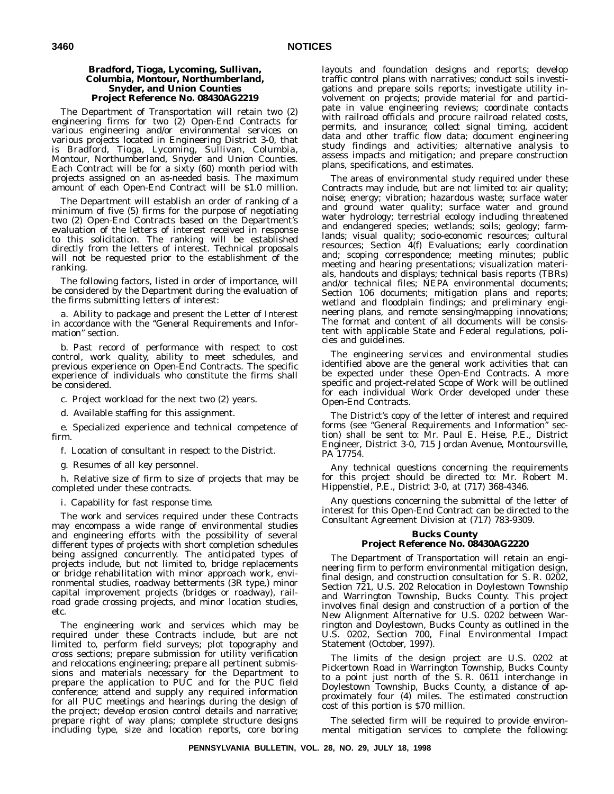# **Bradford, Tioga, Lycoming, Sullivan, Columbia, Montour, Northumberland, Snyder, and Union Counties Project Reference No. 08430AG2219**

The Department of Transportation will retain two (2) engineering firms for two (2) Open-End Contracts for various engineering and/or environmental services on various projects located in Engineering District 3-0, that is Bradford, Tioga, Lycoming, Sullivan, Columbia, Montour, Northumberland, Snyder and Union Counties. Each Contract will be for a sixty (60) month period with projects assigned on an as-needed basis. The maximum amount of each Open-End Contract will be \$1.0 million.

The Department will establish an order of ranking of a minimum of five (5) firms for the purpose of negotiating two (2) Open-End Contracts based on the Department's evaluation of the letters of interest received in response to this solicitation. The ranking will be established directly from the letters of interest. Technical proposals will not be requested prior to the establishment of the ranking.

The following factors, listed in order of importance, will be considered by the Department during the evaluation of the firms submitting letters of interest:

a. Ability to package and present the Letter of Interest in accordance with the "General Requirements and Information'' section.

b. Past record of performance with respect to cost control, work quality, ability to meet schedules, and previous experience on Open-End Contracts. The specific experience of individuals who constitute the firms shall be considered.

c. Project workload for the next two (2) years.

d. Available staffing for this assignment.

e. Specialized experience and technical competence of firm.

f. Location of consultant in respect to the District.

g. Resumes of all *key* personnel.

h. Relative size of firm to size of projects that may be completed under these contracts.

i. Capability for fast response time.

The work and services required under these Contracts may encompass a wide range of environmental studies and engineering efforts with the possibility of several different types of projects with short completion schedules being assigned concurrently. The anticipated types of projects include, but not limited to, bridge replacements or bridge rehabilitation with minor approach work, environmental studies, roadway betterments (3R type,) minor capital improvement projects (bridges or roadway), railroad grade crossing projects, and minor location studies, etc.

The engineering work and services which may be required under these Contracts include, but are not limited to, perform field surveys; plot topography and cross sections; prepare submission for utility verification and relocations engineering; prepare all pertinent submissions and materials necessary for the Department to prepare the application to PUC and for the PUC field conference; attend and supply any required information for all PUC meetings and hearings during the design of the project; develop erosion control details and narrative; prepare right of way plans; complete structure designs including type, size and location reports, core boring

layouts and foundation designs and reports; develop traffic control plans with narratives; conduct soils investigations and prepare soils reports; investigate utility involvement on projects; provide material for and participate in value engineering reviews; coordinate contacts with railroad officials and procure railroad related costs, permits, and insurance; collect signal timing, accident data and other traffic flow data; document engineering study findings and activities; alternative analysis to assess impacts and mitigation; and prepare construction plans, specifications, and estimates.

The areas of environmental study required under these Contracts may include, but are not limited to: air quality; noise; energy; vibration; hazardous waste; surface water and ground water quality; surface water and ground water hydrology; terrestrial ecology including threatened and endangered species; wetlands; soils; geology; farmlands; visual quality; socio-economic resources; cultural resources; Section 4(f) Evaluations; early coordination and; scoping correspondence; meeting minutes; public meeting and hearing presentations; visualization materials, handouts and displays; technical basis reports (TBRs) and/or technical files; NEPA environmental documents; Section 106 documents; mitigation plans and reports; wetland and floodplain findings; and preliminary engineering plans, and remote sensing/mapping innovations; The format and content of all documents will be consistent with applicable State and Federal regulations, policies and guidelines.

The engineering services and environmental studies identified above are the general work activities that can be expected under these Open-End Contracts. A more specific and project-related Scope of Work will be outlined for each individual Work Order developed under these Open-End Contracts.

The District's copy of the letter of interest and required forms (see ''General Requirements and Information'' section) shall be sent to: Mr. Paul E. Heise, P.E., District Engineer, District 3-0, 715 Jordan Avenue, Montoursville, PA 17754.

Any technical questions concerning the requirements for this project should be directed to: Mr. Robert M. Hippenstiel, P.E., District 3-0, at (717) 368-4346.

Any questions concerning the submittal of the letter of interest for this Open-End Contract can be directed to the Consultant Agreement Division at (717) 783-9309.

# **Bucks County Project Reference No. 08430AG2220**

The Department of Transportation will retain an engineering firm to perform environmental mitigation design, final design, and construction consultation for S. R. 0202, Section 721, U.S. 202 Relocation in Doylestown Township and Warrington Township, Bucks County. This project involves final design and construction of a portion of the New Alignment Alternative for U.S. 0202 between Warrington and Doylestown, Bucks County as outlined in the U.S. 0202, Section 700, Final Environmental Impact Statement (October, 1997).

The limits of the design project are U.S. 0202 at Pickertown Road in Warrington Township, Bucks County to a point just north of the S. R. 0611 interchange in Doylestown Township, Bucks County, a distance of approximately four (4) miles. The estimated construction cost of this portion is \$70 million.

The selected firm will be required to provide environmental mitigation services to complete the following: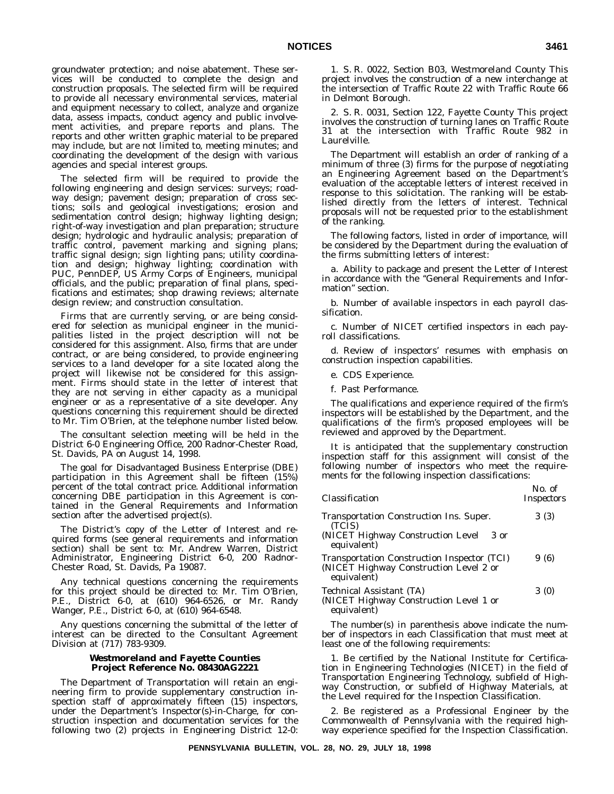groundwater protection; and noise abatement. These services will be conducted to complete the design and construction proposals. The selected firm will be required to provide all necessary environmental services, material and equipment necessary to collect, analyze and organize data, assess impacts, conduct agency and public involvement activities, and prepare reports and plans. The reports and other written graphic material to be prepared may include, but are not limited to, meeting minutes; and coordinating the development of the design with various agencies and special interest groups.

The selected firm will be required to provide the following engineering and design services: surveys; roadway design; pavement design; preparation of cross sections; soils and geological investigations; erosion and sedimentation control design; highway lighting design; right-of-way investigation and plan preparation; structure design; hydrologic and hydraulic analysis; preparation of traffic control, pavement marking and signing plans; traffic signal design; sign lighting pans; utility coordination and design; highway lighting; coordination with PUC, PennDEP, US Army Corps of Engineers, municipal officials, and the public; preparation of final plans, specifications and estimates; shop drawing reviews; alternate design review; and construction consultation.

Firms that are currently serving, or are being considered for selection as municipal engineer in the municipalities listed in the project description will not be considered for this assignment. Also, firms that are under contract, or are being considered, to provide engineering services to a land developer for a site located along the project will likewise not be considered for this assignment. Firms should state in the letter of interest that they are not serving in either capacity as a municipal engineer or as a representative of a site developer. Any questions concerning this requirement should be directed to Mr. Tim O'Brien, at the telephone number listed below.

The consultant selection meeting will be held in the District 6-0 Engineering Office, 200 Radnor-Chester Road, St. Davids, PA on August 14, 1998.

The goal for Disadvantaged Business Enterprise (DBE) participation in this Agreement shall be fifteen (15%) percent of the total contract price. Additional information concerning DBE participation in this Agreement is contained in the General Requirements and Information section after the advertised project(s).

The District's copy of the Letter of Interest and required forms (see general requirements and information section) shall be sent to: Mr. Andrew Warren, District Administrator, Engineering District 6-0, 200 Radnor-Chester Road, St. Davids, Pa 19087.

Any technical questions concerning the requirements for this project should be directed to: Mr. Tim O'Brien, P.E., District 6-0, at (610) 964-6526, or Mr. Randy Wanger, P.E., District 6-0, at (610) 964-6548.

Any questions concerning the submittal of the letter of interest can be directed to the Consultant Agreement Division at (717) 783-9309.

# **Westmoreland and Fayette Counties Project Reference No. 08430AG2221**

The Department of Transportation will retain an engineering firm to provide supplementary construction inspection staff of approximately fifteen (15) inspectors, under the Department's Inspector(s)-in-Charge, for construction inspection and documentation services for the following two (2) projects in Engineering District 12-0:

1. S. R. 0022, Section B03, Westmoreland County This project involves the construction of a new interchange at the intersection of Traffic Route 22 with Traffic Route 66 in Delmont Borough.

2. S. R. 0031, Section 122, Fayette County This project involves the construction of turning lanes on Traffic Route 31 at the intersection with Traffic Route 982 in Laurelville.

The Department will establish an order of ranking of a minimum of three (3) firms for the purpose of negotiating an Engineering Agreement based on the Department's evaluation of the acceptable letters of interest received in response to this solicitation. The ranking will be established directly from the letters of interest. Technical proposals will not be requested prior to the establishment of the ranking.

The following factors, listed in order of importance, will be considered by the Department during the evaluation of the firms submitting letters of interest:

a. Ability to package and present the Letter of Interest in accordance with the ''General Requirements and Information'' section.

b. Number of available inspectors in each payroll classification.

c. Number of NICET certified inspectors in each payroll classifications.

d. Review of inspectors' resumes with emphasis on construction inspection capabilities.

- e. CDS Experience.
- f. Past Performance.

The qualifications and experience required of the firm's inspectors will be established by the Department, and the qualifications of the firm's proposed employees will be reviewed and approved by the Department.

It is anticipated that the supplementary construction inspection staff for this assignment will consist of the following number of inspectors who meet the requirements for the following inspection classifications:

| <i>Inspectors</i> |
|-------------------|
| 3(3)              |
| 9 (6)             |
| 3(0)              |
|                   |

The number(s) in parenthesis above indicate the number of inspectors in each Classification that must meet at least one of the following requirements:

1. Be certified by the National Institute for Certification in Engineering Technologies (NICET) in the field of Transportation Engineering Technology, subfield of Highway Construction, or subfield of Highway Materials, at the Level required for the Inspection Classification.

2. Be registered as a Professional Engineer by the Commonwealth of Pennsylvania with the required highway experience specified for the Inspection Classification.

*No. of*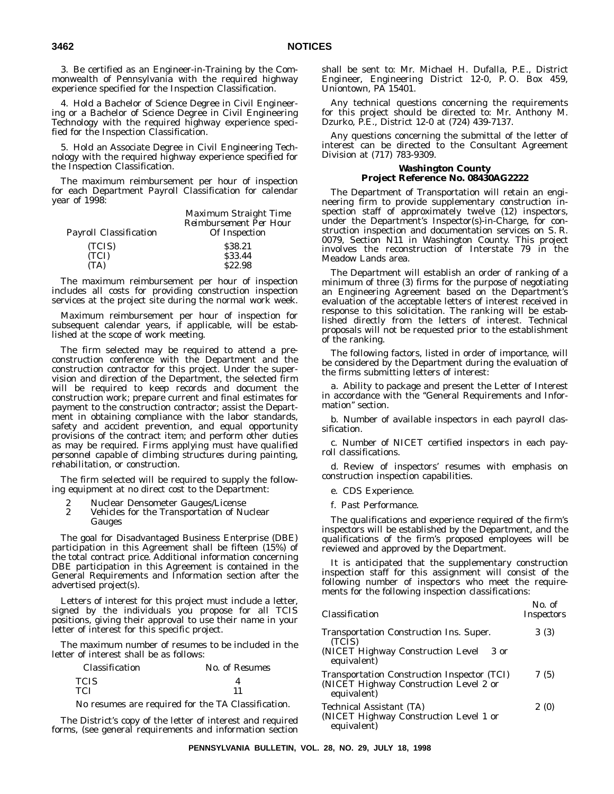3. Be certified as an Engineer-in-Training by the Commonwealth of Pennsylvania with the required highway experience specified for the Inspection Classification.

4. Hold a Bachelor of Science Degree in Civil Engineering or a Bachelor of Science Degree in Civil Engineering Technology with the required highway experience specified for the Inspection Classification.

5. Hold an Associate Degree in Civil Engineering Technology with the required highway experience specified for the Inspection Classification.

The maximum reimbursement per hour of inspection for each Department Payroll Classification for calendar year of 1998:

|                        | Maximum Straight Time         |
|------------------------|-------------------------------|
|                        | <b>Reimbursement Per Hour</b> |
| Payroll Classification | Of Inspection                 |
| (TCIS)                 | \$38.21                       |
| (TCI)                  | \$33.44                       |
| (TA)                   | S22.98                        |

The maximum reimbursement per hour of inspection includes all costs for providing construction inspection services at the project site during the normal work week.

Maximum reimbursement per hour of inspection for subsequent calendar years, if applicable, will be established at the scope of work meeting.

The firm selected may be required to attend a preconstruction conference with the Department and the construction contractor for this project. Under the supervision and direction of the Department, the selected firm will be required to keep records and document the construction work; prepare current and final estimates for payment to the construction contractor; assist the Department in obtaining compliance with the labor standards, safety and accident prevention, and equal opportunity provisions of the contract item; and perform other duties as may be required. *Firms applying must have qualified personnel capable of climbing structures during painting, rehabilitation, or construction*.

The firm selected will be required to supply the following equipment at no direct cost to the Department:

- 
- 2 Nuclear Densometer Gauges/License<br>2 Vehicles for the Transportation of Nu Vehicles for the Transportation of Nuclear Gauges

The goal for Disadvantaged Business Enterprise (DBE) participation in this Agreement shall be fifteen (15%) of the total contract price. Additional information concerning DBE participation in this Agreement is contained in the General Requirements and Information section after the advertised project(s).

Letters of interest for this project must include a letter, signed by the individuals you propose for all TCIS positions, giving their approval to use their name in your letter of interest for this specific project.

The maximum number of resumes to be included in the letter of interest shall be as follows:

| Classification | No. of Resumes |
|----------------|----------------|
| <b>TCIS</b>    |                |
| <b>TCI</b>     |                |

No resumes are required for the TA Classification.

The District's copy of the letter of interest and required forms, (see general requirements and information section shall be sent to: Mr. Michael H. Dufalla, P.E., District Engineer, Engineering District 12-0, P. O. Box 459, Uniontown, PA 15401.

Any technical questions concerning the requirements for this project should be directed to: Mr. Anthony M. Dzurko, P.E., District 12-0 at (724) 439-7137.

Any questions concerning the submittal of the letter of interest can be directed to the Consultant Agreement Division at (717) 783-9309.

# **Washington County Project Reference No. 08430AG2222**

The Department of Transportation will retain an engineering firm to provide supplementary construction inspection staff of approximately twelve (12) inspectors, under the Department's Inspector(s)-in-Charge, for construction inspection and documentation services on S. R. 0079, Section N11 in Washington County. This project involves the reconstruction of Interstate 79 in the Meadow Lands area.

The Department will establish an order of ranking of a minimum of three (3) firms for the purpose of negotiating an Engineering Agreement based on the Department's evaluation of the acceptable letters of interest received in response to this solicitation. The ranking will be established directly from the letters of interest. Technical proposals will not be requested prior to the establishment of the ranking.

The following factors, listed in order of importance, will be considered by the Department during the evaluation of the firms submitting letters of interest:

a. Ability to package and present the Letter of Interest in accordance with the ''General Requirements and Information'' section.

b. Number of available inspectors in each payroll classification.

c. Number of NICET certified inspectors in each payroll classifications.

d. Review of inspectors' resumes with emphasis on construction inspection capabilities.

- e. CDS Experience.
- f. Past Performance.

The qualifications and experience required of the firm's inspectors will be established by the Department, and the qualifications of the firm's proposed employees will be reviewed and approved by the Department.

It is anticipated that the supplementary construction inspection staff for this assignment will consist of the following number of inspectors who meet the requirements for the following inspection classifications:

| Classification                                                                                                       | No. of<br><i>Inspectors</i> |
|----------------------------------------------------------------------------------------------------------------------|-----------------------------|
| <b>Transportation Construction Ins. Super.</b><br>(TCIS)<br>(NICET Highway Construction Level<br>3 or<br>equivalent) | 3(3)                        |
| Transportation Construction Inspector (TCI)<br>(NICET Highway Construction Level 2 or<br>equivalent)                 | 7(5)                        |
| Technical Assistant (TA)<br>(NICET Highway Construction Level 1 or<br>equivalent)                                    | 2(0)                        |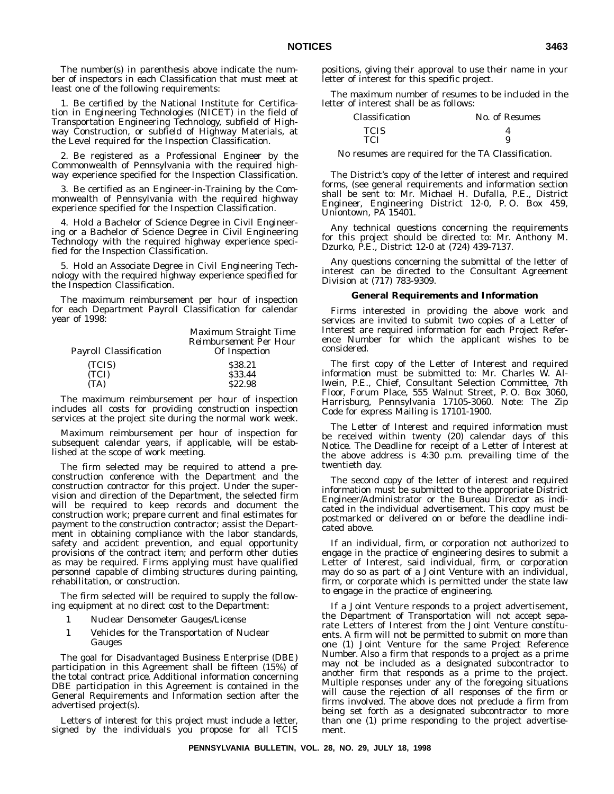The number(s) in parenthesis above indicate the number of inspectors in each Classification that must meet at least one of the following requirements:

1. Be certified by the National Institute for Certification in Engineering Technologies (NICET) in the field of Transportation Engineering Technology, subfield of Highway Construction, or subfield of Highway Materials, at the Level required for the Inspection Classification.

2. Be registered as a Professional Engineer by the Commonwealth of Pennsylvania with the required highway experience specified for the Inspection Classification.

3. Be certified as an Engineer-in-Training by the Commonwealth of Pennsylvania with the required highway experience specified for the Inspection Classification.

4. Hold a Bachelor of Science Degree in Civil Engineering or a Bachelor of Science Degree in Civil Engineering Technology with the required highway experience specified for the Inspection Classification.

5. Hold an Associate Degree in Civil Engineering Technology with the required highway experience specified for the Inspection Classification.

The maximum reimbursement per hour of inspection for each Department Payroll Classification for calendar year of 1998:

|                               | Maximum Straight Time                          |
|-------------------------------|------------------------------------------------|
| <b>Payroll Classification</b> | <b>Reimbursement Per Hour</b><br>Of Inspection |
| (TCIS)                        | \$38.21                                        |
| (TCI)                         | \$33.44                                        |
| (TA)                          | \$22.98                                        |

The maximum reimbursement per hour of inspection includes all costs for providing construction inspection services at the project site during the normal work week.

Maximum reimbursement per hour of inspection for subsequent calendar years, if applicable, will be established at the scope of work meeting.

The firm selected may be required to attend a preconstruction conference with the Department and the construction contractor for this project. Under the supervision and direction of the Department, the selected firm will be required to keep records and document the construction work; prepare current and final estimates for payment to the construction contractor; assist the Department in obtaining compliance with the labor standards, safety and accident prevention, and equal opportunity provisions of the contract item; and perform other duties as may be required. *Firms applying must have qualified personnel capable of climbing structures during painting, rehabilitation, or construction*.

The firm selected will be required to supply the following equipment at no direct cost to the Department:

- 1 Nuclear Densometer Gauges/License
- 1 Vehicles for the Transportation of Nuclear Gauges

The goal for Disadvantaged Business Enterprise (DBE) participation in this Agreement shall be fifteen (15%) of the total contract price. Additional information concerning DBE participation in this Agreement is contained in the General Requirements and Information section after the advertised project(s).

Letters of interest for this project must include a letter, signed by the individuals you propose for all TCIS positions, giving their approval to use their name in your letter of interest for this specific project.

The maximum number of resumes to be included in the letter of interest shall be as follows:

| Classification | No. of Resumes |
|----------------|----------------|
| <b>TCIS</b>    |                |
| TCI            | 9              |

No resumes are required for the TA Classification.

The District's copy of the letter of interest and required forms, (see general requirements and information section shall be sent to: Mr. Michael H. Dufalla, P.E., District Engineer, Engineering District 12-0, P. O. Box 459, Uniontown, PA 15401.

Any technical questions concerning the requirements for this project should be directed to: Mr. Anthony M. Dzurko, P.E., District 12-0 at (724) 439-7137.

Any questions concerning the submittal of the letter of interest can be directed to the Consultant Agreement Division at (717) 783-9309.

# **General Requirements and Information**

Firms interested in providing the above work and services are invited to submit two copies of a Letter of Interest are required information for each Project Reference Number for which the applicant wishes to be considered.

The first copy of the Letter of Interest and required information must be submitted to: Mr. Charles W. Allwein, P.E., Chief, Consultant Selection Committee, 7th Floor, Forum Place, 555 Walnut Street, P. O. Box 3060, Harrisburg, Pennsylvania 17105-3060. Note: The Zip Code for express Mailing is 17101-1900.

The Letter of Interest and required information must be received within twenty (20) calendar days of this Notice. The Deadline for receipt of a Letter of Interest at the above address is 4:30 p.m. prevailing time of the twentieth day.

The second copy of the letter of interest and required information must be submitted to the appropriate District Engineer/Administrator or the Bureau Director as indicated in the individual advertisement. This copy must be postmarked or delivered on or before the deadline indicated above.

If an individual, firm, or corporation not authorized to engage in the practice of engineering desires to submit a Letter of Interest, said individual, firm, or corporation may do so as part of a Joint Venture with an individual, firm, or corporate which is permitted under the state law to engage in the practice of engineering.

If a Joint Venture responds to a project advertisement, the Department of Transportation will not accept separate Letters of Interest from the Joint Venture constituents. A firm will not be permitted to submit on more than one (1) Joint Venture for the same Project Reference Number. Also a firm that responds to a project as a prime may not be included as a designated subcontractor to another firm that responds as a prime to the project. Multiple responses under any of the foregoing situations will cause the rejection of all responses of the firm or firms involved. The above does not preclude a firm from being set forth as a designated subcontractor to more than one (1) prime responding to the project advertisement.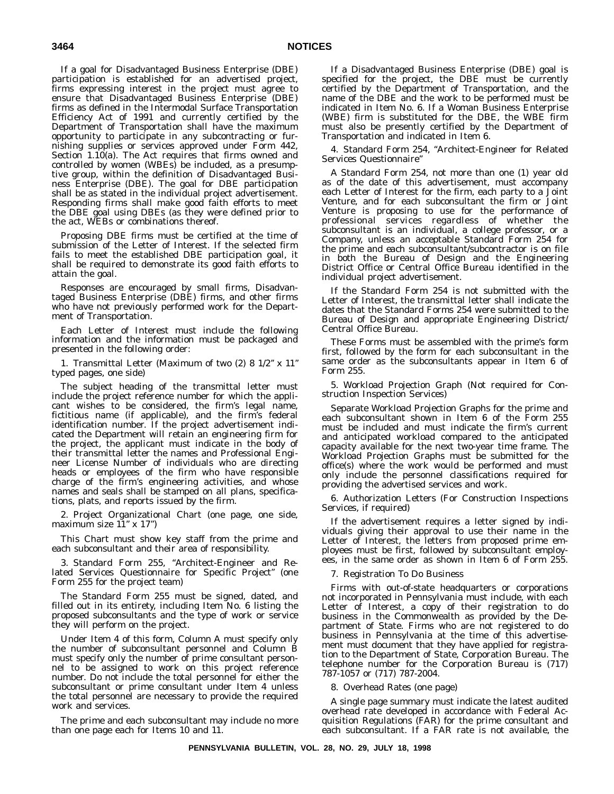If a goal for Disadvantaged Business Enterprise (DBE) participation is established for an advertised project, firms expressing interest in the project must agree to ensure that Disadvantaged Business Enterprise (DBE) firms as defined in the Intermodal Surface Transportation Efficiency Act of 1991 and currently certified by the Department of Transportation shall have the maximum opportunity to participate in any subcontracting or furnishing supplies or services approved under Form 442, Section 1.10(a). The Act requires that firms owned and controlled by women (WBEs) be included, as a presumptive group, within the definition of Disadvantaged Business Enterprise (DBE). The goal for DBE participation shall be as stated in the individual project advertisement. Responding firms shall make good faith efforts to meet the DBE goal using DBEs (as they were defined prior to the act, WEBs or combinations thereof.

Proposing DBE firms must be certified at the time of submission of the Letter of Interest. If the selected firm fails to meet the established DBE participation goal, it shall be required to demonstrate its good faith efforts to attain the goal.

Responses are encouraged by small firms, Disadvantaged Business Enterprise (DBE) firms, and other firms who have not previously performed work for the Department of Transportation.

Each Letter of Interest must include the following information and the information *must be* packaged and presented in the following order:

1. Transmittal Letter (Maximum of two (2) 8 1/2'' x 11'' typed pages, one side)

The subject heading of the transmittal letter must include the project reference number for which the applicant wishes to be considered, the firm's legal name, fictitious name (if applicable), and the firm's federal identification number. If the project advertisement indicated the Department will retain an engineering firm for the project, the applicant must indicate in the body of their transmittal letter the names and Professional Engineer License Number of individuals who are directing heads or employees of the firm who have responsible charge of the firm's engineering activities, and whose names and seals shall be stamped on all plans, specifications, plats, and reports issued by the firm.

2. Project Organizational Chart (one page, one side, maximum size  $11'' \times 17''$ )

This Chart must show key staff from the prime and each subconsultant and their area of responsibility.

3. Standard Form 255, ''Architect-Engineer and Related Services Questionnaire for Specific Project'' (one Form 255 for the project team)

The Standard Form 255 must be signed, dated, and filled out in its entirety, including Item No. 6 listing the proposed subconsultants and the type of work or service they will perform on the project.

Under Item 4 of this form, Column A must specify only the number of subconsultant personnel and Column B must specify only the number of prime consultant personnel to be assigned to work on this project reference number. Do *not* include the total personnel for either the subconsultant or prime consultant under Item 4 unless the total personnel are necessary to provide the required work and services.

The prime and each subconsultant may include no more than one page each for Items 10 and 11.

If a Disadvantaged Business Enterprise (DBE) goal is specified for the project, the DBE must be currently certified by the Department of Transportation, and the name of the DBE and the work to be performed must be indicated in Item No. 6. If a Woman Business Enterprise (WBE) firm is substituted for the DBE, the WBE firm must also be presently certified by the Department of Transportation and indicated in Item 6.

4. Standard Form 254, ''Architect-Engineer for Related Services Questionnaire''

A Standard Form 254, not more than one (1) year old as of the date of this advertisement, must accompany each Letter of Interest for the firm, each party to a Joint Venture, and for each subconsultant the firm or Joint Venture is proposing to use for the performance of professional services regardless of whether the subconsultant is an individual, a college professor, or a Company, unless an acceptable Standard Form 254 for the prime and *each* subconsultant/subcontractor is on file in both the Bureau of Design and the Engineering District Office or Central Office Bureau identified in the individual project advertisement.

If the Standard Form 254 is not submitted with the Letter of Interest, the transmittal letter shall indicate the dates that the Standard Forms 254 were submitted to the Bureau of Design and appropriate Engineering District/ Central Office Bureau.

These Forms must be assembled with the prime's form first, followed by the form for each subconsultant in the same order as the subconsultants appear in Item 6 of Form 255.

5. Workload Projection Graph (Not required for Construction Inspection Services)

Separate Workload Projection Graphs for the prime and each subconsultant shown in Item 6 of the Form 255 must be included and must indicate the firm's current and anticipated workload compared to the anticipated capacity available for the next two-year time frame. The Workload Projection Graphs must be submitted for the office(s) where the work would be performed and must only include the personnel classifications required for providing the advertised services and work.

6. Authorization Letters (For Construction Inspections Services, if required)

If the advertisement requires a letter signed by individuals giving their approval to use their name in the Letter of Interest, the letters from proposed prime employees must be first, followed by subconsultant employees, in the same order as shown in Item 6 of Form 255.

# 7. Registration To Do Business

Firms with out-of-state headquarters or corporations not incorporated in Pennsylvania must include, with each Letter of Interest, a copy of their registration to do business in the Commonwealth as provided by the Department of State. Firms who are not registered to do business in Pennsylvania at the time of this advertisement must document that they have applied for registration to the Department of State, Corporation Bureau. The telephone number for the Corporation Bureau is (717) 787-1057 or (717) 787-2004.

8. Overhead Rates (one page)

A single page summary must indicate the latest audited overhead rate developed in accordance with Federal Acquisition Regulations (FAR) for the prime consultant and each subconsultant. If a FAR rate is not available, the

**PENNSYLVANIA BULLETIN, VOL. 28, NO. 29, JULY 18, 1998**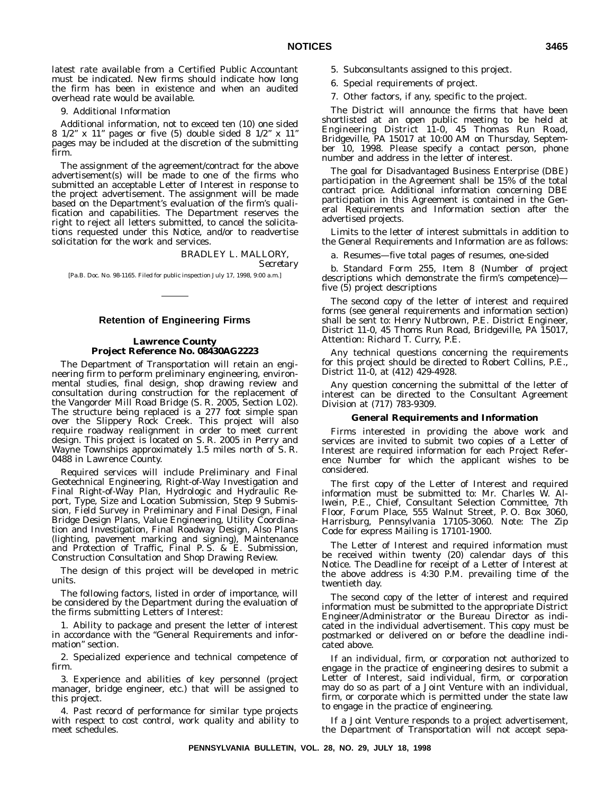latest rate available from a Certified Public Accountant must be indicated. New firms should indicate how long the firm has been in existence and when an audited overhead rate would be available.

9. Additional Information

Additional information, not to exceed ten (10) one sided 8  $1/2$ " x  $11$ " pages or five (5) double sided 8  $1/2$ " x  $11$ " pages may be included at the discretion of the submitting firm.

The assignment of the agreement/contract for the above advertisement(s) will be made to one of the firms who submitted an acceptable Letter of Interest in response to the project advertisement. The assignment will be made based on the Department's evaluation of the firm's qualification and capabilities. The Department reserves the right to reject all letters submitted, to cancel the solicitations requested under this Notice, and/or to readvertise solicitation for the work and services.

# BRADLEY L. MALLORY,

*Secretary*

[Pa.B. Doc. No. 98-1165. Filed for public inspection July 17, 1998, 9:00 a.m.]

# **Retention of Engineering Firms**

# **Lawrence County Project Reference No. 08430AG2223**

The Department of Transportation will retain an engineering firm to perform preliminary engineering, environmental studies, final design, shop drawing review and consultation during construction for the replacement of the Vangorder Mill Road Bridge (S. R. 2005, Section L02). The structure being replaced is a 277 foot simple span over the Slippery Rock Creek. This project will also require roadway realignment in order to meet current design. This project is located on S. R. 2005 in Perry and Wayne Townships approximately 1.5 miles north of S. R. 0488 in Lawrence County.

Required services will include Preliminary and Final Geotechnical Engineering, Right-of-Way Investigation and Final Right-of-Way Plan, Hydrologic and Hydraulic Report, Type, Size and Location Submission, Step 9 Submission, Field Survey in Preliminary and Final Design, Final Bridge Design Plans, Value Engineering, Utility Coordination and Investigation, Final Roadway Design, Also Plans (lighting, pavement marking and signing), Maintenance and Protection of Traffic, Final P. S. & E. Submission, Construction Consultation and Shop Drawing Review.

The design of this project will be developed in metric units.

The following factors, listed in order of importance, will be considered by the Department during the evaluation of the firms submitting Letters of Interest:

1. Ability to package and present the letter of interest in accordance with the ''General Requirements and information'' section.

2. Specialized experience and technical competence of firm.

3. Experience and abilities of key personnel (project manager, bridge engineer, etc.) that will be assigned to this project.

4. Past record of performance for similar type projects with respect to cost control, work quality and ability to meet schedules.

- 5. Subconsultants assigned to this project.
- 6. Special requirements of project.
- 7. Other factors, if any, specific to the project.

The District will announce the firms that have been shortlisted at an open public meeting to be held at Engineering District 11-0, 45 Thomas Run Road, Bridgeville, PA 15017 at 10:00 AM on Thursday, September 10, 1998. Please specify a contact person, phone number and address in the letter of interest.

The goal for Disadvantaged Business Enterprise (DBE) participation in the Agreement shall be 15% of the total contract price. Additional information concerning DBE participation in this Agreement is contained in the General Requirements and Information section after the advertised projects.

Limits to the letter of interest submittals in addition to the General Requirements and Information are as follows:

a. Resumes—five total pages of resumes, one-sided

b. Standard Form 255, Item 8 (Number of project descriptions which demonstrate the firm's competence) five (5) project descriptions

The second copy of the letter of interest and required forms (see general requirements and information section) shall be sent to: Henry Nutbrown, P.E. District Engineer, District 11-0, 45 Thoms Run Road, Bridgeville, PA 15017, Attention: Richard T. Curry, P.E.

Any technical questions concerning the requirements for this project should be directed to Robert Collins, P.E., District 11-0, at (412) 429-4928.

Any question concerning the submittal of the letter of interest can be directed to the Consultant Agreement Division at (717) 783-9309.

### **General Requirements and Information**

Firms interested in providing the above work and services are invited to submit two copies of a Letter of Interest are required information for each Project Reference Number for which the applicant wishes to be considered.

The first copy of the Letter of Interest and required information must be submitted to: Mr. Charles W. Allwein, P.E., Chief, Consultant Selection Committee, 7th Floor, Forum Place, 555 Walnut Street, P. O. Box 3060, Harrisburg, Pennsylvania 17105-3060. Note: The Zip Code for express Mailing is 17101-1900.

The Letter of Interest and required information must be received within twenty (20) calendar days of this Notice. The Deadline for receipt of a Letter of Interest at the above address is 4:30 P.M. prevailing time of the twentieth day.

The second copy of the letter of interest and required information must be submitted to the appropriate District Engineer/Administrator or the Bureau Director as indicated in the individual advertisement. This copy must be postmarked or delivered on or before the deadline indicated above.

If an individual, firm, or corporation not authorized to engage in the practice of engineering desires to submit a Letter of Interest, said individual, firm, or corporation may do so as part of a Joint Venture with an individual, firm, or corporate which is permitted under the state law to engage in the practice of engineering.

If a Joint Venture responds to a project advertisement, the Department of Transportation will not accept sepa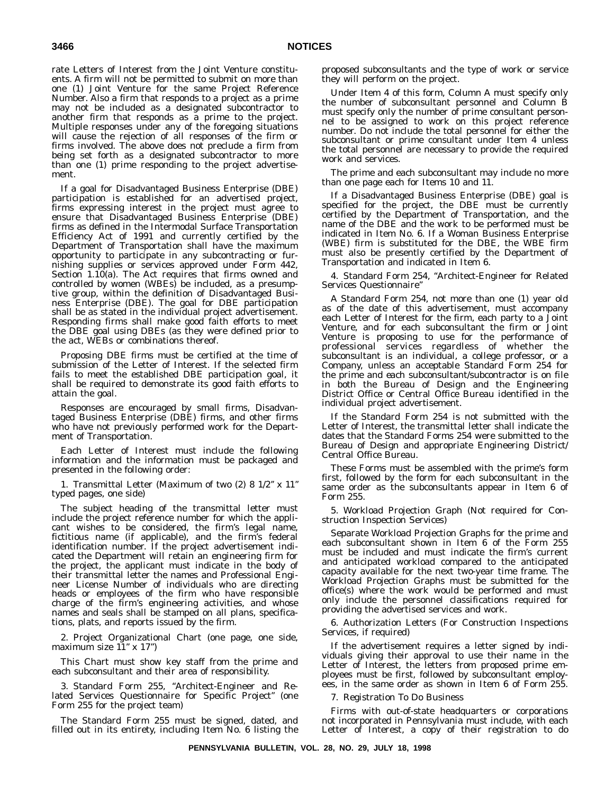rate Letters of Interest from the Joint Venture constituents. A firm will not be permitted to submit on more than one (1) Joint Venture for the same Project Reference Number. Also a firm that responds to a project as a prime may not be included as a designated subcontractor to another firm that responds as a prime to the project. Multiple responses under any of the foregoing situations will cause the rejection of all responses of the firm or firms involved. The above does not preclude a firm from being set forth as a designated subcontractor to more than one (1) prime responding to the project advertisement.

If a goal for Disadvantaged Business Enterprise (DBE) participation is established for an advertised project, firms expressing interest in the project must agree to ensure that Disadvantaged Business Enterprise (DBE) firms as defined in the Intermodal Surface Transportation Efficiency Act of 1991 and currently certified by the Department of Transportation shall have the maximum opportunity to participate in any subcontracting or furnishing supplies or services approved under Form 442, Section 1.10(a). The Act requires that firms owned and controlled by women (WBEs) be included, as a presumptive group, within the definition of Disadvantaged Business Enterprise (DBE). The goal for DBE participation shall be as stated in the individual project advertisement. Responding firms shall make good faith efforts to meet the DBE goal using DBEs (as they were defined prior to the act, WEBs or combinations thereof.

Proposing DBE firms must be certified at the time of submission of the Letter of Interest. If the selected firm fails to meet the established DBE participation goal, it shall be required to demonstrate its good faith efforts to attain the goal.

Responses are encouraged by small firms, Disadvantaged Business Enterprise (DBE) firms, and other firms who have not previously performed work for the Department of Transportation.

Each Letter of Interest must include the following information and the information *must be* packaged and presented in the following order:

1. Transmittal Letter (Maximum of two (2) 8 1/2'' x 11'' typed pages, one side)

The subject heading of the transmittal letter must include the project reference number for which the applicant wishes to be considered, the firm's legal name, fictitious name (if applicable), and the firm's federal identification number. If the project advertisement indicated the Department will retain an engineering firm for the project, the applicant must indicate in the body of their transmittal letter the names and Professional Engineer License Number of individuals who are directing heads or employees of the firm who have responsible charge of the firm's engineering activities, and whose names and seals shall be stamped on all plans, specifications, plats, and reports issued by the firm.

2. Project Organizational Chart (one page, one side, maximum size  $11'' \times 17''$ )

This Chart must show key staff from the prime and each subconsultant and their area of responsibility.

3. Standard Form 255, ''Architect-Engineer and Related Services Questionnaire for Specific Project'' (one Form 255 for the project team)

The Standard Form 255 must be signed, dated, and filled out in its entirety, including Item No. 6 listing the

proposed subconsultants and the type of work or service they will perform on the project.

Under Item 4 of this form, Column A must specify only the number of subconsultant personnel and Column B must specify only the number of prime consultant personnel to be assigned to work on this project reference number. Do *not* include the total personnel for either the subconsultant or prime consultant under Item 4 unless the total personnel are necessary to provide the required work and services.

The prime and each subconsultant may include no more than one page each for Items 10 and 11.

If a Disadvantaged Business Enterprise (DBE) goal is specified for the project, the DBE must be currently certified by the Department of Transportation, and the name of the DBE and the work to be performed must be indicated in Item No. 6. If a Woman Business Enterprise (WBE) firm is substituted for the DBE, the WBE firm must also be presently certified by the Department of Transportation and indicated in Item 6.

4. Standard Form 254, ''Architect-Engineer for Related Services Questionnaire''

A Standard Form 254, not more than one (1) year old as of the date of this advertisement, must accompany each Letter of Interest for the firm, each party to a Joint Venture, and for each subconsultant the firm or Joint Venture is proposing to use for the performance of professional services regardless of whether the subconsultant is an individual, a college professor, or a Company, unless an acceptable Standard Form 254 for the prime and *each* subconsultant/subcontractor is on file in both the Bureau of Design and the Engineering District Office or Central Office Bureau identified in the individual project advertisement.

If the Standard Form 254 is not submitted with the Letter of Interest, the transmittal letter shall indicate the dates that the Standard Forms 254 were submitted to the Bureau of Design and appropriate Engineering District/ Central Office Bureau.

These Forms must be assembled with the prime's form first, followed by the form for each subconsultant in the same order as the subconsultants appear in Item 6 of Form 255.

5. Workload Projection Graph (Not required for Construction Inspection Services)

Separate Workload Projection Graphs for the prime and each subconsultant shown in Item 6 of the Form 255 must be included and must indicate the firm's current and anticipated workload compared to the anticipated capacity available for the next two-year time frame. The Workload Projection Graphs must be submitted for the office(s) where the work would be performed and must only include the personnel classifications required for providing the advertised services and work.

6. Authorization Letters (For Construction Inspections Services, if required)

If the advertisement requires a letter signed by individuals giving their approval to use their name in the Letter of Interest, the letters from proposed prime employees must be first, followed by subconsultant employees, in the same order as shown in Item 6 of Form 255.

7. Registration To Do Business

Firms with out-of-state headquarters or corporations not incorporated in Pennsylvania must include, with each Letter of Interest, a copy of their registration to do

**PENNSYLVANIA BULLETIN, VOL. 28, NO. 29, JULY 18, 1998**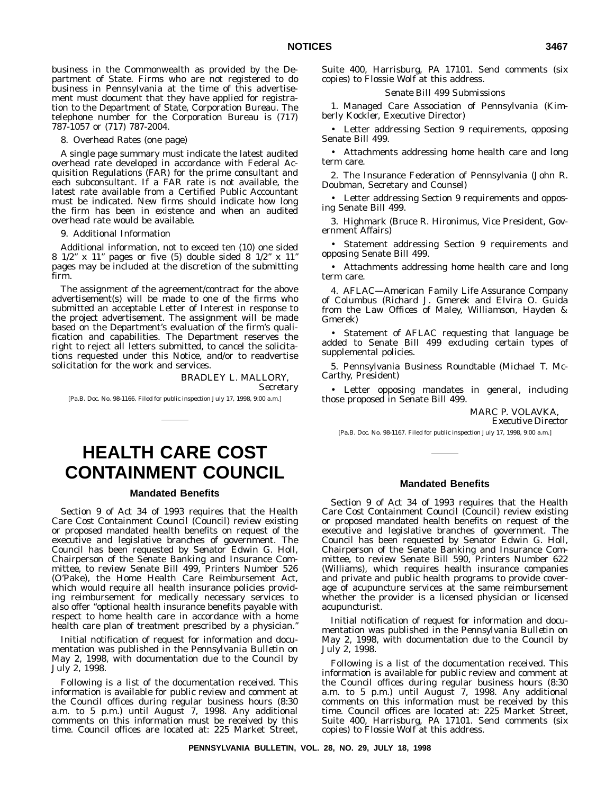business in the Commonwealth as provided by the Department of State. Firms who are not registered to do business in Pennsylvania at the time of this advertisement must document that they have applied for registration to the Department of State, Corporation Bureau. The telephone number for the Corporation Bureau is (717) 787-1057 or (717) 787-2004.

8. Overhead Rates (one page)

A single page summary must indicate the latest audited overhead rate developed in accordance with Federal Acquisition Regulations (FAR) for the prime consultant and each subconsultant. If a FAR rate is not available, the latest rate available from a Certified Public Accountant must be indicated. New firms should indicate how long the firm has been in existence and when an audited overhead rate would be available.

9. Additional Information

Additional information, not to exceed ten (10) one sided 8 1/2'' x 11'' pages or five (5) double sided 8 1/2'' x 11'' pages may be included at the discretion of the submitting firm.

The assignment of the agreement/contract for the above advertisement(s) will be made to one of the firms who submitted an acceptable Letter of Interest in response to the project advertisement. The assignment will be made based on the Department's evaluation of the firm's qualification and capabilities. The Department reserves the right to reject all letters submitted, to cancel the solicitations requested under this Notice, and/or to readvertise solicitation for the work and services.

> BRADLEY L. MALLORY, *Secretary*

[Pa.B. Doc. No. 98-1166. Filed for public inspection July 17, 1998, 9:00 a.m.]

# **HEALTH CARE COST CONTAINMENT COUNCIL**

# **Mandated Benefits**

Section 9 of Act 34 of 1993 requires that the Health Care Cost Containment Council (Council) review existing or proposed mandated health benefits on request of the executive and legislative branches of government. The Council has been requested by Senator Edwin G. Holl, Chairperson of the Senate Banking and Insurance Committee, to review Senate Bill 499, Printers Number 526 (O'Pake), the Home Health Care Reimbursement Act, which would require all health insurance policies providing reimbursement for medically necessary services to also offer ''optional health insurance benefits payable with respect to home health care in accordance with a home health care plan of treatment prescribed by a physician."

Initial notification of request for information and documentation was published in the *Pennsylvania Bulletin* on May 2, 1998, with documentation due to the Council by July 2, 1998.

Following is a list of the documentation received. This information is available for public review and comment at the Council offices during regular business hours (8:30 a.m. to 5 p.m.) until August 7, 1998. Any additional comments on this information must be received by this time. Council offices are located at: 225 Market Street, Suite 400, Harrisburg, PA 17101. Send comments (six copies) to Flossie Wolf at this address.

# *Senate Bill 499 Submissions*

1. Managed Care Association of Pennsylvania (Kimberly Kockler, Executive Director)

• Letter addressing Section 9 requirements, opposing Senate Bill 499.

• Attachments addressing home health care and long term care.

2. The Insurance Federation of Pennsylvania (John R. Doubman, Secretary and Counsel)

• Letter addressing Section 9 requirements and opposing Senate Bill 499.

3. Highmark (Bruce R. Hironimus, Vice President, Government Affairs)

• Statement addressing Section 9 requirements and opposing Senate Bill 499.

• Attachments addressing home health care and long term care.

4. AFLAC—American Family Life Assurance Company of Columbus (Richard J. Gmerek and Elvira O. Guida from the Law Offices of Maley, Williamson, Hayden & Gmerek)

• Statement of AFLAC requesting that language be added to Senate Bill 499 excluding certain types of supplemental policies.

5. Pennsylvania Business Roundtable (Michael T. Mc-Carthy, President)

• Letter opposing mandates in general, including those proposed in Senate Bill 499.

MARC P. VOLAVKA,

*Executive Director*

[Pa.B. Doc. No. 98-1167. Filed for public inspection July 17, 1998, 9:00 a.m.]

# **Mandated Benefits**

Section 9 of Act 34 of 1993 requires that the Health Care Cost Containment Council (Council) review existing or proposed mandated health benefits on request of the executive and legislative branches of government. The Council has been requested by Senator Edwin G. Holl, Chairperson of the Senate Banking and Insurance Committee, to review Senate Bill 590, Printers Number 622 (Williams), which requires health insurance companies and private and public health programs to provide coverage of acupuncture services at the same reimbursement whether the provider is a licensed physician or licensed acupuncturist.

Initial notification of request for information and documentation was published in the *Pennsylvania Bulletin* on May 2, 1998, with documentation due to the Council by July 2, 1998.

Following is a list of the documentation received. This information is available for public review and comment at the Council offices during regular business hours (8:30 a.m. to 5 p.m.) until August 7, 1998. Any additional comments on this information must be received by this time. Council offices are located at: 225 Market Street, Suite 400, Harrisburg, PA 17101. Send comments (six copies) to Flossie Wolf at this address.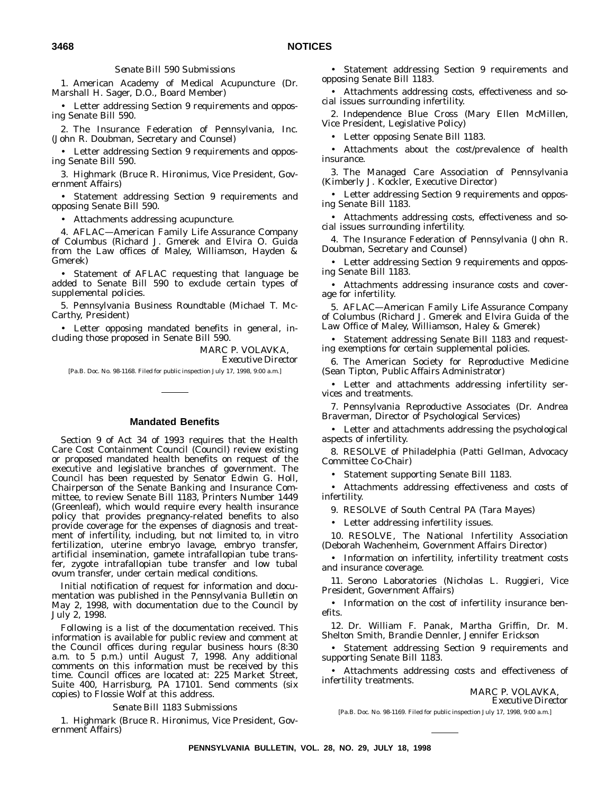# *Senate Bill 590 Submissions*

1. American Academy of Medical Acupuncture (Dr. Marshall H. Sager, D.O., Board Member)

• Letter addressing Section 9 requirements and opposing Senate Bill 590.

2. The Insurance Federation of Pennsylvania, Inc. (John R. Doubman, Secretary and Counsel)

• Letter addressing Section 9 requirements and opposing Senate Bill 590.

3. Highmark (Bruce R. Hironimus, Vice President, Government Affairs)

• Statement addressing Section 9 requirements and opposing Senate Bill 590.

• Attachments addressing acupuncture.

4. AFLAC—American Family Life Assurance Company of Columbus (Richard J. Gmerek and Elvira O. Guida from the Law offices of Maley, Williamson, Hayden & Gmerek)

• Statement of AFLAC requesting that language be added to Senate Bill 590 to exclude certain types of supplemental policies.

5. Pennsylvania Business Roundtable (Michael T. Mc-Carthy, President)

• Letter opposing mandated benefits in general, including those proposed in Senate Bill 590.

> MARC P. VOLAVKA, *Executive Director*

[Pa.B. Doc. No. 98-1168. Filed for public inspection July 17, 1998, 9:00 a.m.]

# **Mandated Benefits**

Section 9 of Act 34 of 1993 requires that the Health Care Cost Containment Council (Council) review existing or proposed mandated health benefits on request of the executive and legislative branches of government. The Council has been requested by Senator Edwin G. Holl, Chairperson of the Senate Banking and Insurance Committee, to review Senate Bill 1183, Printers Number 1449 (Greenleaf), which would require every health insurance policy that provides pregnancy-related benefits to also provide coverage for the expenses of diagnosis and treatment of infertility, including, but not limited to, in vitro fertilization, uterine embryo lavage, embryo transfer, artificial insemination, gamete intrafallopian tube transfer, zygote intrafallopian tube transfer and low tubal ovum transfer, under certain medical conditions.

Initial notification of request for information and documentation was published in the *Pennsylvania Bulletin* on May 2, 1998, with documentation due to the Council by July 2, 1998.

Following is a list of the documentation received. This information is available for public review and comment at the Council offices during regular business hours (8:30 a.m. to 5 p.m.) until August 7, 1998. Any additional comments on this information must be received by this time. Council offices are located at: 225 Market Street, Suite 400, Harrisburg, PA 17101. Send comments (six copies) to Flossie Wolf at this address.

*Senate Bill 1183 Submissions*

1. Highmark (Bruce R. Hironimus, Vice President, Government Affairs)

• Statement addressing Section 9 requirements and opposing Senate Bill 1183.

• Attachments addressing costs, effectiveness and social issues surrounding infertility.

2. Independence Blue Cross (Mary Ellen McMillen, Vice President, Legislative Policy)

• Letter opposing Senate Bill 1183.

• Attachments about the cost/prevalence of health insurance.

3. The Managed Care Association of Pennsylvania (Kimberly J. Kockler, Executive Director)

• Letter addressing Section 9 requirements and opposing Senate Bill 1183.

• Attachments addressing costs, effectiveness and social issues surrounding infertility.

4. The Insurance Federation of Pennsylvania (John R. Doubman, Secretary and Counsel)

• Letter addressing Section 9 requirements and opposing Senate Bill 1183.

• Attachments addressing insurance costs and coverage for infertility.

5. AFLAC—American Family Life Assurance Company of Columbus (Richard J. Gmerek and Elvira Guida of the Law Office of Maley, Williamson, Haley & Gmerek)

• Statement addressing Senate Bill 1183 and requesting exemptions for certain supplemental policies.

6. The American Society for Reproductive Medicine (Sean Tipton, Public Affairs Administrator)

• Letter and attachments addressing infertility services and treatments.

7. Pennsylvania Reproductive Associates (Dr. Andrea Braverman, Director of Psychological Services)

• Letter and attachments addressing the psychological aspects of infertility.

8. RESOLVE of Philadelphia (Patti Gellman, Advocacy Committee Co-Chair)

• Statement supporting Senate Bill 1183.

• Attachments addressing effectiveness and costs of infertility.

9. RESOLVE of South Central PA (Tara Mayes)

• Letter addressing infertility issues.

10. RESOLVE, The National Infertility Association (Deborah Wachenheim, Government Affairs Director)

• Information on infertility, infertility treatment costs and insurance coverage.

11. Serono Laboratories (Nicholas L. Ruggieri, Vice President, Government Affairs)

• Information on the cost of infertility insurance benefits.

12. Dr. William F. Panak, Martha Griffin, Dr. M. Shelton Smith, Brandie Dennler, Jennifer Erickson

• Statement addressing Section 9 requirements and supporting Senate Bill 1183.

• Attachments addressing costs and effectiveness of infertility treatments.

MARC P. VOLAVKA,

*Executive Director*

[Pa.B. Doc. No. 98-1169. Filed for public inspection July 17, 1998, 9:00 a.m.]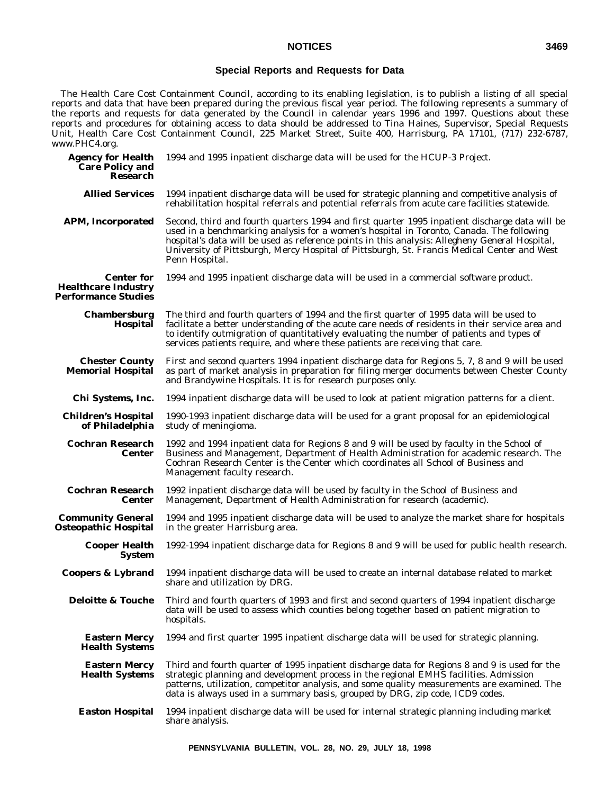# **Special Reports and Requests for Data**

The Health Care Cost Containment Council, according to its enabling legislation, is to publish a listing of all special reports and data that have been prepared during the previous fiscal year period. The following represents a summary of the reports and requests for data generated by the Council in calendar years 1996 and 1997. Questions about these reports and procedures for obtaining access to data should be addressed to Tina Haines, Supervisor, Special Requests Unit, Health Care Cost Containment Council, 225 Market Street, Suite 400, Harrisburg, PA 17101, (717) 232-6787, *www.PHC4.org.*

| <b>Agency for Health</b><br><b>Care Policy and</b><br><b>Research</b>         | 1994 and 1995 inpatient discharge data will be used for the HCUP-3 Project.                                                                                                                                                                                                                                                                                                                                   |
|-------------------------------------------------------------------------------|---------------------------------------------------------------------------------------------------------------------------------------------------------------------------------------------------------------------------------------------------------------------------------------------------------------------------------------------------------------------------------------------------------------|
| <b>Allied Services</b>                                                        | 1994 inpatient discharge data will be used for strategic planning and competitive analysis of<br>rehabilitation hospital referrals and potential referrals from acute care facilities statewide.                                                                                                                                                                                                              |
| <b>APM, Incorporated</b>                                                      | Second, third and fourth quarters 1994 and first quarter 1995 inpatient discharge data will be<br>used in a benchmarking analysis for a women's hospital in Toronto, Canada. The following<br>hospital's data will be used as reference points in this analysis: Allegheny General Hospital,<br>University of Pittsburgh, Mercy Hospital of Pittsburgh, St. Francis Medical Center and West<br>Penn Hospital. |
| <b>Center for</b><br><b>Healthcare Industry</b><br><b>Performance Studies</b> | 1994 and 1995 inpatient discharge data will be used in a commercial software product.                                                                                                                                                                                                                                                                                                                         |
| <b>Chambersburg</b><br>Hospital                                               | The third and fourth quarters of 1994 and the first quarter of 1995 data will be used to<br>facilitate a better understanding of the acute care needs of residents in their service area and<br>to identify outmigration of quantitatively evaluating the number of patients and types of<br>services patients require, and where these patients are receiving that care.                                     |
| <b>Chester County</b><br><b>Memorial Hospital</b>                             | First and second quarters 1994 inpatient discharge data for Regions 5, 7, 8 and 9 will be used<br>as part of market analysis in preparation for filing merger documents between Chester County<br>and Brandywine Hospitals. It is for research purposes only.                                                                                                                                                 |
| Chi Systems, Inc.                                                             | 1994 inpatient discharge data will be used to look at patient migration patterns for a client.                                                                                                                                                                                                                                                                                                                |
| <b>Children's Hospital</b><br>of Philadelphia                                 | 1990-1993 inpatient discharge data will be used for a grant proposal for an epidemiological<br>study of meningioma.                                                                                                                                                                                                                                                                                           |
| <b>Cochran Research</b><br>Center                                             | 1992 and 1994 inpatient data for Regions 8 and 9 will be used by faculty in the School of<br>Business and Management, Department of Health Administration for academic research. The<br>Cochran Research Center is the Center which coordinates all School of Business and<br>Management faculty research.                                                                                                    |
| <b>Cochran Research</b><br>Center                                             | 1992 inpatient discharge data will be used by faculty in the School of Business and<br>Management, Department of Health Administration for research (academic).                                                                                                                                                                                                                                               |
| <b>Community General</b><br>Osteopathic Hospital                              | 1994 and 1995 inpatient discharge data will be used to analyze the market share for hospitals<br>in the greater Harrisburg area.                                                                                                                                                                                                                                                                              |
| <b>Cooper Health</b><br><b>System</b>                                         | 1992-1994 inpatient discharge data for Regions 8 and 9 will be used for public health research.                                                                                                                                                                                                                                                                                                               |
| <b>Coopers &amp; Lybrand</b>                                                  | 1994 inpatient discharge data will be used to create an internal database related to market<br>share and utilization by DRG.                                                                                                                                                                                                                                                                                  |
| <b>Deloitte &amp; Touche</b>                                                  | Third and fourth quarters of 1993 and first and second quarters of 1994 inpatient discharge<br>data will be used to assess which counties belong together based on patient migration to<br>hospitals.                                                                                                                                                                                                         |
| <b>Eastern Mercy</b><br><b>Health Systems</b>                                 | 1994 and first quarter 1995 inpatient discharge data will be used for strategic planning.                                                                                                                                                                                                                                                                                                                     |
| <b>Eastern Mercy</b><br><b>Health Systems</b>                                 | Third and fourth quarter of 1995 inpatient discharge data for Regions 8 and 9 is used for the<br>strategic planning and development process in the regional EMHS facilities. Admission<br>patterns, utilization, competitor analysis, and some quality measurements are examined. The<br>data is always used in a summary basis, grouped by DRG, zip code, ICD9 codes.                                        |
| <b>Easton Hospital</b>                                                        | 1994 inpatient discharge data will be used for internal strategic planning including market<br>share analysis.                                                                                                                                                                                                                                                                                                |
|                                                                               |                                                                                                                                                                                                                                                                                                                                                                                                               |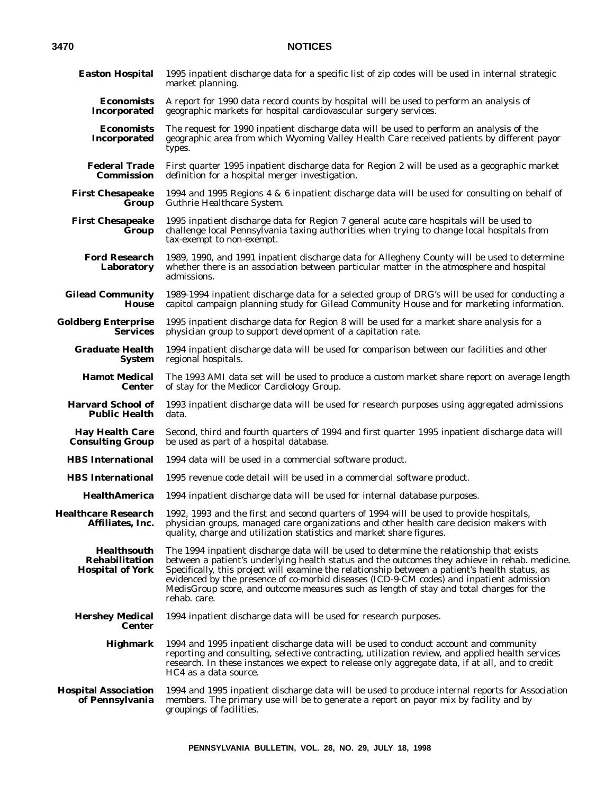| <b>Easton Hospital</b>                                          | 1995 inpatient discharge data for a specific list of zip codes will be used in internal strategic<br>market planning.                                                                                                                                                                                                                                                                                                                                                                               |
|-----------------------------------------------------------------|-----------------------------------------------------------------------------------------------------------------------------------------------------------------------------------------------------------------------------------------------------------------------------------------------------------------------------------------------------------------------------------------------------------------------------------------------------------------------------------------------------|
| <b>Economists</b><br>Incorporated                               | A report for 1990 data record counts by hospital will be used to perform an analysis of<br>geographic markets for hospital cardiovascular surgery services.                                                                                                                                                                                                                                                                                                                                         |
| <b>Economists</b><br>Incorporated                               | The request for 1990 inpatient discharge data will be used to perform an analysis of the<br>geographic area from which Wyoming Valley Health Care received patients by different payor<br>types.                                                                                                                                                                                                                                                                                                    |
| <b>Federal Trade</b><br>Commission                              | First quarter 1995 inpatient discharge data for Region 2 will be used as a geographic market<br>definition for a hospital merger investigation.                                                                                                                                                                                                                                                                                                                                                     |
| <b>First Chesapeake</b><br>Group                                | 1994 and 1995 Regions 4 & 6 inpatient discharge data will be used for consulting on behalf of<br>Guthrie Healthcare System.                                                                                                                                                                                                                                                                                                                                                                         |
| <b>First Chesapeake</b><br>Group                                | 1995 inpatient discharge data for Region 7 general acute care hospitals will be used to<br>challenge local Pennsylvania taxing authorities when trying to change local hospitals from<br>tax-exempt to non-exempt.                                                                                                                                                                                                                                                                                  |
| <b>Ford Research</b><br>Laboratory                              | 1989, 1990, and 1991 inpatient discharge data for Allegheny County will be used to determine<br>whether there is an association between particular matter in the atmosphere and hospital<br>admissions.                                                                                                                                                                                                                                                                                             |
| <b>Gilead Community</b><br>House                                | 1989-1994 inpatient discharge data for a selected group of DRG's will be used for conducting a<br>capitol campaign planning study for Gilead Community House and for marketing information.                                                                                                                                                                                                                                                                                                         |
| <b>Goldberg Enterprise</b><br><b>Services</b>                   | 1995 inpatient discharge data for Region 8 will be used for a market share analysis for a<br>physician group to support development of a capitation rate.                                                                                                                                                                                                                                                                                                                                           |
| <b>Graduate Health</b><br><b>System</b>                         | 1994 inpatient discharge data will be used for comparison between our facilities and other<br>regional hospitals.                                                                                                                                                                                                                                                                                                                                                                                   |
| <b>Hamot Medical</b><br><b>Center</b>                           | The 1993 AMI data set will be used to produce a custom market share report on average length<br>of stay for the Medicor Cardiology Group.                                                                                                                                                                                                                                                                                                                                                           |
| <b>Harvard School of</b><br><b>Public Health</b>                | 1993 inpatient discharge data will be used for research purposes using aggregated admissions<br>data.                                                                                                                                                                                                                                                                                                                                                                                               |
| <b>Hay Health Care</b><br><b>Consulting Group</b>               | Second, third and fourth quarters of 1994 and first quarter 1995 inpatient discharge data will<br>be used as part of a hospital database.                                                                                                                                                                                                                                                                                                                                                           |
| <b>HBS</b> International                                        | 1994 data will be used in a commercial software product.                                                                                                                                                                                                                                                                                                                                                                                                                                            |
| <b>HBS</b> International                                        | 1995 revenue code detail will be used in a commercial software product.                                                                                                                                                                                                                                                                                                                                                                                                                             |
| <b>HealthAmerica</b>                                            | 1994 inpatient discharge data will be used for internal database purposes.                                                                                                                                                                                                                                                                                                                                                                                                                          |
| <b>Healthcare Research</b><br>Affiliates, Inc.                  | 1992, 1993 and the first and second quarters of 1994 will be used to provide hospitals,<br>physician groups, managed care organizations and other health care decision makers with<br>quality, charge and utilization statistics and market share figures.                                                                                                                                                                                                                                          |
| <b>Healthsouth</b><br>Rehabilitation<br><b>Hospital of York</b> | The 1994 inpatient discharge data will be used to determine the relationship that exists<br>between a patient's underlying health status and the outcomes they achieve in rehab. medicine.<br>Specifically, this project will examine the relationship between a patient's health status, as<br>evidenced by the presence of co-morbid diseases (ICD-9-CM codes) and inpatient admission<br>MedisGroup score, and outcome measures such as length of stay and total charges for the<br>rehab. care. |
| <b>Hershey Medical</b><br><b>Center</b>                         | 1994 inpatient discharge data will be used for research purposes.                                                                                                                                                                                                                                                                                                                                                                                                                                   |
| <b>Highmark</b>                                                 | 1994 and 1995 inpatient discharge data will be used to conduct account and community<br>reporting and consulting, selective contracting, utilization review, and applied health services<br>research. In these instances we expect to release only aggregate data, if at all, and to credit<br>HC4 as a data source.                                                                                                                                                                                |
| <b>Hospital Association</b><br>of Pennsylvania                  | 1994 and 1995 inpatient discharge data will be used to produce internal reports for Association<br>members. The primary use will be to generate a report on payor mix by facility and by<br>groupings of facilities.                                                                                                                                                                                                                                                                                |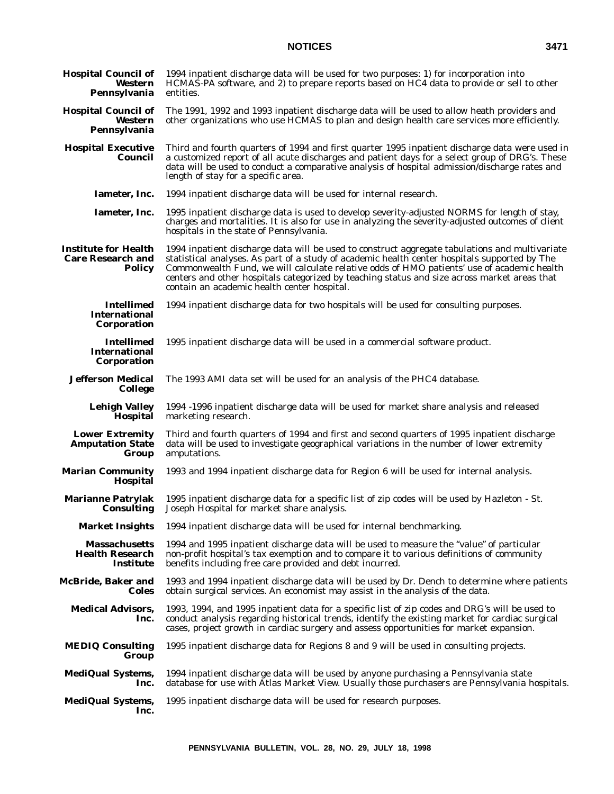| <b>Hospital Council of</b><br>Western<br>Pennsylvania                    | 1994 inpatient discharge data will be used for two purposes: 1) for incorporation into<br>HCMAS-PA software, and 2) to prepare reports based on HC4 data to provide or sell to other<br>entities.                                                                                                                                                                                                                                            |
|--------------------------------------------------------------------------|----------------------------------------------------------------------------------------------------------------------------------------------------------------------------------------------------------------------------------------------------------------------------------------------------------------------------------------------------------------------------------------------------------------------------------------------|
| <b>Hospital Council of</b><br>Western<br>Pennsylvania                    | The 1991, 1992 and 1993 inpatient discharge data will be used to allow heath providers and<br>other organizations who use HCMAS to plan and design health care services more efficiently.                                                                                                                                                                                                                                                    |
| <b>Hospital Executive</b><br>Council                                     | Third and fourth quarters of 1994 and first quarter 1995 inpatient discharge data were used in<br>a customized report of all acute discharges and patient days for a select group of DRG's. These<br>data will be used to conduct a comparative analysis of hospital admission/discharge rates and<br>length of stay for a specific area.                                                                                                    |
| Iameter, Inc.                                                            | 1994 inpatient discharge data will be used for internal research.                                                                                                                                                                                                                                                                                                                                                                            |
| Iameter, Inc.                                                            | 1995 inpatient discharge data is used to develop severity-adjusted NORMS for length of stay,<br>charges and mortalities. It is also for use in analyzing the severity-adjusted outcomes of client<br>hospitals in the state of Pennsylvania.                                                                                                                                                                                                 |
| <b>Institute for Health</b><br><b>Care Research and</b><br><b>Policy</b> | 1994 inpatient discharge data will be used to construct aggregate tabulations and multivariate<br>statistical analyses. As part of a study of academic health center hospitals supported by The<br>Commonwealth Fund, we will calculate relative odds of HMO patients' use of academic health<br>centers and other hospitals categorized by teaching status and size across market areas that<br>contain an academic health center hospital. |
| <b>Intellimed</b><br><b>International</b><br>Corporation                 | 1994 inpatient discharge data for two hospitals will be used for consulting purposes.                                                                                                                                                                                                                                                                                                                                                        |
| <b>Intellimed</b><br><b>International</b><br>Corporation                 | 1995 inpatient discharge data will be used in a commercial software product.                                                                                                                                                                                                                                                                                                                                                                 |
| Jefferson Medical<br><b>College</b>                                      | The 1993 AMI data set will be used for an analysis of the PHC4 database.                                                                                                                                                                                                                                                                                                                                                                     |
| <b>Lehigh Valley</b><br>Hospital                                         | 1994 -1996 inpatient discharge data will be used for market share analysis and released<br>marketing research.                                                                                                                                                                                                                                                                                                                               |
| <b>Lower Extremity</b><br><b>Amputation State</b><br>Group               | Third and fourth quarters of 1994 and first and second quarters of 1995 inpatient discharge<br>data will be used to investigate geographical variations in the number of lower extremity<br>amputations.                                                                                                                                                                                                                                     |
| <b>Marian Community</b><br><b>Hospital</b>                               | 1993 and 1994 inpatient discharge data for Region 6 will be used for internal analysis.                                                                                                                                                                                                                                                                                                                                                      |
| <b>Marianne Patrylak</b><br>Consulting                                   | 1995 inpatient discharge data for a specific list of zip codes will be used by Hazleton - St.<br>Joseph Hospital for market share analysis.                                                                                                                                                                                                                                                                                                  |
| <b>Market Insights</b>                                                   | 1994 inpatient discharge data will be used for internal benchmarking.                                                                                                                                                                                                                                                                                                                                                                        |
| <b>Massachusetts</b><br><b>Health Research</b><br>Institute              | 1994 and 1995 inpatient discharge data will be used to measure the "value" of particular<br>non-profit hospital's tax exemption and to compare it to various definitions of community<br>benefits including free care provided and debt incurred.                                                                                                                                                                                            |
| McBride, Baker and<br>Coles                                              | 1993 and 1994 inpatient discharge data will be used by Dr. Dench to determine where patients<br>obtain surgical services. An economist may assist in the analysis of the data.                                                                                                                                                                                                                                                               |
| <b>Medical Advisors,</b><br>Inc.                                         | 1993, 1994, and 1995 inpatient data for a specific list of zip codes and DRG's will be used to<br>conduct analysis regarding historical trends, identify the existing market for cardiac surgical<br>cases, project growth in cardiac surgery and assess opportunities for market expansion.                                                                                                                                                 |
| <b>MEDIQ Consulting</b><br>Group                                         | 1995 inpatient discharge data for Regions 8 and 9 will be used in consulting projects.                                                                                                                                                                                                                                                                                                                                                       |
| <b>MediQual Systems,</b><br>Inc.                                         | 1994 inpatient discharge data will be used by anyone purchasing a Pennsylvania state<br>database for use with Atlas Market View. Usually those purchasers are Pennsylvania hospitals.                                                                                                                                                                                                                                                        |
| <b>MediQual Systems,</b><br>Inc.                                         | 1995 inpatient discharge data will be used for research purposes.                                                                                                                                                                                                                                                                                                                                                                            |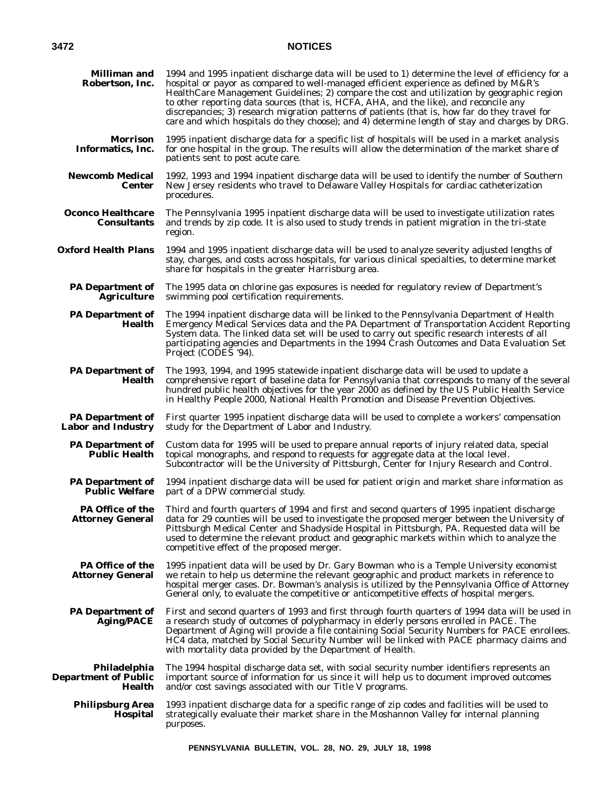| <b>Milliman and</b><br>Robertson, Inc.                | 1994 and 1995 inpatient discharge data will be used to 1) determine the level of efficiency for a<br>hospital or payor as compared to well-managed efficient experience as defined by M&R's<br>HealthCare Management Guidelines; 2) compare the cost and utilization by geographic region<br>to other reporting data sources (that is, HCFA, AHA, and the like), and reconcile any<br>discrepancies; 3) research migration patterns of patients (that is, how far do they travel for<br>care and which hospitals do they choose); and 4) determine length of stay and charges by DRG. |
|-------------------------------------------------------|---------------------------------------------------------------------------------------------------------------------------------------------------------------------------------------------------------------------------------------------------------------------------------------------------------------------------------------------------------------------------------------------------------------------------------------------------------------------------------------------------------------------------------------------------------------------------------------|
| Morrison<br>Informatics, Inc.                         | 1995 inpatient discharge data for a specific list of hospitals will be used in a market analysis<br>for one hospital in the group. The results will allow the determination of the market share of<br>patients sent to post acute care.                                                                                                                                                                                                                                                                                                                                               |
| <b>Newcomb Medical</b><br><b>Center</b>               | 1992, 1993 and 1994 inpatient discharge data will be used to identify the number of Southern<br>New Jersey residents who travel to Delaware Valley Hospitals for cardiac catheterization<br>procedures.                                                                                                                                                                                                                                                                                                                                                                               |
| Oconco Healthcare<br><b>Consultants</b>               | The Pennsylvania 1995 inpatient discharge data will be used to investigate utilization rates<br>and trends by zip code. It is also used to study trends in patient migration in the tri-state<br>region.                                                                                                                                                                                                                                                                                                                                                                              |
| <b>Oxford Health Plans</b>                            | 1994 and 1995 inpatient discharge data will be used to analyze severity adjusted lengths of<br>stay, charges, and costs across hospitals, for various clinical specialties, to determine market<br>share for hospitals in the greater Harrisburg area.                                                                                                                                                                                                                                                                                                                                |
| <b>PA Department of</b><br><b>Agriculture</b>         | The 1995 data on chlorine gas exposures is needed for regulatory review of Department's<br>swimming pool certification requirements.                                                                                                                                                                                                                                                                                                                                                                                                                                                  |
| <b>PA</b> Department of<br><b>Health</b>              | The 1994 inpatient discharge data will be linked to the Pennsylvania Department of Health<br>Emergency Medical Services data and the PA Department of Transportation Accident Reporting<br>System data. The linked data set will be used to carry out specific research interests of all<br>participating agencies and Departments in the 1994 Crash Outcomes and Data Evaluation Set<br>Project (CODES '94).                                                                                                                                                                         |
| <b>PA Department of</b><br>Health                     | The 1993, 1994, and 1995 statewide inpatient discharge data will be used to update a<br>comprehensive report of baseline data for Pennsylvania that corresponds to many of the several<br>hundred public health objectives for the year 2000 as defined by the US Public Health Service<br>in Healthy People 2000, National Health Promotion and Disease Prevention Objectives.                                                                                                                                                                                                       |
| <b>PA Department of</b><br><b>Labor and Industry</b>  | First quarter 1995 inpatient discharge data will be used to complete a workers' compensation<br>study for the Department of Labor and Industry.                                                                                                                                                                                                                                                                                                                                                                                                                                       |
| <b>PA Department of</b><br><b>Public Health</b>       | Custom data for 1995 will be used to prepare annual reports of injury related data, special<br>topical monographs, and respond to requests for aggregate data at the local level.<br>Subcontractor will be the University of Pittsburgh, Center for Injury Research and Control.                                                                                                                                                                                                                                                                                                      |
| <b>PA</b> Department of<br><b>Public Welfare</b>      | 1994 inpatient discharge data will be used for patient origin and market share information as<br>part of a DPW commercial study.                                                                                                                                                                                                                                                                                                                                                                                                                                                      |
| <b>PA Office of the</b><br><b>Attorney General</b>    | Third and fourth quarters of 1994 and first and second quarters of 1995 inpatient discharge<br>data for 29 counties will be used to investigate the proposed merger between the University of<br>Pittsburgh Medical Center and Shadyside Hospital in Pittsburgh, PA. Requested data will be<br>used to determine the relevant product and geographic markets within which to analyze the<br>competitive effect of the proposed merger.                                                                                                                                                |
| PA Office of the<br><b>Attorney General</b>           | 1995 inpatient data will be used by Dr. Gary Bowman who is a Temple University economist<br>we retain to help us determine the relevant geographic and product markets in reference to<br>hospital merger cases. Dr. Bowman's analysis is utilized by the Pennsylvania Office of Attorney<br>General only, to evaluate the competitive or anticompetitive effects of hospital mergers.                                                                                                                                                                                                |
| <b>PA Department of</b><br><b>Aging/PACE</b>          | First and second quarters of 1993 and first through fourth quarters of 1994 data will be used in<br>a research study of outcomes of polypharmacy in elderly persons enrolled in PACE. The<br>Department of Aging will provide a file containing Social Security Numbers for PACE enrollees.<br>HC4 data, matched by Social Security Number will be linked with PACE pharmacy claims and<br>with mortality data provided by the Department of Health.                                                                                                                                  |
| Philadelphia<br><b>Department of Public</b><br>Health | The 1994 hospital discharge data set, with social security number identifiers represents an<br>important source of information for us since it will help us to document improved outcomes<br>and/or cost savings associated with our Title V programs.                                                                                                                                                                                                                                                                                                                                |
| <b>Philipsburg Area</b><br><b>Hospital</b>            | 1993 inpatient discharge data for a specific range of zip codes and facilities will be used to<br>strategically evaluate their market share in the Moshannon Valley for internal planning<br>purposes.                                                                                                                                                                                                                                                                                                                                                                                |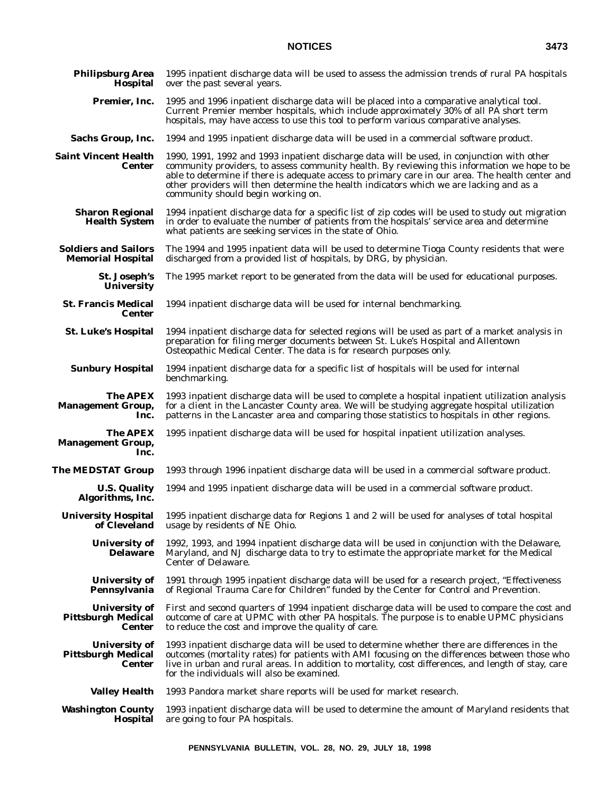| <b>Philipsburg Area</b><br>Hospital                                | 1995 inpatient discharge data will be used to assess the admission trends of rural PA hospitals<br>over the past several years.                                                                                                                                                                                                                                                                                                 |
|--------------------------------------------------------------------|---------------------------------------------------------------------------------------------------------------------------------------------------------------------------------------------------------------------------------------------------------------------------------------------------------------------------------------------------------------------------------------------------------------------------------|
| Premier, Inc.                                                      | 1995 and 1996 inpatient discharge data will be placed into a comparative analytical tool.<br>Current Premier member hospitals, which include approximately 30% of all PA short term<br>hospitals, may have access to use this tool to perform various comparative analyses.                                                                                                                                                     |
| <b>Sachs Group, Inc.</b>                                           | 1994 and 1995 inpatient discharge data will be used in a commercial software product.                                                                                                                                                                                                                                                                                                                                           |
| <b>Saint Vincent Health</b><br><b>Center</b>                       | 1990, 1991, 1992 and 1993 inpatient discharge data will be used, in conjunction with other<br>community providers, to assess community health. By reviewing this information we hope to be<br>able to determine if there is adequate access to primary care in our area. The health center and<br>other providers will then determine the health indicators which we are lacking and as a<br>community should begin working on. |
| <b>Sharon Regional</b><br><b>Health System</b>                     | 1994 inpatient discharge data for a specific list of zip codes will be used to study out migration<br>in order to evaluate the number of patients from the hospitals' service area and determine<br>what patients are seeking services in the state of Ohio.                                                                                                                                                                    |
| <b>Soldiers and Sailors</b><br><b>Memorial Hospital</b>            | The 1994 and 1995 inpatient data will be used to determine Tioga County residents that were<br>discharged from a provided list of hospitals, by DRG, by physician.                                                                                                                                                                                                                                                              |
| St. Joseph's<br><b>University</b>                                  | The 1995 market report to be generated from the data will be used for educational purposes.                                                                                                                                                                                                                                                                                                                                     |
| <b>St. Francis Medical</b><br><b>Center</b>                        | 1994 inpatient discharge data will be used for internal benchmarking.                                                                                                                                                                                                                                                                                                                                                           |
| <b>St. Luke's Hospital</b>                                         | 1994 inpatient discharge data for selected regions will be used as part of a market analysis in<br>preparation for filing merger documents between St. Luke's Hospital and Allentown<br>Osteopathic Medical Center. The data is for research purposes only.                                                                                                                                                                     |
| <b>Sunbury Hospital</b>                                            | 1994 inpatient discharge data for a specific list of hospitals will be used for internal<br>benchmarking.                                                                                                                                                                                                                                                                                                                       |
| <b>The APEX</b><br><b>Management Group,</b><br>Inc.                | 1993 inpatient discharge data will be used to complete a hospital inpatient utilization analysis<br>for a client in the Lancaster County area. We will be studying aggregate hospital utilization<br>patterns in the Lancaster area and comparing those statistics to hospitals in other regions.                                                                                                                               |
| <b>The APEX</b><br><b>Management Group,</b><br>Inc.                | 1995 inpatient discharge data will be used for hospital inpatient utilization analyses.                                                                                                                                                                                                                                                                                                                                         |
| The MEDSTAT Group                                                  | 1993 through 1996 inpatient discharge data will be used in a commercial software product.                                                                                                                                                                                                                                                                                                                                       |
| <b>U.S. Quality</b><br>Algorithms, Inc.                            | 1994 and 1995 inpatient discharge data will be used in a commercial software product.                                                                                                                                                                                                                                                                                                                                           |
| <b>University Hospital</b><br>of Cleveland                         | 1995 inpatient discharge data for Regions 1 and 2 will be used for analyses of total hospital<br>usage by residents of NE Ohio.                                                                                                                                                                                                                                                                                                 |
| <b>University of</b><br><b>Delaware</b>                            | 1992, 1993, and 1994 inpatient discharge data will be used in conjunction with the Delaware,<br>Maryland, and NJ discharge data to try to estimate the appropriate market for the Medical<br><b>Center of Delaware.</b>                                                                                                                                                                                                         |
| <b>University of</b><br>Pennsylvania                               | 1991 through 1995 inpatient discharge data will be used for a research project, "Effectiveness<br>of Regional Trauma Care for Children" funded by the Center for Control and Prevention.                                                                                                                                                                                                                                        |
| <b>University of</b><br><b>Pittsburgh Medical</b><br><b>Center</b> | First and second quarters of 1994 inpatient discharge data will be used to compare the cost and<br>outcome of care at UPMC with other PA hospitals. The purpose is to enable UPMC physicians<br>to reduce the cost and improve the quality of care.                                                                                                                                                                             |
| <b>University of</b><br><b>Pittsburgh Medical</b><br><b>Center</b> | 1993 inpatient discharge data will be used to determine whether there are differences in the<br>outcomes (mortality rates) for patients with AMI focusing on the differences between those who<br>live in urban and rural areas. In addition to mortality, cost differences, and length of stay, care<br>for the individuals will also be examined.                                                                             |
| <b>Valley Health</b>                                               | 1993 Pandora market share reports will be used for market research.                                                                                                                                                                                                                                                                                                                                                             |
| <b>Washington County</b><br>Hospital                               | 1993 inpatient discharge data will be used to determine the amount of Maryland residents that<br>are going to four PA hospitals.                                                                                                                                                                                                                                                                                                |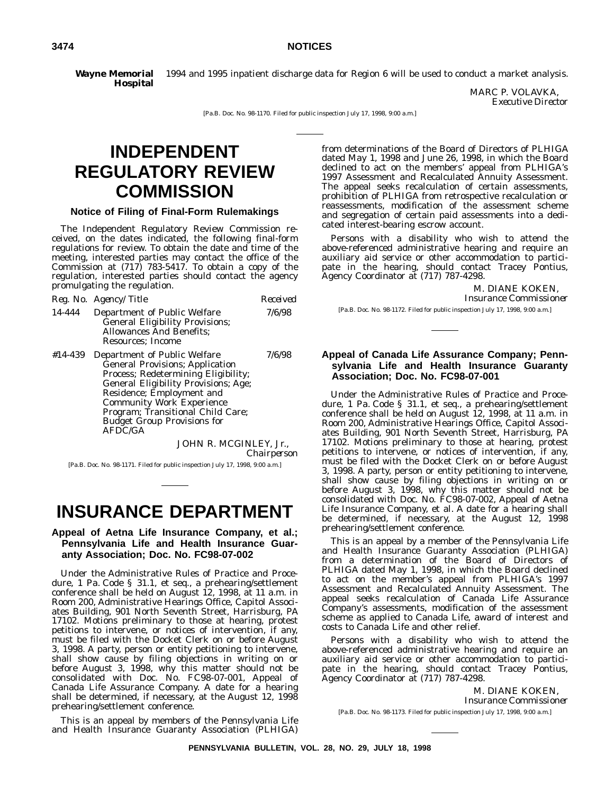**Wayne Memorial Hospital** 1994 and 1995 inpatient discharge data for Region 6 will be used to conduct a market analysis.

MARC P. VOLAVKA, *Executive Director*

[Pa.B. Doc. No. 98-1170. Filed for public inspection July 17, 1998, 9:00 a.m.]

# **INDEPENDENT REGULATORY REVIEW COMMISSION**

### **Notice of Filing of Final-Form Rulemakings**

The Independent Regulatory Review Commission received, on the dates indicated, the following final-form regulations for review. To obtain the date and time of the meeting, interested parties may contact the office of the Commission at (717) 783-5417. To obtain a copy of the regulation, interested parties should contact the agency promulgating the regulation.

|         | Reg. No. Agency/Title                                                                                                                                                                                                                                                                                                | Received |
|---------|----------------------------------------------------------------------------------------------------------------------------------------------------------------------------------------------------------------------------------------------------------------------------------------------------------------------|----------|
| 14-444  | Department of Public Welfare<br><b>General Eligibility Provisions;</b><br><b>Allowances And Benefits:</b><br>Resources: Income                                                                                                                                                                                       | 7/6/98   |
| #14-439 | Department of Public Welfare<br><b>General Provisions</b> ; Application<br>Process; Redetermining Eligibility;<br><b>General Eligibility Provisions; Age;</b><br>Residence; Employment and<br><b>Community Work Experience</b><br>Program; Transitional Child Care;<br><b>Budget Group Provisions for</b><br>AFDC/GA | 7/6/98   |
|         | JOHN R. MCGINLEY, Jr.,                                                                                                                                                                                                                                                                                               |          |

*Chairperson*

[Pa.B. Doc. No. 98-1171. Filed for public inspection July 17, 1998, 9:00 a.m.]

# **INSURANCE DEPARTMENT**

**Appeal of Aetna Life Insurance Company, et al.; Pennsylvania Life and Health Insurance Guaranty Association; Doc. No. FC98-07-002**

Under the Administrative Rules of Practice and Procedure, 1 Pa. Code § 31.1, et seq., a prehearing/settlement conference shall be held on August 12, 1998, at 11 a.m. in Room 200, Administrative Hearings Office, Capitol Associates Building, 901 North Seventh Street, Harrisburg, PA 17102. Motions preliminary to those at hearing, protest petitions to intervene, or notices of intervention, if any, must be filed with the Docket Clerk on or before August 3, 1998. A party, person or entity petitioning to intervene, shall show cause by filing objections in writing on or before August 3, 1998, why this matter should not be consolidated with Doc. No. FC98-07-001, Appeal of Canada Life Assurance Company. A date for a hearing shall be determined, if necessary, at the August 12, 1998 prehearing/settlement conference.

This is an appeal by members of the Pennsylvania Life and Health Insurance Guaranty Association (PLHIGA)

from determinations of the Board of Directors of PLHIGA dated May 1, 1998 and June 26, 1998, in which the Board declined to act on the members' appeal from PLHIGA's 1997 Assessment and Recalculated Annuity Assessment. The appeal seeks recalculation of certain assessments, prohibition of PLHIGA from retrospective recalculation or reassessments, modification of the assessment scheme and segregation of certain paid assessments into a dedicated interest-bearing escrow account.

Persons with a disability who wish to attend the above-referenced administrative hearing and require an auxiliary aid service or other accommodation to participate in the hearing, should contact Tracey Pontius, Agency Coordinator at (717) 787-4298.

> M. DIANE KOKEN, *Insurance Commissioner*

[Pa.B. Doc. No. 98-1172. Filed for public inspection July 17, 1998, 9:00 a.m.]

### **Appeal of Canada Life Assurance Company; Pennsylvania Life and Health Insurance Guaranty Association; Doc. No. FC98-07-001**

Under the Administrative Rules of Practice and Procedure, 1 Pa. Code § 31.1, et seq., a prehearing/settlement conference shall be held on August 12, 1998, at 11 a.m. in Room 200, Administrative Hearings Office, Capitol Associates Building, 901 North Seventh Street, Harrisburg, PA 17102. Motions preliminary to those at hearing, protest petitions to intervene, or notices of intervention, if any, must be filed with the Docket Clerk on or before August 3, 1998. A party, person or entity petitioning to intervene, shall show cause by filing objections in writing on or before August 3, 1998, why this matter should not be consolidated with Doc. No. FC98-07-002, Appeal of Aetna Life Insurance Company, et al. A date for a hearing shall be determined, if necessary, at the August 12, 1998 prehearing/settlement conference.

This is an appeal by a member of the Pennsylvania Life and Health Insurance Guaranty Association (PLHIGA) from a determination of the Board of Directors of PLHIGA dated May 1, 1998, in which the Board declined to act on the member's appeal from PLHIGA's 1997 Assessment and Recalculated Annuity Assessment. The appeal seeks recalculation of Canada Life Assurance Company's assessments, modification of the assessment scheme as applied to Canada Life, award of interest and costs to Canada Life and other relief.

Persons with a disability who wish to attend the above-referenced administrative hearing and require an auxiliary aid service or other accommodation to participate in the hearing, should contact Tracey Pontius, Agency Coordinator at (717) 787-4298.

M. DIANE KOKEN,

*Insurance Commissioner*

[Pa.B. Doc. No. 98-1173. Filed for public inspection July 17, 1998, 9:00 a.m.]

**PENNSYLVANIA BULLETIN, VOL. 28, NO. 29, JULY 18, 1998**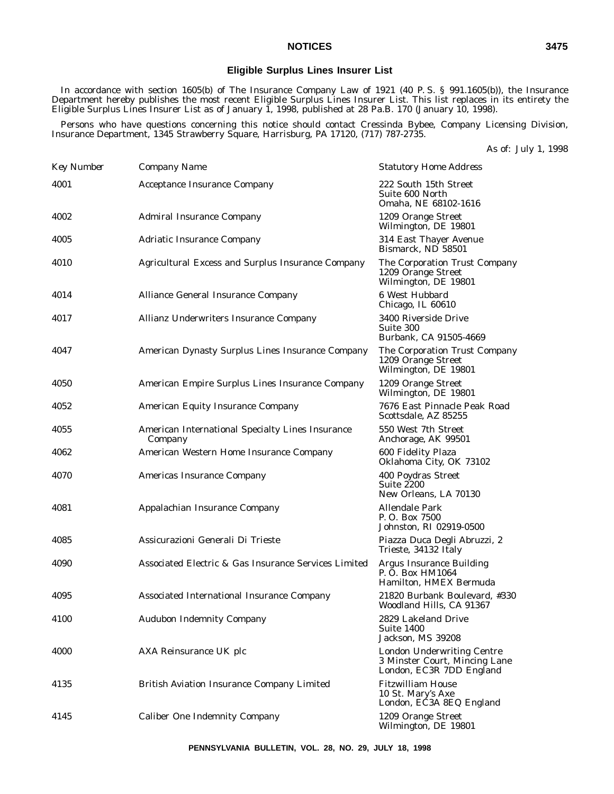### **Eligible Surplus Lines Insurer List**

In accordance with section 1605(b) of The Insurance Company Law of 1921 (40 P. S. § 991.1605(b)), the Insurance Department hereby publishes the most recent Eligible Surplus Lines Insurer List. This list replaces in its entirety the Eligible Surplus Lines Insurer List as of January 1, 1998, published at 28 Pa.B. 170 (January 10, 1998).

Persons who have questions concerning this notice should contact Cressinda Bybee, Company Licensing Division, Insurance Department, 1345 Strawberry Square, Harrisburg, PA 17120, (717) 787-2735.

| As of: July 1, 1998 |  |  |
|---------------------|--|--|
|---------------------|--|--|

| <b>Key Number</b> | Company Name                                                | <b>Statutory Home Address</b>                                                                  |
|-------------------|-------------------------------------------------------------|------------------------------------------------------------------------------------------------|
| 4001              | <b>Acceptance Insurance Company</b>                         | 222 South 15th Street<br>Suite 600 North<br>Omaha, NE 68102-1616                               |
| 4002              | <b>Admiral Insurance Company</b>                            | 1209 Orange Street<br>Wilmington, DE 19801                                                     |
| 4005              | <b>Adriatic Insurance Company</b>                           | 314 East Thayer Avenue<br>Bismarck, ND 58501                                                   |
| 4010              | <b>Agricultural Excess and Surplus Insurance Company</b>    | The Corporation Trust Company<br>1209 Orange Street<br>Wilmington, DE 19801                    |
| 4014              | Alliance General Insurance Company                          | 6 West Hubbard<br>Chicago, IL 60610                                                            |
| 4017              | Allianz Underwriters Insurance Company                      | 3400 Riverside Drive<br>Suite 300<br>Burbank, CA 91505-4669                                    |
| 4047              | American Dynasty Surplus Lines Insurance Company            | The Corporation Trust Company<br>1209 Orange Street<br>Wilmington, DE 19801                    |
| 4050              | American Empire Surplus Lines Insurance Company             | 1209 Orange Street<br>Wilmington, DE 19801                                                     |
| 4052              | American Equity Insurance Company                           | 7676 East Pinnacle Peak Road<br>Scottsdale, AZ 85255                                           |
| 4055              | American International Specialty Lines Insurance<br>Company | 550 West 7th Street<br>Anchorage, AK 99501                                                     |
| 4062              | American Western Home Insurance Company                     | 600 Fidelity Plaza<br>Oklahoma City, OK 73102                                                  |
| 4070              | Americas Insurance Company                                  | 400 Poydras Street<br><b>Suite 2200</b><br>New Orleans, LA 70130                               |
| 4081              | Appalachian Insurance Company                               | <b>Allendale Park</b><br>P.O. Box 7500<br>Johnston, RI 02919-0500                              |
| 4085              | Assicurazioni Generali Di Trieste                           | Piazza Duca Degli Abruzzi, 2<br>Trieste, 34132 Italy                                           |
| 4090              | Associated Electric & Gas Insurance Services Limited        | Argus Insurance Building<br>P. O. Box HM1064<br>Hamilton, HMEX Bermuda                         |
| 4095              | Associated International Insurance Company                  | 21820 Burbank Boulevard, #330<br>Woodland Hills, CA 91367                                      |
| 4100              | <b>Audubon Indemnity Company</b>                            | 2829 Lakeland Drive<br>Suite 1400<br>Jackson, MS 39208                                         |
| 4000              | AXA Reinsurance UK plc                                      | <b>London Underwriting Centre</b><br>3 Minster Court, Mincing Lane<br>London, EC3R 7DD England |
| 4135              | <b>British Aviation Insurance Company Limited</b>           | <b>Fitzwilliam House</b><br>10 St. Mary's Axe<br>London, EC3A 8EQ England                      |
| 4145              | <b>Caliber One Indemnity Company</b>                        | 1209 Orange Street<br>Wilmington, DE 19801                                                     |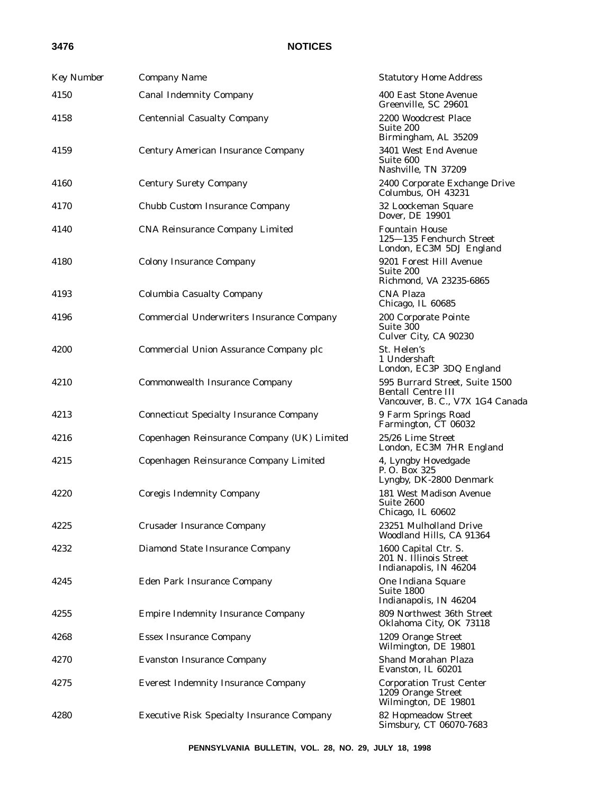| <b>Key Number</b> | Company Name                                      | <b>Statutory Home Address</b>                                                                   |
|-------------------|---------------------------------------------------|-------------------------------------------------------------------------------------------------|
| 4150              | <b>Canal Indemnity Company</b>                    | 400 East Stone Avenue<br>Greenville, SC 29601                                                   |
| 4158              | <b>Centennial Casualty Company</b>                | 2200 Woodcrest Place<br>Suite 200<br>Birmingham, AL 35209                                       |
| 4159              | <b>Century American Insurance Company</b>         | 3401 West End Avenue<br>Suite 600<br>Nashville, TN 37209                                        |
| 4160              | <b>Century Surety Company</b>                     | 2400 Corporate Exchange Drive<br>Columbus, OH 43231                                             |
| 4170              | Chubb Custom Insurance Company                    | 32 Loockeman Square<br>Dover, DE 19901                                                          |
| 4140              | <b>CNA Reinsurance Company Limited</b>            | <b>Fountain House</b><br>125-135 Fenchurch Street<br>London, EC3M 5DJ England                   |
| 4180              | <b>Colony Insurance Company</b>                   | 9201 Forest Hill Avenue<br>Suite 200<br>Richmond, VA 23235-6865                                 |
| 4193              | <b>Columbia Casualty Company</b>                  | <b>CNA Plaza</b><br>Chicago, IL 60685                                                           |
| 4196              | <b>Commercial Underwriters Insurance Company</b>  | 200 Corporate Pointe<br>Suite 300<br>Culver City, CA 90230                                      |
| 4200              | Commercial Union Assurance Company plc            | St. Helen's<br>1 Undershaft<br>London, EC3P 3DQ England                                         |
| 4210              | <b>Commonwealth Insurance Company</b>             | 595 Burrard Street, Suite 1500<br><b>Bentall Centre III</b><br>Vancouver, B. C., V7X 1G4 Canada |
| 4213              | <b>Connecticut Specialty Insurance Company</b>    | 9 Farm Springs Road<br>Farmington, CT 06032                                                     |
| 4216              | Copenhagen Reinsurance Company (UK) Limited       | 25/26 Lime Street<br>London, EC3M 7HR England                                                   |
| 4215              | Copenhagen Reinsurance Company Limited            | 4, Lyngby Hovedgade<br>P. O. Box 325<br>Lyngby, DK-2800 Denmark                                 |
| 4220              | <b>Coregis Indemnity Company</b>                  | 181 West Madison Avenue<br>Suite 2600<br>Chicago, IL 60602                                      |
| 4225              | <b>Crusader Insurance Company</b>                 | 23251 Mulholland Drive<br>Woodland Hills, CA 91364                                              |
| 4232              | Diamond State Insurance Company                   | 1600 Capital Ctr. S.<br>201 N. Illinois Street<br>Indianapolis, IN 46204                        |
| 4245              | Eden Park Insurance Company                       | One Indiana Square<br>Suite 1800<br>Indianapolis, IN 46204                                      |
| 4255              | <b>Empire Indemnity Insurance Company</b>         | 809 Northwest 36th Street<br>Oklahoma City, OK 73118                                            |
| 4268              | <b>Essex Insurance Company</b>                    | 1209 Orange Street<br>Wilmington, DE 19801                                                      |
| 4270              | <b>Evanston Insurance Company</b>                 | Shand Morahan Plaza<br>Evanston, IL 60201                                                       |
| 4275              | <b>Everest Indemnity Insurance Company</b>        | <b>Corporation Trust Center</b><br>1209 Orange Street<br>Wilmington, DE 19801                   |
| 4280              | <b>Executive Risk Specialty Insurance Company</b> | 82 Hopmeadow Street<br>Simsbury, CT 06070-7683                                                  |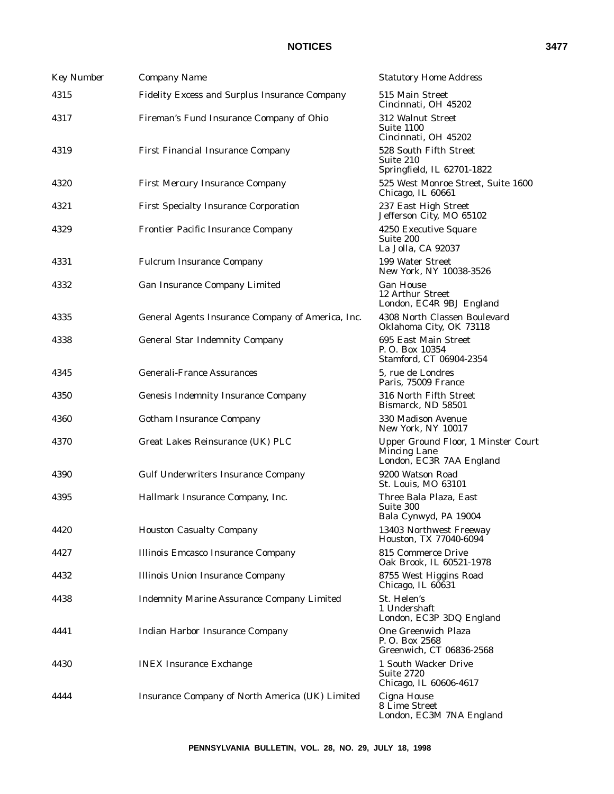| <b>Key Number</b> | Company Name                                      | <b>Statutory Home Address</b>                                                   |
|-------------------|---------------------------------------------------|---------------------------------------------------------------------------------|
| 4315              | Fidelity Excess and Surplus Insurance Company     | 515 Main Street<br>Cincinnati, OH 45202                                         |
| 4317              | Fireman's Fund Insurance Company of Ohio          | 312 Walnut Street<br>Suite 1100<br>Cincinnati, OH 45202                         |
| 4319              | First Financial Insurance Company                 | 528 South Fifth Street<br>Suite 210<br>Springfield, IL 62701-1822               |
| 4320              | <b>First Mercury Insurance Company</b>            | 525 West Monroe Street, Suite 1600<br>Chicago, IL 60661                         |
| 4321              | <b>First Specialty Insurance Corporation</b>      | 237 East High Street<br>Jefferson City, MO 65102                                |
| 4329              | Frontier Pacific Insurance Company                | 4250 Executive Square<br>Suite 200<br>La Jolla, CA 92037                        |
| 4331              | <b>Fulcrum Insurance Company</b>                  | 199 Water Street<br>New York, NY 10038-3526                                     |
| 4332              | Gan Insurance Company Limited                     | <b>Gan House</b><br>12 Arthur Street<br>London, EC4R 9BJ England                |
| 4335              | General Agents Insurance Company of America, Inc. | 4308 North Classen Boulevard<br>Oklahoma City, OK 73118                         |
| 4338              | <b>General Star Indemnity Company</b>             | 695 East Main Street<br>P. O. Box 10354<br>Stamford, CT 06904-2354              |
| 4345              | <b>Generali-France Assurances</b>                 | 5, rue de Londres<br>Paris, 75009 France                                        |
| 4350              | <b>Genesis Indemnity Insurance Company</b>        | 316 North Fifth Street<br>Bismarck, ND 58501                                    |
| 4360              | <b>Gotham Insurance Company</b>                   | 330 Madison Avenue<br>New York, NY 10017                                        |
| 4370              | Great Lakes Reinsurance (UK) PLC                  | Upper Ground Floor, 1 Minster Court<br>Mincing Lane<br>London, EC3R 7AA England |
| 4390              | <b>Gulf Underwriters Insurance Company</b>        | 9200 Watson Road<br>St. Louis, MO 63101                                         |
| 4395              | Hallmark Insurance Company, Inc.                  | Three Bala Plaza, East<br>Suite 300<br>Bala Cynwyd, PA 19004                    |
| 4420              | <b>Houston Casualty Company</b>                   | 13403 Northwest Freeway<br>Houston, TX 77040-6094                               |
| 4427              | <b>Illinois Emcasco Insurance Company</b>         | 815 Commerce Drive<br>Oak Brook, IL 60521-1978                                  |
| 4432              | <b>Illinois Union Insurance Company</b>           | 8755 West Higgins Road<br>Chicago, IL 60631                                     |
| 4438              | <b>Indemnity Marine Assurance Company Limited</b> | St. Helen's<br>1 Undershaft<br>London, EC3P 3DQ England                         |
| 4441              | <b>Indian Harbor Insurance Company</b>            | One Greenwich Plaza<br>P. O. Box 2568<br>Greenwich, CT 06836-2568               |
| 4430              | <b>INEX Insurance Exchange</b>                    | 1 South Wacker Drive<br><b>Suite 2720</b><br>Chicago, IL 60606-4617             |
| 4444              | Insurance Company of North America (UK) Limited   | Cigna House<br>8 Lime Street<br>London, EC3M 7NA England                        |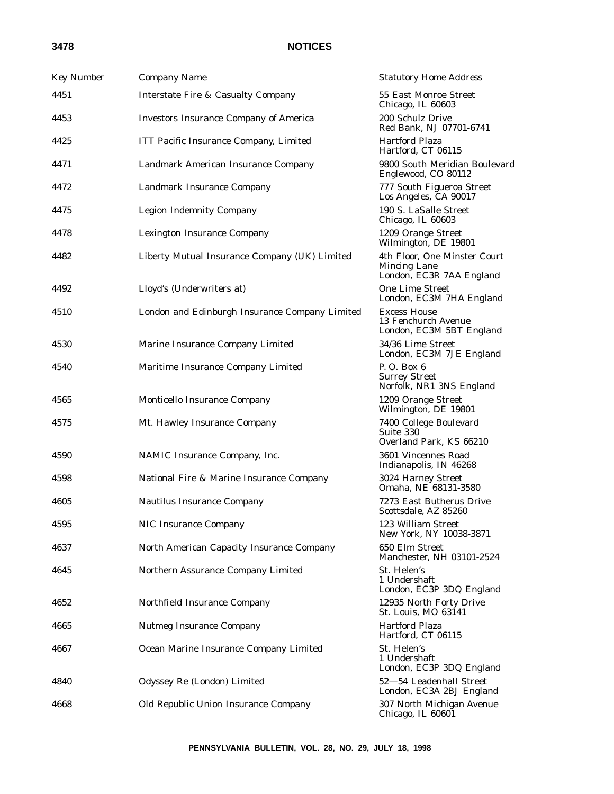| <b>Key Number</b> | Company Name                                   | <b>Statutory Home Address</b>                                                   |
|-------------------|------------------------------------------------|---------------------------------------------------------------------------------|
| 4451              | <b>Interstate Fire &amp; Casualty Company</b>  | 55 East Monroe Street<br>Chicago, IL 60603                                      |
| 4453              | <b>Investors Insurance Company of America</b>  | 200 Schulz Drive<br>Red Bank, NJ 07701-6741                                     |
| 4425              | ITT Pacific Insurance Company, Limited         | <b>Hartford Plaza</b><br>Hartford, CT 06115                                     |
| 4471              | Landmark American Insurance Company            | 9800 South Meridian Boulevard<br>Englewood, CO 80112                            |
| 4472              | Landmark Insurance Company                     | 777 South Figueroa Street<br>Los Angeles, CA 90017                              |
| 4475              | <b>Legion Indemnity Company</b>                | 190 S. LaSalle Street<br>Chicago, IL 60603                                      |
| 4478              | <b>Lexington Insurance Company</b>             | 1209 Orange Street<br>Wilmington, DE 19801                                      |
| 4482              | Liberty Mutual Insurance Company (UK) Limited  | 4th Floor, One Minster Court<br><b>Mincing Lane</b><br>London, EC3R 7AA England |
| 4492              | Lloyd's (Underwriters at)                      | <b>One Lime Street</b><br>London, EC3M 7HA England                              |
| 4510              | London and Edinburgh Insurance Company Limited | <b>Excess House</b><br>13 Fenchurch Avenue<br>London, EC3M 5BT England          |
| 4530              | Marine Insurance Company Limited               | 34/36 Lime Street<br>London, EC3M 7JE England                                   |
| 4540              | Maritime Insurance Company Limited             | P. O. Box 6<br><b>Surrey Street</b><br>Norfolk, NR1 3NS England                 |
| 4565              | Monticello Insurance Company                   | 1209 Orange Street<br>Wilmington, DE 19801                                      |
| 4575              | Mt. Hawley Insurance Company                   | 7400 College Boulevard<br>Suite 330<br>Overland Park, KS 66210                  |
| 4590              | NAMIC Insurance Company, Inc.                  | 3601 Vincennes Road<br>Indianapolis, IN 46268                                   |
| 4598              | National Fire & Marine Insurance Company       | 3024 Harney Street<br>Omaha, NE 68131-3580                                      |
| 4605              | <b>Nautilus Insurance Company</b>              | 7273 East Butherus Drive<br>Scottsdale, AZ 85260                                |
| 4595              | NIC Insurance Company                          | 123 William Street<br>New York, NY 10038-3871                                   |
| 4637              | North American Capacity Insurance Company      | 650 Elm Street<br>Manchester, NH 03101-2524                                     |
| 4645              | Northern Assurance Company Limited             | St. Helen's<br>1 Undershaft<br>London, EC3P 3DQ England                         |
| 4652              | Northfield Insurance Company                   | 12935 North Forty Drive<br>St. Louis, MO 63141                                  |
| 4665              | <b>Nutmeg Insurance Company</b>                | <b>Hartford Plaza</b><br>Hartford, CT 06115                                     |
| 4667              | Ocean Marine Insurance Company Limited         | St. Helen's<br>1 Undershaft<br>London, EC3P 3DQ England                         |
| 4840              | Odyssey Re (London) Limited                    | 52-54 Leadenhall Street<br>London, EC3A 2BJ England                             |
| 4668              | Old Republic Union Insurance Company           | 307 North Michigan Avenue<br>Chicago, IL 60601                                  |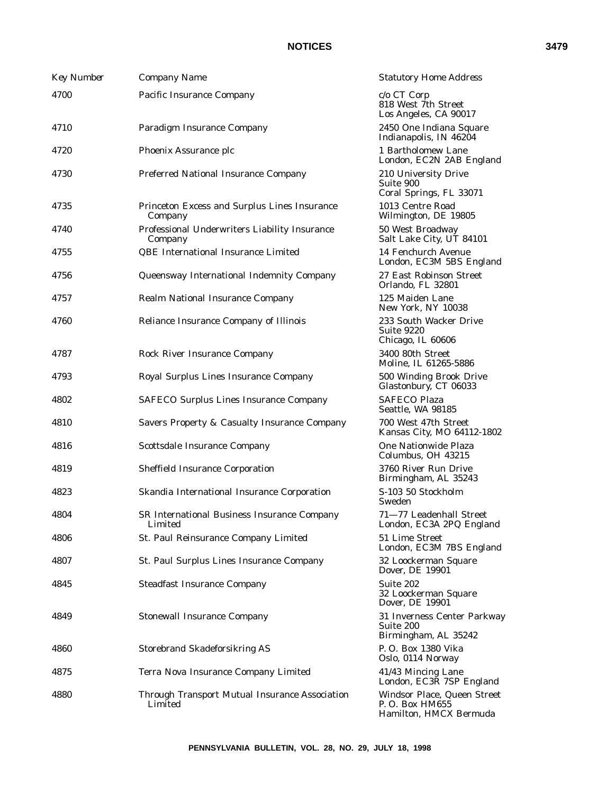| <b>Key Number</b> | Company Name                                              | <b>Statutory Home Address</b>                                            |
|-------------------|-----------------------------------------------------------|--------------------------------------------------------------------------|
| 4700              | Pacific Insurance Company                                 | $c/o$ CT Corp<br>818 West 7th Street<br>Los Angeles, CA 90017            |
| 4710              | Paradigm Insurance Company                                | 2450 One Indiana Square<br>Indianapolis, IN 46204                        |
| 4720              | Phoenix Assurance plc                                     | 1 Bartholomew Lane<br>London, EC2N 2AB England                           |
| 4730              | Preferred National Insurance Company                      | 210 University Drive<br>Suite 900<br>Coral Springs, FL 33071             |
| 4735              | Princeton Excess and Surplus Lines Insurance<br>Company   | 1013 Centre Road<br>Wilmington, DE 19805                                 |
| 4740              | Professional Underwriters Liability Insurance<br>Company  | 50 West Broadway<br>Salt Lake City, UT 84101                             |
| 4755              | QBE International Insurance Limited                       | 14 Fenchurch Avenue<br>London, EC3M 5BS England                          |
| 4756              | Queensway International Indemnity Company                 | 27 East Robinson Street<br>Orlando, FL 32801                             |
| 4757              | Realm National Insurance Company                          | 125 Maiden Lane<br>New York, NY 10038                                    |
| 4760              | Reliance Insurance Company of Illinois                    | 233 South Wacker Drive<br>Suite 9220<br>Chicago, IL 60606                |
| 4787              | <b>Rock River Insurance Company</b>                       | 3400 80th Street<br>Moline, IL 61265-5886                                |
| 4793              | Royal Surplus Lines Insurance Company                     | 500 Winding Brook Drive<br>Glastonbury, CT 06033                         |
| 4802              | <b>SAFECO Surplus Lines Insurance Company</b>             | <b>SAFECO Plaza</b><br>Seattle, WA 98185                                 |
| 4810              | Savers Property & Casualty Insurance Company              | 700 West 47th Street<br>Kansas City, MO 64112-1802                       |
| 4816              | Scottsdale Insurance Company                              | One Nationwide Plaza<br>Columbus, OH 43215                               |
| 4819              | <b>Sheffield Insurance Corporation</b>                    | 3760 River Run Drive<br>Birmingham, AL 35243                             |
| 4823              | Skandia International Insurance Corporation               | S-103 50 Stockholm<br>Sweden                                             |
| 4804              | SR International Business Insurance Company<br>Limited    | 71-77 Leadenhall Street<br>London, EC3A 2PQ England                      |
| 4806              | St. Paul Reinsurance Company Limited                      | 51 Lime Street<br>London, EC3M 7BS England                               |
| 4807              | St. Paul Surplus Lines Insurance Company                  | 32 Loockerman Square<br>Dover, DE 19901                                  |
| 4845              | <b>Steadfast Insurance Company</b>                        | Suite 202<br>32 Loockerman Square<br>Dover, DE 19901                     |
| 4849              | <b>Stonewall Insurance Company</b>                        | 31 Inverness Center Parkway<br>Suite 200<br>Birmingham, AL 35242         |
| 4860              | <b>Storebrand Skadeforsikring AS</b>                      | P. O. Box 1380 Vika<br>Oslo, 0114 Norway                                 |
| 4875              | Terra Nova Insurance Company Limited                      | 41/43 Mincing Lane<br>London, EC3R 7SP England                           |
| 4880              | Through Transport Mutual Insurance Association<br>Limited | Windsor Place, Queen Street<br>P. O. Box HM655<br>Hamilton, HMCX Bermuda |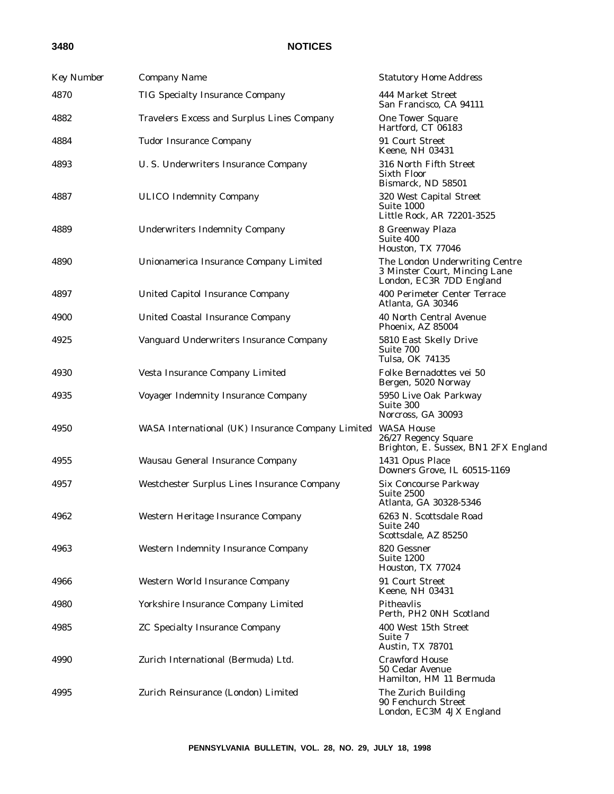| <b>Key Number</b> | Company Name                                      | <b>Statutory Home Address</b>                                                               |
|-------------------|---------------------------------------------------|---------------------------------------------------------------------------------------------|
| 4870              | <b>TIG Specialty Insurance Company</b>            | 444 Market Street<br>San Francisco, CA 94111                                                |
| 4882              | Travelers Excess and Surplus Lines Company        | <b>One Tower Square</b><br>Hartford, CT 06183                                               |
| 4884              | <b>Tudor Insurance Company</b>                    | 91 Court Street<br>Keene, NH 03431                                                          |
| 4893              | U.S. Underwriters Insurance Company               | 316 North Fifth Street<br><b>Sixth Floor</b><br>Bismarck, ND 58501                          |
| 4887              | <b>ULICO Indemnity Company</b>                    | 320 West Capital Street<br>Suite 1000<br>Little Rock, AR 72201-3525                         |
| 4889              | <b>Underwriters Indemnity Company</b>             | 8 Greenway Plaza<br>Suite 400<br>Houston, TX 77046                                          |
| 4890              | Unionamerica Insurance Company Limited            | The London Underwriting Centre<br>3 Minster Court, Mincing Lane<br>London, EC3R 7DD England |
| 4897              | <b>United Capitol Insurance Company</b>           | 400 Perimeter Center Terrace<br>Atlanta. GA 30346                                           |
| 4900              | <b>United Coastal Insurance Company</b>           | 40 North Central Avenue<br>Phoenix, AZ 85004                                                |
| 4925              | Vanguard Underwriters Insurance Company           | 5810 East Skelly Drive<br>Suite 700<br>Tulsa, OK 74135                                      |
| 4930              | Vesta Insurance Company Limited                   | Folke Bernadottes vei 50<br>Bergen, 5020 Norway                                             |
| 4935              | Voyager Indemnity Insurance Company               | 5950 Live Oak Parkway<br>Suite 300<br>Norcross, GA 30093                                    |
| 4950              | WASA International (UK) Insurance Company Limited | <b>WASA House</b><br>26/27 Regency Square<br>Brighton, E. Sussex, BN1 2FX England           |
| 4955              | Wausau General Insurance Company                  | 1431 Opus Place<br>Downers Grove, IL 60515-1169                                             |
| 4957              | Westchester Surplus Lines Insurance Company       | Six Concourse Parkway<br>Suite 2500<br>Atlanta, GA 30328-5346                               |
| 4962              | Western Heritage Insurance Company                | 6263 N. Scottsdale Road<br>Suite 240<br>Scottsdale, AZ 85250                                |
| 4963              | <b>Western Indemnity Insurance Company</b>        | 820 Gessner<br>Suite 1200<br>Houston, TX 77024                                              |
| 4966              | Western World Insurance Company                   | 91 Court Street<br>Keene, NH 03431                                                          |
| 4980              | Yorkshire Insurance Company Limited               | Pitheavlis<br>Perth, PH2 0NH Scotland                                                       |
| 4985              | <b>ZC Specialty Insurance Company</b>             | 400 West 15th Street<br>Suite 7<br>Austin, TX 78701                                         |
| 4990              | Zurich International (Bermuda) Ltd.               | <b>Crawford House</b><br>50 Cedar Avenue<br>Hamilton, HM 11 Bermuda                         |
| 4995              | Zurich Reinsurance (London) Limited               | The Zurich Building<br>90 Fenchurch Street<br>London, EC3M 4JX England                      |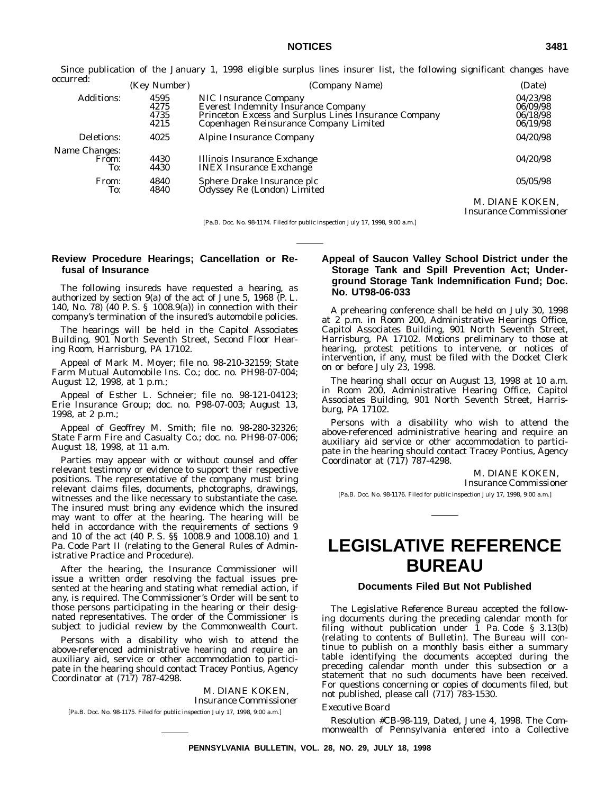Since publication of the January 1, 1998 eligible surplus lines insurer list, the following significant changes have

| occurred:                     |                              |                                                                                                                                                                       |                                                         |
|-------------------------------|------------------------------|-----------------------------------------------------------------------------------------------------------------------------------------------------------------------|---------------------------------------------------------|
|                               | (Key Number)                 | (Company Name)                                                                                                                                                        | (Date)                                                  |
| <b>Additions:</b>             | 4595<br>4275<br>4735<br>4215 | NIC Insurance Company<br><b>Everest Indemnity Insurance Company</b><br>Princeton Excess and Surplus Lines Insurance Company<br>Copenhagen Reinsurance Company Limited | 04/23/98<br>06/09/98<br>06/18/98<br>06/19/98            |
| Deletions:                    | 4025                         | Alpine Insurance Company                                                                                                                                              | 04/20/98                                                |
| Name Changes:<br>From:<br>To: | 4430<br>4430                 | Illinois Insurance Exchange<br><b>INEX</b> Insurance Exchange                                                                                                         | 04/20/98                                                |
| From:<br>To:                  | 4840<br>4840                 | Sphere Drake Insurance plc<br>Odyssey Re (London) Limited                                                                                                             | 05/05/98                                                |
|                               |                              |                                                                                                                                                                       | M. DIANE KOKEN,<br><i><b>Insurance Commissioner</b></i> |

[Pa.B. Doc. No. 98-1174. Filed for public inspection July 17, 1998, 9:00 a.m.]

### **Review Procedure Hearings; Cancellation or Refusal of Insurance**

The following insureds have requested a hearing, as authorized by section 9(a) of the act of June 5, 1968 (P. L. 140, No. 78) (40 P. S. § 1008.9(a)) in connection with their company's termination of the insured's automobile policies.

The hearings will be held in the Capitol Associates Building, 901 North Seventh Street, Second Floor Hearing Room, Harrisburg, PA 17102.

Appeal of Mark M. Moyer; file no. 98-210-32159; State Farm Mutual Automobile Ins. Co.; doc. no. PH98-07-004; August 12, 1998, at 1 p.m.;

Appeal of Esther L. Schneier; file no. 98-121-04123; Erie Insurance Group; doc. no. P98-07-003; August 13, 1998, at 2 p.m.;

Appeal of Geoffrey M. Smith; file no. 98-280-32326; State Farm Fire and Casualty Co.; doc. no. PH98-07-006; August 18, 1998, at 11 a.m.

Parties may appear with or without counsel and offer relevant testimony or evidence to support their respective positions. The representative of the company must bring relevant claims files, documents, photographs, drawings, witnesses and the like necessary to substantiate the case. The insured must bring any evidence which the insured may want to offer at the hearing. The hearing will be held in accordance with the requirements of sections 9 and 10 of the act (40 P. S. §§ 1008.9 and 1008.10) and 1 Pa. Code Part II (relating to the General Rules of Administrative Practice and Procedure).

After the hearing, the Insurance Commissioner will issue a written order resolving the factual issues presented at the hearing and stating what remedial action, if any, is required. The Commissioner's Order will be sent to those persons participating in the hearing or their designated representatives. The order of the Commissioner is subject to judicial review by the Commonwealth Court.

Persons with a disability who wish to attend the above-referenced administrative hearing and require an auxiliary aid, service or other accommodation to participate in the hearing should contact Tracey Pontius, Agency Coordinator at (717) 787-4298.

M. DIANE KOKEN, *Insurance Commissioner* [Pa.B. Doc. No. 98-1175. Filed for public inspection July 17, 1998, 9:00 a.m.]

### **Appeal of Saucon Valley School District under the Storage Tank and Spill Prevention Act; Underground Storage Tank Indemnification Fund; Doc. No. UT98-06-033**

A prehearing conference shall be held on July 30, 1998 at 2 p.m. in Room 200, Administrative Hearings Office, Capitol Associates Building, 901 North Seventh Street, Harrisburg, PA 17102. Motions preliminary to those at hearing, protest petitions to intervene, or notices of intervention, if any, must be filed with the Docket Clerk on or before July 23, 1998.

The hearing shall occur on August 13, 1998 at 10 a.m. in Room 200, Administrative Hearing Office, Capitol Associates Building, 901 North Seventh Street, Harrisburg, PA 17102.

Persons with a disability who wish to attend the above-referenced administrative hearing and require an auxiliary aid service or other accommodation to participate in the hearing should contact Tracey Pontius, Agency Coordinator at (717) 787-4298.

M. DIANE KOKEN,

*Insurance Commissioner*

[Pa.B. Doc. No. 98-1176. Filed for public inspection July 17, 1998, 9:00 a.m.]

# **LEGISLATIVE REFERENCE BUREAU**

### **Documents Filed But Not Published**

The Legislative Reference Bureau accepted the following documents during the preceding calendar month for filing without publication under 1 Pa. Code § 3.13(b) (relating to contents of Bulletin). The Bureau will continue to publish on a monthly basis either a summary table identifying the documents accepted during the preceding calendar month under this subsection or a statement that no such documents have been received. For questions concerning or copies of documents filed, but not published, please call (717) 783-1530.

#### *Executive Board*

Resolution #CB-98-119, Dated, June 4, 1998. The Commonwealth of Pennsylvania entered into a Collective

**PENNSYLVANIA BULLETIN, VOL. 28, NO. 29, JULY 18, 1998**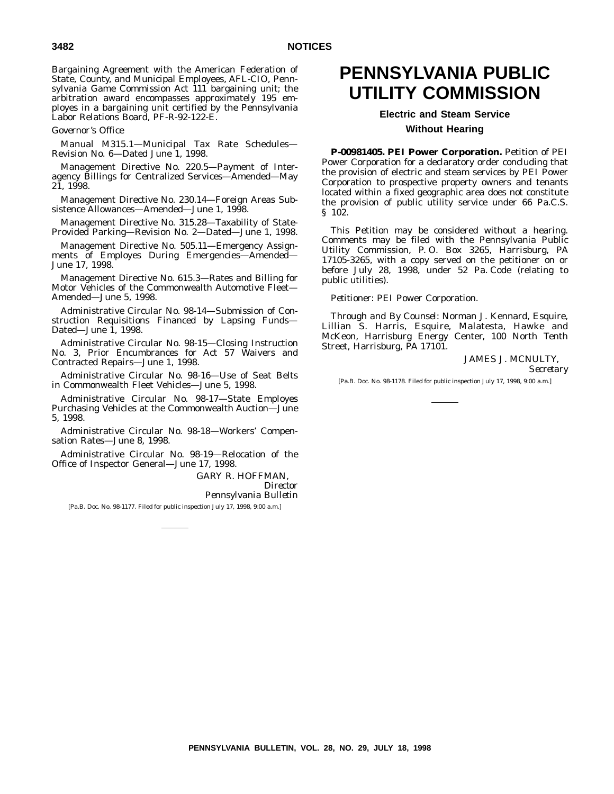Bargaining Agreement with the American Federation of State, County, and Municipal Employees, AFL-CIO, Pennsylvania Game Commission Act 111 bargaining unit; the arbitration award encompasses approximately 195 employes in a bargaining unit certified by the Pennsylvania Labor Relations Board, PF-R-92-122-E.

*Governor's Office*

Manual M315.1—Municipal Tax Rate Schedules— Revision No. 6-Dated June 1, 1998.

Management Directive No. 220.5—Payment of Interagency Billings for Centralized Services—Amended—May 21, 1998.

Management Directive No. 230.14—Foreign Areas Subsistence Allowances—Amended—June 1, 1998.

Management Directive No. 315.28—Taxability of State-Provided Parking—Revision No. 2—Dated—June 1, 1998.

Management Directive No. 505.11—Emergency Assignments of Employes During Emergencies—Amended— June 17, 1998.

Management Directive No. 615.3—Rates and Billing for Motor Vehicles of the Commonwealth Automotive Fleet— Amended—June 5, 1998.

Administrative Circular No. 98-14—Submission of Construction Requisitions Financed by Lapsing Funds— Dated—June 1, 1998.

Administrative Circular No. 98-15—Closing Instruction No. 3, Prior Encumbrances for Act 57 Waivers and Contracted Repairs—June 1, 1998.

Administrative Circular No. 98-16—Use of Seat Belts in Commonwealth Fleet Vehicles—June 5, 1998.

Administrative Circular No. 98-17—State Employes Purchasing Vehicles at the Commonwealth Auction—June 5, 1998.

Administrative Circular No. 98-18—Workers' Compensation Rates—June 8, 1998.

Administrative Circular No. 98-19—Relocation of the Office of Inspector General—June 17, 1998.

> GARY R. HOFFMAN, *Director Pennsylvania Bulletin*

[Pa.B. Doc. No. 98-1177. Filed for public inspection July 17, 1998, 9:00 a.m.]

# **PENNSYLVANIA PUBLIC UTILITY COMMISSION**

## **Electric and Steam Service Without Hearing**

**P-00981405. PEI Power Corporation.** Petition of PEI Power Corporation for a declaratory order concluding that the provision of electric and steam services by PEI Power Corporation to prospective property owners and tenants located within a fixed geographic area does not constitute the provision of public utility service under 66 Pa.C.S. § 102.

This Petition may be considered without a hearing. Comments may be filed with the Pennsylvania Public Utility Commission, P. O. Box 3265, Harrisburg, PA 17105-3265, with a copy served on the petitioner on or before July 28, 1998, under 52 Pa. Code (relating to public utilities).

*Petitioner*: PEI Power Corporation.

*Through and By Counsel*: Norman J. Kennard, Esquire, Lillian S. Harris, Esquire, Malatesta, Hawke and McKeon, Harrisburg Energy Center, 100 North Tenth Street, Harrisburg, PA 17101.

> JAMES J. MCNULTY, *Secretary*

[Pa.B. Doc. No. 98-1178. Filed for public inspection July 17, 1998, 9:00 a.m.]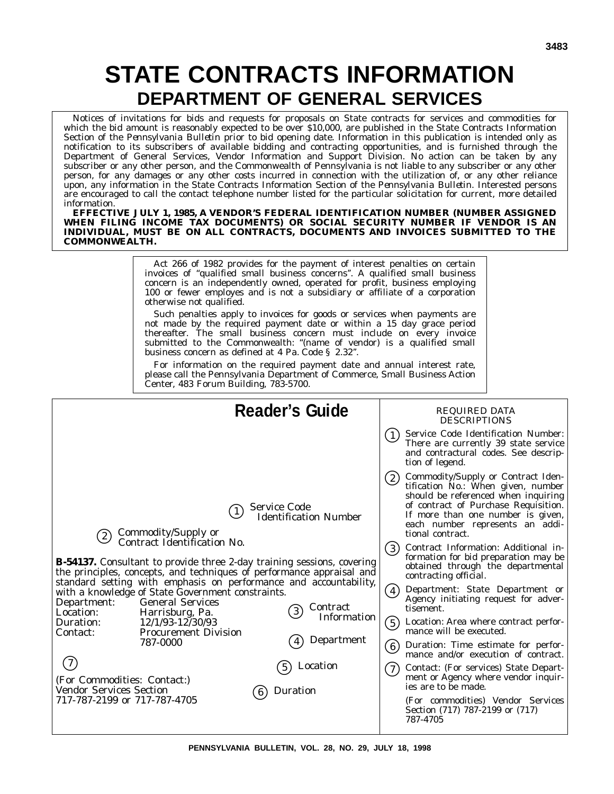# **STATE CONTRACTS INFORMATION DEPARTMENT OF GENERAL SERVICES**

Notices of invitations for bids and requests for proposals on State contracts for services and commodities for which the bid amount is reasonably expected to be over \$10,000, are published in the State Contracts Information Section of the *Pennsylvania Bulletin* prior to bid opening date. Information in this publication is intended only as notification to its subscribers of available bidding and contracting opportunities, and is furnished through the Department of General Services, Vendor Information and Support Division. No action can be taken by any subscriber or any other person, and the Commonwealth of Pennsylvania is not liable to any subscriber or any other person, for any damages or any other costs incurred in connection with the utilization of, or any other reliance upon, any information in the State Contracts Information Section of the *Pennsylvania Bulletin*. Interested persons are encouraged to call the contact telephone number listed for the particular solicitation for current, more detailed information.

**EFFECTIVE JULY 1, 1985, A VENDOR'S FEDERAL IDENTIFICATION NUMBER (NUMBER ASSIGNED WHEN FILING INCOME TAX DOCUMENTS) OR SOCIAL SECURITY NUMBER IF VENDOR IS AN INDIVIDUAL, MUST BE ON ALL CONTRACTS, DOCUMENTS AND INVOICES SUBMITTED TO THE COMMONWEALTH.**

> Act 266 of 1982 provides for the payment of interest penalties on certain invoices of ''qualified small business concerns''. A qualified small business concern is an independently owned, operated for profit, business employing 100 or fewer employes and is not a subsidiary or affiliate of a corporation otherwise not qualified.

Such penalties apply to invoices for goods or services when payments are not made by the required payment date or within a 15 day grace period thereafter. The small business concern must include on every invoice submitted to the Commonwealth: "(name of vendor) is a qualified small business concern as defined at 4 Pa. Code § 2.32''.

For information on the required payment date and annual interest rate, please call the Pennsylvania Department of Commerce, Small Business Action Center, 483 Forum Building, 783-5700.

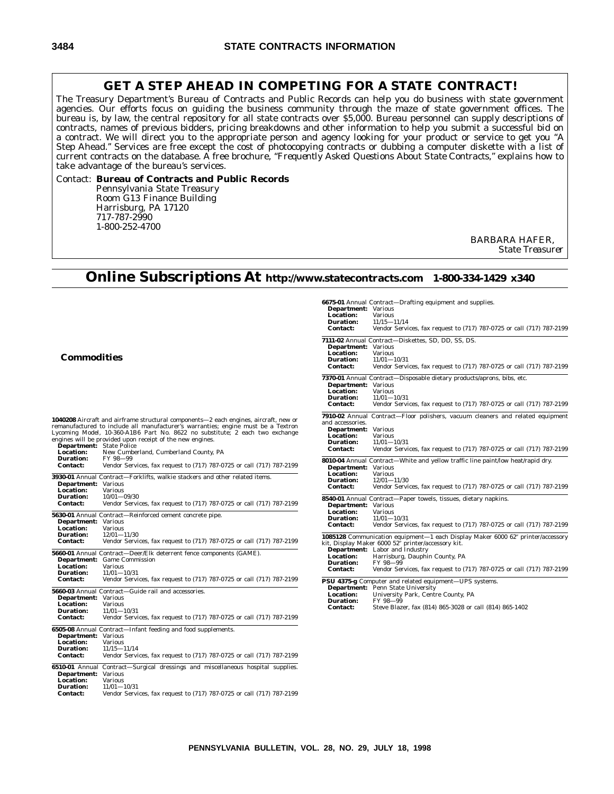### **GET A STEP AHEAD IN COMPETING FOR A STATE CONTRACT!**

The Treasury Department's Bureau of Contracts and Public Records can help you do business with state government agencies. Our efforts focus on guiding the business community through the maze of state government offices. The bureau is, by law, the central repository for all state contracts over \$5,000. Bureau personnel can supply descriptions of contracts, names of previous bidders, pricing breakdowns and other information to help you submit a successful bid on a contract. We will direct you to the appropriate person and agency looking for your product or service to get you ''A Step Ahead.'' Services are free except the cost of photocopying contracts or dubbing a computer diskette with a list of current contracts on the database. A free brochure, *''Frequently Asked Questions About State Contracts,''* explains how to take advantage of the bureau's services.

### Contact: **Bureau of Contracts and Public Records** Pennsylvania State Treasury Room G13 Finance Building Harrisburg, PA 17120 717-787-2990 1-800-252-4700

BARBARA HAFER, *State Treasurer*

## **Online Subscriptions At http://www.statecontracts.com 1-800-334-1429 x340**

**6675-01** Annual Contract—Drafting equipment and supplies.

| <b>Commodities</b>                                                                                                                                                                                                                                                                                                                                                                                                            | <b>Department:</b> Various<br>Location:<br><b>Various</b><br><b>Duration:</b><br>$11/15 - 11/14$<br><b>Contact:</b><br>Vendor Services, fax request to (717) 787-0725 or call (717) 787-2199<br>7111-02 Annual Contract-Diskettes, SD, DD, SS, DS.<br><b>Department:</b> Various<br><b>Location:</b><br><b>Various</b><br><b>Duration:</b><br>$11/01 - 10/31$<br><b>Contact:</b><br>Vendor Services, fax request to (717) 787-0725 or call (717) 787-2199 |
|-------------------------------------------------------------------------------------------------------------------------------------------------------------------------------------------------------------------------------------------------------------------------------------------------------------------------------------------------------------------------------------------------------------------------------|-----------------------------------------------------------------------------------------------------------------------------------------------------------------------------------------------------------------------------------------------------------------------------------------------------------------------------------------------------------------------------------------------------------------------------------------------------------|
|                                                                                                                                                                                                                                                                                                                                                                                                                               | 7370-01 Annual Contract—Disposable dietary products/aprons, bibs, etc.<br><b>Department:</b> Various<br><b>Location:</b><br><b>Various</b><br><b>Duration:</b><br>$11/01 - 10/31$<br><b>Contact:</b><br>Vendor Services, fax request to (717) 787-0725 or call (717) 787-2199                                                                                                                                                                             |
| <b>1040208</b> Aircraft and airframe structural components—2 each engines, aircraft, new or<br>remanufactured to include all manufacturer's warranties; engine must be a Textron<br>Lycoming Model, 10-360-A1B6 Part No. 8622 no substitute; 2 each two exchange<br>engines will be provided upon receipt of the new engines.<br><b>Department:</b> State Police<br>New Cumberland, Cumberland County, PA<br><b>Location:</b> | 7910-02 Annual Contract-Floor polishers, vacuum cleaners and related equipment<br>and accessories.<br><b>Department:</b> Various<br>Location:<br><b>Various</b><br><b>Duration:</b><br>$11/01 - 10/31$<br><b>Contact:</b><br>Vendor Services, fax request to (717) 787-0725 or call (717) 787-2199                                                                                                                                                        |
| <b>Duration:</b><br>FY 98-99<br>Vendor Services, fax request to (717) 787-0725 or call (717) 787-2199<br><b>Contact:</b><br>3930-01 Annual Contract-Forklifts, walkie stackers and other related items.<br><b>Department:</b> Various<br><b>Location:</b><br><b>Various</b>                                                                                                                                                   | 8010-04 Annual Contract—White and yellow traffic line paint/low heat/rapid dry.<br><b>Department:</b> Various<br>Location:<br><b>Various</b><br><b>Duration:</b><br>$12/01 - 11/30$<br><b>Contact:</b><br>Vendor Services, fax request to (717) 787-0725 or call (717) 787-2199                                                                                                                                                                           |
| <b>Duration:</b><br>$10/01 - 09/30$<br><b>Contact:</b><br>Vendor Services, fax request to (717) 787-0725 or call (717) 787-2199<br>5630-01 Annual Contract—Reinforced cement concrete pipe.<br><b>Department:</b> Various<br><b>Location:</b><br><b>Various</b>                                                                                                                                                               | 8540-01 Annual Contract-Paper towels, tissues, dietary napkins.<br><b>Department:</b> Various<br>Location:<br><b>Various</b><br><b>Duration:</b><br>$11/01 - 10/31$<br>Vendor Services, fax request to (717) 787-0725 or call (717) 787-2199<br><b>Contact:</b>                                                                                                                                                                                           |
| <b>Duration:</b><br>$12/01 - 11/30$<br><b>Contact:</b><br>Vendor Services, fax request to (717) 787-0725 or call (717) 787-2199<br>5660-01 Annual Contract-Deer/Elk deterrent fence components (GAME).<br><b>Department:</b> Game Commission                                                                                                                                                                                  | 1085128 Communication equipment-1 each Display Maker 6000 62" printer/accessory<br>kit, Display Maker 6000 52" printer/accessory kit.<br><b>Department:</b> Labor and Industry<br><b>Location:</b><br>Harrisburg, Dauphin County, PA<br>FY 98-99                                                                                                                                                                                                          |
| Location:<br><b>Various</b><br><b>Duration:</b><br>$11/01 - 10/31$<br><b>Contact:</b><br>Vendor Services, fax request to (717) 787-0725 or call (717) 787-2199<br>5660-03 Annual Contract-Guide rail and accessories.                                                                                                                                                                                                         | <b>Duration:</b><br><b>Contact:</b><br>Vendor Services, fax request to (717) 787-0725 or call (717) 787-2199<br>PSU 4375-g Computer and related equipment-UPS systems.<br><b>Department:</b> Penn State University                                                                                                                                                                                                                                        |
| <b>Department:</b> Various<br>Location:<br><b>Various</b><br><b>Duration:</b><br>$11/01 - 10/31$<br><b>Contact:</b><br>Vendor Services, fax request to (717) 787-0725 or call (717) 787-2199                                                                                                                                                                                                                                  | Location:<br>University Park, Centre County, PA<br>FY 98-99<br><b>Duration:</b><br>Steve Blazer, fax (814) 865-3028 or call (814) 865-1402<br><b>Contact:</b>                                                                                                                                                                                                                                                                                             |
| 6505-08 Annual Contract—Infant feeding and food supplements.<br><b>Department:</b> Various<br><b>Location:</b><br><b>Various</b><br><b>Duration:</b><br>$11/15 - 11/14$<br><b>Contact:</b><br>Vendor Services, fax request to (717) 787-0725 or call (717) 787-2199                                                                                                                                                           |                                                                                                                                                                                                                                                                                                                                                                                                                                                           |
| 6510-01 Annual Contract—Surgical dressings and miscellaneous hospital supplies.<br><b>Department:</b> Various<br><b>Location:</b><br><b>Various</b><br><b>Duration:</b><br>$11/01 - 10/31$<br><b>Contact:</b><br>Vendor Services, fax request to (717) 787-0725 or call (717) 787-2199                                                                                                                                        |                                                                                                                                                                                                                                                                                                                                                                                                                                                           |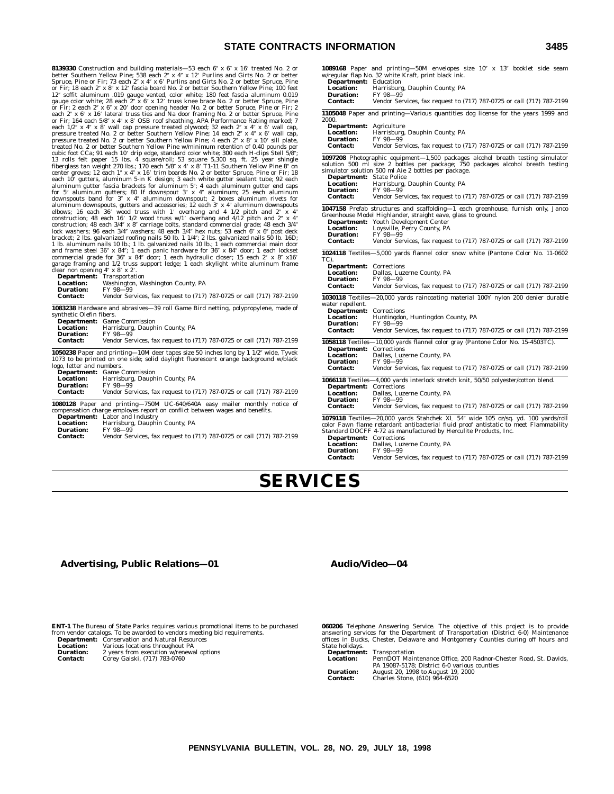### **STATE CONTRACTS IN**

**8139330** Construction and building materials—53 each  $6'' \times 6'' \times 16'$  treated No. 2 or better Southern Yellow Pine; 538 each 2″ x 4″ x 12′ Purlins and Girts No. 2 or better<br>Spruce, Pine or Fir; 73 each 2″ x 4″ x 6′ Purlins and Girts No. 2 or better Spruce, Pine<br>or Fir; 18 each 2″ x 8″ x 12′ fascia board No. 12" soffit aluminum .019 gauge vented, color white; 180 feet fascia aluminum 0.019 gauge color white; 28 each 2" x 6" x 12' truss knee brace No. 2 or better Spruce, Pine or Fir; 2 each 2" x 6" x 20' door opening header No treated No. 2 or better Southern Yellow Pine w/minimum retention of 0.40 pounds per cubic foot CCa; 91 each 10' drip edge, standard color white; 300 each H-clips Stell 5/8";<br>13 rolls felt paper 15 lbs. 4 square/roll; 53 square 5,300 sq. ft. 25 year shingle<br>fiberglass tan weight 270 lbs.; 170 each 5/8" x aluminum downspouts, gutters and accessories; 12 each 3" x 4" aluminum downspouts<br>elbows; 16 each 36' wood truss with 1' overhang and 4 1/2 pitch and  $2$ " x 4"<br>construction; 48 each 16' 1/2 wood truss w/1' overhang and 4/ bracket; 2 lbs. galvanized roofing nails 50 lb. 1 1/4"; 2 lbs. galvanized nails 50 lb. 16D;<br>1 lb. aluminum nails 10 lb.; 1 lb. galvanized nails 10 lb.; 1 each commercial main door<br>and frame steel 36" x 84"; 1 each panic ha garage framing and 1/2 truss support ledge; 1 each skylight white aluminum frame<br>clear non opening 4″ x 8′ x 2′.

|                  | <b>Department:</b> Transportation                                     |
|------------------|-----------------------------------------------------------------------|
| <b>Location:</b> | Washington, Washington County, PA                                     |
| <b>Duration:</b> | FY 98-99                                                              |
| <b>Contact:</b>  | Vendor Services, fax request to (717) 787-0725 or call (717) 787-2199 |

**1083238** Hardware and abrasives—39 roll Game Bird netting, polypropylene, made of synthetic Olefin fibers.

|                  | <b>Department:</b> Game Commission                                    |
|------------------|-----------------------------------------------------------------------|
| <b>Location:</b> | Harrisburg, Dauphin County, PA                                        |
| Duration:        | FY 98-99                                                              |
| <b>Contact:</b>  | Vendor Services, fax request to (717) 787-0725 or call (717) 787-2199 |
|                  |                                                                       |

**1050238** Paper and printing—10M deer tapes size 50 inches long by 1 1/2" wide, Tyvek 1073 to be printed on one side; solid daylight fluorescent orange background w/black logo, letter and numbers.

|                  | <b>Department:</b> Game Commission                                               |
|------------------|----------------------------------------------------------------------------------|
| <b>Location:</b> | Harrisburg, Dauphin County, PA                                                   |
| <b>Duration:</b> | FY 98-99                                                                         |
| <b>Contact:</b>  | Vendor Services, fax request to (717) 787-0725 or call (717) 787-2199            |
|                  | <b>1080128</b> Paper and printing-750M UC-640/640A easy mailer monthly notice of |
|                  | compensation charge employes report on conflict between wages and benefits.      |
|                  | <b>Department:</b> Labor and Industry                                            |

**Department:** Labor and Industry **Location:** Harrisburg, Dauphin County, PA

- **Duration:** FY 98-99<br>**Contact:** Vendor Ser
- **Contact:** Vendor Services, fax request to (717) 787-0725 or call (717) 787-2199

| <b>INFORMATION</b>                                                                                            | 3485                                                                                                                                                                                                                                                                                                                                             |
|---------------------------------------------------------------------------------------------------------------|--------------------------------------------------------------------------------------------------------------------------------------------------------------------------------------------------------------------------------------------------------------------------------------------------------------------------------------------------|
| <b>Department:</b> Education<br><b>Location:</b><br><b>Duration:</b><br><b>Contact:</b>                       | 1089168 Paper and printing-50M envelopes size 10" x 13" booklet side seam<br>w/regular flap No. 32 white Kraft, print black ink.<br>Harrisburg, Dauphin County, PA<br>FY 98-99<br>Vendor Services, fax request to (717) 787-0725 or call (717) 787-2199                                                                                          |
|                                                                                                               | 1105048 Paper and printing—Various quantities dog license for the years 1999 and                                                                                                                                                                                                                                                                 |
| 2000.<br><b>Department:</b> Agriculture<br><b>Location:</b><br><b>Duration:</b><br><b>Contact:</b>            | Harrisburg, Dauphin County, PA<br>FY 98-99<br>Vendor Services, fax request to (717) 787-0725 or call (717) 787-2199                                                                                                                                                                                                                              |
| <b>Department:</b> State Police<br>Location:<br><b>Duration:</b><br><b>Contact:</b>                           | 1097208 Photographic equipment-1,500 packages alcohol breath testing simulator<br>solution 500 ml size 2 bottles per package; 750 packages alcohol breath testing<br>simulator solution 500 ml Aie 2 bottles per package.<br>Harrisburg, Dauphin County, PA<br>FY 98-99<br>Vendor Services, fax request to (717) 787-0725 or call (717) 787-2199 |
|                                                                                                               | 1047158 Prefab structures and scaffolding-1 each greenhouse, furnish only, Janco                                                                                                                                                                                                                                                                 |
| <b>Location:</b><br><b>Duration:</b><br><b>Contact:</b>                                                       | Greenhouse Model Highlander, straight eave, glass to ground.<br><b>Department:</b> Youth Development Center<br>Loysville, Perry County, PA<br>FY 98-99<br>Vendor Services, fax request to (717) 787-0725 or call (717) 787-2199                                                                                                                  |
|                                                                                                               | 1024118 Textiles-5,000 yards flannel color snow white (Pantone Color No. 11-0602)                                                                                                                                                                                                                                                                |
| TC).<br><b>Department:</b> Corrections<br><b>Location:</b><br><b>Duration:</b><br><b>Contact:</b>             | Dallas, Luzerne County, PA<br>FY 98-99<br>Vendor Services, fax request to (717) 787-0725 or call (717) 787-2199                                                                                                                                                                                                                                  |
|                                                                                                               | 1030118 Textiles-20,000 yards raincoating material 100Y nylon 200 denier durable                                                                                                                                                                                                                                                                 |
| water repellent.<br><b>Department:</b> Corrections<br><b>Location:</b><br><b>Duration:</b><br><b>Contact:</b> | Huntingdon, Huntingdon County, PA<br>FY 98-99<br>Vendor Services, fax request to (717) 787-0725 or call (717) 787-2199                                                                                                                                                                                                                           |
|                                                                                                               | 1058118 Textiles-10,000 yards flannel color gray (Pantone Color No. 15-4503TC).                                                                                                                                                                                                                                                                  |
| <b>Department:</b> Corrections<br><b>Location:</b><br><b>Duration:</b><br><b>Contact:</b>                     | Dallas, Luzerne County, PA<br>FY 98-99<br>Vendor Services, fax request to (717) 787-0725 or call (717) 787-2199                                                                                                                                                                                                                                  |
|                                                                                                               |                                                                                                                                                                                                                                                                                                                                                  |
|                                                                                                               | 1066118 Textiles-4,000 yards interlock stretch knit, 50/50 polyester/cotton blend.                                                                                                                                                                                                                                                               |

**Department:** Corrections<br>**Location:** Dallas, Luz **Location:** Dallas, Luzerne County, PA<br>Duration: FY 98-99 **Duration:** FY 98-99<br>Contact: Vender Set

**Contact:** Vendor Services, fax request to (717) 787-0725 or call (717) 787-2199 1079118 Textiles-20,000 yards Stahchek XL 54" wide 105 oz/sq. yd. 100 yards/roll

color Fawn flame retardant antibacterial fluid proof antistatic to meet Flammability Standard DOCFF 4-72 as manufactured by Herculite Products, Inc.

**Department:** Corrections<br> **Location:** Dallas. Luze **Location:** Dallas, Luzerne County, PA<br> **Duration:** FY 98-99

**Duration:** FY 98-99<br>**Contact:** Vendor Ser **Contact:** Vendor Services, fax request to (717) 787-0725 or call (717) 787-2199

# **SERVICES**

### **Advertising, Public Relations—01**

### **Audio/Video—04**

**ENT-1** The Bureau of State Parks requires various promotional items to be purchased from vendor catalogs. To be awarded to vendors meeting bid requirements. **Department:** Conservation and Natural Resources

| рерагишени.      | Conservation and ivaluat resources                                                                                         |
|------------------|----------------------------------------------------------------------------------------------------------------------------|
| <b>Location:</b> | Various locations throughout PA                                                                                            |
| <b>Duration:</b> | 2 years from execution w/renewal options                                                                                   |
| - -              | $\alpha$ $\alpha$ $\alpha$ $\beta$ $\beta$ $\alpha$ $\beta$ $\alpha$ $\alpha$ $\alpha$ $\alpha$ $\alpha$ $\alpha$ $\alpha$ |

**Contact:** Corey Gaiski, (717) 783-0760

**060206** Telephone Answering Service. The objective of this project is to provide<br>answering services for the Department of Transportation (District 6-0) Maintenance<br>offices in Bucks, Chester, Delaware and Montgomery Counti State holidays.<br>Department:<br>Location:

**Department:** Transportation **Location:** PennDOT Maintenance Office, 200 Radnor-Chester Road, St. Davids,

- 
- PA 19087-5178; District 6-0 various counties **Duration:** August 20, 1998 to August 19, 2000 **Contact:** Charles Stone, (610) 964-6520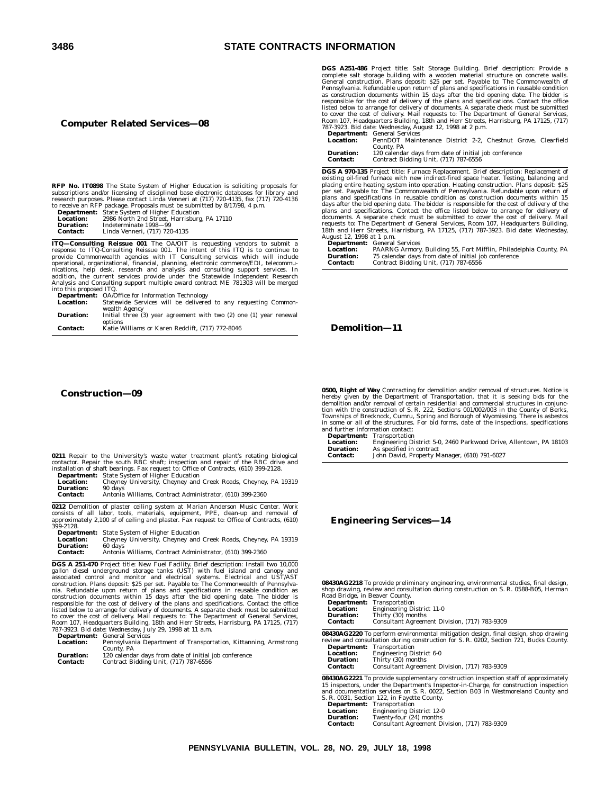### **3486 STATE CONTRACTS INFORMATION**

### **Computer Related Services—08**

**RFP No. IT0898** The State System of Higher Education is soliciting proposals for<br>subscriptions and/or licensing of disciplined base electronic databases for library and<br>research purposes. Please contact Linda Venneri at ( to receive an RFP package. Proposals must be submitted by 8/17/98, 4 p.m.

|                 | <b>Department:</b> State System of Higher Education |
|-----------------|-----------------------------------------------------|
| Location:       | 2986 North 2nd Street, Harrisburg, PA 17110         |
| Duration:       | Indeterminate 1998-99                               |
| <b>Contact:</b> | Linda Venneri, (717) 720-4135                       |

**ITQ—Consulting Reissue 001** The OA/OIT is requesting vendors to submit a response to ITQ-Consulting Reissue 001. The intent of this ITQ is to continue to provide Commonwealth agencies with IT Consulting services which will include operational, organizational, financial, planning, electronic commerce/EDI, telecommu-<br>nications, help desk, research and analysis and consulting support services. In<br>addition, the current services provide under the Statewi

into this proposed ITQ. **Department:** OA/Office for Information Technology **Location:** Statewide Services will be delivered to any requesting Commonwealth Agency

| <b>Duration:</b> | Initial three (3) year agreement with two (2) one (1) year renewal |  |
|------------------|--------------------------------------------------------------------|--|
|                  | options                                                            |  |
| <b>Contact:</b>  | Katie Williams or Karen Redclift. (717) 772-8046                   |  |

**Construction—09**

|  |  |  |  | 0211 Repair to the University's waste water treatment plant's rotating biological    |  |  |  |  |
|--|--|--|--|--------------------------------------------------------------------------------------|--|--|--|--|
|  |  |  |  | contactor. Repair the south RBC shaft; inspection and repair of the RBC drive and    |  |  |  |  |
|  |  |  |  | installation of shaft bearings. Fax request to: Office of Contracts, (610) 399-2128. |  |  |  |  |

**Department:** State System of Higher Education **Location:** Cheyney University, Cheyney and Creek Roads, Cheyney, PA 19319<br>**Duration:** 90 days **Duration:**<br>Contact:

**Contact:** Antonia Williams, Contract Administrator, (610) 399-2360

**0212** Demolition of plaster ceiling system at Marian Anderson Music Center. Work<br>consists of all labor, tools, materials, equipment, PPE, clean-up and removal of<br>approximately 2,100 sf of ceiling and plaster. Fax request

|                  | <b>Department:</b> State System of Higher Education            |
|------------------|----------------------------------------------------------------|
| <b>Location:</b> | Cheyney University, Cheyney and Creek Roads, Cheyney, PA 19319 |
| <b>Duration:</b> | 60 days                                                        |
| <b>Contact:</b>  | Antonia Williams, Contract Administrator, (610) 399-2360       |

**DGS A 251-470** Project title: New Fuel Facility, Brief description: Install two 10,000 gallon diesel underground storage tanks (UST) with fuel island and canopy and associated control and monitor and electrical systems. E listed below to arrange for delivery of documents. A separate check must be submitted<br>to cover the cost of delivery. Mail requests to: The Department of General Services,<br>Room 107, Headquarters Building, 18th and Herr Stre

|                  | <b>Department.</b> General Services                              |  |  |  |
|------------------|------------------------------------------------------------------|--|--|--|
| <b>Location:</b> | Pennsylvania Department of Transportation, Kittanning, Armstrong |  |  |  |
|                  | County, PA                                                       |  |  |  |
| Duration:        | 120 calendar dave from date of initial job conference            |  |  |  |

**Duration:** 120 calendar days from date of initial job conference **Contact:** Contract Bidding Unit, (717) 787-6556

**DGS A251-486** Project title: Salt Storage Building. Brief description: Provide a complete salt storage building with a wooden material structure on concrete walls. General construction Plans deposit: S25 per set. Payable

|                  | <b>Department:</b> General Services                          |
|------------------|--------------------------------------------------------------|
| Location:        | PennDOT Maintenance District 2-2. Chestnut Grove, Clearfield |
|                  | County, PA                                                   |
| <b>Duration:</b> | 120 calendar days from date of initial job conference        |
| Contact:         | Contract Bidding Unit, (717) 787-6556                        |

**DGS A 970-135** Project title: Furnace Replacement. Brief description: Replacement of existing oil-fired furnace with new indirect-fired space heater. Testing, balancing and<br>placing entire heating system into operation. Heating construction. Plans deposit: \$25<br>per set. Payable to: The Commonwealth of Pennsy plans and specifications in reusable condition as construction documents within 15 days after the bid opening date. The bidder is responsible for the cost of delivery of the ans and specifications. Contact the office liste requests to: The Department of General Services, Room 107, Headquarters Building, 18th and Herr Streets, Harrisburg, PA 17125, (717) 787-3923. Bid date: Wednesday,

August 12, 1998 at 1 p.m.<br> **Department:** General Services<br> **Location:** PAARNG Armory, Building 55, Fort Mifflin, Philadelphia County, PA<br> **Duration:** 75 calendar days from date of initial job conference<br> **Contact:** Contrac

**Demolition—11**

**0500, Right of Way** Contracting for demolition and/or removal of structures. Notice is<br>hereby given by the Department of Transportation, that it is seeking bids for the<br>demolition and/or removal of certain residential and tion with the construction of S. R. 222, Sections 001/002/003 in the County of Berks, Townships of Brecknock, Cumru, Spring and Borough of Wyomissing. There is asbestos in some or all of the structures. For bid forms, date of the inspections, specifications

and further information contact:<br> **Department:** Transportation<br> **Location:** Engineering D **Department:** Transportation **Location:** Engineering District 5-0, 2460 Parkwood Drive, Allentown, PA 18103 **Duration:** As specified in contract **Contact:** John David, Property Manager, (610) 791-6027

### **Engineering Services—14**

**08430AG2218** To provide preliminary engineering, environmental studies, final design, shop drawing, review and consultation during construction on S. R. 0588-B05, Herman Road Bridge, in Beaver County. **Department:** Transportation

| Department:      | Transportation                                |
|------------------|-----------------------------------------------|
| <b>Location:</b> | <b>Engineering District 11-0</b>              |
| <b>Duration:</b> | Thirty (30) months                            |
| <b>Contact:</b>  | Consultant Agreement Division, (717) 783-9309 |

**08430AG2220** To perform environmental mitigation design, final design, shop drawing review and consultation during construction for S. R. 0202, Section 721, Bucks County.

| <b>Department:</b> | Transportation                                |
|--------------------|-----------------------------------------------|
| <b>Location:</b>   | Engineering District 6-0                      |
| <b>Duration:</b>   | Thirty (30) months                            |
| <b>Contact:</b>    | Consultant Agreement Division, (717) 783-9309 |

**08430AG2221** To provide supplementary construction inspection staff of approximately 15 inspectors, under the Department's Inspector-in-Charge, for construction inspection and documentation services on S. R. 0022, Section B03 in Westmoreland County and S. R. 0031, Section 122, in Fayette County.

|                  | $5.$ K. 6001, Section 122, in Fayette County. |
|------------------|-----------------------------------------------|
| Department:      | Transportation                                |
| <b>Location:</b> | <b>Engineering District 12-0</b>              |
| Duration:        | Twenty four (94) months                       |

**Duration:** Twenty-four (24) month<br>**Contact:** Consultant Agreement Consultant Agreement Division, (717) 783-9309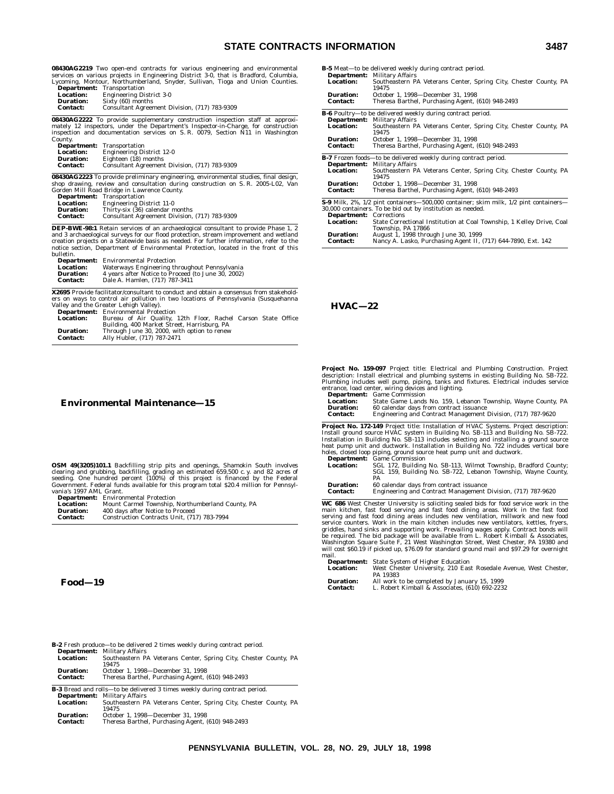### **STATE CONTRACTS INFORMATION 3487**

**08430AG2219** Two open-end contracts for various engineering and environmental services on various projects in Engineering District 3-0, that is Bradford, Columbia, Lycoming, Montour, Northumberland, Snyder, Sullivan, Tioga and Union Counties.

|                  | <b>Department:</b> Transportation             |
|------------------|-----------------------------------------------|
| <b>Location:</b> | <b>Engineering District 3-0</b>               |
| <b>Duration:</b> | Sixty (60) months                             |
| <b>Contact:</b>  | Consultant Agreement Division, (717) 783-9309 |

**08430AG2222** To provide supplementary construction inspection staff at approximately 12 inspectors, under the Department's Inspector-in-Charge, for construction inspection and documentation services on S. R. 0079, Section N11 in Washington County.

| <b>Department:</b> | Transportation                                |
|--------------------|-----------------------------------------------|
| <b>Location:</b>   | <b>Engineering District 12-0</b>              |
| <b>Duration:</b>   | Eighteen (18) months                          |
| <b>Contact:</b>    | Consultant Agreement Division, (717) 783-9309 |
|                    |                                               |

**08430AG2223** To provide preliminary engineering, environmental studies, final design, shop drawing, review and consultation during construction on S. R. 2005-L02, Van Gorden Mill Road Bridge in Lawrence County.

| Department:      | Transportation                                |  |
|------------------|-----------------------------------------------|--|
| <b>Location:</b> | <b>Engineering District 11-0</b>              |  |
| <b>Duration:</b> | Thirty-six (36) calendar months               |  |
| <b>Contact:</b>  | Consultant Agreement Division, (717) 783-9309 |  |
|                  |                                               |  |

**DEP-BWE-98:1** Retain services of an archaeological consultant to provide Phase 1, 2 and 3 archaeological surveys for our flood protection, stream improvement and wetland creation projects on a Statewide basis as needed. For further information, refer to the notice section, Department of Environmental Protection, located in the front of this bulletin.

| <b>Department:</b> | <b>Environmental Protection</b>                    |
|--------------------|----------------------------------------------------|
| Location:          | Waterways Engineering throughout Pennsylvania      |
| Duration:          | 4 years after Notice to Proceed (to June 30, 2002) |
| Contact:           | Dale A. Hamlen. (717) 787-3411                     |

**X2695** Provide facilitator/consultant to conduct and obtain a consensus from stakehold-ers on ways to control air pollution in two locations of Pennsylvania (Susquehanna Valley and the Greater Lehigh Valley).

|                                     | <b>Department:</b> Environmental Protection                                |
|-------------------------------------|----------------------------------------------------------------------------|
| <b>Location:</b>                    | Bureau of Air Quality, 12th Floor, Rachel Carson State Office              |
|                                     | Building, 400 Market Street, Harrisburg, PA                                |
| <b>Duration:</b><br><b>Contact:</b> | Through June 30, 2000, with option to renew<br>Ally Hubler, (717) 787-2471 |

### **Environmental Maintenance—15**

**OSM 49(3205)101.1** Backfilling strip pits and openings, Shamokin South involves<br>clearing and grubbing, backfilling, grading an estimated 659,500 c. y. and 82 acres of<br>seeding. One hundred percent (100%) of this project is

**Department:** Environmental Protection<br> **Location:** Mount Carmel Township,<br> **Duration:** 400 days after Notice to P **Location:** Mount Carmel Township, Northumberland County, PA **Duration:** 400 days after Notice to Proceed **Contact:** Construction Contracts Unit, (717) 783-7994

**Food—19**

|                                | <b>B-5</b> Meat-to be delivered weekly during contract period.                              |
|--------------------------------|---------------------------------------------------------------------------------------------|
|                                | <b>Department:</b> Military Affairs                                                         |
| <b>Location:</b>               | Southeastern PA Veterans Center, Spring City, Chester County, PA<br>19475                   |
| <b>Duration:</b>               | October 1, 1998-December 31, 1998                                                           |
| <b>Contact:</b>                | Theresa Barthel, Purchasing Agent, (610) 948-2493                                           |
|                                | B-6 Poultry-to be delivered weekly during contract period.                                  |
|                                | <b>Department:</b> Military Affairs                                                         |
| <b>Location:</b>               | Southeastern PA Veterans Center, Spring City, Chester County, PA<br>19475                   |
| <b>Duration:</b>               | October 1, 1998-December 31, 1998                                                           |
| <b>Contact:</b>                | Theresa Barthel, Purchasing Agent, (610) 948-2493                                           |
|                                | <b>B-7</b> Frozen foods—to be delivered weekly during contract period.                      |
|                                | <b>Department:</b> Military Affairs                                                         |
| <b>Location:</b>               | Southeastern PA Veterans Center, Spring City, Chester County, PA<br>19475                   |
| <b>Duration:</b>               | October 1, 1998-December 31, 1998                                                           |
| <b>Contact:</b>                | Theresa Barthel, Purchasing Agent, (610) 948-2493                                           |
|                                | <b>S-9</b> Milk, 2%, 1/2 pint containers—500,000 container; skim milk, 1/2 pint containers— |
|                                | 30,000 containers. To be bid out by institution as needed.                                  |
| <b>Department:</b> Corrections |                                                                                             |
| Location:                      | State Correctional Institution at Coal Township, 1 Kelley Drive, Coal<br>Township, PA 17866 |
| <b>Duration:</b>               | August 1, 1998 through June 30, 1999                                                        |
| <b>Contact:</b>                | Nancy A. Lasko, Purchasing Agent II, (717) 644-7890, Ext. 142                               |

#### **HVAC—22**

**Project No. 159-097** Project title: Electrical and Plumbing Construction. Project description: Install electrical and plumbing systems in existing Building No. SB-722. Plumbing includes well pump, piping, tanks and fixtur

|                  | <b>Department.</b> Game commission                           |
|------------------|--------------------------------------------------------------|
| <b>Location:</b> | State Game Lands No. 159, Lebanon Township, Wayne County, PA |
| <b>Duration:</b> | 60 calendar days from contract issuance                      |
| <b>Contact:</b>  | Engineering and Contract Management Division, (717) 787-9620 |

**Project No. 172-149** Project title: Installation of HVAC Systems. Project description: Install ground source HVAC system in Building No. SB-113 and Building No. SB-722. Installation in Building No. SB-113 includes selecting and installing a ground source heat pump unit and ductwork. Installation in Building No. 722 includes vertical bore holes, closed loop piping, ground source heat pump unit and ductwork. **Department:** Game Commission

**Location:** SGL 172, Building No. SB-113, Wilmot Township, Bradford County; SGL 159, Building No. SB-722, Lebanon Township, Wayne County, PA

**Duration:** 60 calendar days from contract issuance **Contact:** Engineering and Contract Management Division, (717) 787-9620

WC 6866 West Chester University is soliciting sealed bids for food service work in the<br>main kitchen, fast food serving and fast food dining areas. Work in the fast food<br>serving and fast food dining areas includes new venti mail.

|                  | <b>Department:</b> State System of Higher Education              |
|------------------|------------------------------------------------------------------|
| <b>Location:</b> | West Chester University, 210 East Rosedale Avenue, West Chester. |
|                  | PA 19383                                                         |
| <b>Duration:</b> | All work to be completed by January 15, 1999                     |
| <b>Contact:</b>  | L. Robert Kimball & Associates. (610) 692-2232                   |

|                                     | $\bf{B}$ $\bf{v}$ is the product to be defined a three weekly during contract perfour  |
|-------------------------------------|----------------------------------------------------------------------------------------|
|                                     | <b>Department:</b> Military Affairs                                                    |
| <b>Location:</b>                    | Southeastern PA Veterans Center, Spring City, Chester County, PA<br>19475              |
| <b>Duration:</b><br><b>Contact:</b> | October 1, 1998-December 31, 1998<br>Theresa Barthel, Purchasing Agent, (610) 948-2493 |
|                                     |                                                                                        |

**B-2** Fresh produce—to be delivered 2 times weekly during contract period.

**B-3** Bread and rolls—to be delivered 3 times weekly during contract period. **Department:** Military Affairs<br> **Location:** Southeastern F **Location:** Southeastern PA Veterans Center, Spring City, Chester County, PA 19475 **Duration:** October 1, 1998—December 31, 1998<br> **Contact:** Theresa Barthel, Purchasing Agent, 1 **Contact:** Theresa Barthel, Purchasing Agent, (610) 948-2493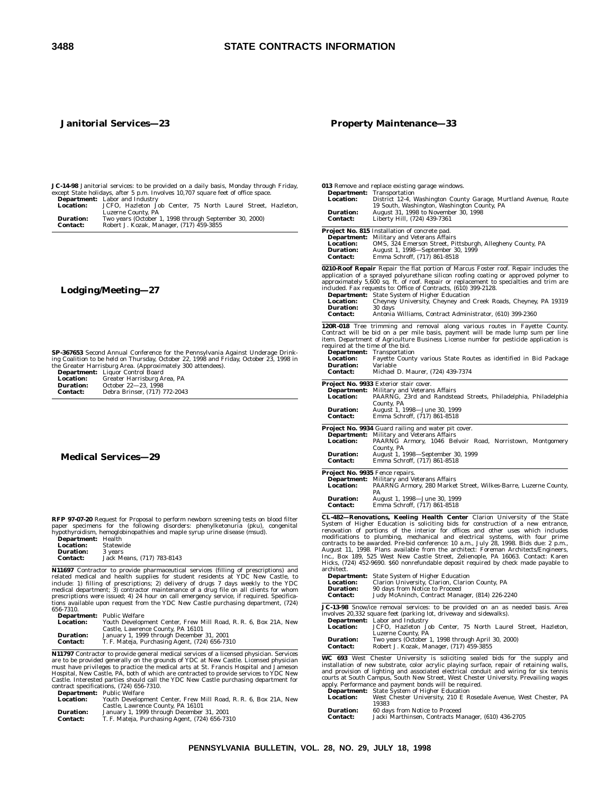### **Janitorial Services—23**

### **Property Maintenance—33**

**JC-14-98** Janitorial services: to be provided on a daily basis, Monday through Friday, except State holidays, after 5 p.m. Involves 10,707 square feet of office space. **Department:** Labor and Industry

| <b>Department.</b> Labor and mudstry                         |
|--------------------------------------------------------------|
| JCFO. Hazleton Job Center. 75 North Laurel Street. Hazleton. |
| Luzerne County, PA                                           |
| Two years (October 1, 1998 through September 30, 2000)       |
| Robert J. Kozak, Manager, (717) 459-3855                     |
|                                                              |

### **Lodging/Meeting—27**

**SP-367653** Second Annual Conference for the Pennsylvania Against Underage Drinking Coalition to be held on Thursday, October 22, 1998 and Friday, October 23, 1998 in the Greater Harrisburg Area. (Approximately 300 attendees).

| <b>Department:</b> | Liquor Control Board          |
|--------------------|-------------------------------|
| <b>Location:</b>   | Greater Harrisburg Area, PA   |
| <b>Duration:</b>   | October 22-23, 1998           |
| <b>Contact:</b>    | Debra Brinser, (717) 772-2043 |

### **Medical Services—29**

**RFP 97-07-20** Request for Proposal to perform newborn screening tests on blood filter paper specimens for the following disorders: phenylketonuria (pku), congenital hypothyroidism, hemoglobinopathies and maple syrup urine

| рерагицени:      | пеаш                       |
|------------------|----------------------------|
| <b>Location:</b> | Statewide                  |
| <b>Duration:</b> | 3 years                    |
| <b>Contact:</b>  | Jack Means. (717) 783-8143 |

**N11697** Contractor to provide pharmaceutical services (filling of prescriptions) and health supplies for student resident of include: 1) filling of prescriptions; 2) delivery of drugs 7 days weekly to the YDC atteration

|                  | <b>Department:</b> Public Welfare                               |
|------------------|-----------------------------------------------------------------|
| <b>Location:</b> | Youth Development Center, Frew Mill Road, R. R. 6, Box 21A, New |
|                  | Castle, Lawrence County, PA 16101                               |
| <b>Duration:</b> | January 1, 1999 through December 31, 2001                       |
| <b>Contact:</b>  | T. F. Mateja, Purchasing Agent, (724) 656-7310                  |

N11797 Contractor to provide general medical services of a licensed physician. Services<br>are to be provided generally on the grounds of YDC at New Castle. Licensed physician<br>must have privileges to practice the medical arts

| <b>Location:</b> | Youth Development Center, Frew Mill Road, R. R. 6, Box 21A, New |
|------------------|-----------------------------------------------------------------|
|                  | Castle, Lawrence County, PA 16101                               |
| <b>Duration:</b> | January 1, 1999 through December 31, 2001                       |
| <b>Contact:</b>  | T. F. Mateja, Purchasing Agent, (724) 656-7310                  |
|                  |                                                                 |

| Department:<br><b>Location:</b><br><b>Duration:</b><br><b>Contact:</b>                                                                                                                                                                                                                                                                                                                                                                                                                                                                                                                                                                                                                                      | 013 Remove and replace existing garage windows.<br>Transportation<br>District 12-4, Washington County Garage, Murtland Avenue, Route<br>19 South, Washington, Washington County, PA<br>August 31, 1998 to November 30, 1998<br>Liberty Hill, (724) 439-7361                                                                                                                                                                                                                                                                              |  |
|-------------------------------------------------------------------------------------------------------------------------------------------------------------------------------------------------------------------------------------------------------------------------------------------------------------------------------------------------------------------------------------------------------------------------------------------------------------------------------------------------------------------------------------------------------------------------------------------------------------------------------------------------------------------------------------------------------------|------------------------------------------------------------------------------------------------------------------------------------------------------------------------------------------------------------------------------------------------------------------------------------------------------------------------------------------------------------------------------------------------------------------------------------------------------------------------------------------------------------------------------------------|--|
| <b>Department:</b><br><b>Location:</b><br><b>Duration:</b><br><b>Contact:</b>                                                                                                                                                                                                                                                                                                                                                                                                                                                                                                                                                                                                                               | <b>Project No. 815</b> Installation of concrete pad.<br>Military and Veterans Affairs<br>OMS, 324 Emerson Street, Pittsburgh, Allegheny County, PA<br>August 1, 1998—September 30, 1999<br>Emma Schroff, (717) 861-8518                                                                                                                                                                                                                                                                                                                  |  |
| <b>Location:</b><br><b>Duration:</b><br><b>Contact:</b>                                                                                                                                                                                                                                                                                                                                                                                                                                                                                                                                                                                                                                                     | 0210-Roof Repair Repair the flat portion of Marcus Foster roof. Repair includes the<br>application of a sprayed polyurethane silicon roofing coating or approved polymer to<br>approximately 5,600 sq. ft. of roof. Repair or replacement to specialties and trim are<br>included. Fax requests to: Office of Contracts, (610) 399-2128.<br><b>Department:</b> State System of Higher Education<br>Cheyney University, Cheyney and Creek Roads, Cheyney, PA 19319<br>30 days<br>Antonia Williams, Contract Administrator, (610) 399-2360 |  |
| required at the time of the bid.<br><b>Location:</b><br><b>Duration:</b><br><b>Contact:</b>                                                                                                                                                                                                                                                                                                                                                                                                                                                                                                                                                                                                                 | 120R-018 Tree trimming and removal along various routes in Fayette County.<br>Contract will be bid on a per mile basis, payment will be made lump sum per line<br>item. Department of Agriculture Business License number for pesticide application is<br><b>Department:</b> Transportation<br>Fayette County various State Routes as identified in Bid Package<br>Variable<br>Michael D. Maurer, (724) 439-7374                                                                                                                         |  |
| <b>Department:</b><br><b>Location:</b><br><b>Duration:</b><br><b>Contact:</b>                                                                                                                                                                                                                                                                                                                                                                                                                                                                                                                                                                                                                               | <b>Project No. 9933 Exterior stair cover.</b><br>Military and Veterans Affairs<br>PAARNG, 23rd and Randstead Streets, Philadelphia, Philadelphia<br>County, PA<br>August 1, 1998-June 30, 1999<br>Emma Schroff, (717) 861-8518                                                                                                                                                                                                                                                                                                           |  |
| <b>Location:</b><br><b>Duration:</b><br><b>Contact:</b>                                                                                                                                                                                                                                                                                                                                                                                                                                                                                                                                                                                                                                                     | <b>Project No. 9934</b> Guard railing and water pit cover.<br><b>Department:</b> Military and Veterans Affairs<br>PAARNG Armory, 1046 Belvoir Road, Norristown, Montgomery<br>County, PA<br>August 1, 1998—September 30, 1999<br>Emma Schroff, (717) 861-8518                                                                                                                                                                                                                                                                            |  |
| <b>Project No. 9935</b> Fence repairs.<br>Department:<br><b>Location:</b><br><b>Duration:</b><br><b>Contact:</b>                                                                                                                                                                                                                                                                                                                                                                                                                                                                                                                                                                                            | Military and Veterans Affairs<br>PAARNG Armory, 280 Market Street, Wilkes-Barre, Luzerne County,<br>PA<br>August 1, 1998—June 30, 1999<br>Emma Schroff, (717) 861-8518                                                                                                                                                                                                                                                                                                                                                                   |  |
| CL-482-Renovations, Keeling Health Center Clarion University of the State<br>System of Higher Education is soliciting bids for construction of a new entrance,<br>renovation of portions of the interior for offices and other uses which includes<br>modifications to plumbing, mechanical and electrical systems, with four prime<br>contracts to be awarded. Pre-bid conference: 10 a.m., July 28, 1998. Bids due: 2 p.m.,<br>August 11, 1998. Plans available from the architect: Foreman Architects/Engineers,<br>Inc., Box 189, 525 West New Castle Street, Zelienople, PA 16063. Contact: Karen<br>Hicks, (724) 452-9690. \$60 nonrefundable deposit required by check made payable to<br>architect. |                                                                                                                                                                                                                                                                                                                                                                                                                                                                                                                                          |  |
| Department:<br><b>Location:</b><br><b>Duration:</b><br><b>Contact:</b><br>. .<br>и.                                                                                                                                                                                                                                                                                                                                                                                                                                                                                                                                                                                                                         | <b>State System of Higher Education</b><br>Clarion University, Clarion, Clarion County, PA<br>90 days from Notice to Proceed<br>Judy McAninch, Contract Manager, (814) 226-2240                                                                                                                                                                                                                                                                                                                                                          |  |

**JC-13-98** Snow/ice removal services: to be provided on an as needed basis. Area involves 20,332 square feet (parking lot, driveway and sidewalks).

|                  | <b>Department:</b> Labor and Industry                        |
|------------------|--------------------------------------------------------------|
| <b>Location:</b> | JCFO. Hazleton Job Center. 75 North Laurel Street. Hazleton. |
|                  | Luzerne County, PA                                           |
| <b>Duration:</b> | Two years (October 1, 1998 through April 30, 2000)           |
| <b>Contact:</b>  | Robert J. Kozak, Manager, (717) 459-3855                     |

**WC 693** West Chester University is soliciting sealed bids for the supply and installation of new substrate, color acrylic playing surface, repair of retaining walls, and provision of lighting and associated electrical conduit and wiring for six tennis<br>courts at South Campus, South New Street, West Chester University. Prevailing wages<br>apply. Performance and payment bonds will be require

- 
- 19383
- **Duration:** 60 days from Notice to Proceed **Contact:** Jacki Marthinsen, Contracts Manager, (610) 436-2705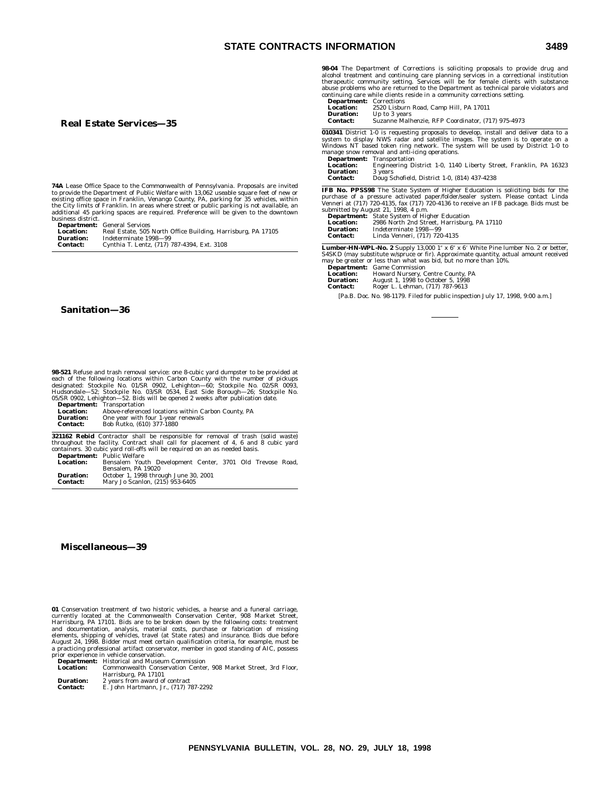#### **Real Estate Services—35**

**74A** Lease Office Space to the Commonwealth of Pennsylvania. Proposals are invited<br>to provide the Department of Public Welfare with 13,062 useable square feet of new or<br>existing office space in Franklin, Venango County, P

business district.<br> **Department:** General Services<br> **Location:** Real Estate, 505 North Office Building, Harrisburg, PA 17105<br> **Duration:** Indeterminate 1998—99<br> **Contact:** Cynthia T. Lentz, (717) 787-4394, Ext. 3108

### **Sanitation—36**

**98-521** Refuse and trash removal service: one 8-cubic yard dumpster to be provided at each of the following locations within Carbon County with the number of pickups<br>designated: Stockpile No. 01/SR 0902, Lehighton—60; Sto 05/SR 0902, Lehighton—52. Bids will be opened 2 weeks after publication date.

|                  | <b>Department:</b> Transportation                   |
|------------------|-----------------------------------------------------|
| <b>Location:</b> | Above-referenced locations within Carbon County, PA |
| <b>Duration:</b> | One year with four 1-year renewals                  |
| <b>Contact:</b>  | Bob Rutko. (610) 377-1880                           |

**321162 Rebid** Contractor shall be responsible for removal of trash (solid waste) throughout the facility. Contract shall call for placement of 4, 6 and 8 cubic yard containers. 30 cubic yard be required on an as needed ba

| <b>Location:</b> | Bensalem Youth Development Center, 3701 Old Trevose Road, |  |  |  |
|------------------|-----------------------------------------------------------|--|--|--|
|                  | Bensalem. PA 19020                                        |  |  |  |
| <b>Duration:</b> | October 1, 1998 through June 30, 2001                     |  |  |  |
| <b>Contact:</b>  | Mary Jo Scanlon, (215) 953-6405                           |  |  |  |

#### **Miscellaneous—39**

**01** Conservation treatment of two historic vehicles, a hearse and a funeral carriage, currently located at the Commonwealth Conservation Center, 908 Market Street,<br>Harrisburg, PA 17101. Bids are to be broken down by the following costs: treatment<br>and documentation, analysis, material costs, purchase or fabr August 24, 1998. Bidder must meet certain qualification criteria, for example, must be a practicing professional artifact conservator, member in good standing of AIC, possess prior experience in vehicle conservation.

**Department:** Historical and Museum Commission **Location:** Commonwealth Conservation Center, 908 Market Street, 3rd Floor, Harrisburg, PA 17101 **Duration:** 2 years from award of contract

**Contact:** E. John Hartmann, Jr., (717) 787-2292

| <b>Department:</b> Corrections |                                                    |
|--------------------------------|----------------------------------------------------|
| <b>Location:</b>               | 2520 Lisburn Road, Camp Hill, PA 17011             |
| <b>Duration:</b>               | Up to 3 years                                      |
| Contact:                       | Suzanne Malhenzie, RFP Coordinator, (717) 975-4973 |

**010341** District 1-0 is requesting proposals to develop, install and deliver data to a system to display NWS radar and satellite images. The system is to operate on a Windows NT based token ring network. The system will b **Department:** Transportation

|                  | <b>Department.</b> Iransportation                                 |
|------------------|-------------------------------------------------------------------|
| <b>Location:</b> | Engineering District 1-0, 1140 Liberty Street, Franklin, PA 16323 |
| <b>Duration:</b> | 3 years                                                           |
| <b>Contact:</b>  | Doug Schofield, District 1-0, (814) 437-4238                      |

**IFB No. PPSS98** The State System of Higher Education is soliciting bids for the purchase of a pressure activated paper/folder/sealer system. Please contact Linda Venneri at (717) 720-4135, fax (717) 720-4136 to receive an IFB package. Bids must be submitted by August 21, 1998, 4 p.m.

|                  | <b>Department:</b> State System of Higher Education |
|------------------|-----------------------------------------------------|
| <b>Location:</b> | 2986 North 2nd Street, Harrisburg, PA 17110         |
| <b>Duration:</b> | Indeterminate 1998-99                               |
| <b>Contact:</b>  | Linda Venneri, (717) 720-4135                       |

**Lumber-HN-WPL-No. 2** Supply 13,000 1″ x 6″ x 6′ White Pine lumber No. 2 or better,<br>S4SKD (may substitute w/spruce or fir). Approximate quantity, actual amount received

may be greater or less than what was bid, but no more than 10%. **Department:** Game Commission **Location:** Howard Nursery, Centre County, PA

| <b>Duration:</b> | August 1, 1998 to October 5, 1998 |
|------------------|-----------------------------------|
| <b>Contact:</b>  | Roger L. Lehman, (717) 787-9613   |

[Pa.B. Doc. No. 98-1179. Filed for public inspection July 17, 1998, 9:00 a.m.]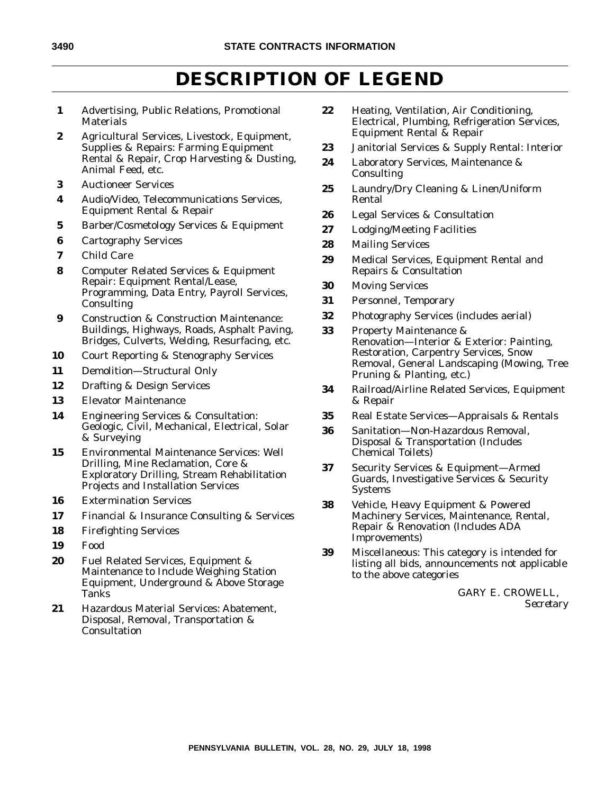# **DESCRIPTION OF LEGEND**

- **1** Advertising, Public Relations, Promotional **Materials**
- **2** Agricultural Services, Livestock, Equipment, Supplies & Repairs: Farming Equipment Rental & Repair, Crop Harvesting & Dusting, Animal Feed, etc.
- **3** Auctioneer Services
- **4** Audio/Video, Telecommunications Services, Equipment Rental & Repair
- **5** Barber/Cosmetology Services & Equipment
- **6** Cartography Services
- **7** Child Care
- **8** Computer Related Services & Equipment Repair: Equipment Rental/Lease, Programming, Data Entry, Payroll Services, Consulting
- **9** Construction & Construction Maintenance: Buildings, Highways, Roads, Asphalt Paving, Bridges, Culverts, Welding, Resurfacing, etc.
- **10** Court Reporting & Stenography Services
- **11** Demolition—Structural Only
- **12** Drafting & Design Services
- **13** Elevator Maintenance
- **14** Engineering Services & Consultation: Geologic, Civil, Mechanical, Electrical, Solar & Surveying
- **15** Environmental Maintenance Services: Well Drilling, Mine Reclamation, Core & Exploratory Drilling, Stream Rehabilitation Projects and Installation Services
- **16** Extermination Services
- **17** Financial & Insurance Consulting & Services
- **18** Firefighting Services
- **19** Food
- **20** Fuel Related Services, Equipment & Maintenance to Include Weighing Station Equipment, Underground & Above Storage Tanks
- **21** Hazardous Material Services: Abatement, Disposal, Removal, Transportation & **Consultation**
- **22** Heating, Ventilation, Air Conditioning, Electrical, Plumbing, Refrigeration Services, Equipment Rental & Repair
- **23** Janitorial Services & Supply Rental: Interior
- **24** Laboratory Services, Maintenance & Consulting
- **25** Laundry/Dry Cleaning & Linen/Uniform Rental
- **26** Legal Services & Consultation
- **27** Lodging/Meeting Facilities
- **28** Mailing Services
- **29** Medical Services, Equipment Rental and Repairs & Consultation
- **30** Moving Services
- **31** Personnel, Temporary
- **32** Photography Services (includes aerial)
- **33** Property Maintenance & Renovation—Interior & Exterior: Painting, Restoration, Carpentry Services, Snow Removal, General Landscaping (Mowing, Tree Pruning & Planting, etc.)
- **34** Railroad/Airline Related Services, Equipment & Repair
- **35** Real Estate Services—Appraisals & Rentals
- **36** Sanitation—Non-Hazardous Removal, Disposal & Transportation (Includes Chemical Toilets)
- **37** Security Services & Equipment—Armed Guards, Investigative Services & Security Systems
- **38** Vehicle, Heavy Equipment & Powered Machinery Services, Maintenance, Rental, Repair & Renovation (Includes ADA Improvements)
- **39** Miscellaneous: This category is intended for listing all bids, announcements not applicable to the above categories

GARY E. CROWELL, *Secretary*